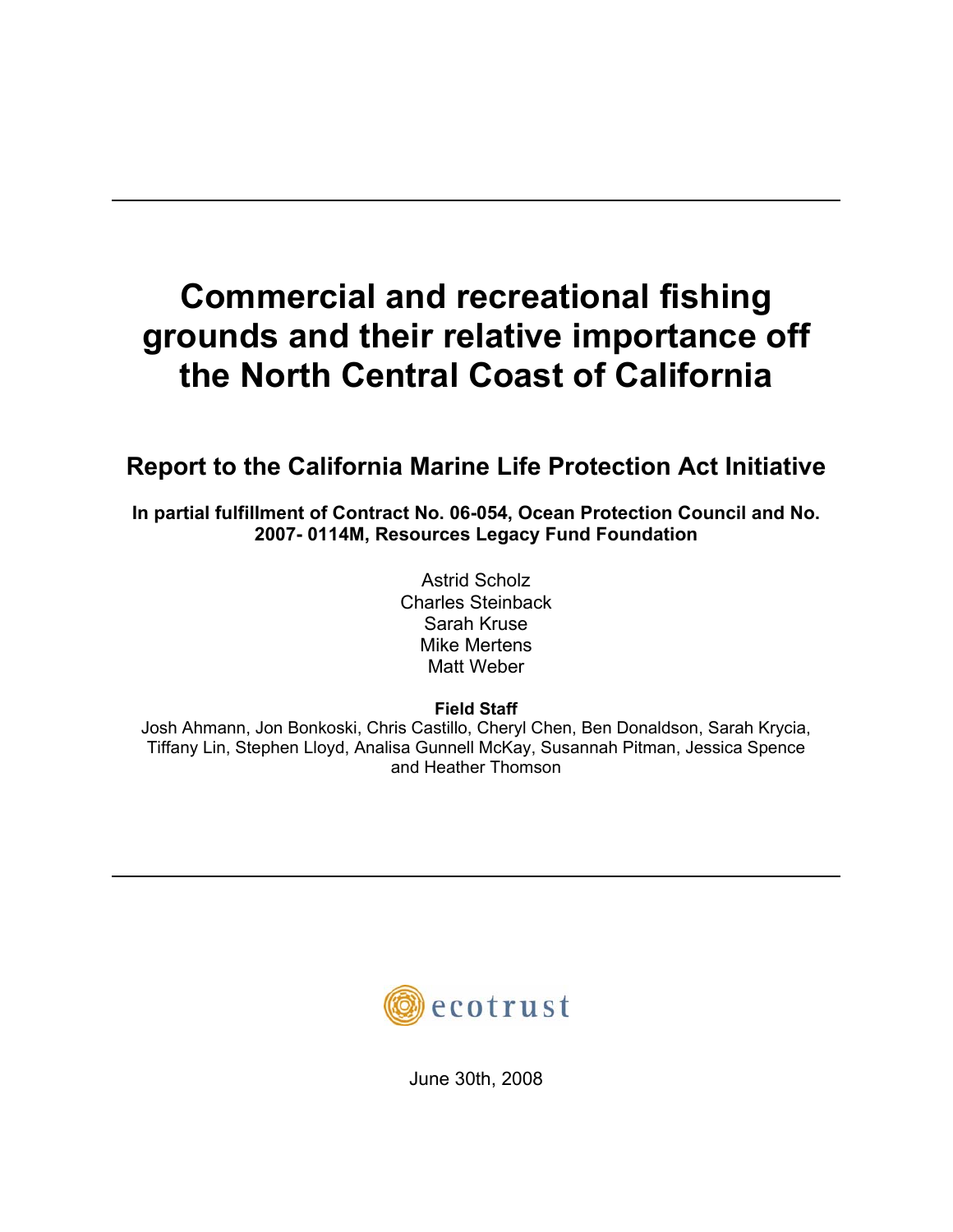# **Commercial and recreational fishing grounds and their relative importance off the North Central Coast of California**

## **Report to the California Marine Life Protection Act Initiative**

**In partial fulfillment of Contract No. 06-054, Ocean Protection Council and No. 2007- 0114M, Resources Legacy Fund Foundation** 

> Astrid Scholz Charles Steinback Sarah Kruse Mike Mertens Matt Weber

> > **Field Staff**

Josh Ahmann, Jon Bonkoski, Chris Castillo, Cheryl Chen, Ben Donaldson, Sarah Krycia, Tiffany Lin, Stephen Lloyd, Analisa Gunnell McKay, Susannah Pitman, Jessica Spence and Heather Thomson



June 30th, 2008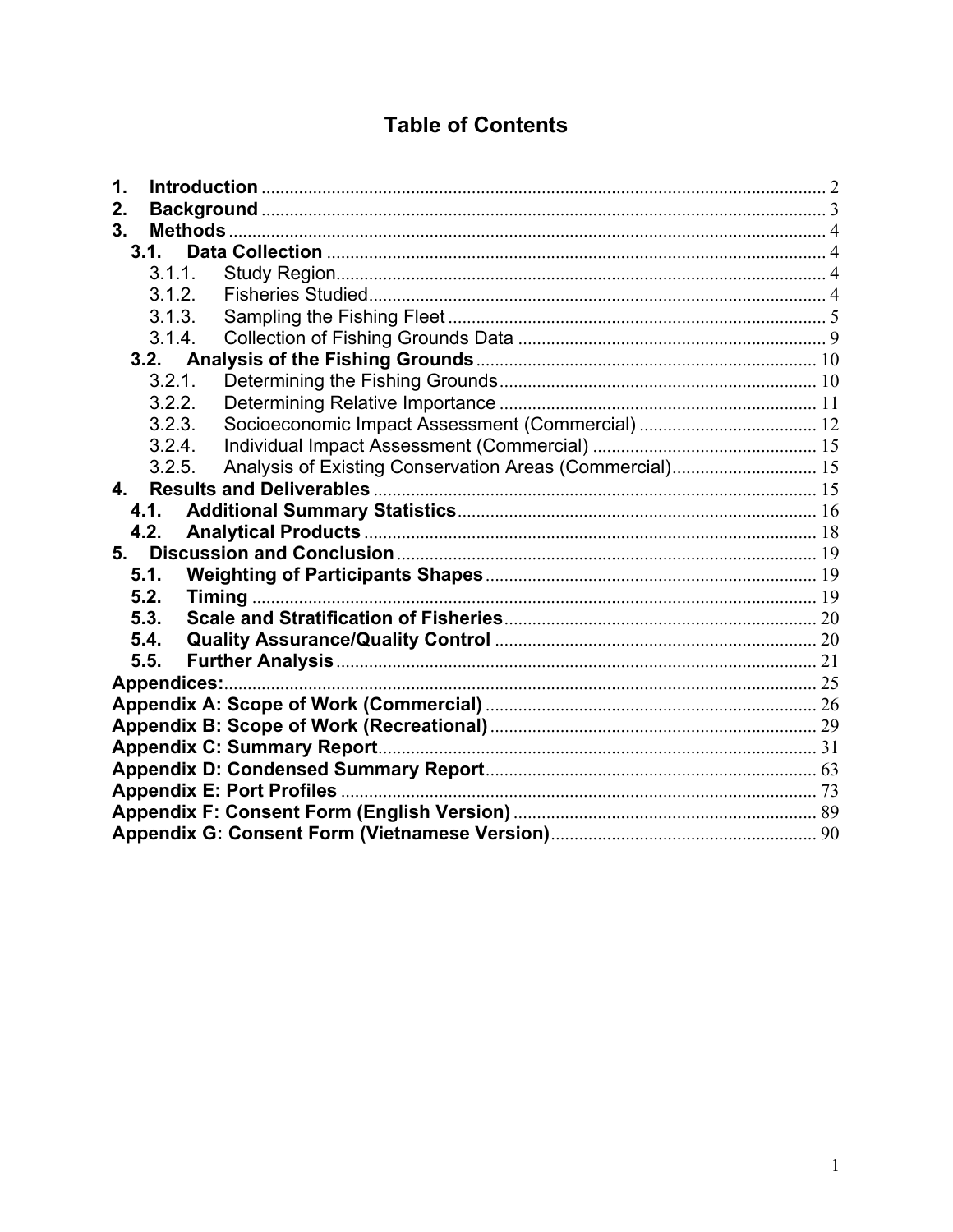## **Table of Contents**

| 1.   |        |                    |  |  |  |  |  |
|------|--------|--------------------|--|--|--|--|--|
| 2.   |        |                    |  |  |  |  |  |
| 3.   |        |                    |  |  |  |  |  |
|      | 3.1.   |                    |  |  |  |  |  |
|      | 3.1.1. |                    |  |  |  |  |  |
|      | 3.1.2. |                    |  |  |  |  |  |
|      | 3.1.3. |                    |  |  |  |  |  |
|      | 3.1.4. |                    |  |  |  |  |  |
|      |        |                    |  |  |  |  |  |
|      | 3.2.1. |                    |  |  |  |  |  |
|      | 3.2.2. |                    |  |  |  |  |  |
|      | 3.2.3. |                    |  |  |  |  |  |
|      | 3.2.4. |                    |  |  |  |  |  |
|      | 3.2.5. |                    |  |  |  |  |  |
| 4.   |        |                    |  |  |  |  |  |
|      | 4.1.   |                    |  |  |  |  |  |
|      | 4.2.   |                    |  |  |  |  |  |
| 5.   |        |                    |  |  |  |  |  |
| 5.1. |        |                    |  |  |  |  |  |
| 5.2. |        |                    |  |  |  |  |  |
| 5.3. |        |                    |  |  |  |  |  |
| 5.4. |        |                    |  |  |  |  |  |
| 5.5. |        |                    |  |  |  |  |  |
|      |        | <b>Appendices:</b> |  |  |  |  |  |
|      |        |                    |  |  |  |  |  |
|      |        |                    |  |  |  |  |  |
|      |        |                    |  |  |  |  |  |
|      |        |                    |  |  |  |  |  |
|      |        |                    |  |  |  |  |  |
|      |        |                    |  |  |  |  |  |
|      |        |                    |  |  |  |  |  |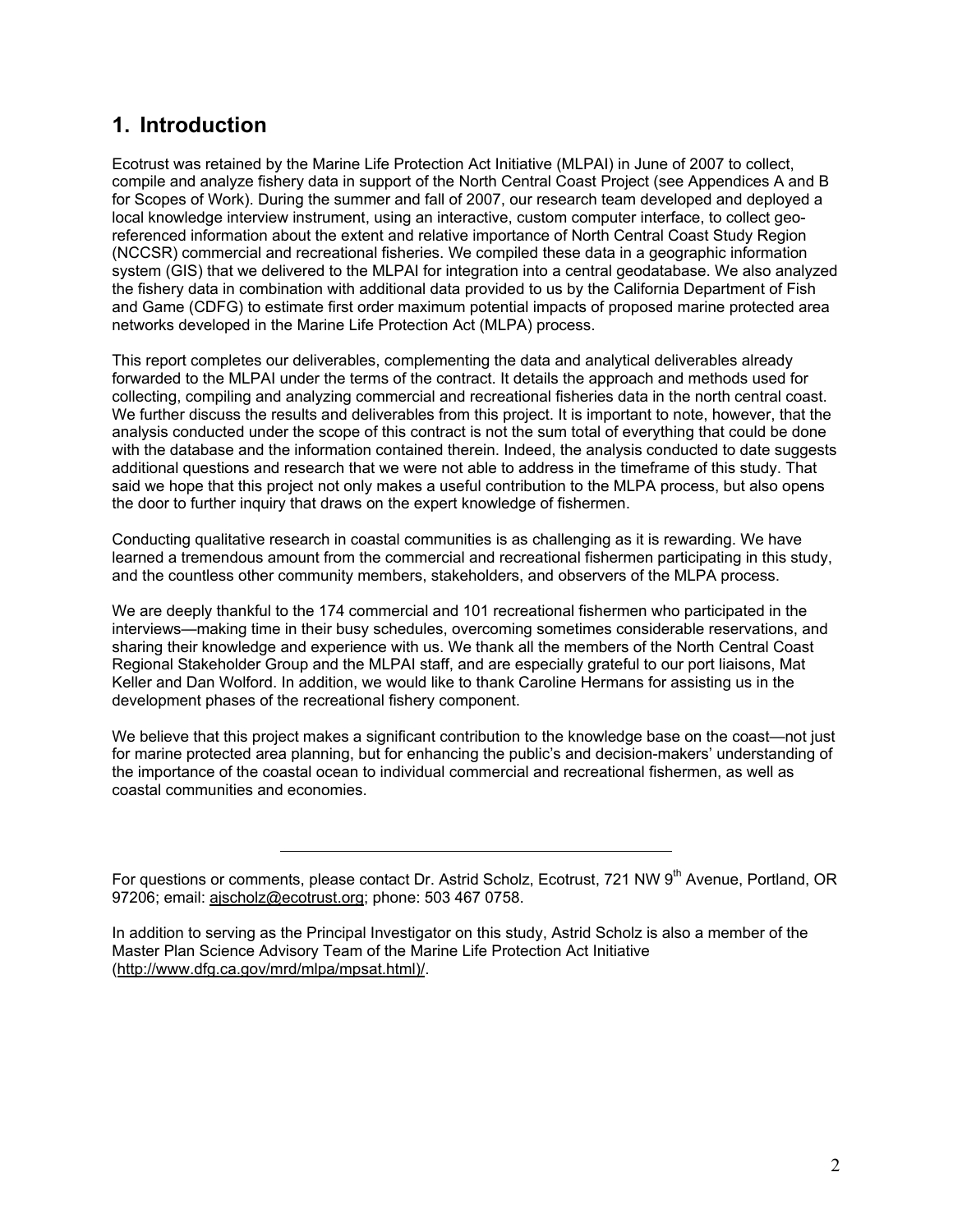## **1. Introduction**

Ecotrust was retained by the Marine Life Protection Act Initiative (MLPAI) in June of 2007 to collect, compile and analyze fishery data in support of the North Central Coast Project (see Appendices A and B for Scopes of Work). During the summer and fall of 2007, our research team developed and deployed a local knowledge interview instrument, using an interactive, custom computer interface, to collect georeferenced information about the extent and relative importance of North Central Coast Study Region (NCCSR) commercial and recreational fisheries. We compiled these data in a geographic information system (GIS) that we delivered to the MLPAI for integration into a central geodatabase. We also analyzed the fishery data in combination with additional data provided to us by the California Department of Fish and Game (CDFG) to estimate first order maximum potential impacts of proposed marine protected area networks developed in the Marine Life Protection Act (MLPA) process.

This report completes our deliverables, complementing the data and analytical deliverables already forwarded to the MLPAI under the terms of the contract. It details the approach and methods used for collecting, compiling and analyzing commercial and recreational fisheries data in the north central coast. We further discuss the results and deliverables from this project. It is important to note, however, that the analysis conducted under the scope of this contract is not the sum total of everything that could be done with the database and the information contained therein. Indeed, the analysis conducted to date suggests additional questions and research that we were not able to address in the timeframe of this study. That said we hope that this project not only makes a useful contribution to the MLPA process, but also opens the door to further inquiry that draws on the expert knowledge of fishermen.

Conducting qualitative research in coastal communities is as challenging as it is rewarding. We have learned a tremendous amount from the commercial and recreational fishermen participating in this study, and the countless other community members, stakeholders, and observers of the MLPA process.

We are deeply thankful to the 174 commercial and 101 recreational fishermen who participated in the interviews—making time in their busy schedules, overcoming sometimes considerable reservations, and sharing their knowledge and experience with us. We thank all the members of the North Central Coast Regional Stakeholder Group and the MLPAI staff, and are especially grateful to our port liaisons, Mat Keller and Dan Wolford. In addition, we would like to thank Caroline Hermans for assisting us in the development phases of the recreational fishery component.

We believe that this project makes a significant contribution to the knowledge base on the coast—not just for marine protected area planning, but for enhancing the public's and decision-makers' understanding of the importance of the coastal ocean to individual commercial and recreational fishermen, as well as coastal communities and economies.

For questions or comments, please contact Dr. Astrid Scholz, Ecotrust, 721 NW 9<sup>th</sup> Avenue, Portland, OR 97206; email: ajscholz@ecotrust.org; phone: 503 467 0758.

In addition to serving as the Principal Investigator on this study, Astrid Scholz is also a member of the Master Plan Science Advisory Team of the Marine Life Protection Act Initiative (http://www.dfg.ca.gov/mrd/mlpa/mpsat.html)/.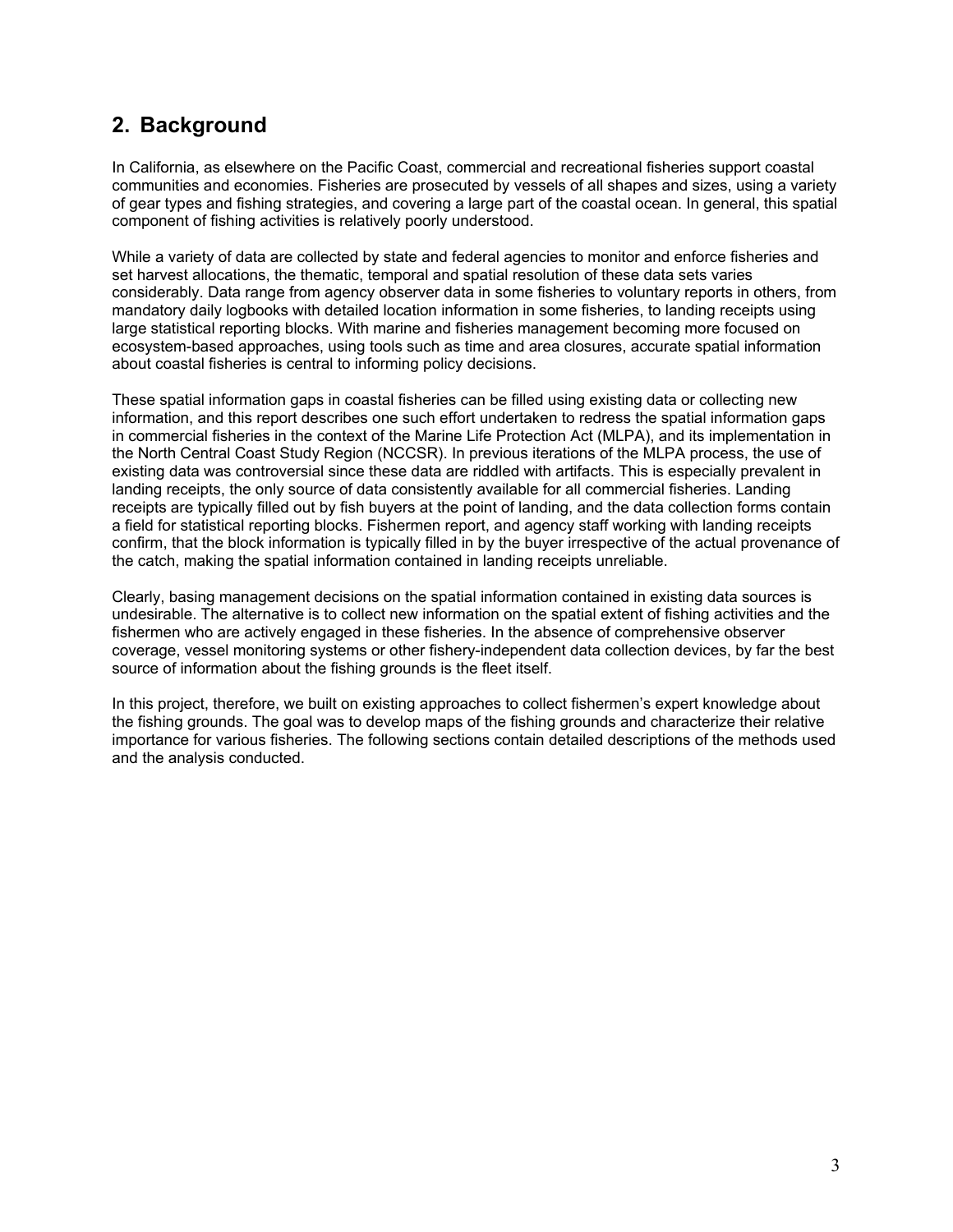## **2. Background**

In California, as elsewhere on the Pacific Coast, commercial and recreational fisheries support coastal communities and economies. Fisheries are prosecuted by vessels of all shapes and sizes, using a variety of gear types and fishing strategies, and covering a large part of the coastal ocean. In general, this spatial component of fishing activities is relatively poorly understood.

While a variety of data are collected by state and federal agencies to monitor and enforce fisheries and set harvest allocations, the thematic, temporal and spatial resolution of these data sets varies considerably. Data range from agency observer data in some fisheries to voluntary reports in others, from mandatory daily logbooks with detailed location information in some fisheries, to landing receipts using large statistical reporting blocks. With marine and fisheries management becoming more focused on ecosystem-based approaches, using tools such as time and area closures, accurate spatial information about coastal fisheries is central to informing policy decisions.

These spatial information gaps in coastal fisheries can be filled using existing data or collecting new information, and this report describes one such effort undertaken to redress the spatial information gaps in commercial fisheries in the context of the Marine Life Protection Act (MLPA), and its implementation in the North Central Coast Study Region (NCCSR). In previous iterations of the MLPA process, the use of existing data was controversial since these data are riddled with artifacts. This is especially prevalent in landing receipts, the only source of data consistently available for all commercial fisheries. Landing receipts are typically filled out by fish buyers at the point of landing, and the data collection forms contain a field for statistical reporting blocks. Fishermen report, and agency staff working with landing receipts confirm, that the block information is typically filled in by the buyer irrespective of the actual provenance of the catch, making the spatial information contained in landing receipts unreliable.

Clearly, basing management decisions on the spatial information contained in existing data sources is undesirable. The alternative is to collect new information on the spatial extent of fishing activities and the fishermen who are actively engaged in these fisheries. In the absence of comprehensive observer coverage, vessel monitoring systems or other fishery-independent data collection devices, by far the best source of information about the fishing grounds is the fleet itself.

In this project, therefore, we built on existing approaches to collect fishermen's expert knowledge about the fishing grounds. The goal was to develop maps of the fishing grounds and characterize their relative importance for various fisheries. The following sections contain detailed descriptions of the methods used and the analysis conducted.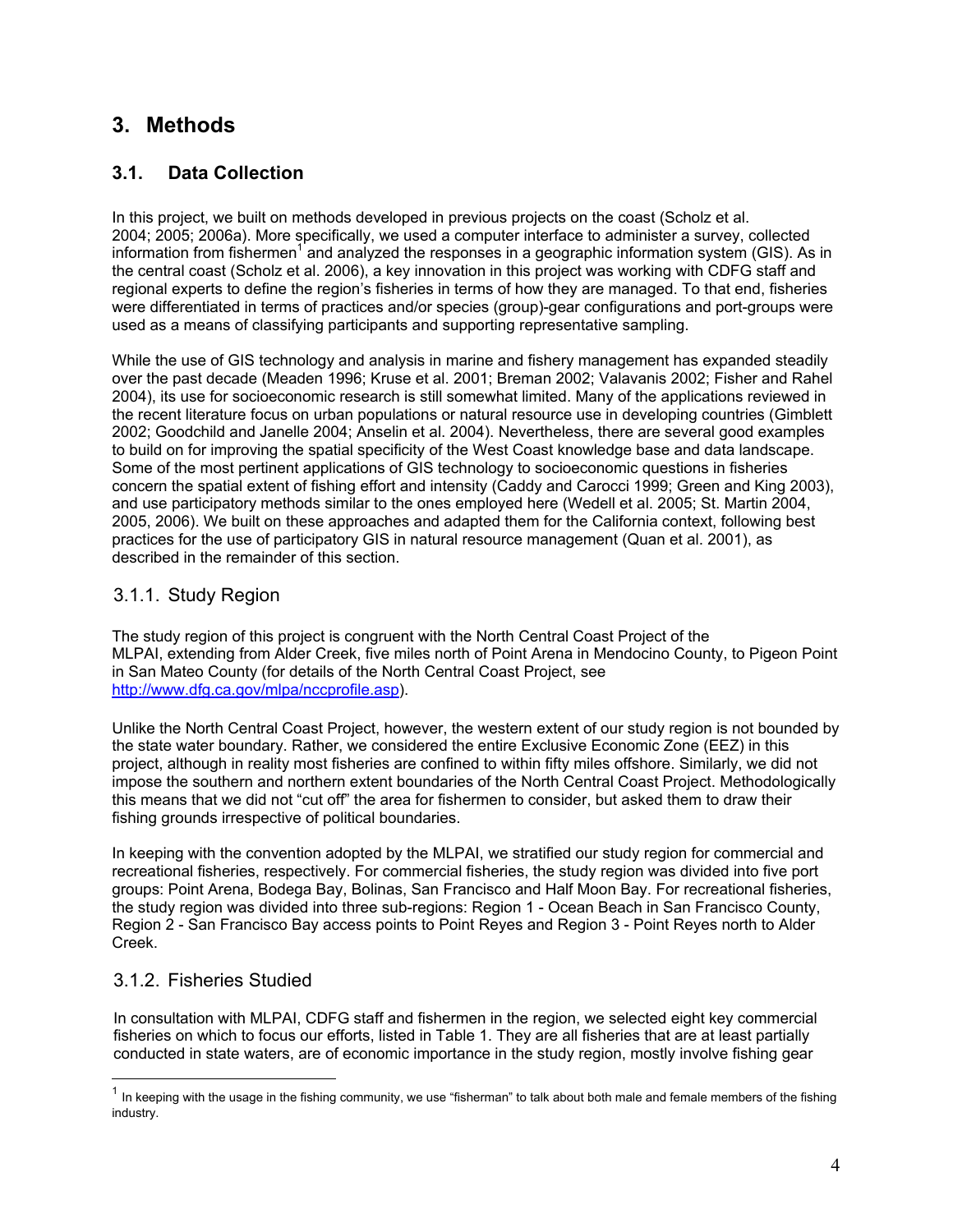## **3. Methods**

## **3.1. Data Collection**

In this project, we built on methods developed in previous projects on the coast (Scholz et al. 2004; 2005; 2006a). More specifically, we used a computer interface to administer a survey, collected information from fishermen<sup>1</sup> and analyzed the responses in a geographic information system (GIS). As in the central coast (Scholz et al. 2006), a key innovation in this project was working with CDFG staff and regional experts to define the region's fisheries in terms of how they are managed. To that end, fisheries were differentiated in terms of practices and/or species (group)-gear configurations and port-groups were used as a means of classifying participants and supporting representative sampling.

While the use of GIS technology and analysis in marine and fishery management has expanded steadily over the past decade (Meaden 1996; Kruse et al. 2001; Breman 2002; Valavanis 2002; Fisher and Rahel 2004), its use for socioeconomic research is still somewhat limited. Many of the applications reviewed in the recent literature focus on urban populations or natural resource use in developing countries (Gimblett 2002; Goodchild and Janelle 2004; Anselin et al. 2004). Nevertheless, there are several good examples to build on for improving the spatial specificity of the West Coast knowledge base and data landscape. Some of the most pertinent applications of GIS technology to socioeconomic questions in fisheries concern the spatial extent of fishing effort and intensity (Caddy and Carocci 1999; Green and King 2003), and use participatory methods similar to the ones employed here (Wedell et al. 2005; St. Martin 2004, 2005, 2006). We built on these approaches and adapted them for the California context, following best practices for the use of participatory GIS in natural resource management (Quan et al. 2001), as described in the remainder of this section.

## 3.1.1. Study Region

The study region of this project is congruent with the North Central Coast Project of the MLPAI, extending from Alder Creek, five miles north of Point Arena in Mendocino County, to Pigeon Point in San Mateo County (for details of the North Central Coast Project, see http://www.dfg.ca.gov/mlpa/nccprofile.asp).

Unlike the North Central Coast Project, however, the western extent of our study region is not bounded by the state water boundary. Rather, we considered the entire Exclusive Economic Zone (EEZ) in this project, although in reality most fisheries are confined to within fifty miles offshore. Similarly, we did not impose the southern and northern extent boundaries of the North Central Coast Project. Methodologically this means that we did not "cut off" the area for fishermen to consider, but asked them to draw their fishing grounds irrespective of political boundaries.

In keeping with the convention adopted by the MLPAI, we stratified our study region for commercial and recreational fisheries, respectively. For commercial fisheries, the study region was divided into five port groups: Point Arena, Bodega Bay, Bolinas, San Francisco and Half Moon Bay. For recreational fisheries, the study region was divided into three sub-regions: Region 1 - Ocean Beach in San Francisco County, Region 2 - San Francisco Bay access points to Point Reyes and Region 3 - Point Reyes north to Alder Creek.

## 3.1.2. Fisheries Studied

 $\overline{a}$ 

In consultation with MLPAI, CDFG staff and fishermen in the region, we selected eight key commercial fisheries on which to focus our efforts, listed in Table 1. They are all fisheries that are at least partially conducted in state waters, are of economic importance in the study region, mostly involve fishing gear

 $1$  In keeping with the usage in the fishing community, we use "fisherman" to talk about both male and female members of the fishing industry.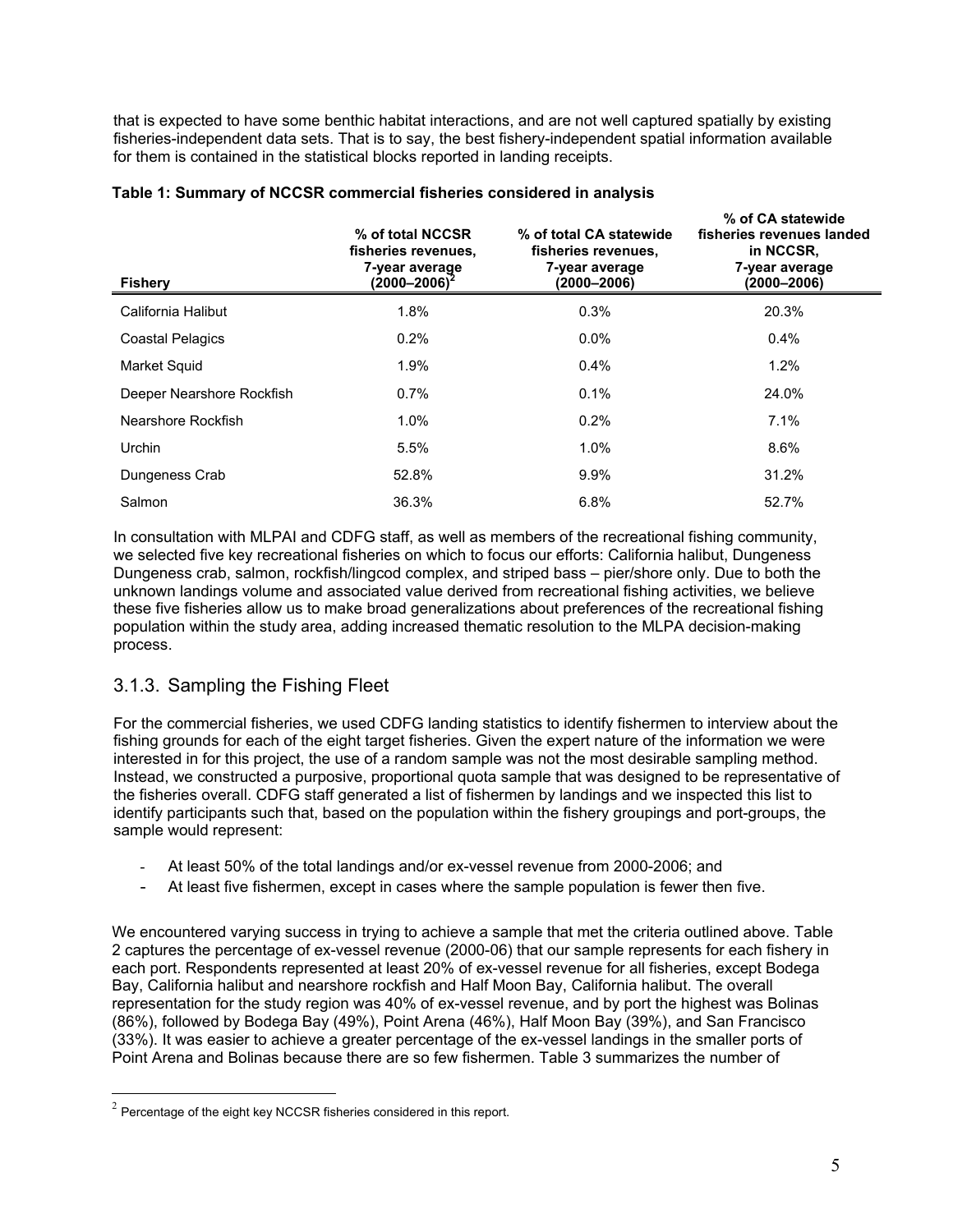that is expected to have some benthic habitat interactions, and are not well captured spatially by existing fisheries-independent data sets. That is to say, the best fishery-independent spatial information available for them is contained in the statistical blocks reported in landing receipts.

| <b>Fishery</b>            | % of total NCCSR<br>fisheries revenues.<br>7-year average<br>(2000–2006) $^2$ | % of total CA statewide<br>fisheries revenues,<br>7-year average<br>(2000–2006) | % of CA statewide<br>fisheries revenues landed<br>in NCCSR.<br>7-year average<br>(2000–2006) |
|---------------------------|-------------------------------------------------------------------------------|---------------------------------------------------------------------------------|----------------------------------------------------------------------------------------------|
| California Halibut        | 1.8%                                                                          | 0.3%                                                                            | 20.3%                                                                                        |
| <b>Coastal Pelagics</b>   | 0.2%                                                                          | $0.0\%$                                                                         | $0.4\%$                                                                                      |
| <b>Market Squid</b>       | 1.9%                                                                          | 0.4%                                                                            | 1.2%                                                                                         |
| Deeper Nearshore Rockfish | $0.7\%$                                                                       | 0.1%                                                                            | 24.0%                                                                                        |
| Nearshore Rockfish        | $1.0\%$                                                                       | 0.2%                                                                            | 7.1%                                                                                         |
| Urchin                    | 5.5%                                                                          | 1.0%                                                                            | 8.6%                                                                                         |
| Dungeness Crab            | 52.8%                                                                         | 9.9%                                                                            | 31.2%                                                                                        |
| Salmon                    | 36.3%                                                                         | 6.8%                                                                            | 52.7%                                                                                        |

#### **Table 1: Summary of NCCSR commercial fisheries considered in analysis**

In consultation with MLPAI and CDFG staff, as well as members of the recreational fishing community, we selected five key recreational fisheries on which to focus our efforts: California halibut, Dungeness Dungeness crab, salmon, rockfish/lingcod complex, and striped bass – pier/shore only. Due to both the unknown landings volume and associated value derived from recreational fishing activities, we believe these five fisheries allow us to make broad generalizations about preferences of the recreational fishing population within the study area, adding increased thematic resolution to the MLPA decision-making process.

## 3.1.3. Sampling the Fishing Fleet

For the commercial fisheries, we used CDFG landing statistics to identify fishermen to interview about the fishing grounds for each of the eight target fisheries. Given the expert nature of the information we were interested in for this project, the use of a random sample was not the most desirable sampling method. Instead, we constructed a purposive, proportional quota sample that was designed to be representative of the fisheries overall. CDFG staff generated a list of fishermen by landings and we inspected this list to identify participants such that, based on the population within the fishery groupings and port-groups, the sample would represent:

- At least 50% of the total landings and/or ex-vessel revenue from 2000-2006; and
- At least five fishermen, except in cases where the sample population is fewer then five.

We encountered varying success in trying to achieve a sample that met the criteria outlined above. Table 2 captures the percentage of ex-vessel revenue (2000-06) that our sample represents for each fishery in each port. Respondents represented at least 20% of ex-vessel revenue for all fisheries, except Bodega Bay, California halibut and nearshore rockfish and Half Moon Bay, California halibut. The overall representation for the study region was 40% of ex-vessel revenue, and by port the highest was Bolinas (86%), followed by Bodega Bay (49%), Point Arena (46%), Half Moon Bay (39%), and San Francisco (33%). It was easier to achieve a greater percentage of the ex-vessel landings in the smaller ports of Point Arena and Bolinas because there are so few fishermen. Table 3 summarizes the number of

 $2$  Percentage of the eight key NCCSR fisheries considered in this report.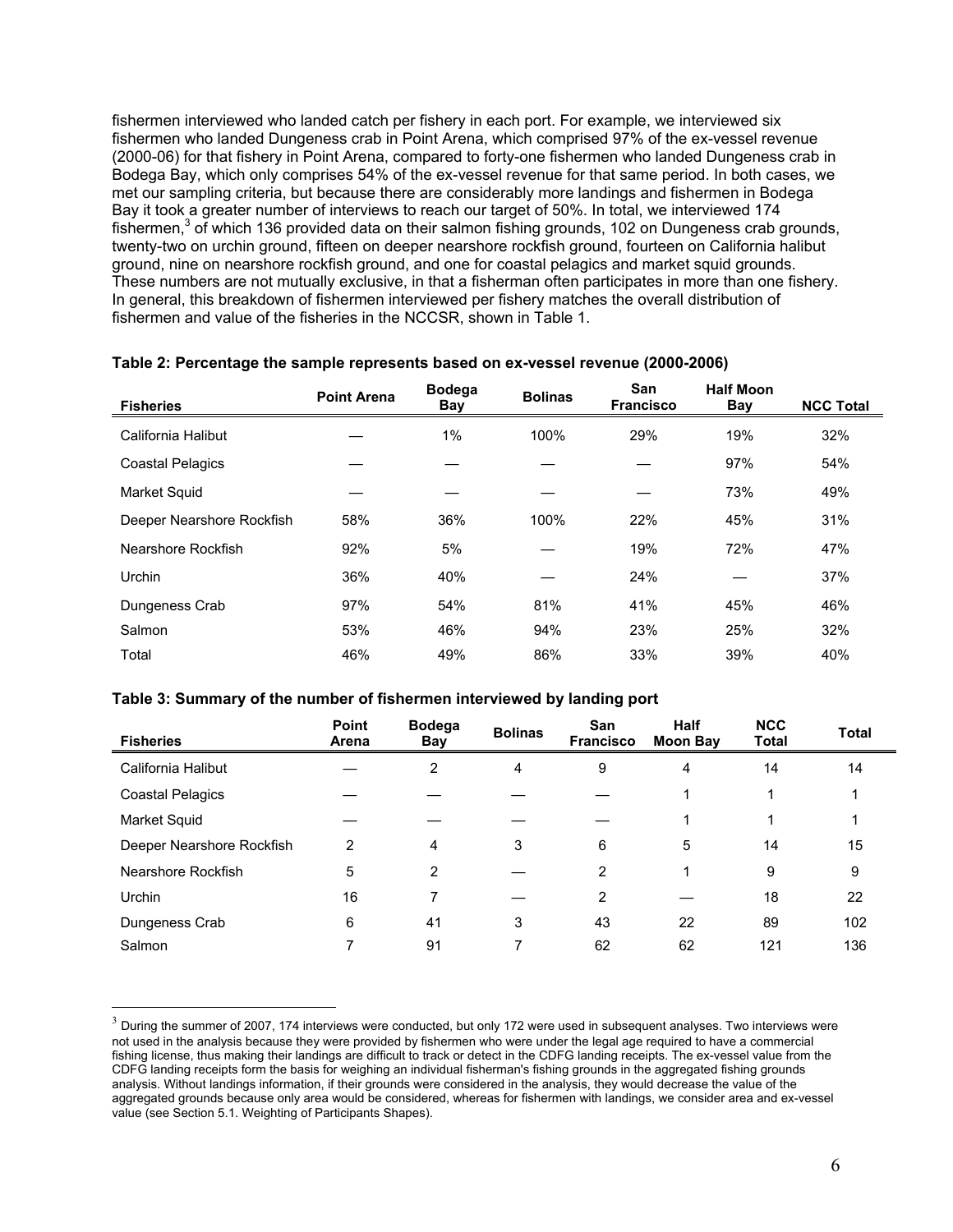fishermen interviewed who landed catch per fishery in each port. For example, we interviewed six fishermen who landed Dungeness crab in Point Arena, which comprised 97% of the ex-vessel revenue (2000-06) for that fishery in Point Arena, compared to forty-one fishermen who landed Dungeness crab in Bodega Bay, which only comprises 54% of the ex-vessel revenue for that same period. In both cases, we met our sampling criteria, but because there are considerably more landings and fishermen in Bodega Bay it took a greater number of interviews to reach our target of 50%. In total, we interviewed 174 fishermen,<sup>3</sup> of which 136 provided data on their salmon fishing grounds, 102 on Dungeness crab grounds, twenty-two on urchin ground, fifteen on deeper nearshore rockfish ground, fourteen on California halibut ground, nine on nearshore rockfish ground, and one for coastal pelagics and market squid grounds. These numbers are not mutually exclusive, in that a fisherman often participates in more than one fishery. In general, this breakdown of fishermen interviewed per fishery matches the overall distribution of fishermen and value of the fisheries in the NCCSR, shown in Table 1.

| <b>Fisheries</b>          | <b>Point Arena</b> | <b>Bodega</b><br>Bay | <b>Bolinas</b> | San<br><b>Francisco</b> | <b>Half Moon</b><br><b>Bay</b> | <b>NCC Total</b> |
|---------------------------|--------------------|----------------------|----------------|-------------------------|--------------------------------|------------------|
| California Halibut        |                    | 1%                   | 100%           | 29%                     | 19%                            | 32%              |
| <b>Coastal Pelagics</b>   |                    |                      |                |                         | 97%                            | 54%              |
| Market Squid              |                    |                      |                |                         | 73%                            | 49%              |
| Deeper Nearshore Rockfish | 58%                | 36%                  | 100%           | 22%                     | 45%                            | 31%              |
| Nearshore Rockfish        | 92%                | 5%                   |                | 19%                     | 72%                            | 47%              |
| Urchin                    | 36%                | 40%                  |                | 24%                     |                                | 37%              |
| Dungeness Crab            | 97%                | 54%                  | 81%            | 41%                     | 45%                            | 46%              |
| Salmon                    | 53%                | 46%                  | 94%            | 23%                     | 25%                            | 32%              |
| Total                     | 46%                | 49%                  | 86%            | 33%                     | 39%                            | 40%              |

#### **Table 2: Percentage the sample represents based on ex-vessel revenue (2000-2006)**

#### **Table 3: Summary of the number of fishermen interviewed by landing port**

| <b>Fisheries</b>          | Point<br>Arena | <b>Bodega</b><br>Bay | <b>Bolinas</b> | San<br><b>Francisco</b> | <b>Half</b><br><b>Moon Bay</b> | <b>NCC</b><br><b>Total</b> | <b>Total</b> |
|---------------------------|----------------|----------------------|----------------|-------------------------|--------------------------------|----------------------------|--------------|
| California Halibut        |                | 2                    | 4              | 9                       | 4                              | 14                         | 14           |
| <b>Coastal Pelagics</b>   |                |                      |                |                         |                                |                            |              |
| Market Squid              |                |                      |                |                         |                                |                            |              |
| Deeper Nearshore Rockfish | $\overline{2}$ | 4                    | 3              | 6                       | 5                              | 14                         | 15           |
| Nearshore Rockfish        | 5              | 2                    |                | $\overline{2}$          | 4                              | 9                          | 9            |
| Urchin                    | 16             | 7                    |                | 2                       |                                | 18                         | 22           |
| Dungeness Crab            | 6              | 41                   | 3              | 43                      | 22                             | 89                         | 102          |
| Salmon                    | 7              | 91                   | 7              | 62                      | 62                             | 121                        | 136          |

 $3$  During the summer of 2007, 174 interviews were conducted, but only 172 were used in subsequent analyses. Two interviews were not used in the analysis because they were provided by fishermen who were under the legal age required to have a commercial fishing license, thus making their landings are difficult to track or detect in the CDFG landing receipts. The ex-vessel value from the CDFG landing receipts form the basis for weighing an individual fisherman's fishing grounds in the aggregated fishing grounds analysis. Without landings information, if their grounds were considered in the analysis, they would decrease the value of the aggregated grounds because only area would be considered, whereas for fishermen with landings, we consider area and ex-vessel value (see Section 5.1. Weighting of Participants Shapes).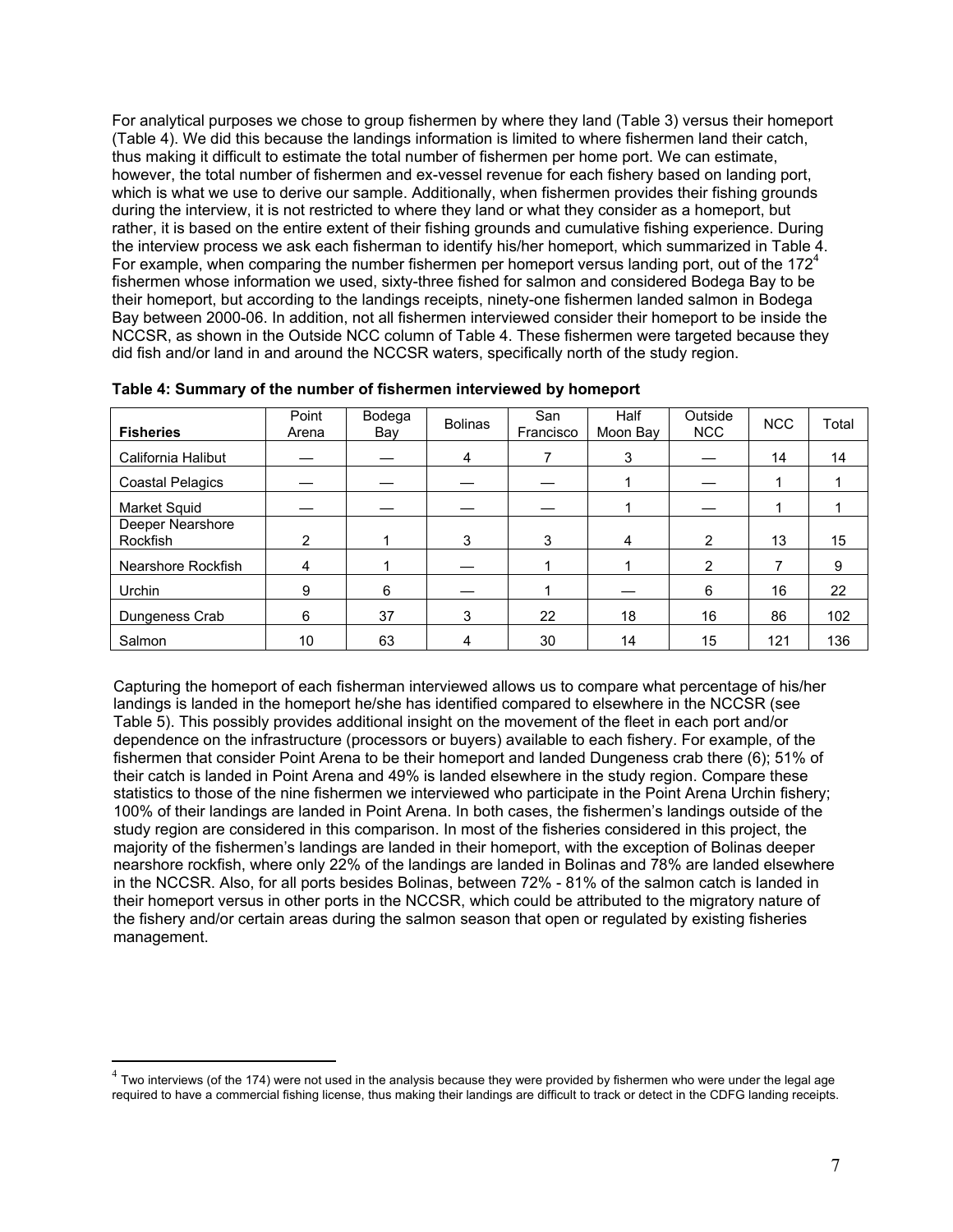For analytical purposes we chose to group fishermen by where they land (Table 3) versus their homeport (Table 4). We did this because the landings information is limited to where fishermen land their catch, thus making it difficult to estimate the total number of fishermen per home port. We can estimate, however, the total number of fishermen and ex-vessel revenue for each fishery based on landing port, which is what we use to derive our sample. Additionally, when fishermen provides their fishing grounds during the interview, it is not restricted to where they land or what they consider as a homeport, but rather, it is based on the entire extent of their fishing grounds and cumulative fishing experience. During the interview process we ask each fisherman to identify his/her homeport, which summarized in Table 4. For example, when comparing the number fishermen per homeport versus landing port, out of the  $172<sup>4</sup>$ fishermen whose information we used, sixty-three fished for salmon and considered Bodega Bay to be their homeport, but according to the landings receipts, ninety-one fishermen landed salmon in Bodega Bay between 2000-06. In addition, not all fishermen interviewed consider their homeport to be inside the NCCSR, as shown in the Outside NCC column of Table 4. These fishermen were targeted because they did fish and/or land in and around the NCCSR waters, specifically north of the study region.

| <b>Fisheries</b>             | Point<br>Arena | Bodega<br>Bay | <b>Bolinas</b> | San<br>Francisco | Half<br>Moon Bay | Outside<br>NCC | <b>NCC</b> | Total |
|------------------------------|----------------|---------------|----------------|------------------|------------------|----------------|------------|-------|
| California Halibut           |                |               | 4              |                  | 3                |                | 14         | 14    |
| <b>Coastal Pelagics</b>      |                |               |                |                  |                  |                |            |       |
| Market Squid                 |                |               |                |                  |                  |                |            |       |
| Deeper Nearshore<br>Rockfish | 2              |               | 3              | 3                | 4                | $\overline{2}$ | 13         | 15    |
| Nearshore Rockfish           | 4              |               |                |                  |                  | 2              | 7          | 9     |
| Urchin                       | 9              | 6             |                |                  |                  | 6              | 16         | 22    |
| Dungeness Crab               | 6              | 37            | 3              | 22               | 18               | 16             | 86         | 102   |
| Salmon                       | 10             | 63            | 4              | 30               | 14               | 15             | 121        | 136   |

**Table 4: Summary of the number of fishermen interviewed by homeport**

Capturing the homeport of each fisherman interviewed allows us to compare what percentage of his/her landings is landed in the homeport he/she has identified compared to elsewhere in the NCCSR (see Table 5). This possibly provides additional insight on the movement of the fleet in each port and/or dependence on the infrastructure (processors or buyers) available to each fishery. For example, of the fishermen that consider Point Arena to be their homeport and landed Dungeness crab there (6); 51% of their catch is landed in Point Arena and 49% is landed elsewhere in the study region. Compare these statistics to those of the nine fishermen we interviewed who participate in the Point Arena Urchin fishery; 100% of their landings are landed in Point Arena. In both cases, the fishermen's landings outside of the study region are considered in this comparison. In most of the fisheries considered in this project, the majority of the fishermen's landings are landed in their homeport, with the exception of Bolinas deeper nearshore rockfish, where only 22% of the landings are landed in Bolinas and 78% are landed elsewhere in the NCCSR. Also, for all ports besides Bolinas, between 72% - 81% of the salmon catch is landed in their homeport versus in other ports in the NCCSR, which could be attributed to the migratory nature of the fishery and/or certain areas during the salmon season that open or regulated by existing fisheries management.

 $^4$  Two interviews (of the 174) were not used in the analysis because they were provided by fishermen who were under the legal age required to have a commercial fishing license, thus making their landings are difficult to track or detect in the CDFG landing receipts.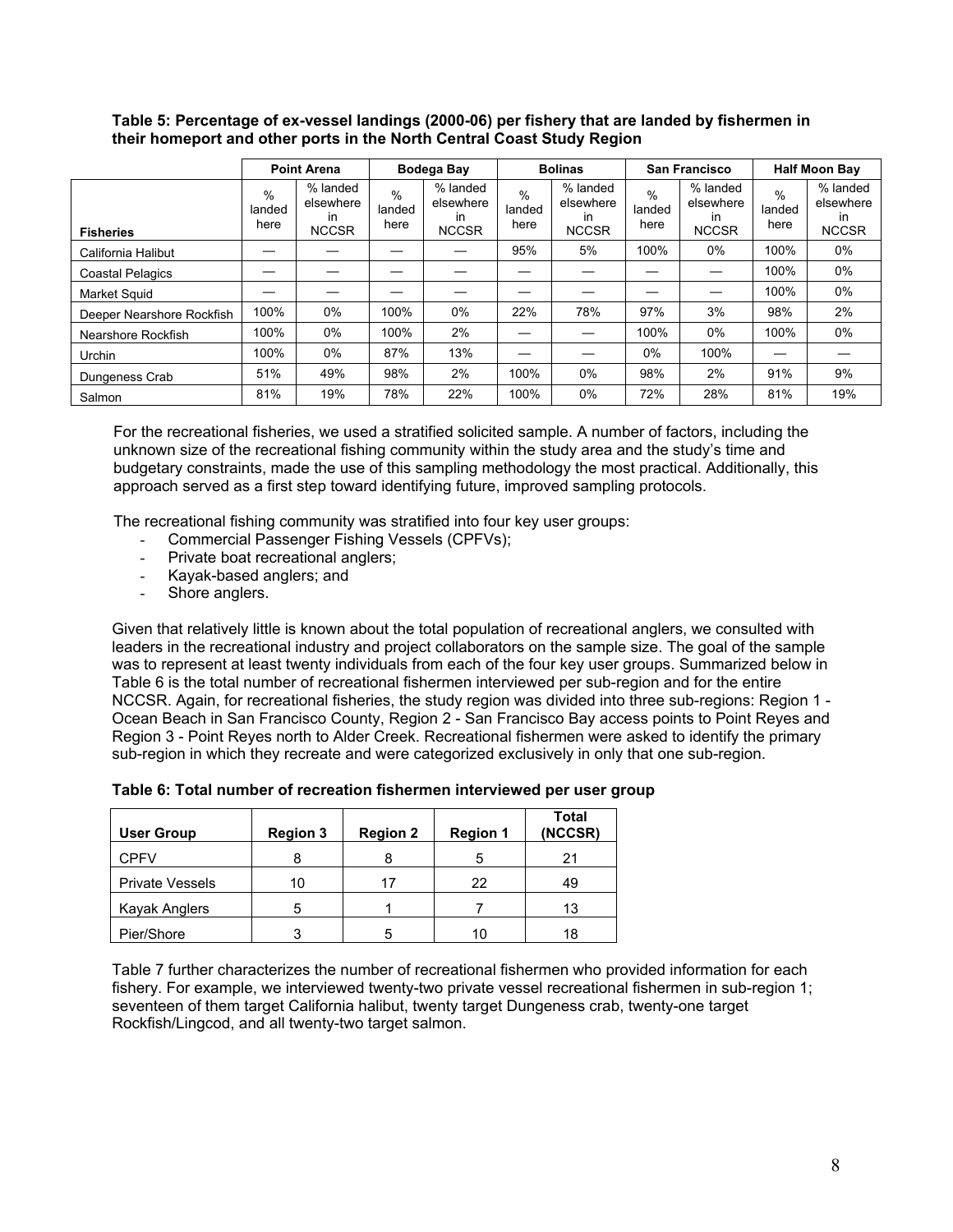#### **Table 5: Percentage of ex-vessel landings (2000-06) per fishery that are landed by fishermen in their homeport and other ports in the North Central Coast Study Region**

|                           | <b>Point Arena</b>     |                                             |                        | Bodega Bay                                   | <b>Bolinas</b>         |                                                    | San Francisco                   |                                             | <b>Half Moon Bay</b>   |                                             |
|---------------------------|------------------------|---------------------------------------------|------------------------|----------------------------------------------|------------------------|----------------------------------------------------|---------------------------------|---------------------------------------------|------------------------|---------------------------------------------|
| <b>Fisheries</b>          | $\%$<br>landed<br>here | % landed<br>elsewhere<br>in<br><b>NCCSR</b> | $\%$<br>landed<br>here | % landed<br>elsewhere<br>in.<br><b>NCCSR</b> | $\%$<br>landed<br>here | % landed<br>elsewhere<br><i>in</i><br><b>NCCSR</b> | $\frac{0}{0}$<br>landed<br>here | % landed<br>elsewhere<br>in<br><b>NCCSR</b> | $\%$<br>landed<br>here | % landed<br>elsewhere<br>in<br><b>NCCSR</b> |
| California Halibut        |                        |                                             |                        |                                              | 95%                    | 5%                                                 | 100%                            | $0\%$                                       | 100%                   | $0\%$                                       |
| <b>Coastal Pelagics</b>   |                        |                                             |                        |                                              |                        |                                                    |                                 |                                             | 100%                   | $0\%$                                       |
| Market Squid              |                        |                                             |                        |                                              |                        |                                                    |                                 |                                             | 100%                   | $0\%$                                       |
| Deeper Nearshore Rockfish | 100%                   | $0\%$                                       | 100%                   | $0\%$                                        | 22%                    | 78%                                                | 97%                             | 3%                                          | 98%                    | 2%                                          |
| Nearshore Rockfish        | 100%                   | $0\%$                                       | 100%                   | 2%                                           |                        |                                                    | 100%                            | $0\%$                                       | 100%                   | 0%                                          |
| Urchin                    | 100%                   | $0\%$                                       | 87%                    | 13%                                          |                        |                                                    | 0%                              | 100%                                        |                        |                                             |
| Dungeness Crab            | 51%                    | 49%                                         | 98%                    | 2%                                           | 100%                   | $0\%$                                              | 98%                             | 2%                                          | 91%                    | 9%                                          |
| Salmon                    | 81%                    | 19%                                         | 78%                    | 22%                                          | 100%                   | $0\%$                                              | 72%                             | 28%                                         | 81%                    | 19%                                         |

For the recreational fisheries, we used a stratified solicited sample. A number of factors, including the unknown size of the recreational fishing community within the study area and the study's time and budgetary constraints, made the use of this sampling methodology the most practical. Additionally, this approach served as a first step toward identifying future, improved sampling protocols.

The recreational fishing community was stratified into four key user groups:

- Commercial Passenger Fishing Vessels (CPFVs);
- Private boat recreational anglers;
- Kayak-based anglers; and
- Shore anglers.

Given that relatively little is known about the total population of recreational anglers, we consulted with leaders in the recreational industry and project collaborators on the sample size. The goal of the sample was to represent at least twenty individuals from each of the four key user groups. Summarized below in Table 6 is the total number of recreational fishermen interviewed per sub-region and for the entire NCCSR. Again, for recreational fisheries, the study region was divided into three sub-regions: Region 1 - Ocean Beach in San Francisco County, Region 2 - San Francisco Bay access points to Point Reyes and Region 3 - Point Reyes north to Alder Creek. Recreational fishermen were asked to identify the primary sub-region in which they recreate and were categorized exclusively in only that one sub-region.

| <b>User Group</b>      | <b>Region 3</b> | <b>Region 2</b> | <b>Region 1</b> | <b>Total</b><br>(NCCSR) |
|------------------------|-----------------|-----------------|-----------------|-------------------------|
| <b>CPFV</b>            |                 |                 |                 | 21                      |
| <b>Private Vessels</b> | 10              | 17              | 22              | 49                      |
| Kayak Anglers          | 5               |                 |                 | 13                      |
| Pier/Shore             |                 | 5               | 10              | 18                      |

#### **Table 6: Total number of recreation fishermen interviewed per user group**

Table 7 further characterizes the number of recreational fishermen who provided information for each fishery. For example, we interviewed twenty-two private vessel recreational fishermen in sub-region 1; seventeen of them target California halibut, twenty target Dungeness crab, twenty-one target Rockfish/Lingcod, and all twenty-two target salmon.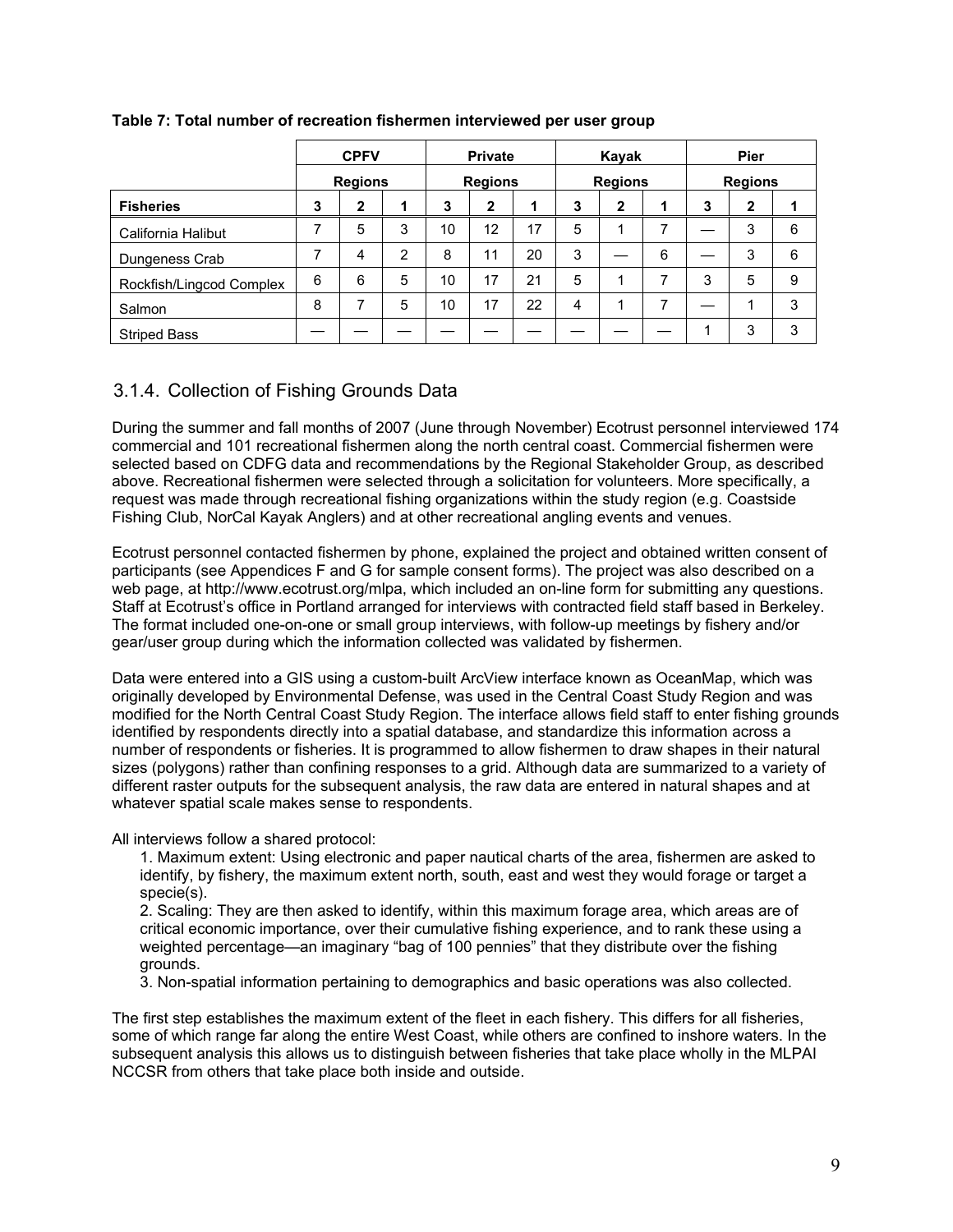|                          |   | <b>CPFV</b>    |   |    | <b>Private</b> |    |   | Kayak          |   |   | Pier           |   |
|--------------------------|---|----------------|---|----|----------------|----|---|----------------|---|---|----------------|---|
|                          |   | <b>Regions</b> |   |    | <b>Regions</b> |    |   | <b>Regions</b> |   |   | <b>Regions</b> |   |
| <b>Fisheries</b>         | 3 | $\mathbf{2}$   |   | 3  | $\mathbf{2}$   |    | 3 | $\mathbf{2}$   |   | 3 | $\mathbf{2}$   |   |
| California Halibut       | ⇁ | 5              | 3 | 10 | 12             | 17 | 5 |                |   |   | 3              | 6 |
| Dungeness Crab           |   | 4              | 2 | 8  | 11             | 20 | 3 |                | 6 |   | 3              | 6 |
| Rockfish/Lingcod Complex | 6 | 6              | 5 | 10 | 17             | 21 | 5 |                | ⇁ | 3 | 5              | 9 |
| Salmon                   | 8 | ⇁              | 5 | 10 | 17             | 22 | 4 |                | ⇁ |   |                | 3 |
| <b>Striped Bass</b>      |   |                |   |    |                |    |   |                |   |   | 3              | 3 |

### **Table 7: Total number of recreation fishermen interviewed per user group**

## 3.1.4. Collection of Fishing Grounds Data

During the summer and fall months of 2007 (June through November) Ecotrust personnel interviewed 174 commercial and 101 recreational fishermen along the north central coast. Commercial fishermen were selected based on CDFG data and recommendations by the Regional Stakeholder Group, as described above. Recreational fishermen were selected through a solicitation for volunteers. More specifically, a request was made through recreational fishing organizations within the study region (e.g. Coastside Fishing Club, NorCal Kayak Anglers) and at other recreational angling events and venues.

Ecotrust personnel contacted fishermen by phone, explained the project and obtained written consent of participants (see Appendices F and G for sample consent forms). The project was also described on a web page, at http://www.ecotrust.org/mlpa, which included an on-line form for submitting any questions. Staff at Ecotrust's office in Portland arranged for interviews with contracted field staff based in Berkeley. The format included one-on-one or small group interviews, with follow-up meetings by fishery and/or gear/user group during which the information collected was validated by fishermen.

Data were entered into a GIS using a custom-built ArcView interface known as OceanMap, which was originally developed by Environmental Defense, was used in the Central Coast Study Region and was modified for the North Central Coast Study Region. The interface allows field staff to enter fishing grounds identified by respondents directly into a spatial database, and standardize this information across a number of respondents or fisheries. It is programmed to allow fishermen to draw shapes in their natural sizes (polygons) rather than confining responses to a grid. Although data are summarized to a variety of different raster outputs for the subsequent analysis, the raw data are entered in natural shapes and at whatever spatial scale makes sense to respondents.

All interviews follow a shared protocol:

1. Maximum extent: Using electronic and paper nautical charts of the area, fishermen are asked to identify, by fishery, the maximum extent north, south, east and west they would forage or target a specie(s).

2. Scaling: They are then asked to identify, within this maximum forage area, which areas are of critical economic importance, over their cumulative fishing experience, and to rank these using a weighted percentage—an imaginary "bag of 100 pennies" that they distribute over the fishing grounds.

3. Non-spatial information pertaining to demographics and basic operations was also collected.

The first step establishes the maximum extent of the fleet in each fishery. This differs for all fisheries, some of which range far along the entire West Coast, while others are confined to inshore waters. In the subsequent analysis this allows us to distinguish between fisheries that take place wholly in the MLPAI NCCSR from others that take place both inside and outside.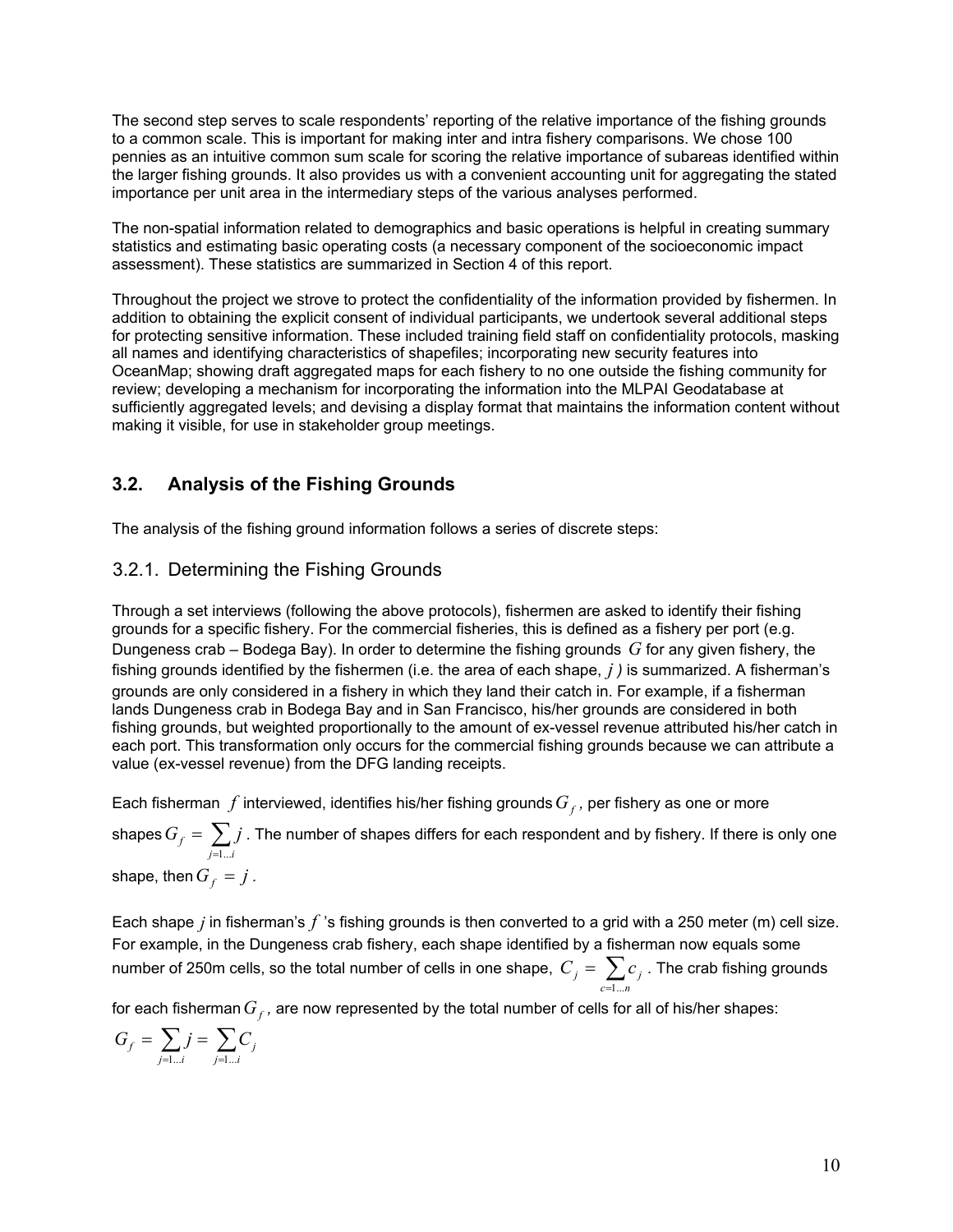The second step serves to scale respondents' reporting of the relative importance of the fishing grounds to a common scale. This is important for making inter and intra fishery comparisons. We chose 100 pennies as an intuitive common sum scale for scoring the relative importance of subareas identified within the larger fishing grounds. It also provides us with a convenient accounting unit for aggregating the stated importance per unit area in the intermediary steps of the various analyses performed.

The non-spatial information related to demographics and basic operations is helpful in creating summary statistics and estimating basic operating costs (a necessary component of the socioeconomic impact assessment). These statistics are summarized in Section 4 of this report.

Throughout the project we strove to protect the confidentiality of the information provided by fishermen. In addition to obtaining the explicit consent of individual participants, we undertook several additional steps for protecting sensitive information. These included training field staff on confidentiality protocols, masking all names and identifying characteristics of shapefiles; incorporating new security features into OceanMap; showing draft aggregated maps for each fishery to no one outside the fishing community for review; developing a mechanism for incorporating the information into the MLPAI Geodatabase at sufficiently aggregated levels; and devising a display format that maintains the information content without making it visible, for use in stakeholder group meetings.

## **3.2. Analysis of the Fishing Grounds**

The analysis of the fishing ground information follows a series of discrete steps:

## 3.2.1. Determining the Fishing Grounds

Through a set interviews (following the above protocols), fishermen are asked to identify their fishing grounds for a specific fishery. For the commercial fisheries, this is defined as a fishery per port (e.g. Dungeness crab – Bodega Bay). In order to determine the fishing grounds *G* for any given fishery, the fishing grounds identified by the fishermen (i.e. the area of each shape, *j )* is summarized. A fisherman's grounds are only considered in a fishery in which they land their catch in. For example, if a fisherman lands Dungeness crab in Bodega Bay and in San Francisco, his/her grounds are considered in both fishing grounds, but weighted proportionally to the amount of ex-vessel revenue attributed his/her catch in each port. This transformation only occurs for the commercial fishing grounds because we can attribute a value (ex-vessel revenue) from the DFG landing receipts.

Each fisherman  $f$  interviewed, identifies his/her fishing grounds  $G_f$ , per fishery as one or more

shapes  $G_{_f}=\sum\limits_{_{j=1}^{_{}}$ *j i*  $G_f = \sum_j j$ 1... . The number of shapes differs for each respondent and by fishery. If there is only one

shape, then  $G_f = j$ .

Each shape *j* in fisherman's *f* 's fishing grounds is then converted to a grid with a 250 meter (m) cell size. For example, in the Dungeness crab fishery, each shape identified by a fisherman now equals some number of 250m cells, so the total number of cells in one shape,  $\;C_{_f}=\sum\limits_{c=1}^{N}{}_{\!c}$ *c n*  $C_j = \sum c_j$ 1... *.* The crab fishing grounds

for each fisherman  $G_f$ , are now represented by the total number of cells for all of his/her shapes:

$$
G_f = \sum_{j=1...i} j = \sum_{j=1...i} C_j
$$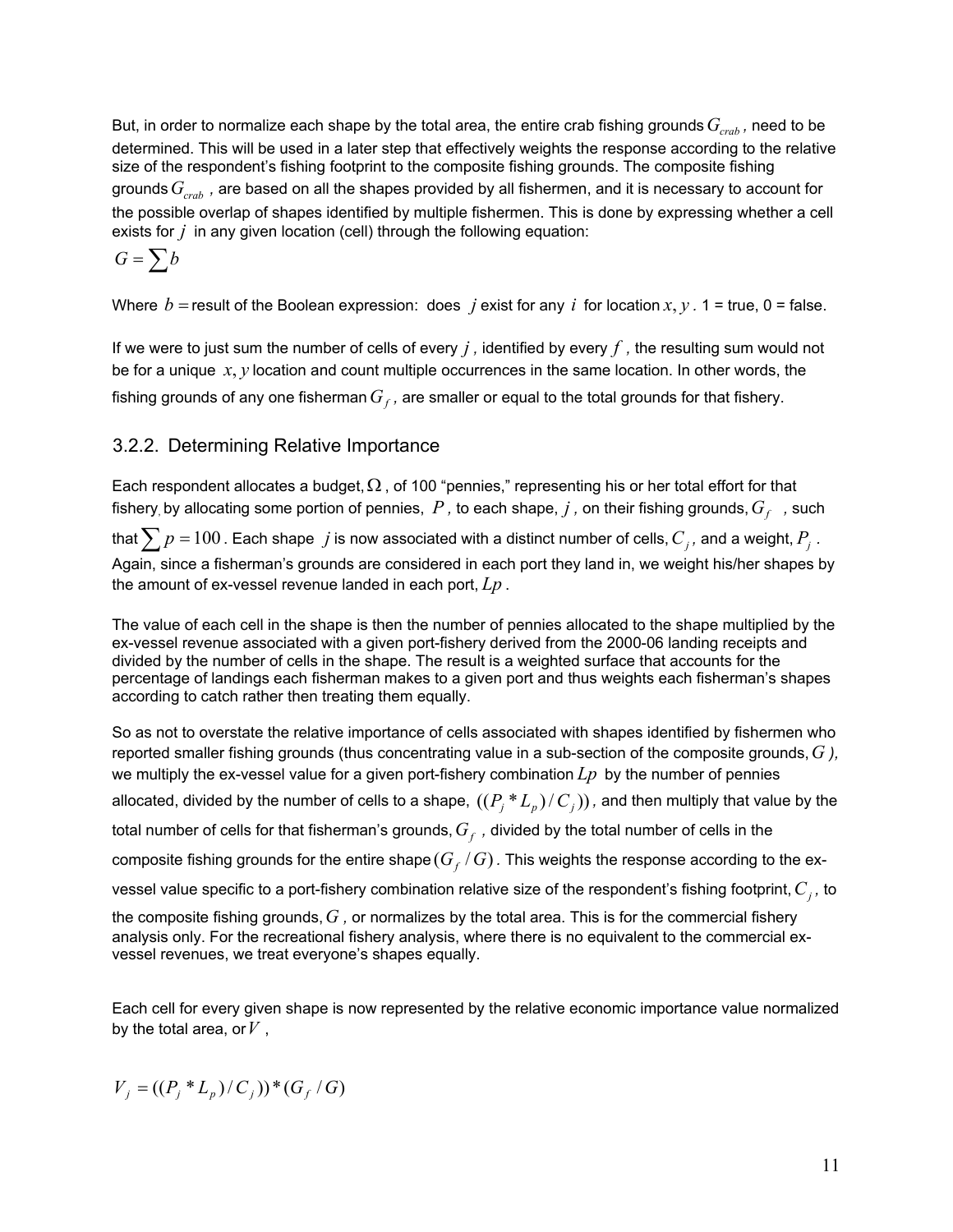But, in order to normalize each shape by the total area, the entire crab fishing grounds  $G_{crab}$ , need to be determined. This will be used in a later step that effectively weights the response according to the relative size of the respondent's fishing footprint to the composite fishing grounds. The composite fishing grounds  $G_{\text{crab}}$ , are based on all the shapes provided by all fishermen, and it is necessary to account for the possible overlap of shapes identified by multiple fishermen. This is done by expressing whether a cell exists for *j* in any given location (cell) through the following equation:

$$
G=\sum b
$$

Where  $b$  = result of the Boolean expression: does *j* exist for any *i* for location  $x, y$ . 1 = true, 0 = false.

If we were to just sum the number of cells of every *j ,* identified by every *f ,* the resulting sum would not be for a unique *x*, *y* location and count multiple occurrences in the same location. In other words, the fishing grounds of any one fisherman  $G_f$ , are smaller or equal to the total grounds for that fishery.

## 3.2.2. Determining Relative Importance

Each respondent allocates a budget,  $\Omega$ , of 100 "pennies," representing his or her total effort for that fishery, by allocating some portion of pennies,  $P$ , to each shape,  $j$ , on their fishing grounds,  $G_f$ , such

that  $\sum p = 100$  . Each shape *j* is now associated with a distinct number of cells,  $C_j$ , and a weight,  $P_j$  . Again, since a fisherman's grounds are considered in each port they land in, we weight his/her shapes by the amount of ex-vessel revenue landed in each port, *Lp* .

The value of each cell in the shape is then the number of pennies allocated to the shape multiplied by the ex-vessel revenue associated with a given port-fishery derived from the 2000-06 landing receipts and divided by the number of cells in the shape. The result is a weighted surface that accounts for the percentage of landings each fisherman makes to a given port and thus weights each fisherman's shapes according to catch rather then treating them equally.

So as not to overstate the relative importance of cells associated with shapes identified by fishermen who reported smaller fishing grounds (thus concentrating value in a sub-section of the composite grounds,*G ),* we multiply the ex-vessel value for a given port-fishery combination *Lp* by the number of pennies allocated, divided by the number of cells to a shape,  $((P_i * L_p)/C_j)$ , and then multiply that value by the total number of cells for that fisherman's grounds,  $G_f$ , divided by the total number of cells in the composite fishing grounds for the entire shape  $(G_f/G)$ . This weights the response according to the exvessel value specific to a port-fishery combination relative size of the respondent's fishing footprint,  $C_j$ , to the composite fishing grounds,*G ,* or normalizes by the total area. This is for the commercial fishery analysis only. For the recreational fishery analysis, where there is no equivalent to the commercial ex-

Each cell for every given shape is now represented by the relative economic importance value normalized by the total area, or*V* ,

$$
V_j = ((P_j * L_p) / C_j) ) * (G_f / G)
$$

vessel revenues, we treat everyone's shapes equally.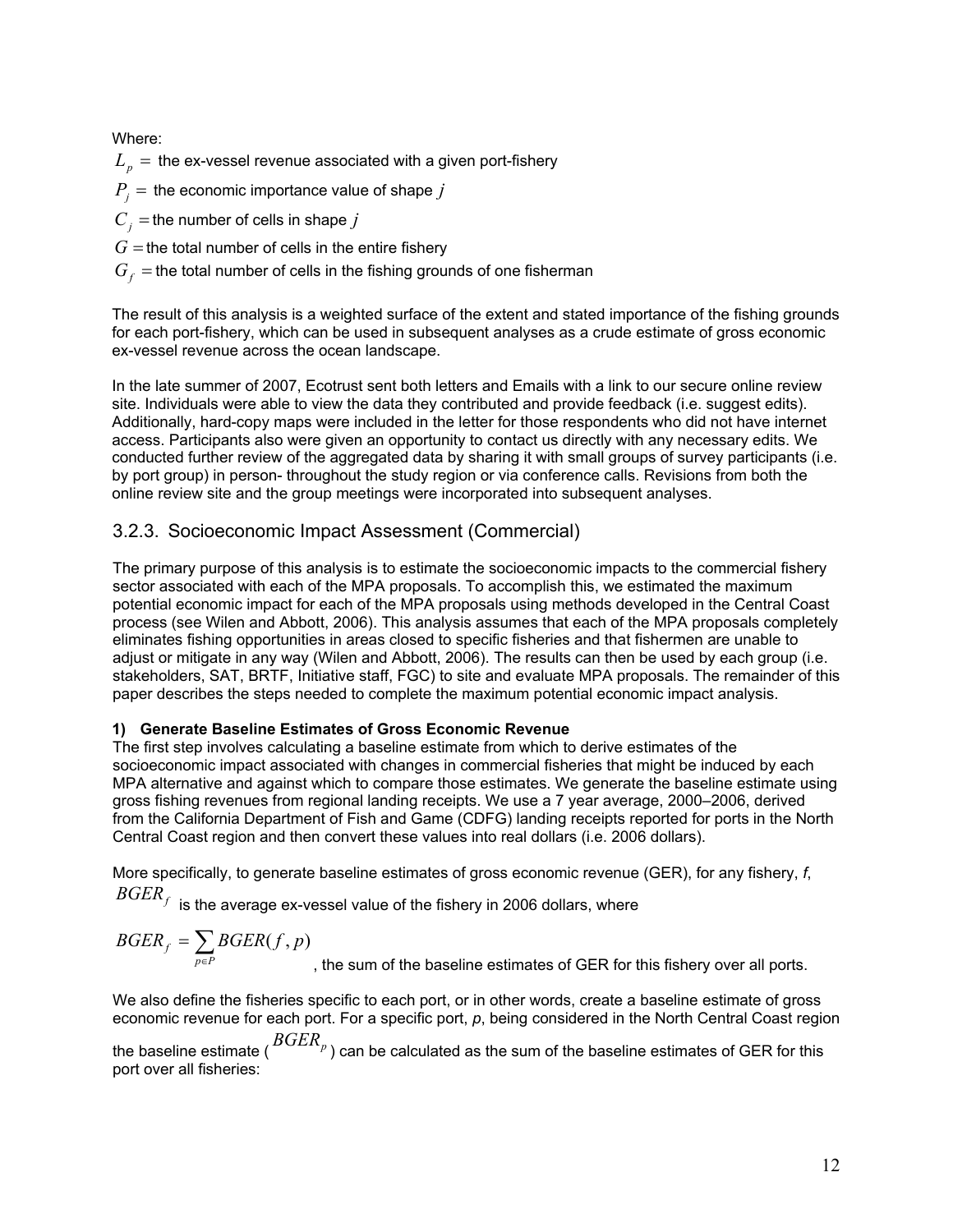Where:

 $L_p =$  the ex-vessel revenue associated with a given port-fishery

 $P_i$  = the economic importance value of shape *j* 

 $C_i$  = the number of cells in shape *j* 

 $G =$  the total number of cells in the entire fishery

 $G<sub>f</sub>$  = the total number of cells in the fishing grounds of one fisherman

The result of this analysis is a weighted surface of the extent and stated importance of the fishing grounds for each port-fishery, which can be used in subsequent analyses as a crude estimate of gross economic ex-vessel revenue across the ocean landscape.

In the late summer of 2007, Ecotrust sent both letters and Emails with a link to our secure online review site. Individuals were able to view the data they contributed and provide feedback (i.e. suggest edits). Additionally, hard-copy maps were included in the letter for those respondents who did not have internet access. Participants also were given an opportunity to contact us directly with any necessary edits. We conducted further review of the aggregated data by sharing it with small groups of survey participants (i.e. by port group) in person- throughout the study region or via conference calls. Revisions from both the online review site and the group meetings were incorporated into subsequent analyses.

## 3.2.3. Socioeconomic Impact Assessment (Commercial)

The primary purpose of this analysis is to estimate the socioeconomic impacts to the commercial fishery sector associated with each of the MPA proposals. To accomplish this, we estimated the maximum potential economic impact for each of the MPA proposals using methods developed in the Central Coast process (see Wilen and Abbott, 2006). This analysis assumes that each of the MPA proposals completely eliminates fishing opportunities in areas closed to specific fisheries and that fishermen are unable to adjust or mitigate in any way (Wilen and Abbott, 2006). The results can then be used by each group (i.e. stakeholders, SAT, BRTF, Initiative staff, FGC) to site and evaluate MPA proposals. The remainder of this paper describes the steps needed to complete the maximum potential economic impact analysis.

## **1) Generate Baseline Estimates of Gross Economic Revenue**

The first step involves calculating a baseline estimate from which to derive estimates of the socioeconomic impact associated with changes in commercial fisheries that might be induced by each MPA alternative and against which to compare those estimates. We generate the baseline estimate using gross fishing revenues from regional landing receipts. We use a 7 year average, 2000–2006, derived from the California Department of Fish and Game (CDFG) landing receipts reported for ports in the North Central Coast region and then convert these values into real dollars (i.e. 2006 dollars).

More specifically, to generate baseline estimates of gross economic revenue (GER), for any fishery, *f*,  $\mathit{BGER}_f$  is the average ex-vessel value of the fishery in 2006 dollars, where

$$
BGERf = \sum_{p \in P} BGER(f, p)
$$
, the sum of the baseline estimates of GER for this fishery over all ports.

We also define the fisheries specific to each port, or in other words, create a baseline estimate of gross economic revenue for each port. For a specific port, *p*, being considered in the North Central Coast region the baseline estimate ( $BGER_p$ ) can be calculated as the sum of the baseline estimates of GER for this port over all fisheries: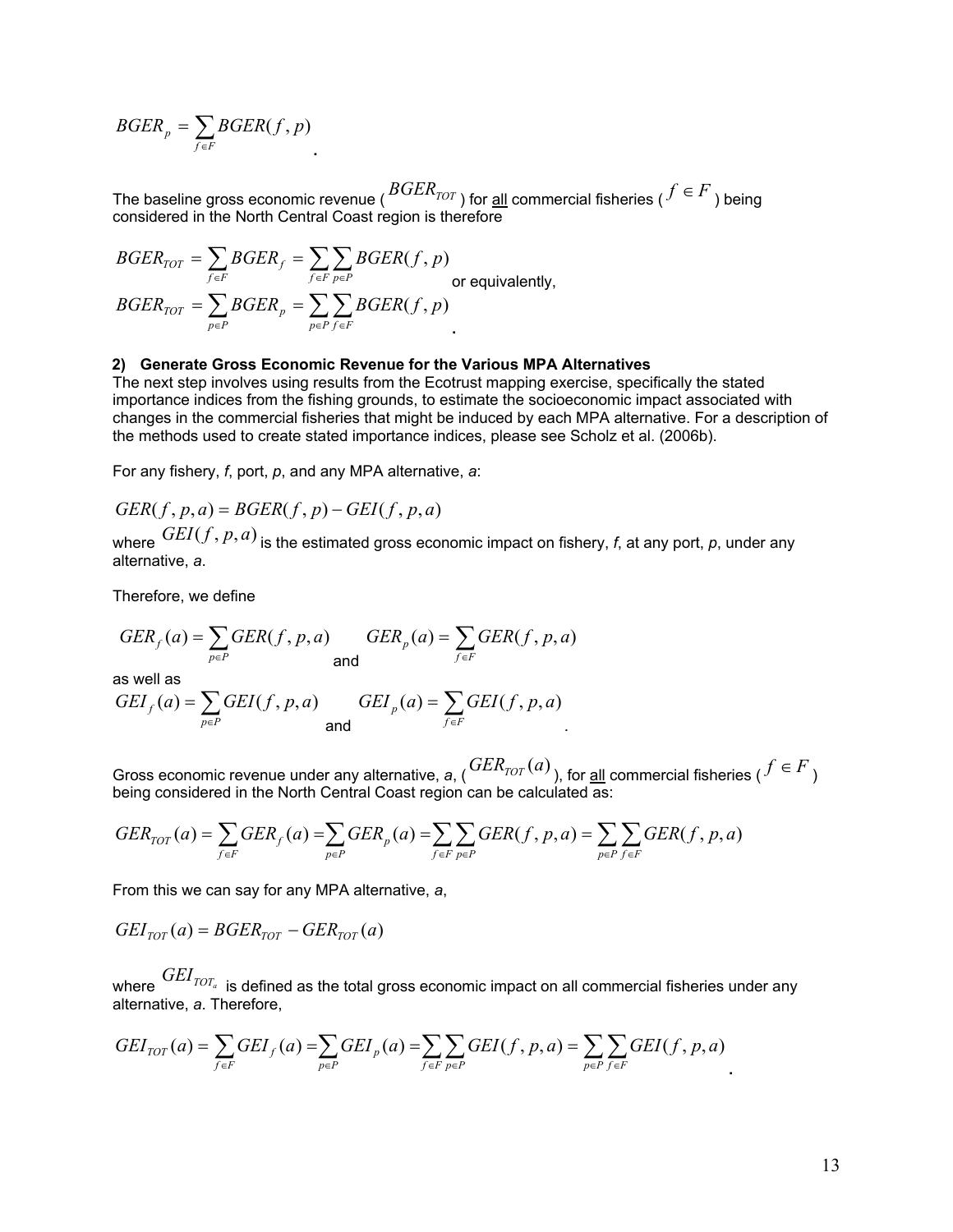$$
BGER_p = \sum_{f \in F} BGER(f, p)
$$

The baseline gross economic revenue ( $BGER_{TOT}$ ) for <u>all</u> commercial fisheries ( $f \in F$ ) being considered in the North Central Coast region is therefore

$$
BGER_{TOT} = \sum_{f \in F} BGER_f = \sum_{f \in F} \sum_{p \in P} BGER(f, p)
$$
\nor equivalently,

\n
$$
BGER_{TOT} = \sum_{p \in P} BGER_p = \sum_{p \in P} \sum_{f \in F} BGER(f, p)
$$

#### **2) Generate Gross Economic Revenue for the Various MPA Alternatives**

The next step involves using results from the Ecotrust mapping exercise, specifically the stated importance indices from the fishing grounds, to estimate the socioeconomic impact associated with changes in the commercial fisheries that might be induced by each MPA alternative. For a description of the methods used to create stated importance indices, please see Scholz et al. (2006b).

For any fishery, *f*, port, *p*, and any MPA alternative, *a*:

$$
GER(f, p, a) = BGER(f, p) - GEI(f, p, a)
$$

where  $GEI(f, p, a)$  is the estimated gross economic impact on fishery, f, at any port, p, under any alternative, *a*.

Therefore, we define

$$
GER_f(a) = \sum_{p \in P} GER(f, p, a) \qquad GER_p(a) = \sum_{f \in F} GER(f, p, a)
$$

as well as

$$
GEI_f(a) = \sum_{p \in P} GEI(f, p, a) \qquad GEI_p(a) = \sum_{f \in F} GEI(f, p, a)
$$

Gross economic revenue under any alternative,  $a$ ,  $GER_{TOT}(a)$ , for <u>all</u> commercial fisheries ( $f \in F$ ) being considered in the North Central Coast region can be calculated as:

$$
GER_{TOT}(a) = \sum_{f \in F} GER_f(a) = \sum_{p \in P} GER_p(a) = \sum_{f \in F} \sum_{p \in P} GER(f, p, a) = \sum_{p \in P} \sum_{f \in F} GER(f, p, a)
$$

From this we can say for any MPA alternative, *a*,

$$
GEI_{TOT}(a) = BGER_{TOT} - GER_{TOT}(a)
$$

where  $GEI_{TOT_a}$  is defined as the total gross economic impact on all commercial fisheries under any alternative, *a*. Therefore,

$$
GEI_{TOT}(a) = \sum_{f \in F} GEI_f(a) = \sum_{p \in P} GEI_p(a) = \sum_{f \in F} \sum_{p \in P} GEI(f, p, a) = \sum_{p \in P} \sum_{f \in F} GEI(f, p, a)
$$

**.**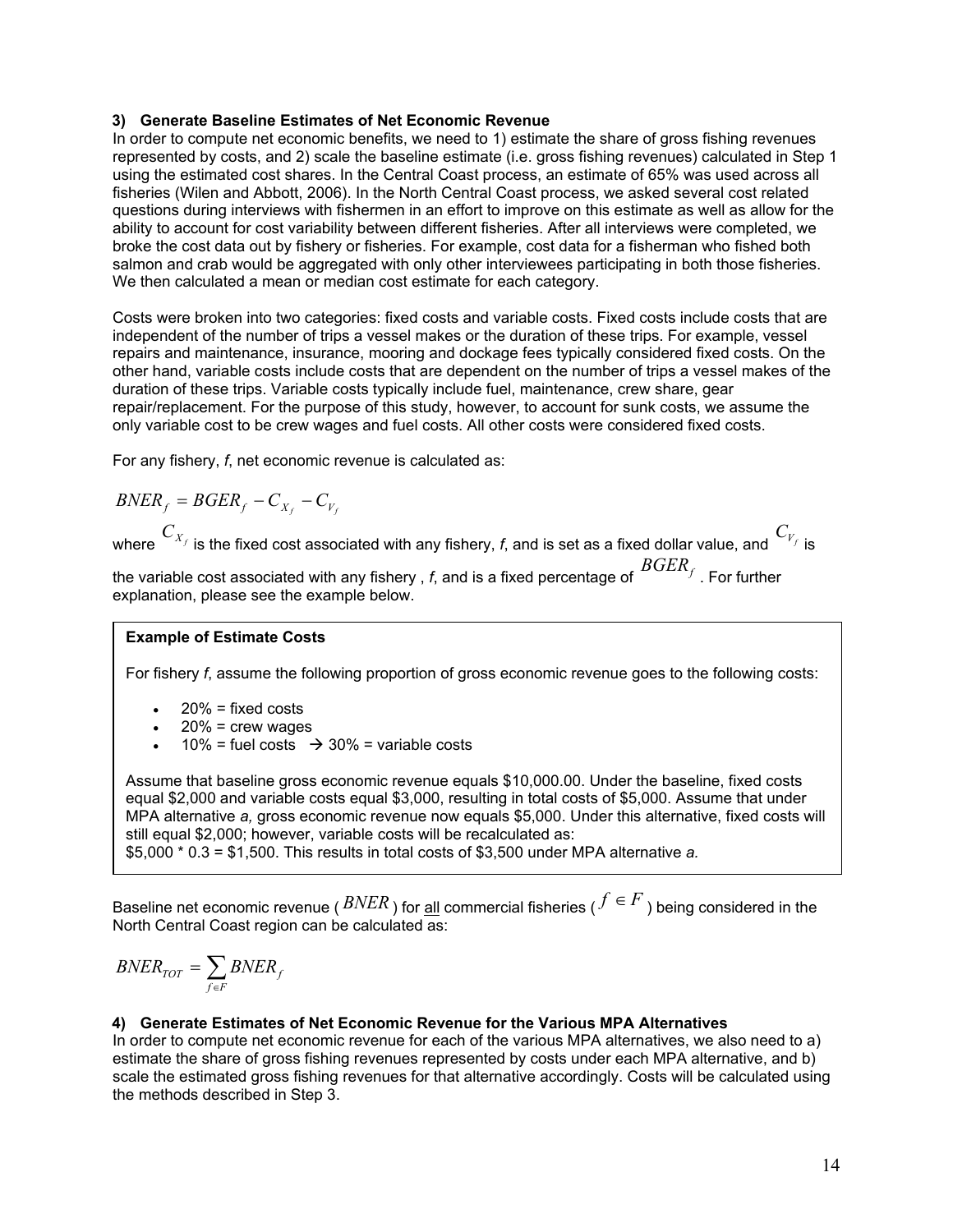#### **3) Generate Baseline Estimates of Net Economic Revenue**

In order to compute net economic benefits, we need to 1) estimate the share of gross fishing revenues represented by costs, and 2) scale the baseline estimate (i.e. gross fishing revenues) calculated in Step 1 using the estimated cost shares. In the Central Coast process, an estimate of 65% was used across all fisheries (Wilen and Abbott, 2006). In the North Central Coast process, we asked several cost related questions during interviews with fishermen in an effort to improve on this estimate as well as allow for the ability to account for cost variability between different fisheries. After all interviews were completed, we broke the cost data out by fishery or fisheries. For example, cost data for a fisherman who fished both salmon and crab would be aggregated with only other interviewees participating in both those fisheries. We then calculated a mean or median cost estimate for each category.

Costs were broken into two categories: fixed costs and variable costs. Fixed costs include costs that are independent of the number of trips a vessel makes or the duration of these trips. For example, vessel repairs and maintenance, insurance, mooring and dockage fees typically considered fixed costs. On the other hand, variable costs include costs that are dependent on the number of trips a vessel makes of the duration of these trips. Variable costs typically include fuel, maintenance, crew share, gear repair/replacement. For the purpose of this study, however, to account for sunk costs, we assume the only variable cost to be crew wages and fuel costs. All other costs were considered fixed costs.

For any fishery, *f*, net economic revenue is calculated as:

$$
BNER_f = BGER_f - C_{X_f} - C_{V_f}
$$

where  $\textit{C}_{\textit{X}_{f}}$  is the fixed cost associated with any fishery, *f*, and is set as a fixed dollar value, and  $\textit{C}_{\textit{Y}_{f}}$  is

the variable cost associated with any fishery , *f*, and is a fixed percentage of  $\mathit{BGER}_f$  . For further explanation, please see the example below.

### **Example of Estimate Costs**

For fishery *f*, assume the following proportion of gross economic revenue goes to the following costs:

- $20%$  = fixed costs
- $20%$  = crew wages
- $10\%$  = fuel costs  $\rightarrow$  30% = variable costs

Assume that baseline gross economic revenue equals \$10,000.00. Under the baseline, fixed costs equal \$2,000 and variable costs equal \$3,000, resulting in total costs of \$5,000. Assume that under MPA alternative *a,* gross economic revenue now equals \$5,000. Under this alternative, fixed costs will still equal \$2,000; however, variable costs will be recalculated as:

\$5,000 \* 0.3 = \$1,500. This results in total costs of \$3,500 under MPA alternative *a.*

Baseline net economic revenue ( $BNER$ ) for <u>all</u> commercial fisheries ( $f \in F$ ) being considered in the North Central Coast region can be calculated as:

$$
BNER_{TOT} = \sum_{f \in F} BNER_f
$$

### **4) Generate Estimates of Net Economic Revenue for the Various MPA Alternatives**

In order to compute net economic revenue for each of the various MPA alternatives, we also need to a) estimate the share of gross fishing revenues represented by costs under each MPA alternative, and b) scale the estimated gross fishing revenues for that alternative accordingly. Costs will be calculated using the methods described in Step 3.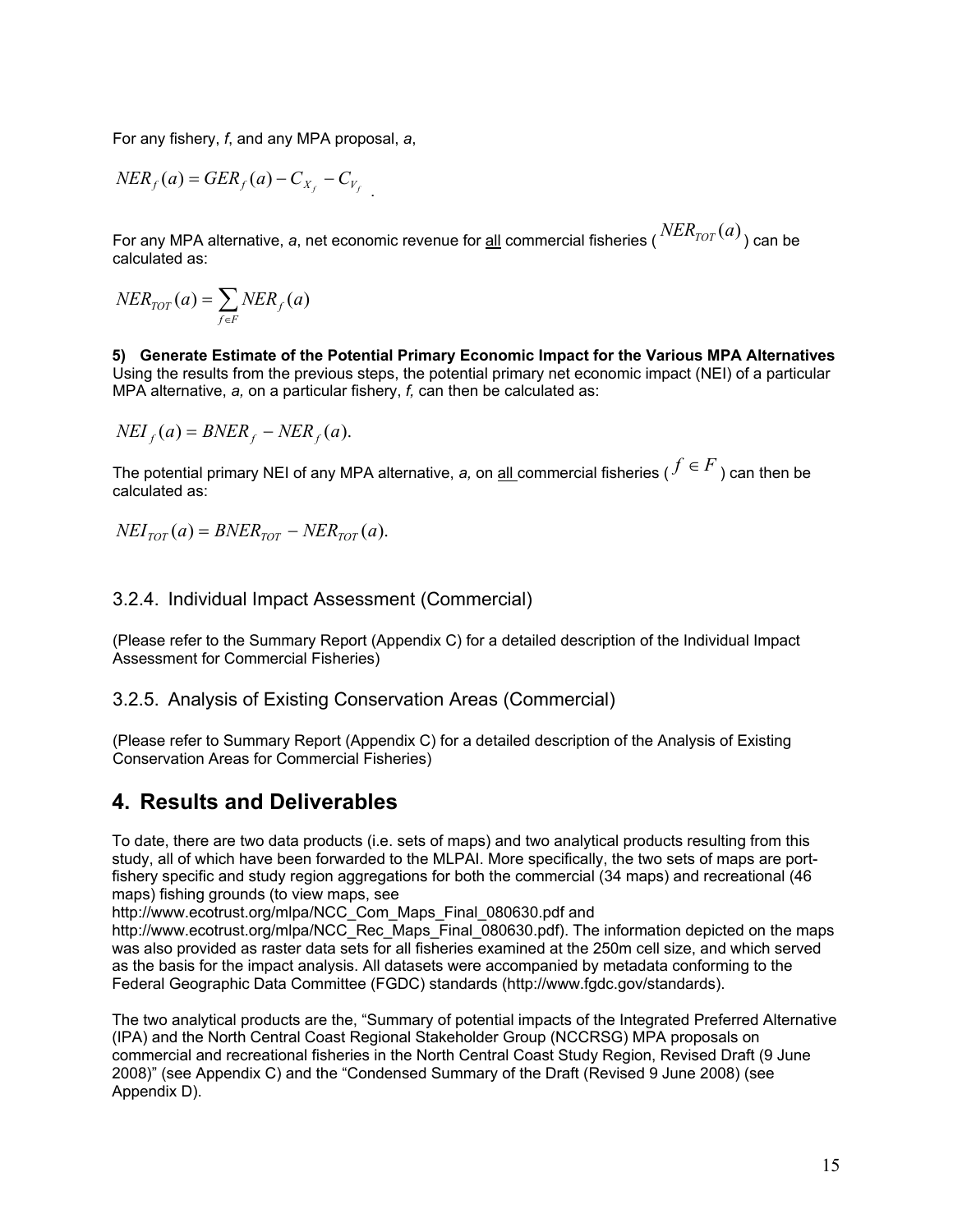For any fishery, *f*, and any MPA proposal, *a*,

$$
NER_f(a) = GER_f(a) - C_{X_f} - C_{V_f}
$$

For any MPA alternative, *a*, net economic revenue for <u>all</u> commercial fisheries ( $\frac{NER_{TOT}(a)}{TQR(1)}$ ) can be calculated as:

$$
NER_{TOT}(a) = \sum_{f \in F} NER_f(a)
$$

**5) Generate Estimate of the Potential Primary Economic Impact for the Various MPA Alternatives**  Using the results from the previous steps, the potential primary net economic impact (NEI) of a particular MPA alternative, *a,* on a particular fishery, *f,* can then be calculated as:

$$
NEI_f(a) = BNER_f - NER_f(a).
$$

The potential primary NEI of any MPA alternative, *a*, on <u>all</u> commercial fisheries ( $f \in F$ ) can then be calculated as:

 $NEI_{TOT}(a) = BNER_{TOT} - NER_{TOT}(a)$ .

### 3.2.4. Individual Impact Assessment (Commercial)

(Please refer to the Summary Report (Appendix C) for a detailed description of the Individual Impact Assessment for Commercial Fisheries)

### 3.2.5. Analysis of Existing Conservation Areas (Commercial)

(Please refer to Summary Report (Appendix C) for a detailed description of the Analysis of Existing Conservation Areas for Commercial Fisheries)

## **4. Results and Deliverables**

To date, there are two data products (i.e. sets of maps) and two analytical products resulting from this study, all of which have been forwarded to the MLPAI. More specifically, the two sets of maps are portfishery specific and study region aggregations for both the commercial (34 maps) and recreational (46 maps) fishing grounds (to view maps, see

http://www.ecotrust.org/mlpa/NCC\_Com\_Maps\_Final\_080630.pdf and

http://www.ecotrust.org/mlpa/NCC\_Rec\_Maps\_Final\_080630.pdf). The information depicted on the maps was also provided as raster data sets for all fisheries examined at the 250m cell size, and which served as the basis for the impact analysis. All datasets were accompanied by metadata conforming to the Federal Geographic Data Committee (FGDC) standards (http://www.fgdc.gov/standards).

The two analytical products are the, "Summary of potential impacts of the Integrated Preferred Alternative (IPA) and the North Central Coast Regional Stakeholder Group (NCCRSG) MPA proposals on commercial and recreational fisheries in the North Central Coast Study Region, Revised Draft (9 June 2008)" (see Appendix C) and the "Condensed Summary of the Draft (Revised 9 June 2008) (see Appendix D).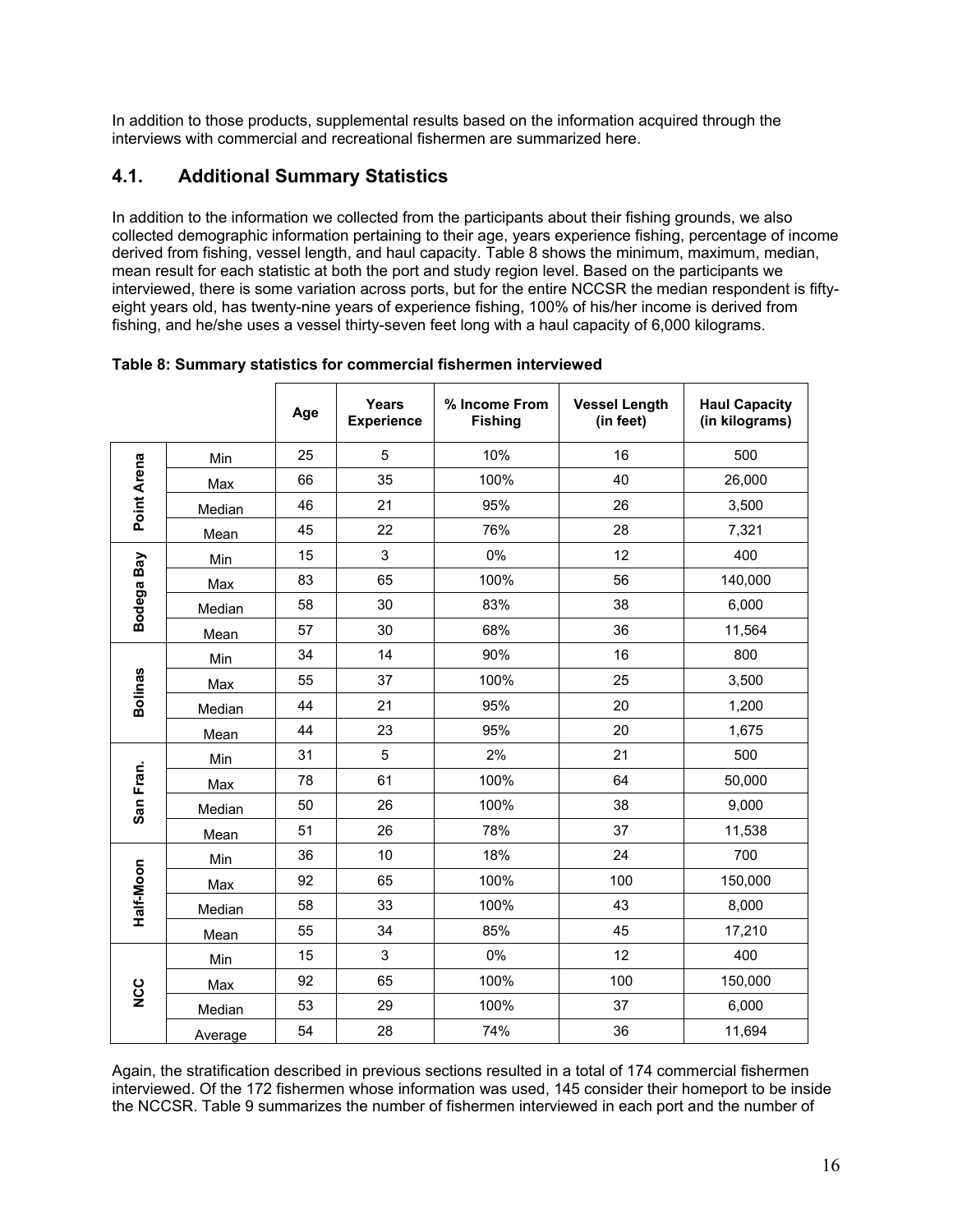In addition to those products, supplemental results based on the information acquired through the interviews with commercial and recreational fishermen are summarized here.

## **4.1. Additional Summary Statistics**

In addition to the information we collected from the participants about their fishing grounds, we also collected demographic information pertaining to their age, years experience fishing, percentage of income derived from fishing, vessel length, and haul capacity. Table 8 shows the minimum, maximum, median, mean result for each statistic at both the port and study region level. Based on the participants we interviewed, there is some variation across ports, but for the entire NCCSR the median respondent is fiftyeight years old, has twenty-nine years of experience fishing, 100% of his/her income is derived from fishing, and he/she uses a vessel thirty-seven feet long with a haul capacity of 6,000 kilograms.

|                |         | Age | Years<br><b>Experience</b> | % Income From<br><b>Fishing</b> | <b>Vessel Length</b><br>(in feet) | <b>Haul Capacity</b><br>(in kilograms) |
|----------------|---------|-----|----------------------------|---------------------------------|-----------------------------------|----------------------------------------|
|                | Min     | 25  | 5                          | 10%                             | 16                                | 500                                    |
| Point Arena    | Max     | 66  | 35                         | 100%                            | 40                                | 26,000                                 |
|                | Median  | 46  | 21                         | 95%                             | 26                                | 3,500                                  |
|                | Mean    | 45  | 22                         | 76%                             | 28                                | 7,321                                  |
|                | Min     | 15  | 3                          | 0%                              | 12                                | 400                                    |
| Bodega Bay     | Max     | 83  | 65                         | 100%                            | 56                                | 140,000                                |
|                | Median  | 58  | 30                         | 83%                             | 38                                | 6,000                                  |
|                | Mean    | 57  | 30                         | 68%                             | 36                                | 11,564                                 |
|                | Min     | 34  | 14                         | 90%                             | 16                                | 800                                    |
| <b>Bolinas</b> | Max     | 55  | 37                         | 100%                            | 25                                | 3,500                                  |
|                | Median  | 44  | 21                         | 95%                             | 20                                | 1,200                                  |
|                | Mean    | 44  | 23                         | 95%                             | 20                                | 1,675                                  |
|                | Min     | 31  | $\sqrt{5}$                 | 2%                              | 21                                | 500                                    |
| San Fran.      | Max     | 78  | 61                         | 100%                            | 64                                | 50,000                                 |
|                | Median  | 50  | 26                         | 100%                            | 38                                | 9,000                                  |
|                | Mean    | 51  | 26                         | 78%                             | 37                                | 11,538                                 |
|                | Min     | 36  | 10                         | 18%                             | 24                                | 700                                    |
| Half-Moon      | Max     | 92  | 65                         | 100%                            | 100                               | 150,000                                |
|                | Median  | 58  | 33                         | 100%                            | 43                                | 8,000                                  |
|                | Mean    | 55  | 34                         | 85%                             | 45                                | 17,210                                 |
|                | Min     | 15  | 3                          | 0%                              | 12                                | 400                                    |
| <b>DON</b>     | Max     | 92  | 65                         | 100%                            | 100                               | 150,000                                |
|                | Median  | 53  | 29                         | 100%                            | 37                                | 6,000                                  |
|                | Average | 54  | 28                         | 74%                             | 36                                | 11,694                                 |

**Table 8: Summary statistics for commercial fishermen interviewed** 

Again, the stratification described in previous sections resulted in a total of 174 commercial fishermen interviewed. Of the 172 fishermen whose information was used, 145 consider their homeport to be inside the NCCSR. Table 9 summarizes the number of fishermen interviewed in each port and the number of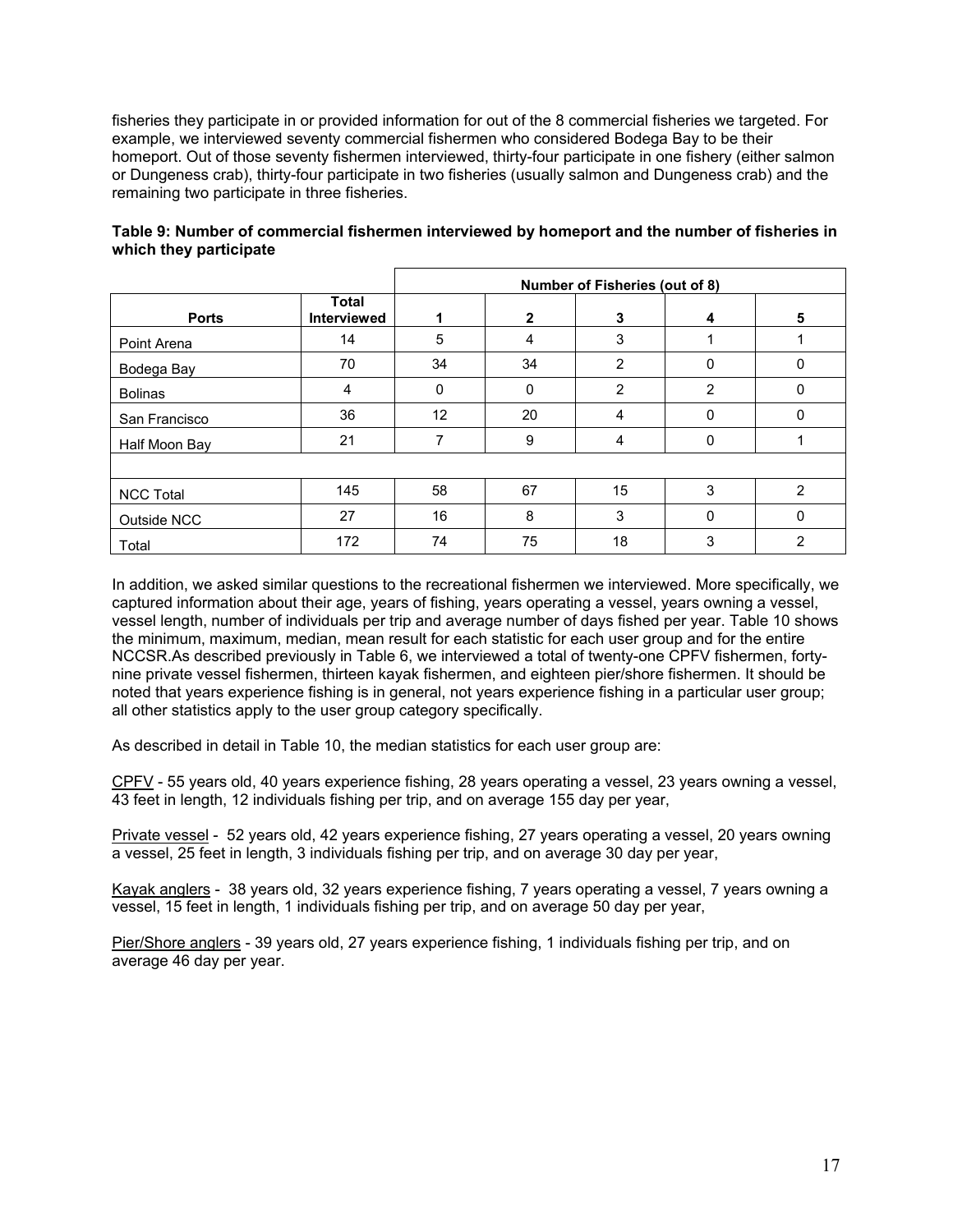fisheries they participate in or provided information for out of the 8 commercial fisheries we targeted. For example, we interviewed seventy commercial fishermen who considered Bodega Bay to be their homeport. Out of those seventy fishermen interviewed, thirty-four participate in one fishery (either salmon or Dungeness crab), thirty-four participate in two fisheries (usually salmon and Dungeness crab) and the remaining two participate in three fisheries.

|                  |                                    | Number of Fisheries (out of 8) |              |                |          |   |  |  |
|------------------|------------------------------------|--------------------------------|--------------|----------------|----------|---|--|--|
| <b>Ports</b>     | <b>Total</b><br><b>Interviewed</b> |                                | $\mathbf{2}$ | 3              | 4        | 5 |  |  |
| Point Arena      | 14                                 | 5                              | 4            | 3              |          |   |  |  |
| Bodega Bay       | 70                                 | 34                             | 34           | $\overline{2}$ | 0        | 0 |  |  |
| <b>Bolinas</b>   | 4                                  | $\mathbf{0}$                   | 0            | 2              | 2        | 0 |  |  |
| San Francisco    | 36                                 | 12                             | 20           | $\overline{4}$ | 0        | 0 |  |  |
| Half Moon Bay    | 21                                 | 7                              | 9            | 4              | $\Omega$ |   |  |  |
|                  |                                    |                                |              |                |          |   |  |  |
| <b>NCC Total</b> | 145                                | 58                             | 67           | 15             | 3        | 2 |  |  |
| Outside NCC      | 27                                 | 16                             | 8            | 3              | $\Omega$ | 0 |  |  |
| Total            | 172                                | 74                             | 75           | 18             | 3        | 2 |  |  |

### **Table 9: Number of commercial fishermen interviewed by homeport and the number of fisheries in which they participate**

In addition, we asked similar questions to the recreational fishermen we interviewed. More specifically, we captured information about their age, years of fishing, years operating a vessel, years owning a vessel, vessel length, number of individuals per trip and average number of days fished per year. Table 10 shows the minimum, maximum, median, mean result for each statistic for each user group and for the entire NCCSR.As described previously in Table 6, we interviewed a total of twenty-one CPFV fishermen, fortynine private vessel fishermen, thirteen kayak fishermen, and eighteen pier/shore fishermen. It should be noted that years experience fishing is in general, not years experience fishing in a particular user group; all other statistics apply to the user group category specifically.

As described in detail in Table 10, the median statistics for each user group are:

CPFV - 55 years old, 40 years experience fishing, 28 years operating a vessel, 23 years owning a vessel, 43 feet in length, 12 individuals fishing per trip, and on average 155 day per year,

Private vessel - 52 years old, 42 years experience fishing, 27 years operating a vessel, 20 years owning a vessel, 25 feet in length, 3 individuals fishing per trip, and on average 30 day per year,

Kayak anglers - 38 years old, 32 years experience fishing, 7 years operating a vessel, 7 years owning a vessel, 15 feet in length, 1 individuals fishing per trip, and on average 50 day per year,

Pier/Shore anglers - 39 years old, 27 years experience fishing, 1 individuals fishing per trip, and on average 46 day per year.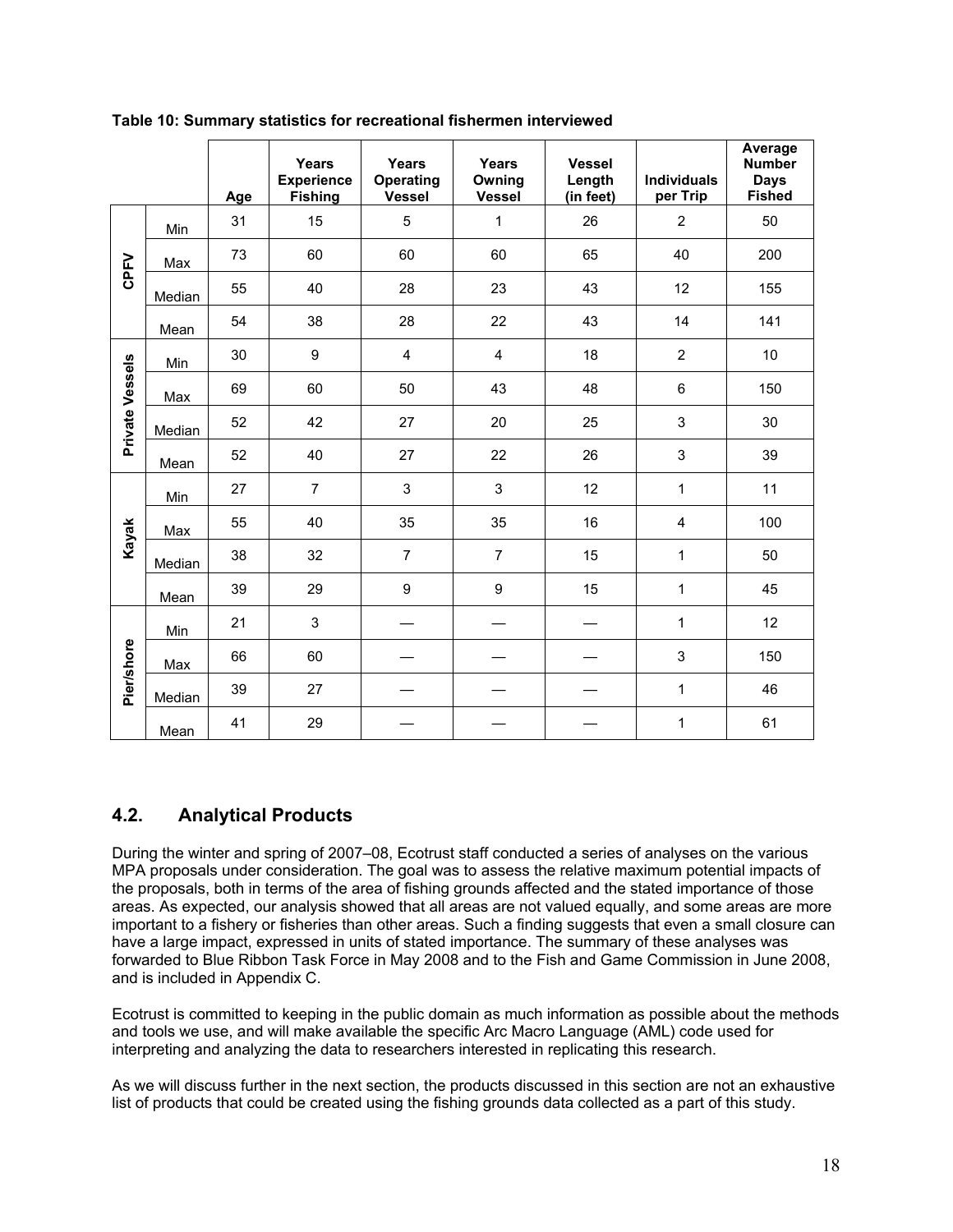|                   |        | Age | Years<br><b>Experience</b><br><b>Fishing</b> | Years<br>Operating<br><b>Vessel</b> | Years<br>Owning<br>Vessel | <b>Vessel</b><br>Length<br>(in feet) | <b>Individuals</b><br>per Trip | Average<br><b>Number</b><br><b>Days</b><br><b>Fished</b> |
|-------------------|--------|-----|----------------------------------------------|-------------------------------------|---------------------------|--------------------------------------|--------------------------------|----------------------------------------------------------|
|                   | Min    | 31  | 15                                           | 5                                   | 1                         | 26                                   | $\overline{2}$                 | 50                                                       |
|                   | Max    | 73  | 60                                           | 60                                  | 60                        | 65                                   | 40                             | 200                                                      |
| CPFV              | Median | 55  | 40                                           | 28                                  | 23                        | 43                                   | 12                             | 155                                                      |
|                   | Mean   | 54  | 38                                           | 28                                  | 22                        | 43                                   | 14                             | 141                                                      |
|                   | Min    | 30  | 9                                            | $\overline{4}$                      | $\overline{4}$            | 18                                   | $\overline{2}$                 | 10                                                       |
| Private Vessels   | Max    | 69  | 60                                           | 50                                  | 43                        | 48                                   | 6                              | 150                                                      |
|                   | Median | 52  | 42                                           | 27                                  | 20                        | 25                                   | 3                              | 30                                                       |
|                   | Mean   | 52  | 40                                           | 27                                  | 22                        | 26                                   | 3                              | 39                                                       |
|                   | Min    | 27  | $\overline{7}$                               | 3                                   | 3                         | 12                                   | 1                              | 11                                                       |
| Kayak             | Max    | 55  | 40                                           | 35                                  | 35                        | 16                                   | 4                              | 100                                                      |
|                   | Median | 38  | 32                                           | $\overline{7}$                      | $\overline{7}$            | 15                                   | 1                              | 50                                                       |
|                   | Mean   | 39  | 29                                           | 9                                   | 9                         | 15                                   | 1                              | 45                                                       |
|                   | Min    | 21  | 3                                            |                                     |                           |                                      | 1                              | 12                                                       |
| <b>Pier/shore</b> | Max    | 66  | 60                                           |                                     |                           |                                      | 3                              | 150                                                      |
|                   | Median | 39  | 27                                           |                                     |                           |                                      | 1                              | 46                                                       |
|                   | Mean   | 41  | 29                                           |                                     |                           |                                      | 1                              | 61                                                       |

**Table 10: Summary statistics for recreational fishermen interviewed** 

## **4.2. Analytical Products**

During the winter and spring of 2007–08, Ecotrust staff conducted a series of analyses on the various MPA proposals under consideration. The goal was to assess the relative maximum potential impacts of the proposals, both in terms of the area of fishing grounds affected and the stated importance of those areas. As expected, our analysis showed that all areas are not valued equally, and some areas are more important to a fishery or fisheries than other areas. Such a finding suggests that even a small closure can have a large impact, expressed in units of stated importance. The summary of these analyses was forwarded to Blue Ribbon Task Force in May 2008 and to the Fish and Game Commission in June 2008, and is included in Appendix C.

Ecotrust is committed to keeping in the public domain as much information as possible about the methods and tools we use, and will make available the specific Arc Macro Language (AML) code used for interpreting and analyzing the data to researchers interested in replicating this research.

As we will discuss further in the next section, the products discussed in this section are not an exhaustive list of products that could be created using the fishing grounds data collected as a part of this study.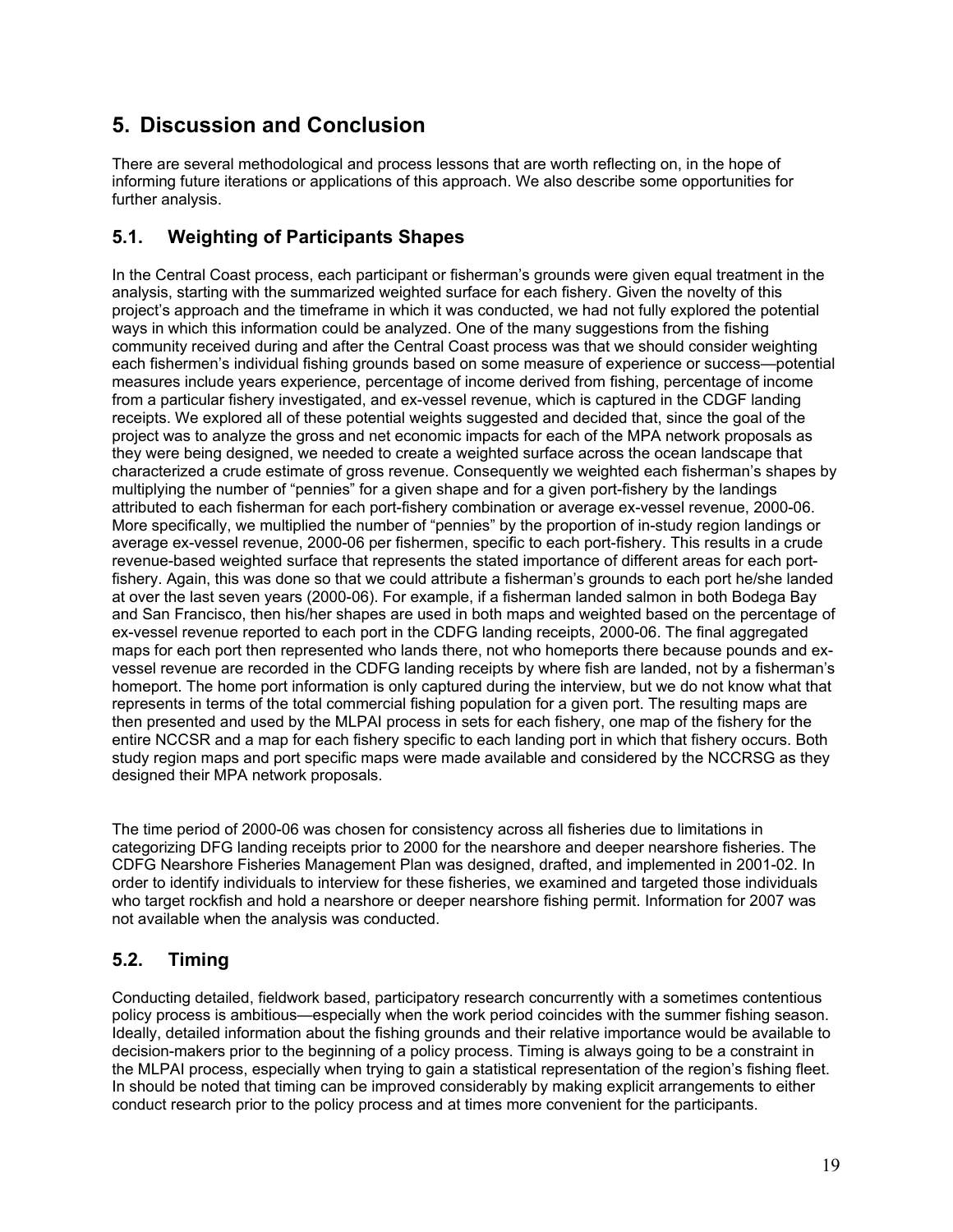## **5. Discussion and Conclusion**

There are several methodological and process lessons that are worth reflecting on, in the hope of informing future iterations or applications of this approach. We also describe some opportunities for further analysis.

## **5.1. Weighting of Participants Shapes**

In the Central Coast process, each participant or fisherman's grounds were given equal treatment in the analysis, starting with the summarized weighted surface for each fishery. Given the novelty of this project's approach and the timeframe in which it was conducted, we had not fully explored the potential ways in which this information could be analyzed. One of the many suggestions from the fishing community received during and after the Central Coast process was that we should consider weighting each fishermen's individual fishing grounds based on some measure of experience or success—potential measures include years experience, percentage of income derived from fishing, percentage of income from a particular fishery investigated, and ex-vessel revenue, which is captured in the CDGF landing receipts. We explored all of these potential weights suggested and decided that, since the goal of the project was to analyze the gross and net economic impacts for each of the MPA network proposals as they were being designed, we needed to create a weighted surface across the ocean landscape that characterized a crude estimate of gross revenue. Consequently we weighted each fisherman's shapes by multiplying the number of "pennies" for a given shape and for a given port-fishery by the landings attributed to each fisherman for each port-fishery combination or average ex-vessel revenue, 2000-06. More specifically, we multiplied the number of "pennies" by the proportion of in-study region landings or average ex-vessel revenue, 2000-06 per fishermen, specific to each port-fishery. This results in a crude revenue-based weighted surface that represents the stated importance of different areas for each portfishery. Again, this was done so that we could attribute a fisherman's grounds to each port he/she landed at over the last seven years (2000-06). For example, if a fisherman landed salmon in both Bodega Bay and San Francisco, then his/her shapes are used in both maps and weighted based on the percentage of ex-vessel revenue reported to each port in the CDFG landing receipts, 2000-06. The final aggregated maps for each port then represented who lands there, not who homeports there because pounds and exvessel revenue are recorded in the CDFG landing receipts by where fish are landed, not by a fisherman's homeport. The home port information is only captured during the interview, but we do not know what that represents in terms of the total commercial fishing population for a given port. The resulting maps are then presented and used by the MLPAI process in sets for each fishery, one map of the fishery for the entire NCCSR and a map for each fishery specific to each landing port in which that fishery occurs. Both study region maps and port specific maps were made available and considered by the NCCRSG as they designed their MPA network proposals.

The time period of 2000-06 was chosen for consistency across all fisheries due to limitations in categorizing DFG landing receipts prior to 2000 for the nearshore and deeper nearshore fisheries. The CDFG Nearshore Fisheries Management Plan was designed, drafted, and implemented in 2001-02. In order to identify individuals to interview for these fisheries, we examined and targeted those individuals who target rockfish and hold a nearshore or deeper nearshore fishing permit. Information for 2007 was not available when the analysis was conducted.

## **5.2. Timing**

Conducting detailed, fieldwork based, participatory research concurrently with a sometimes contentious policy process is ambitious—especially when the work period coincides with the summer fishing season. Ideally, detailed information about the fishing grounds and their relative importance would be available to decision-makers prior to the beginning of a policy process. Timing is always going to be a constraint in the MLPAI process, especially when trying to gain a statistical representation of the region's fishing fleet. In should be noted that timing can be improved considerably by making explicit arrangements to either conduct research prior to the policy process and at times more convenient for the participants.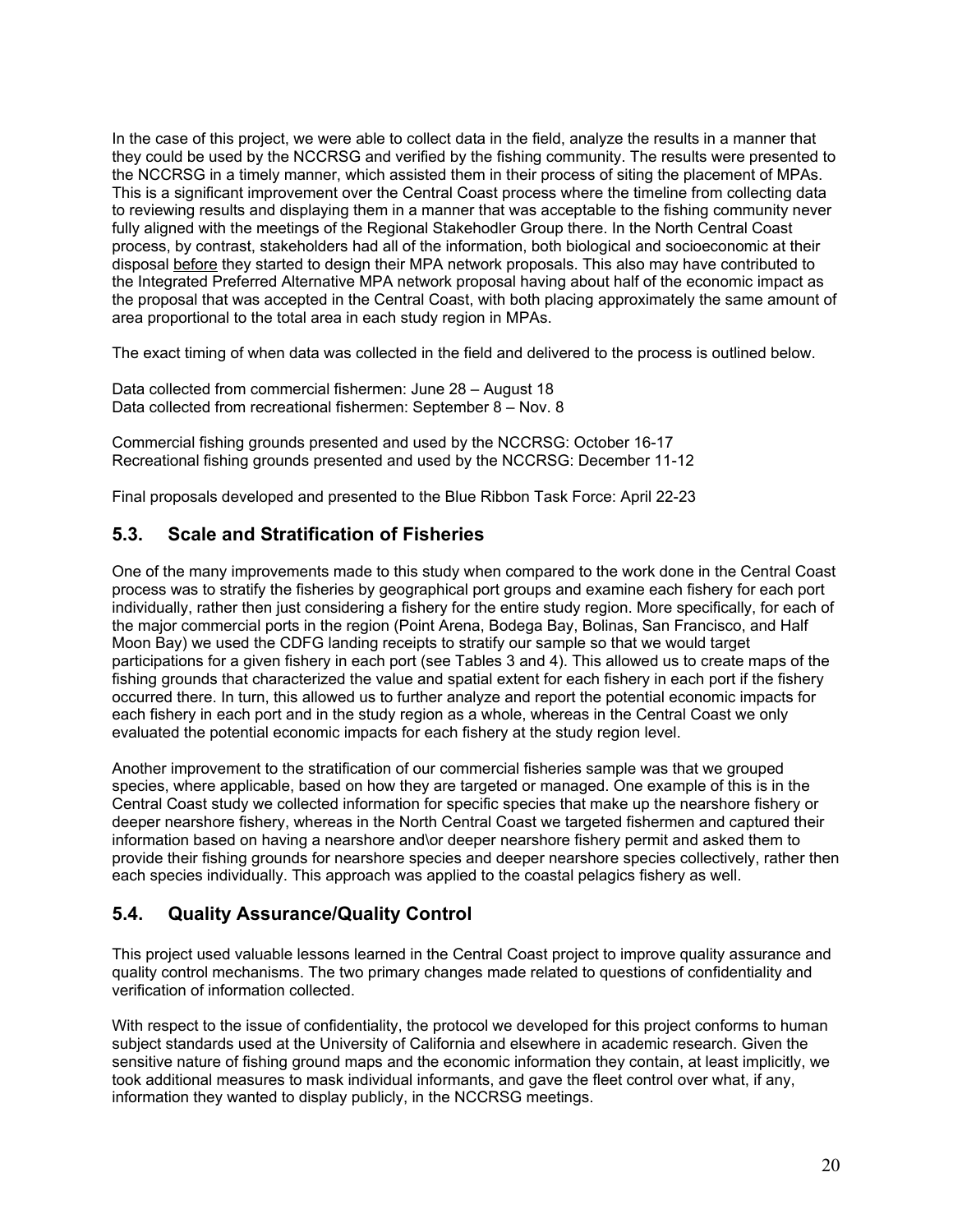In the case of this project, we were able to collect data in the field, analyze the results in a manner that they could be used by the NCCRSG and verified by the fishing community. The results were presented to the NCCRSG in a timely manner, which assisted them in their process of siting the placement of MPAs. This is a significant improvement over the Central Coast process where the timeline from collecting data to reviewing results and displaying them in a manner that was acceptable to the fishing community never fully aligned with the meetings of the Regional Stakehodler Group there. In the North Central Coast process, by contrast, stakeholders had all of the information, both biological and socioeconomic at their disposal before they started to design their MPA network proposals. This also may have contributed to the Integrated Preferred Alternative MPA network proposal having about half of the economic impact as the proposal that was accepted in the Central Coast, with both placing approximately the same amount of area proportional to the total area in each study region in MPAs.

The exact timing of when data was collected in the field and delivered to the process is outlined below.

Data collected from commercial fishermen: June 28 – August 18 Data collected from recreational fishermen: September 8 – Nov. 8

Commercial fishing grounds presented and used by the NCCRSG: October 16-17 Recreational fishing grounds presented and used by the NCCRSG: December 11-12

Final proposals developed and presented to the Blue Ribbon Task Force: April 22-23

## **5.3. Scale and Stratification of Fisheries**

One of the many improvements made to this study when compared to the work done in the Central Coast process was to stratify the fisheries by geographical port groups and examine each fishery for each port individually, rather then just considering a fishery for the entire study region. More specifically, for each of the major commercial ports in the region (Point Arena, Bodega Bay, Bolinas, San Francisco, and Half Moon Bay) we used the CDFG landing receipts to stratify our sample so that we would target participations for a given fishery in each port (see Tables 3 and 4). This allowed us to create maps of the fishing grounds that characterized the value and spatial extent for each fishery in each port if the fishery occurred there. In turn, this allowed us to further analyze and report the potential economic impacts for each fishery in each port and in the study region as a whole, whereas in the Central Coast we only evaluated the potential economic impacts for each fishery at the study region level.

Another improvement to the stratification of our commercial fisheries sample was that we grouped species, where applicable, based on how they are targeted or managed. One example of this is in the Central Coast study we collected information for specific species that make up the nearshore fishery or deeper nearshore fishery, whereas in the North Central Coast we targeted fishermen and captured their information based on having a nearshore and\or deeper nearshore fishery permit and asked them to provide their fishing grounds for nearshore species and deeper nearshore species collectively, rather then each species individually. This approach was applied to the coastal pelagics fishery as well.

## **5.4. Quality Assurance/Quality Control**

This project used valuable lessons learned in the Central Coast project to improve quality assurance and quality control mechanisms. The two primary changes made related to questions of confidentiality and verification of information collected.

With respect to the issue of confidentiality, the protocol we developed for this project conforms to human subject standards used at the University of California and elsewhere in academic research. Given the sensitive nature of fishing ground maps and the economic information they contain, at least implicitly, we took additional measures to mask individual informants, and gave the fleet control over what, if any, information they wanted to display publicly, in the NCCRSG meetings.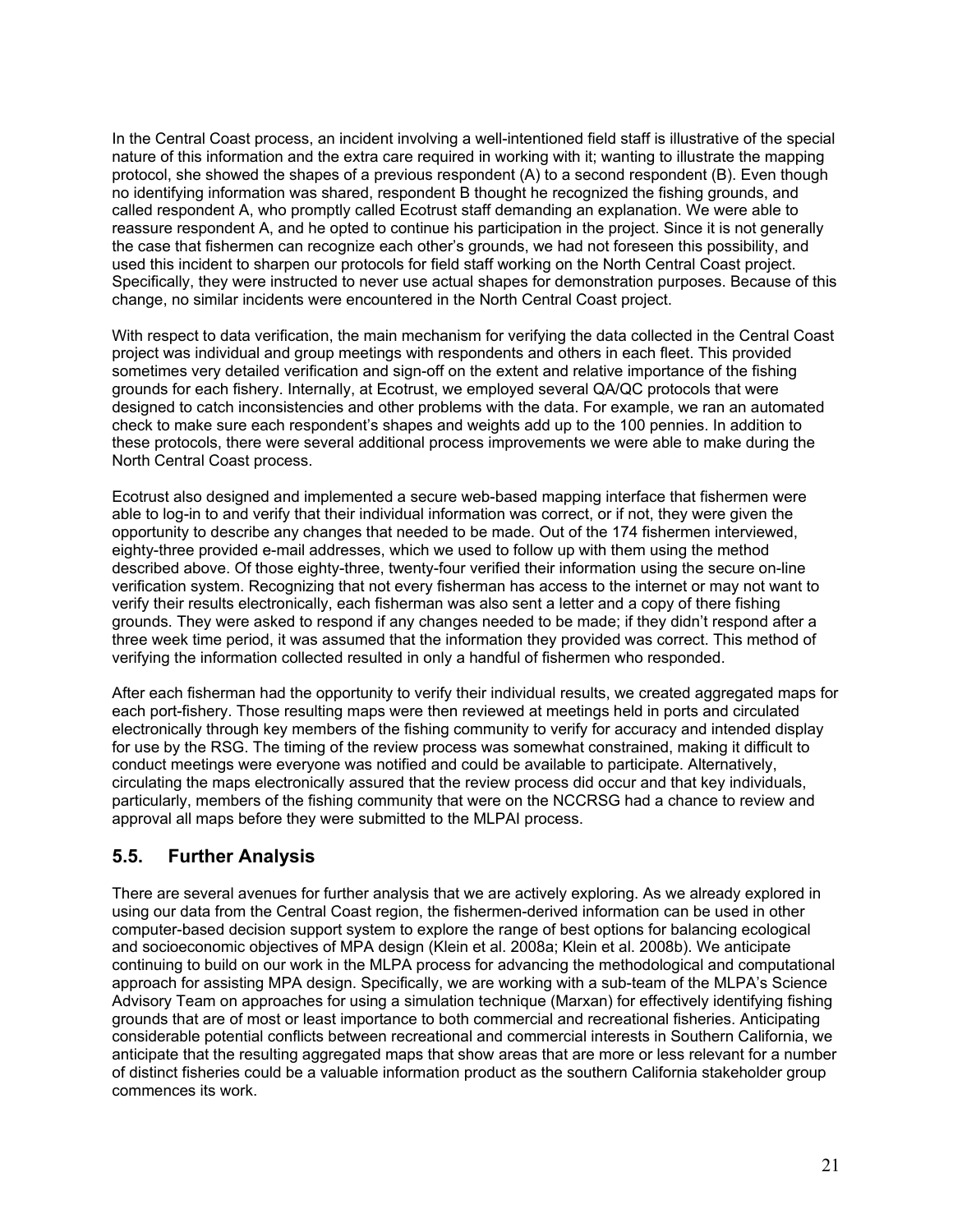In the Central Coast process, an incident involving a well-intentioned field staff is illustrative of the special nature of this information and the extra care required in working with it; wanting to illustrate the mapping protocol, she showed the shapes of a previous respondent (A) to a second respondent (B). Even though no identifying information was shared, respondent B thought he recognized the fishing grounds, and called respondent A, who promptly called Ecotrust staff demanding an explanation. We were able to reassure respondent A, and he opted to continue his participation in the project. Since it is not generally the case that fishermen can recognize each other's grounds, we had not foreseen this possibility, and used this incident to sharpen our protocols for field staff working on the North Central Coast project. Specifically, they were instructed to never use actual shapes for demonstration purposes. Because of this change, no similar incidents were encountered in the North Central Coast project.

With respect to data verification, the main mechanism for verifying the data collected in the Central Coast project was individual and group meetings with respondents and others in each fleet. This provided sometimes very detailed verification and sign-off on the extent and relative importance of the fishing grounds for each fishery. Internally, at Ecotrust, we employed several QA/QC protocols that were designed to catch inconsistencies and other problems with the data. For example, we ran an automated check to make sure each respondent's shapes and weights add up to the 100 pennies. In addition to these protocols, there were several additional process improvements we were able to make during the North Central Coast process.

Ecotrust also designed and implemented a secure web-based mapping interface that fishermen were able to log-in to and verify that their individual information was correct, or if not, they were given the opportunity to describe any changes that needed to be made. Out of the 174 fishermen interviewed, eighty-three provided e-mail addresses, which we used to follow up with them using the method described above. Of those eighty-three, twenty-four verified their information using the secure on-line verification system. Recognizing that not every fisherman has access to the internet or may not want to verify their results electronically, each fisherman was also sent a letter and a copy of there fishing grounds. They were asked to respond if any changes needed to be made; if they didn't respond after a three week time period, it was assumed that the information they provided was correct. This method of verifying the information collected resulted in only a handful of fishermen who responded.

After each fisherman had the opportunity to verify their individual results, we created aggregated maps for each port-fishery. Those resulting maps were then reviewed at meetings held in ports and circulated electronically through key members of the fishing community to verify for accuracy and intended display for use by the RSG. The timing of the review process was somewhat constrained, making it difficult to conduct meetings were everyone was notified and could be available to participate. Alternatively, circulating the maps electronically assured that the review process did occur and that key individuals, particularly, members of the fishing community that were on the NCCRSG had a chance to review and approval all maps before they were submitted to the MLPAI process.

## **5.5. Further Analysis**

There are several avenues for further analysis that we are actively exploring. As we already explored in using our data from the Central Coast region, the fishermen-derived information can be used in other computer-based decision support system to explore the range of best options for balancing ecological and socioeconomic objectives of MPA design (Klein et al. 2008a; Klein et al. 2008b). We anticipate continuing to build on our work in the MLPA process for advancing the methodological and computational approach for assisting MPA design. Specifically, we are working with a sub-team of the MLPA's Science Advisory Team on approaches for using a simulation technique (Marxan) for effectively identifying fishing grounds that are of most or least importance to both commercial and recreational fisheries. Anticipating considerable potential conflicts between recreational and commercial interests in Southern California, we anticipate that the resulting aggregated maps that show areas that are more or less relevant for a number of distinct fisheries could be a valuable information product as the southern California stakeholder group commences its work.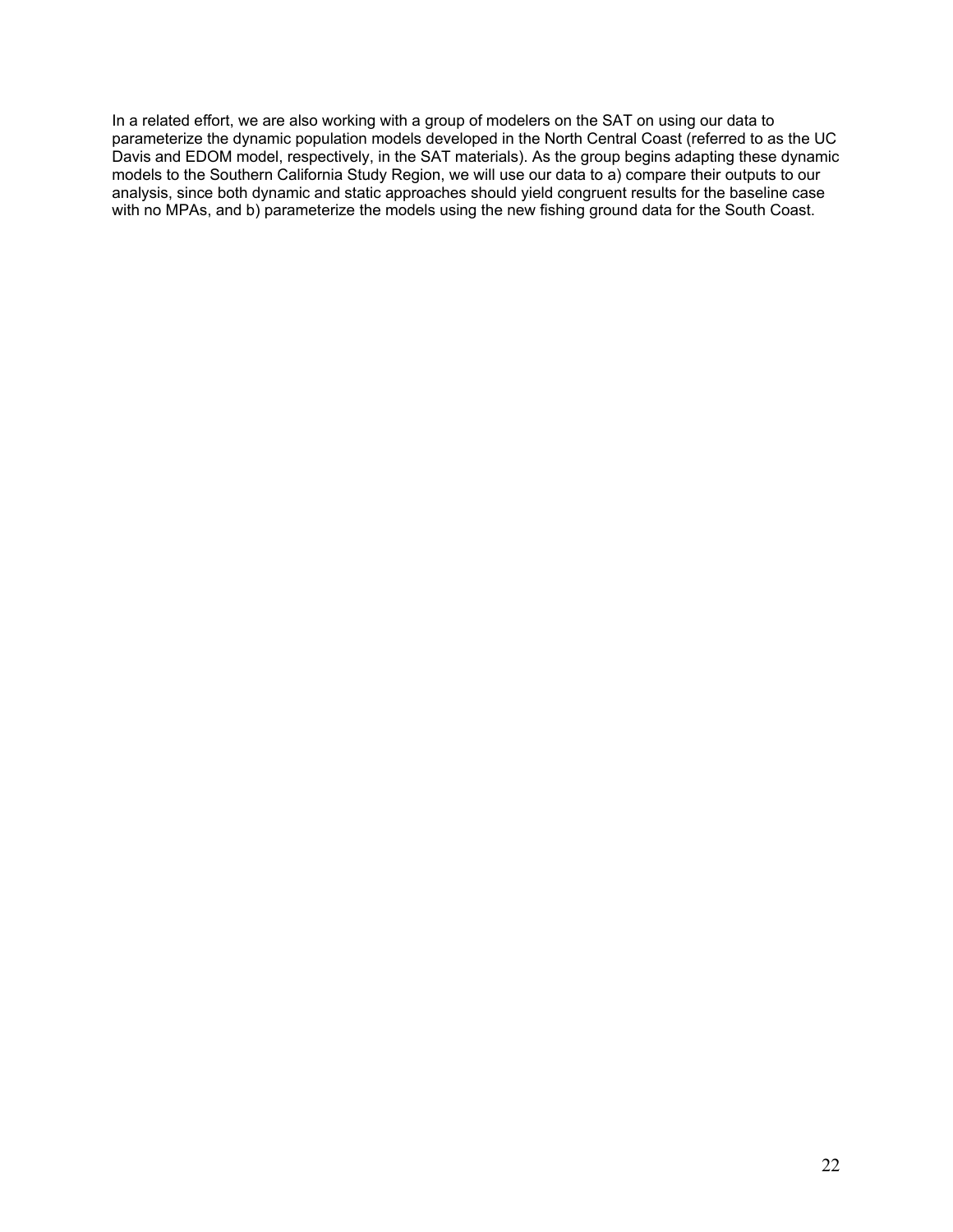In a related effort, we are also working with a group of modelers on the SAT on using our data to parameterize the dynamic population models developed in the North Central Coast (referred to as the UC Davis and EDOM model, respectively, in the SAT materials). As the group begins adapting these dynamic models to the Southern California Study Region, we will use our data to a) compare their outputs to our analysis, since both dynamic and static approaches should yield congruent results for the baseline case with no MPAs, and b) parameterize the models using the new fishing ground data for the South Coast.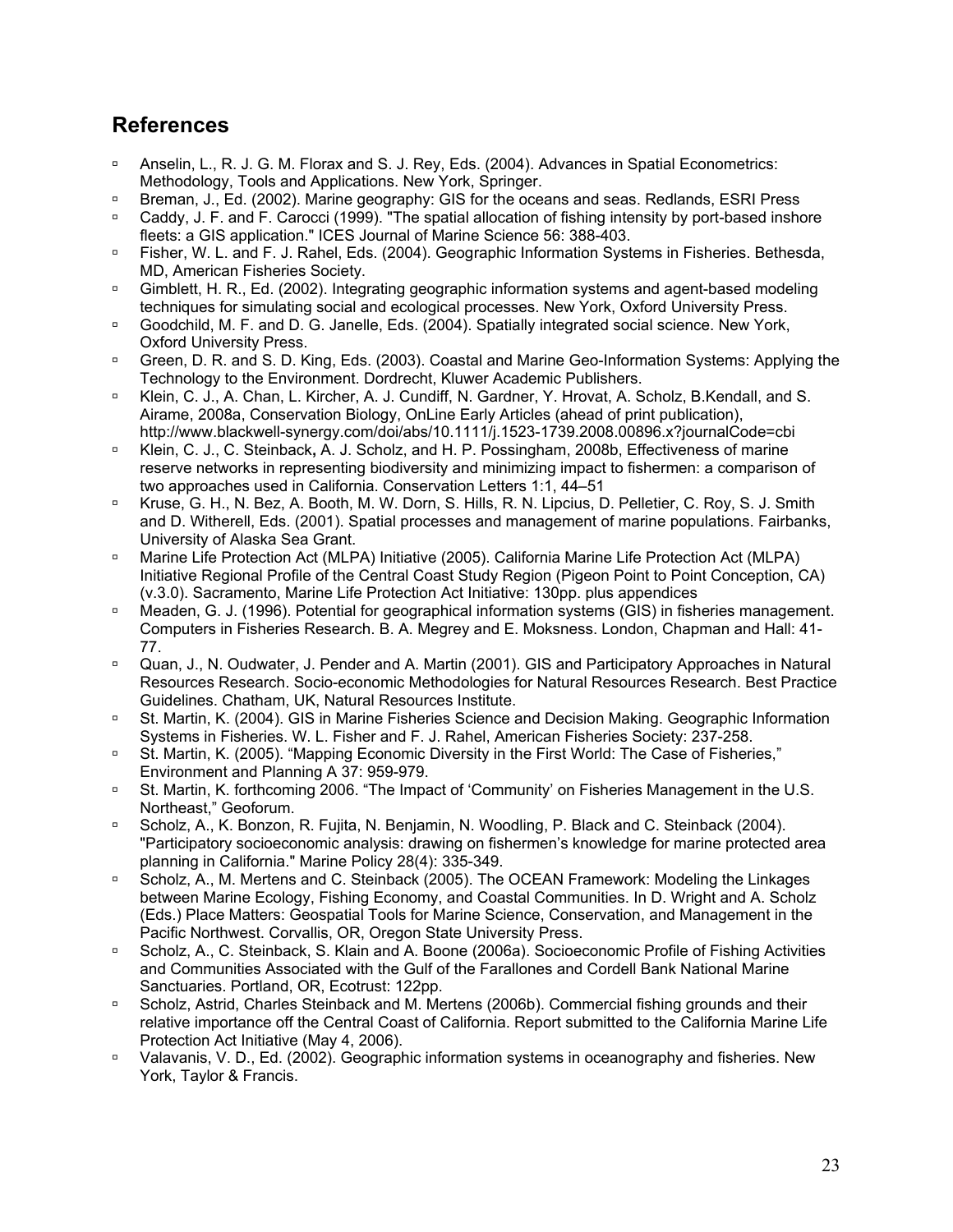## **References**

- <sup>o</sup> Anselin, L., R. J. G. M. Florax and S. J. Rey, Eds. (2004). Advances in Spatial Econometrics: Methodology, Tools and Applications. New York, Springer.
- à Breman, J., Ed. (2002). Marine geography: GIS for the oceans and seas. Redlands, ESRI Press
- □ Caddy, J. F. and F. Carocci (1999). "The spatial allocation of fishing intensity by port-based inshore fleets: a GIS application." ICES Journal of Marine Science 56: 388-403.
- **E** Fisher, W. L. and F. J. Rahel, Eds. (2004). Geographic Information Systems in Fisheries. Bethesda, MD, American Fisheries Society.
- <sup>a</sup> Gimblett, H. R., Ed. (2002). Integrating geographic information systems and agent-based modeling techniques for simulating social and ecological processes. New York, Oxford University Press.
- <sup>n</sup> Goodchild, M. F. and D. G. Janelle, Eds. (2004). Spatially integrated social science. New York, Oxford University Press.
- à Green, D. R. and S. D. King, Eds. (2003). Coastal and Marine Geo-Information Systems: Applying the Technology to the Environment. Dordrecht, Kluwer Academic Publishers.
- □ Klein, C. J., A. Chan, L. Kircher, A. J. Cundiff, N. Gardner, Y. Hrovat, A. Scholz, B.Kendall, and S. Airame, 2008a, Conservation Biology, OnLine Early Articles (ahead of print publication),
- http://www.blackwell-synergy.com/doi/abs/10.1111/j.1523-1739.2008.00896.x?journalCode=cbi à Klein, C. J., C. Steinback**,** A. J. Scholz, and H. P. Possingham, 2008b, Effectiveness of marine
- reserve networks in representing biodiversity and minimizing impact to fishermen: a comparison of two approaches used in California. Conservation Letters 1:1, 44–51
- □ Kruse, G. H., N. Bez, A. Booth, M. W. Dorn, S. Hills, R. N. Lipcius, D. Pelletier, C. Roy, S. J. Smith and D. Witherell, Eds. (2001). Spatial processes and management of marine populations. Fairbanks, University of Alaska Sea Grant.
- <sup>o</sup> Marine Life Protection Act (MLPA) Initiative (2005). California Marine Life Protection Act (MLPA) Initiative Regional Profile of the Central Coast Study Region (Pigeon Point to Point Conception, CA) (v.3.0). Sacramento, Marine Life Protection Act Initiative: 130pp. plus appendices
- <sup>o</sup> Meaden, G. J. (1996). Potential for geographical information systems (GIS) in fisheries management. Computers in Fisheries Research. B. A. Megrey and E. Moksness. London, Chapman and Hall: 41- 77.
- <sup>□</sup> Quan, J., N. Oudwater, J. Pender and A. Martin (2001). GIS and Participatory Approaches in Natural Resources Research. Socio-economic Methodologies for Natural Resources Research. Best Practice Guidelines. Chatham, UK, Natural Resources Institute.
- <sup>□</sup> St. Martin, K. (2004). GIS in Marine Fisheries Science and Decision Making. Geographic Information Systems in Fisheries. W. L. Fisher and F. J. Rahel, American Fisheries Society: 237-258.
- <sup>o</sup> St. Martin, K. (2005). "Mapping Economic Diversity in the First World: The Case of Fisheries," Environment and Planning A 37: 959-979.
- <sup>o</sup> St. Martin, K. forthcoming 2006. "The Impact of 'Community' on Fisheries Management in the U.S. Northeast," Geoforum.
- <sup>n</sup> Scholz, A., K. Bonzon, R. Fujita, N. Benjamin, N. Woodling, P. Black and C. Steinback (2004). "Participatory socioeconomic analysis: drawing on fishermen's knowledge for marine protected area planning in California." Marine Policy 28(4): 335-349.
- <sup>□</sup> Scholz, A., M. Mertens and C. Steinback (2005). The OCEAN Framework: Modeling the Linkages between Marine Ecology, Fishing Economy, and Coastal Communities. In D. Wright and A. Scholz (Eds.) Place Matters: Geospatial Tools for Marine Science, Conservation, and Management in the Pacific Northwest. Corvallis, OR, Oregon State University Press.
- <sup>□</sup> Scholz, A., C. Steinback, S. Klain and A. Boone (2006a). Socioeconomic Profile of Fishing Activities and Communities Associated with the Gulf of the Farallones and Cordell Bank National Marine Sanctuaries. Portland, OR, Ecotrust: 122pp.
- <sup>□</sup> Scholz, Astrid, Charles Steinback and M. Mertens (2006b). Commercial fishing grounds and their relative importance off the Central Coast of California. Report submitted to the California Marine Life Protection Act Initiative (May 4, 2006).
- <sup>n</sup> Valavanis, V. D., Ed. (2002). Geographic information systems in oceanography and fisheries. New York, Taylor & Francis.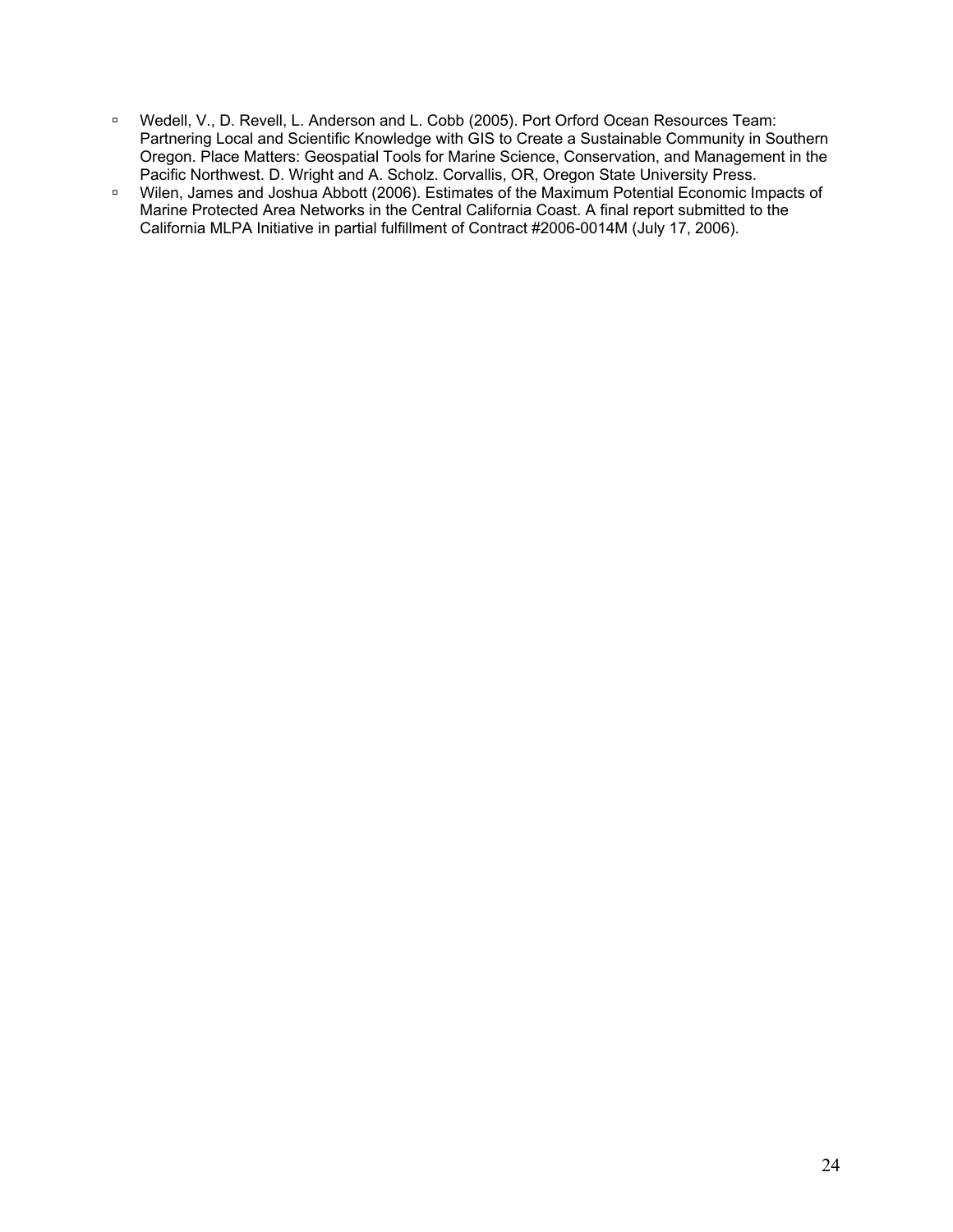- à Wedell, V., D. Revell, L. Anderson and L. Cobb (2005). Port Orford Ocean Resources Team: Partnering Local and Scientific Knowledge with GIS to Create a Sustainable Community in Southern Oregon. Place Matters: Geospatial Tools for Marine Science, Conservation, and Management in the Pacific Northwest. D. Wright and A. Scholz. Corvallis, OR, Oregon State University Press.
- □ Wilen, James and Joshua Abbott (2006). Estimates of the Maximum Potential Economic Impacts of Marine Protected Area Networks in the Central California Coast. A final report submitted to the California MLPA Initiative in partial fulfillment of Contract #2006-0014M (July 17, 2006).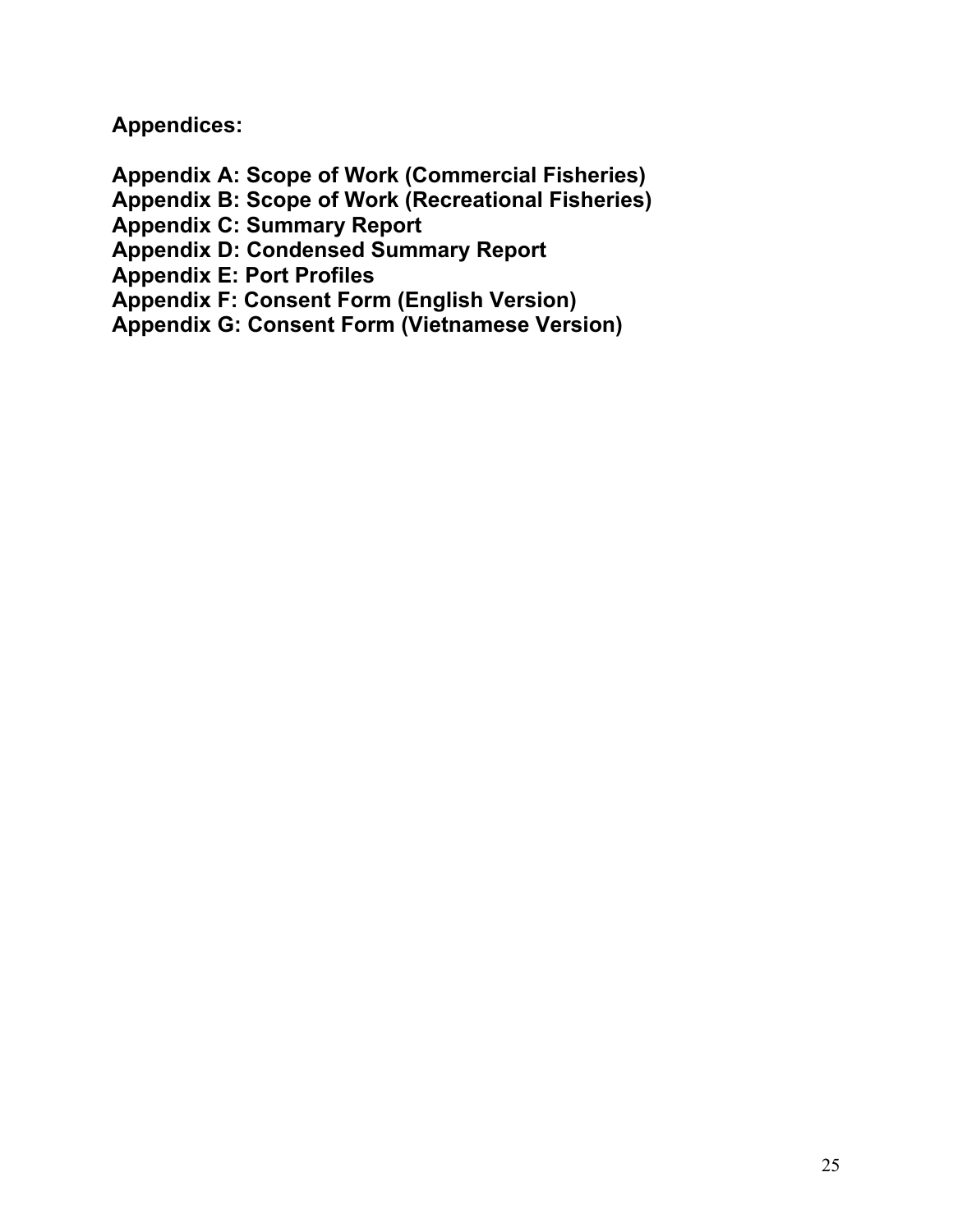**Appendices:** 

**Appendix A: Scope of Work (Commercial Fisheries)** 

**Appendix B: Scope of Work (Recreational Fisheries)** 

**Appendix C: Summary Report** 

**Appendix D: Condensed Summary Report** 

**Appendix E: Port Profiles** 

**Appendix F: Consent Form (English Version)** 

**Appendix G: Consent Form (Vietnamese Version)**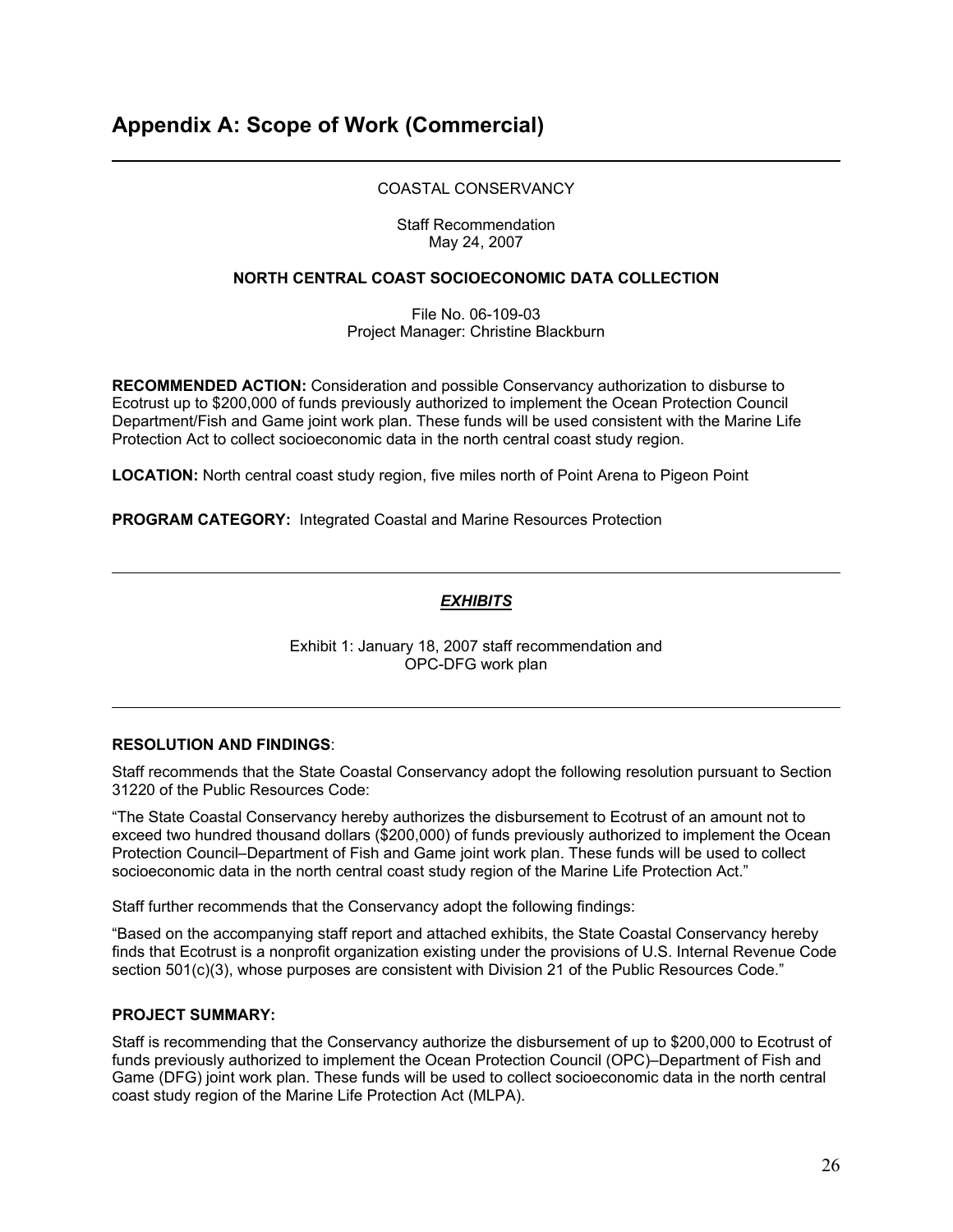### COASTAL CONSERVANCY

Staff Recommendation May 24, 2007

#### **NORTH CENTRAL COAST SOCIOECONOMIC DATA COLLECTION**

File No. 06-109-03 Project Manager: Christine Blackburn

**RECOMMENDED ACTION:** Consideration and possible Conservancy authorization to disburse to Ecotrust up to \$200,000 of funds previously authorized to implement the Ocean Protection Council Department/Fish and Game joint work plan. These funds will be used consistent with the Marine Life Protection Act to collect socioeconomic data in the north central coast study region.

**LOCATION:** North central coast study region, five miles north of Point Arena to Pigeon Point

**PROGRAM CATEGORY:** Integrated Coastal and Marine Resources Protection

## *EXHIBITS*

Exhibit 1: January 18, 2007 staff recommendation and OPC-DFG work plan

#### **RESOLUTION AND FINDINGS**:

Staff recommends that the State Coastal Conservancy adopt the following resolution pursuant to Section 31220 of the Public Resources Code:

"The State Coastal Conservancy hereby authorizes the disbursement to Ecotrust of an amount not to exceed two hundred thousand dollars (\$200,000) of funds previously authorized to implement the Ocean Protection Council–Department of Fish and Game joint work plan. These funds will be used to collect socioeconomic data in the north central coast study region of the Marine Life Protection Act."

Staff further recommends that the Conservancy adopt the following findings:

"Based on the accompanying staff report and attached exhibits, the State Coastal Conservancy hereby finds that Ecotrust is a nonprofit organization existing under the provisions of U.S. Internal Revenue Code section 501(c)(3), whose purposes are consistent with Division 21 of the Public Resources Code."

#### **PROJECT SUMMARY:**

Staff is recommending that the Conservancy authorize the disbursement of up to \$200,000 to Ecotrust of funds previously authorized to implement the Ocean Protection Council (OPC)–Department of Fish and Game (DFG) joint work plan. These funds will be used to collect socioeconomic data in the north central coast study region of the Marine Life Protection Act (MLPA).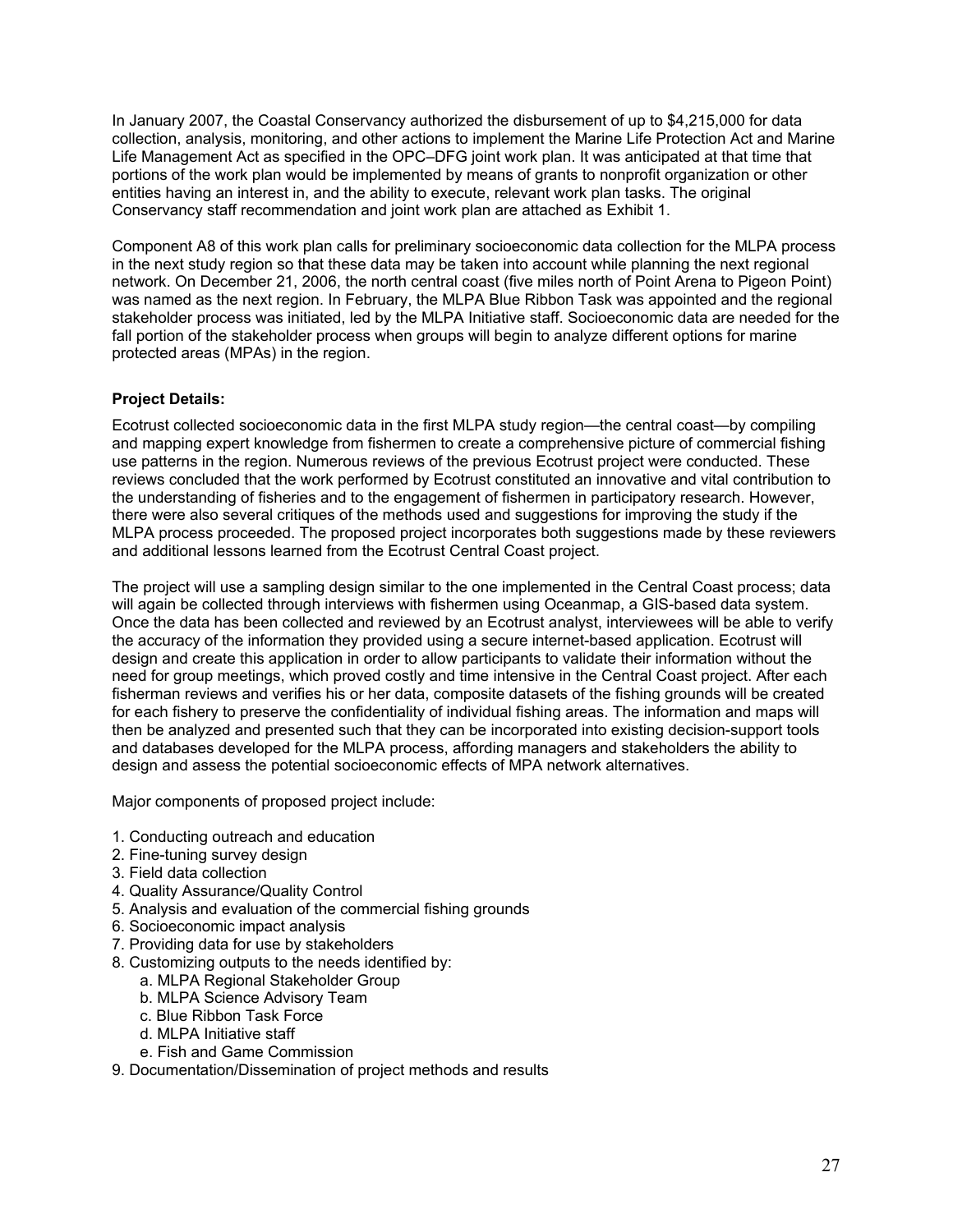In January 2007, the Coastal Conservancy authorized the disbursement of up to \$4,215,000 for data collection, analysis, monitoring, and other actions to implement the Marine Life Protection Act and Marine Life Management Act as specified in the OPC–DFG joint work plan. It was anticipated at that time that portions of the work plan would be implemented by means of grants to nonprofit organization or other entities having an interest in, and the ability to execute, relevant work plan tasks. The original Conservancy staff recommendation and joint work plan are attached as Exhibit 1.

Component A8 of this work plan calls for preliminary socioeconomic data collection for the MLPA process in the next study region so that these data may be taken into account while planning the next regional network. On December 21, 2006, the north central coast (five miles north of Point Arena to Pigeon Point) was named as the next region. In February, the MLPA Blue Ribbon Task was appointed and the regional stakeholder process was initiated, led by the MLPA Initiative staff. Socioeconomic data are needed for the fall portion of the stakeholder process when groups will begin to analyze different options for marine protected areas (MPAs) in the region.

## **Project Details:**

Ecotrust collected socioeconomic data in the first MLPA study region—the central coast—by compiling and mapping expert knowledge from fishermen to create a comprehensive picture of commercial fishing use patterns in the region. Numerous reviews of the previous Ecotrust project were conducted. These reviews concluded that the work performed by Ecotrust constituted an innovative and vital contribution to the understanding of fisheries and to the engagement of fishermen in participatory research. However, there were also several critiques of the methods used and suggestions for improving the study if the MLPA process proceeded. The proposed project incorporates both suggestions made by these reviewers and additional lessons learned from the Ecotrust Central Coast project.

The project will use a sampling design similar to the one implemented in the Central Coast process; data will again be collected through interviews with fishermen using Oceanmap, a GIS-based data system. Once the data has been collected and reviewed by an Ecotrust analyst, interviewees will be able to verify the accuracy of the information they provided using a secure internet-based application. Ecotrust will design and create this application in order to allow participants to validate their information without the need for group meetings, which proved costly and time intensive in the Central Coast project. After each fisherman reviews and verifies his or her data, composite datasets of the fishing grounds will be created for each fishery to preserve the confidentiality of individual fishing areas. The information and maps will then be analyzed and presented such that they can be incorporated into existing decision-support tools and databases developed for the MLPA process, affording managers and stakeholders the ability to design and assess the potential socioeconomic effects of MPA network alternatives.

Major components of proposed project include:

- 1. Conducting outreach and education
- 2. Fine-tuning survey design
- 3. Field data collection
- 4. Quality Assurance/Quality Control
- 5. Analysis and evaluation of the commercial fishing grounds
- 6. Socioeconomic impact analysis
- 7. Providing data for use by stakeholders
- 8. Customizing outputs to the needs identified by:
	- a. MLPA Regional Stakeholder Group
	- b. MLPA Science Advisory Team
	- c. Blue Ribbon Task Force
	- d. MLPA Initiative staff
	- e. Fish and Game Commission
- 9. Documentation/Dissemination of project methods and results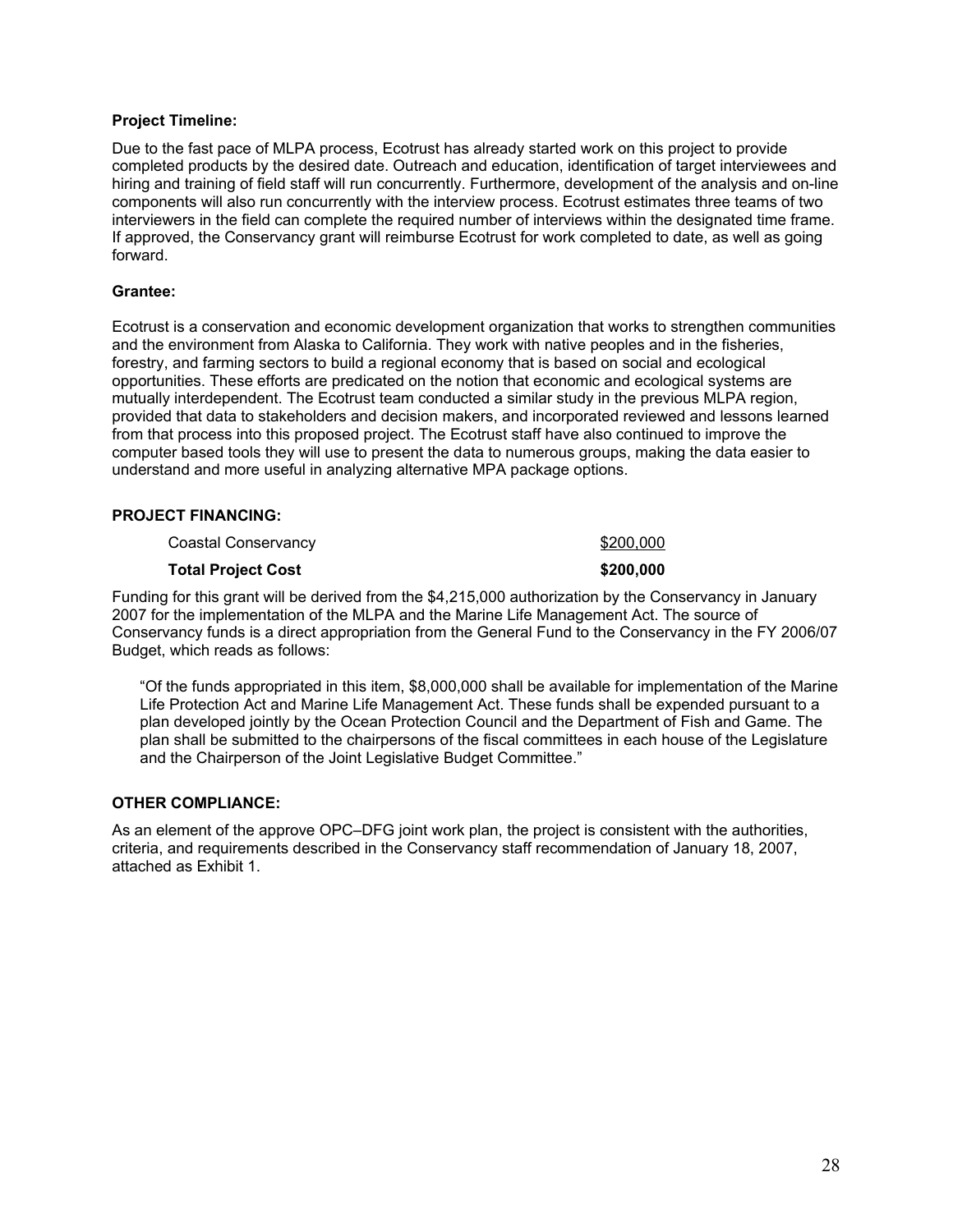#### **Project Timeline:**

Due to the fast pace of MLPA process, Ecotrust has already started work on this project to provide completed products by the desired date. Outreach and education, identification of target interviewees and hiring and training of field staff will run concurrently. Furthermore, development of the analysis and on-line components will also run concurrently with the interview process. Ecotrust estimates three teams of two interviewers in the field can complete the required number of interviews within the designated time frame. If approved, the Conservancy grant will reimburse Ecotrust for work completed to date, as well as going forward.

#### **Grantee:**

Ecotrust is a conservation and economic development organization that works to strengthen communities and the environment from Alaska to California. They work with native peoples and in the fisheries, forestry, and farming sectors to build a regional economy that is based on social and ecological opportunities. These efforts are predicated on the notion that economic and ecological systems are mutually interdependent. The Ecotrust team conducted a similar study in the previous MLPA region, provided that data to stakeholders and decision makers, and incorporated reviewed and lessons learned from that process into this proposed project. The Ecotrust staff have also continued to improve the computer based tools they will use to present the data to numerous groups, making the data easier to understand and more useful in analyzing alternative MPA package options.

#### **PROJECT FINANCING:**

Coastal Conservancy **\$200,000** 

#### **Total Project Cost 6200,000 \$200,000**

Funding for this grant will be derived from the \$4,215,000 authorization by the Conservancy in January 2007 for the implementation of the MLPA and the Marine Life Management Act. The source of Conservancy funds is a direct appropriation from the General Fund to the Conservancy in the FY 2006/07 Budget, which reads as follows:

"Of the funds appropriated in this item, \$8,000,000 shall be available for implementation of the Marine Life Protection Act and Marine Life Management Act. These funds shall be expended pursuant to a plan developed jointly by the Ocean Protection Council and the Department of Fish and Game. The plan shall be submitted to the chairpersons of the fiscal committees in each house of the Legislature and the Chairperson of the Joint Legislative Budget Committee."

#### **OTHER COMPLIANCE:**

As an element of the approve OPC–DFG joint work plan, the project is consistent with the authorities, criteria, and requirements described in the Conservancy staff recommendation of January 18, 2007, attached as Exhibit 1.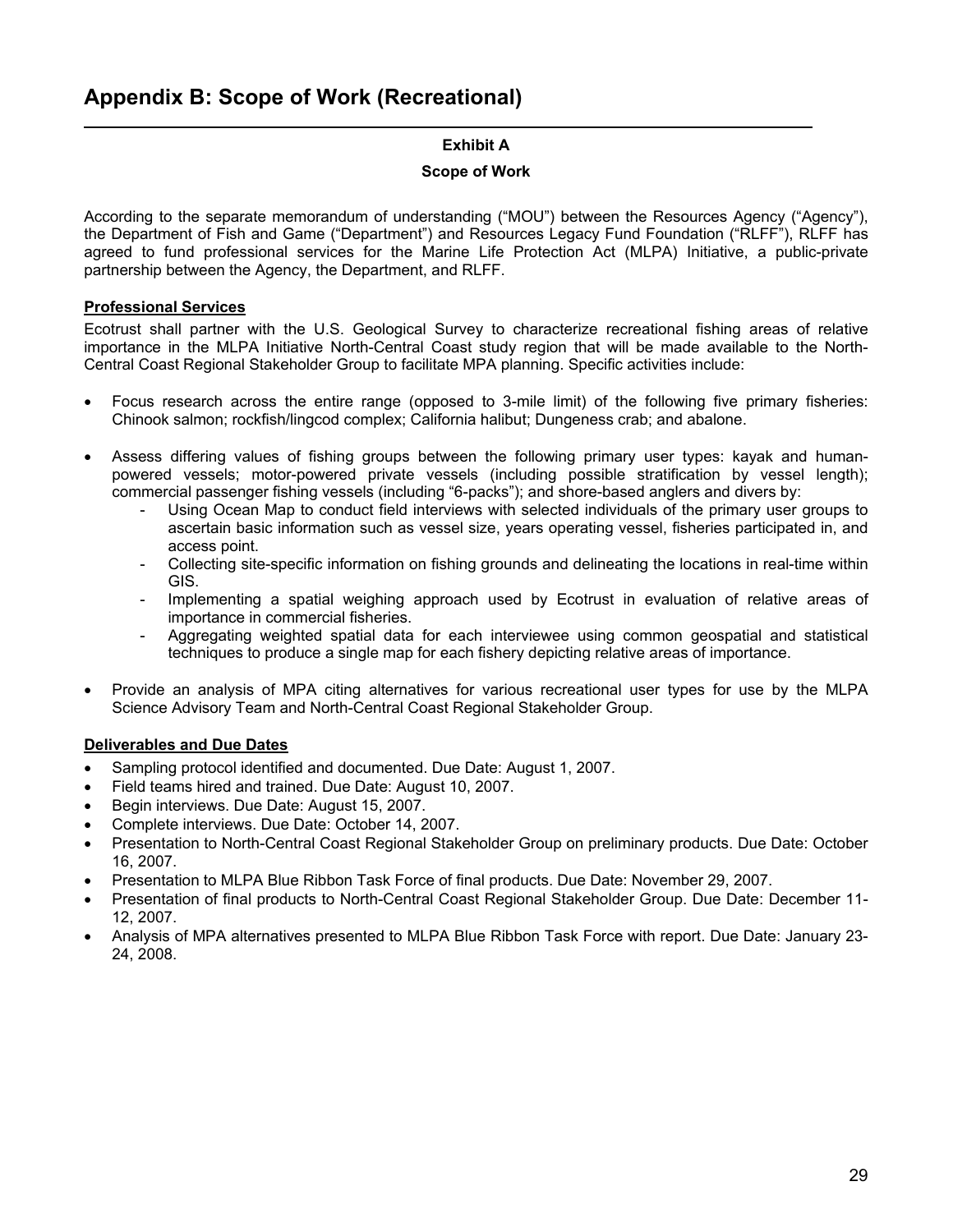## **Exhibit A**

## **Scope of Work**

According to the separate memorandum of understanding ("MOU") between the Resources Agency ("Agency"), the Department of Fish and Game ("Department") and Resources Legacy Fund Foundation ("RLFF"), RLFF has agreed to fund professional services for the Marine Life Protection Act (MLPA) Initiative, a public-private partnership between the Agency, the Department, and RLFF.

## **Professional Services**

Ecotrust shall partner with the U.S. Geological Survey to characterize recreational fishing areas of relative importance in the MLPA Initiative North-Central Coast study region that will be made available to the North-Central Coast Regional Stakeholder Group to facilitate MPA planning. Specific activities include:

- Focus research across the entire range (opposed to 3-mile limit) of the following five primary fisheries: Chinook salmon; rockfish/lingcod complex; California halibut; Dungeness crab; and abalone.
- Assess differing values of fishing groups between the following primary user types: kayak and humanpowered vessels; motor-powered private vessels (including possible stratification by vessel length); commercial passenger fishing vessels (including "6-packs"); and shore-based anglers and divers by:
	- Using Ocean Map to conduct field interviews with selected individuals of the primary user groups to ascertain basic information such as vessel size, years operating vessel, fisheries participated in, and access point.
	- Collecting site-specific information on fishing grounds and delineating the locations in real-time within GIS.
	- Implementing a spatial weighing approach used by Ecotrust in evaluation of relative areas of importance in commercial fisheries.
	- Aggregating weighted spatial data for each interviewee using common geospatial and statistical techniques to produce a single map for each fishery depicting relative areas of importance.
- Provide an analysis of MPA citing alternatives for various recreational user types for use by the MLPA Science Advisory Team and North-Central Coast Regional Stakeholder Group.

### **Deliverables and Due Dates**

- Sampling protocol identified and documented. Due Date: August 1, 2007.
- Field teams hired and trained. Due Date: August 10, 2007.
- Begin interviews. Due Date: August 15, 2007.
- Complete interviews. Due Date: October 14, 2007.
- Presentation to North-Central Coast Regional Stakeholder Group on preliminary products. Due Date: October 16, 2007.
- Presentation to MLPA Blue Ribbon Task Force of final products. Due Date: November 29, 2007.
- Presentation of final products to North-Central Coast Regional Stakeholder Group. Due Date: December 11- 12, 2007.
- Analysis of MPA alternatives presented to MLPA Blue Ribbon Task Force with report. Due Date: January 23- 24, 2008.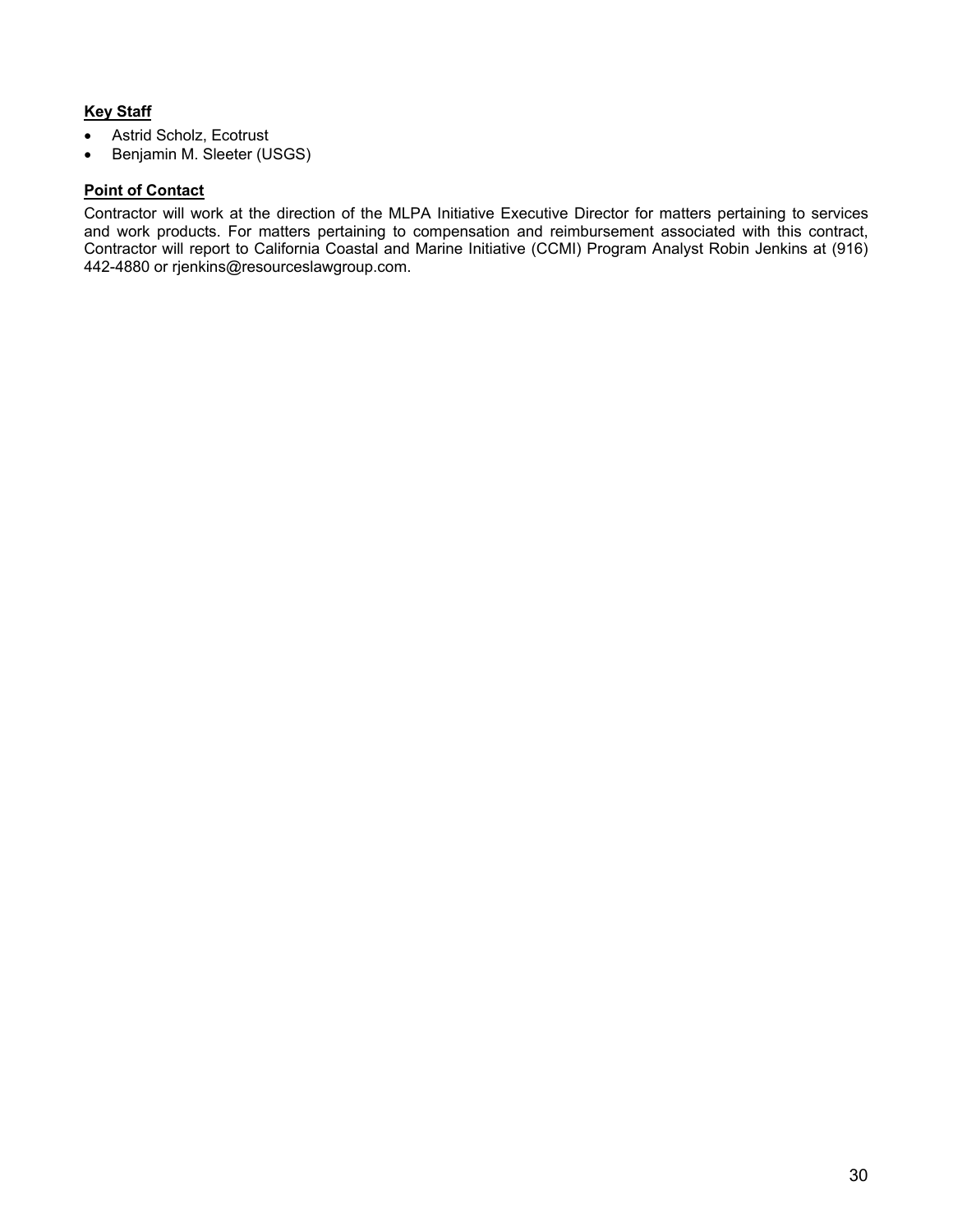## **Key Staff**

- Astrid Scholz, Ecotrust
- Benjamin M. Sleeter (USGS)

#### **Point of Contact**

Contractor will work at the direction of the MLPA Initiative Executive Director for matters pertaining to services and work products. For matters pertaining to compensation and reimbursement associated with this contract, Contractor will report to California Coastal and Marine Initiative (CCMI) Program Analyst Robin Jenkins at (916) 442-4880 or rjenkins@resourceslawgroup.com.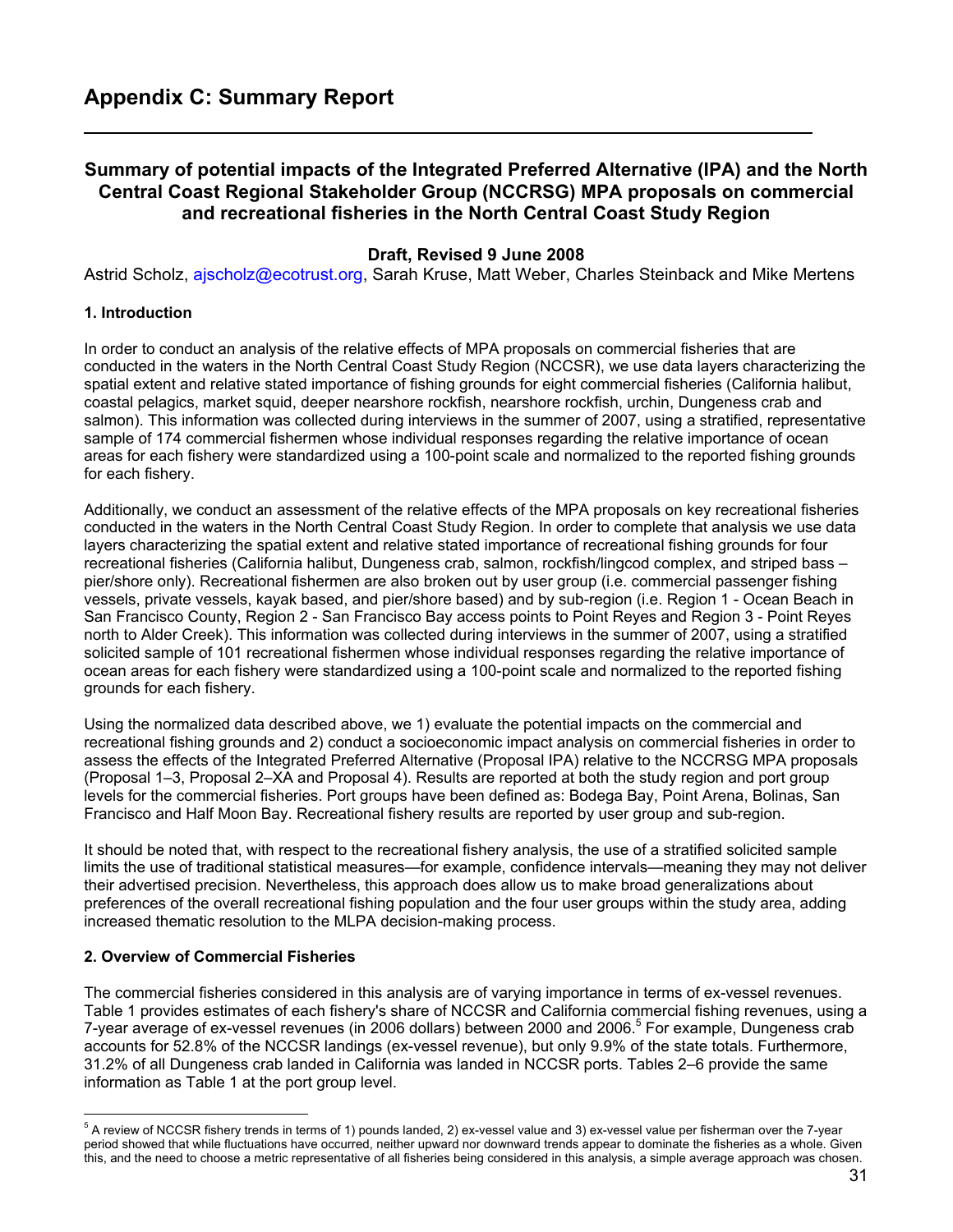## **Summary of potential impacts of the Integrated Preferred Alternative (IPA) and the North Central Coast Regional Stakeholder Group (NCCRSG) MPA proposals on commercial and recreational fisheries in the North Central Coast Study Region**

## **Draft, Revised 9 June 2008**

Astrid Scholz, ajscholz@ecotrust.org, Sarah Kruse, Matt Weber, Charles Steinback and Mike Mertens

#### **1. Introduction**

In order to conduct an analysis of the relative effects of MPA proposals on commercial fisheries that are conducted in the waters in the North Central Coast Study Region (NCCSR), we use data layers characterizing the spatial extent and relative stated importance of fishing grounds for eight commercial fisheries (California halibut, coastal pelagics, market squid, deeper nearshore rockfish, nearshore rockfish, urchin, Dungeness crab and salmon). This information was collected during interviews in the summer of 2007, using a stratified, representative sample of 174 commercial fishermen whose individual responses regarding the relative importance of ocean areas for each fishery were standardized using a 100-point scale and normalized to the reported fishing grounds for each fishery.

Additionally, we conduct an assessment of the relative effects of the MPA proposals on key recreational fisheries conducted in the waters in the North Central Coast Study Region. In order to complete that analysis we use data layers characterizing the spatial extent and relative stated importance of recreational fishing grounds for four recreational fisheries (California halibut, Dungeness crab, salmon, rockfish/lingcod complex, and striped bass – pier/shore only). Recreational fishermen are also broken out by user group (i.e. commercial passenger fishing vessels, private vessels, kayak based, and pier/shore based) and by sub-region (i.e. Region 1 - Ocean Beach in San Francisco County, Region 2 - San Francisco Bay access points to Point Reyes and Region 3 - Point Reyes north to Alder Creek). This information was collected during interviews in the summer of 2007, using a stratified solicited sample of 101 recreational fishermen whose individual responses regarding the relative importance of ocean areas for each fishery were standardized using a 100-point scale and normalized to the reported fishing grounds for each fishery.

Using the normalized data described above, we 1) evaluate the potential impacts on the commercial and recreational fishing grounds and 2) conduct a socioeconomic impact analysis on commercial fisheries in order to assess the effects of the Integrated Preferred Alternative (Proposal IPA) relative to the NCCRSG MPA proposals (Proposal 1–3, Proposal 2–XA and Proposal 4). Results are reported at both the study region and port group levels for the commercial fisheries. Port groups have been defined as: Bodega Bay, Point Arena, Bolinas, San Francisco and Half Moon Bay. Recreational fishery results are reported by user group and sub-region.

It should be noted that, with respect to the recreational fishery analysis, the use of a stratified solicited sample limits the use of traditional statistical measures—for example, confidence intervals—meaning they may not deliver their advertised precision. Nevertheless, this approach does allow us to make broad generalizations about preferences of the overall recreational fishing population and the four user groups within the study area, adding increased thematic resolution to the MLPA decision-making process.

#### **2. Overview of Commercial Fisheries**

The commercial fisheries considered in this analysis are of varying importance in terms of ex-vessel revenues. Table 1 provides estimates of each fishery's share of NCCSR and California commercial fishing revenues, using a 7-year average of ex-vessel revenues (in 2006 dollars) between 2000 and 2006.<sup>5</sup> For example, Dungeness crab accounts for 52.8% of the NCCSR landings (ex-vessel revenue), but only 9.9% of the state totals. Furthermore, 31.2% of all Dungeness crab landed in California was landed in NCCSR ports. Tables 2–6 provide the same information as Table 1 at the port group level.

 5 A review of NCCSR fishery trends in terms of 1) pounds landed, 2) ex-vessel value and 3) ex-vessel value per fisherman over the 7-year period showed that while fluctuations have occurred, neither upward nor downward trends appear to dominate the fisheries as a whole. Given this, and the need to choose a metric representative of all fisheries being considered in this analysis, a simple average approach was chosen.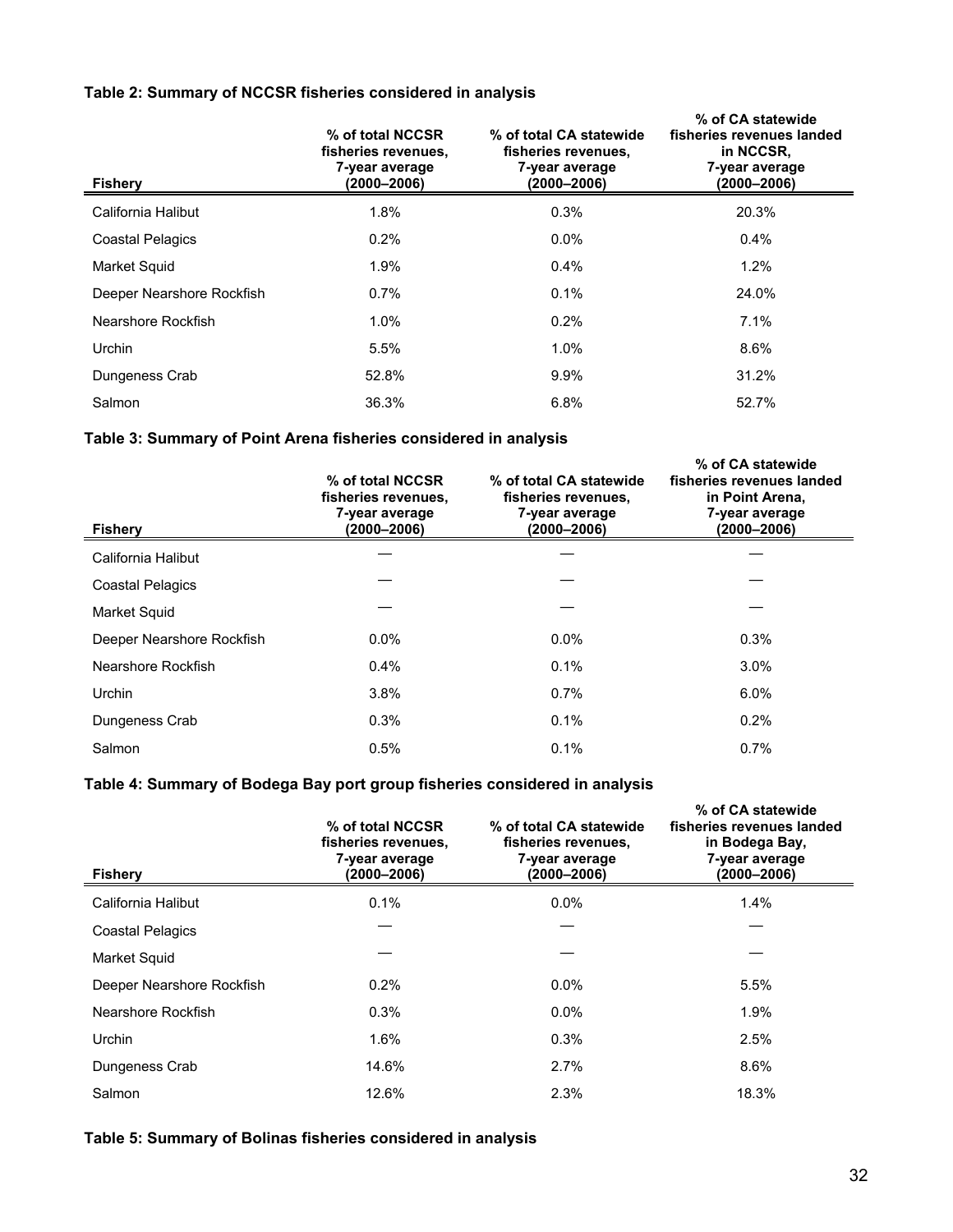### **Table 2: Summary of NCCSR fisheries considered in analysis**

| <b>Fishery</b>            | % of total NCCSR<br>fisheries revenues,<br>7-year average<br>(2000–2006) | % of total CA statewide<br>fisheries revenues,<br>7-year average<br>$(2000 - 2006)$ | % of CA statewide<br>fisheries revenues landed<br>in NCCSR,<br>7-year average<br>(2000–2006) |
|---------------------------|--------------------------------------------------------------------------|-------------------------------------------------------------------------------------|----------------------------------------------------------------------------------------------|
| California Halibut        | 1.8%                                                                     | 0.3%                                                                                | 20.3%                                                                                        |
| <b>Coastal Pelagics</b>   | 0.2%                                                                     | $0.0\%$                                                                             | $0.4\%$                                                                                      |
| <b>Market Squid</b>       | 1.9%                                                                     | $0.4\%$                                                                             | 1.2%                                                                                         |
| Deeper Nearshore Rockfish | $0.7\%$                                                                  | 0.1%                                                                                | 24.0%                                                                                        |
| Nearshore Rockfish        | $1.0\%$                                                                  | 0.2%                                                                                | 7.1%                                                                                         |
| Urchin                    | 5.5%                                                                     | 1.0%                                                                                | 8.6%                                                                                         |
| Dungeness Crab            | 52.8%                                                                    | 9.9%                                                                                | 31.2%                                                                                        |
| Salmon                    | 36.3%                                                                    | 6.8%                                                                                | 52.7%                                                                                        |

## **Table 3: Summary of Point Arena fisheries considered in analysis**

| <b>Fishery</b>            | % of total NCCSR<br>fisheries revenues,<br>7-year average<br>$(2000 - 2006)$ | % of total CA statewide<br>fisheries revenues,<br>7-year average<br>$(2000 - 2006)$ | % of CA statewide<br>fisheries revenues landed<br>in Point Arena,<br>7-year average<br>$(2000 - 2006)$ |
|---------------------------|------------------------------------------------------------------------------|-------------------------------------------------------------------------------------|--------------------------------------------------------------------------------------------------------|
| California Halibut        |                                                                              |                                                                                     |                                                                                                        |
| <b>Coastal Pelagics</b>   |                                                                              |                                                                                     |                                                                                                        |
| Market Squid              |                                                                              |                                                                                     |                                                                                                        |
| Deeper Nearshore Rockfish | $0.0\%$                                                                      | $0.0\%$                                                                             | 0.3%                                                                                                   |
| Nearshore Rockfish        | 0.4%                                                                         | 0.1%                                                                                | $3.0\%$                                                                                                |
| Urchin                    | 3.8%                                                                         | $0.7\%$                                                                             | $6.0\%$                                                                                                |
| Dungeness Crab            | 0.3%                                                                         | 0.1%                                                                                | 0.2%                                                                                                   |
| Salmon                    | 0.5%                                                                         | 0.1%                                                                                | 0.7%                                                                                                   |

## **Table 4: Summary of Bodega Bay port group fisheries considered in analysis**

| <b>Fishery</b>            | % of total NCCSR<br>fisheries revenues,<br>7-year average<br>(2000–2006) | % of total CA statewide<br>fisheries revenues,<br>7-year average<br>$(2000 - 2006)$ | % of CA statewide<br>fisheries revenues landed<br>in Bodega Bay,<br>7-year average<br>$(2000 - 2006)$ |
|---------------------------|--------------------------------------------------------------------------|-------------------------------------------------------------------------------------|-------------------------------------------------------------------------------------------------------|
| California Halibut        | 0.1%                                                                     | $0.0\%$                                                                             | 1.4%                                                                                                  |
| <b>Coastal Pelagics</b>   |                                                                          |                                                                                     |                                                                                                       |
| Market Squid              |                                                                          |                                                                                     |                                                                                                       |
| Deeper Nearshore Rockfish | 0.2%                                                                     | 0.0%                                                                                | 5.5%                                                                                                  |
| Nearshore Rockfish        | 0.3%                                                                     | $0.0\%$                                                                             | 1.9%                                                                                                  |
| Urchin                    | 1.6%                                                                     | 0.3%                                                                                | 2.5%                                                                                                  |
| Dungeness Crab            | 14.6%                                                                    | 2.7%                                                                                | 8.6%                                                                                                  |
| Salmon                    | 12.6%                                                                    | 2.3%                                                                                | 18.3%                                                                                                 |

## **Table 5: Summary of Bolinas fisheries considered in analysis**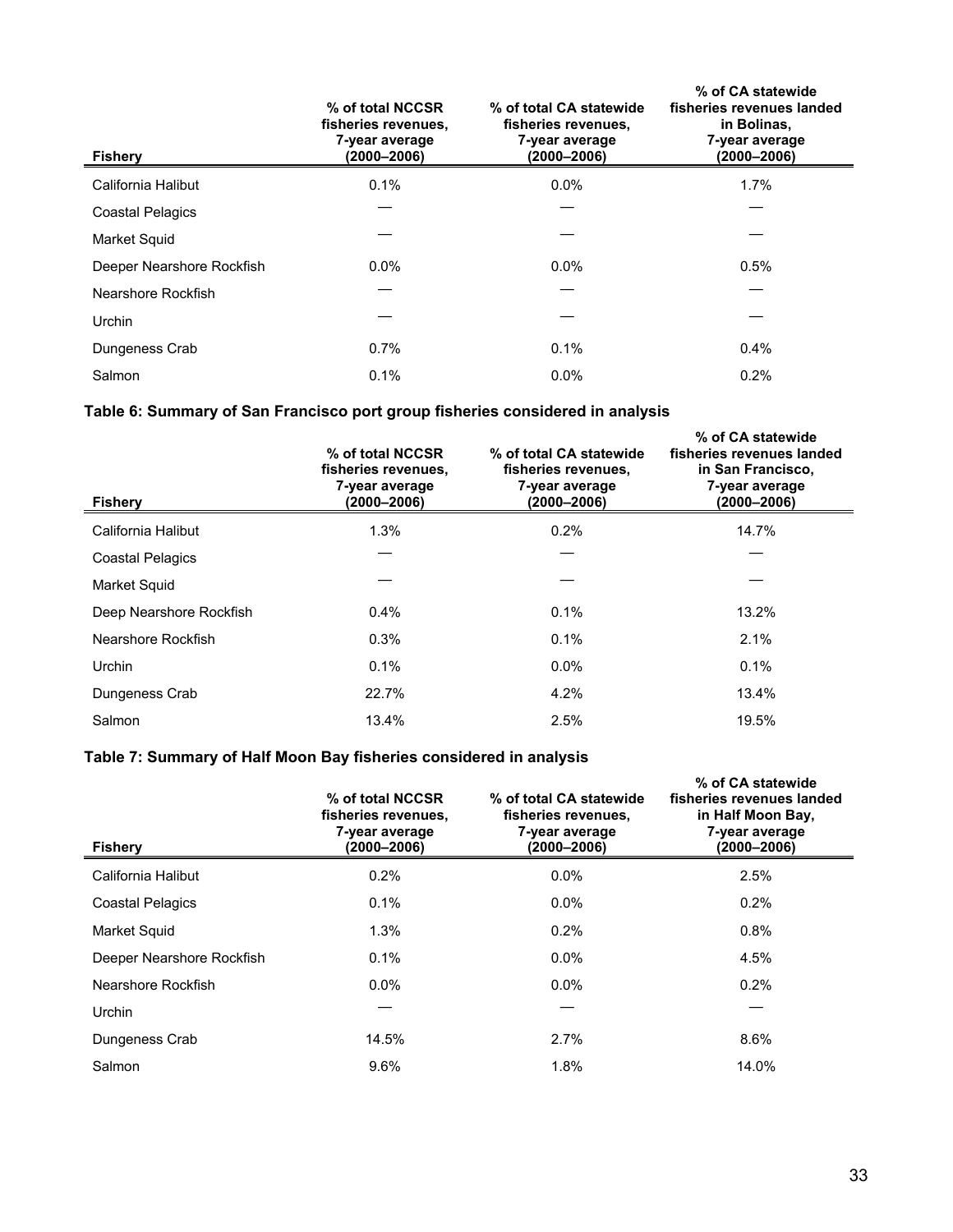| <b>Fishery</b>            | % of total NCCSR<br>fisheries revenues,<br>7-year average<br>$(2000 - 2006)$ | % of total CA statewide<br>fisheries revenues,<br>7-year average<br>$(2000 - 2006)$ | % of CA statewide<br>fisheries revenues landed<br>in Bolinas,<br>7-year average<br>$(2000 - 2006)$ |
|---------------------------|------------------------------------------------------------------------------|-------------------------------------------------------------------------------------|----------------------------------------------------------------------------------------------------|
| California Halibut        | 0.1%                                                                         | $0.0\%$                                                                             | 1.7%                                                                                               |
| <b>Coastal Pelagics</b>   |                                                                              |                                                                                     |                                                                                                    |
| Market Squid              |                                                                              |                                                                                     |                                                                                                    |
| Deeper Nearshore Rockfish | $0.0\%$                                                                      | $0.0\%$                                                                             | 0.5%                                                                                               |
| Nearshore Rockfish        |                                                                              |                                                                                     |                                                                                                    |
| Urchin                    |                                                                              |                                                                                     |                                                                                                    |
| Dungeness Crab            | 0.7%                                                                         | 0.1%                                                                                | $0.4\%$                                                                                            |
| Salmon                    | 0.1%                                                                         | $0.0\%$                                                                             | 0.2%                                                                                               |

## **Table 6: Summary of San Francisco port group fisheries considered in analysis**

| <b>Fishery</b>          | % of total NCCSR<br>fisheries revenues,<br>7-year average<br>(2000–2006) | % of total CA statewide<br>fisheries revenues,<br>7-year average<br>$(2000 - 2006)$ | % of CA statewide<br>fisheries revenues landed<br>in San Francisco,<br>7-year average<br>(2000–2006) |
|-------------------------|--------------------------------------------------------------------------|-------------------------------------------------------------------------------------|------------------------------------------------------------------------------------------------------|
| California Halibut      | 1.3%                                                                     | 0.2%                                                                                | 14.7%                                                                                                |
| <b>Coastal Pelagics</b> |                                                                          |                                                                                     |                                                                                                      |
| Market Squid            |                                                                          |                                                                                     |                                                                                                      |
| Deep Nearshore Rockfish | $0.4\%$                                                                  | $0.1\%$                                                                             | 13.2%                                                                                                |
| Nearshore Rockfish      | 0.3%                                                                     | 0.1%                                                                                | 2.1%                                                                                                 |
| Urchin                  | 0.1%                                                                     | $0.0\%$                                                                             | 0.1%                                                                                                 |
| Dungeness Crab          | 22.7%                                                                    | 4.2%                                                                                | 13.4%                                                                                                |
| Salmon                  | 13.4%                                                                    | 2.5%                                                                                | 19.5%                                                                                                |

## **Table 7: Summary of Half Moon Bay fisheries considered in analysis**

| <b>Fishery</b>            | % of total NCCSR<br>fisheries revenues,<br>7-year average<br>(2000–2006) | % of total CA statewide<br>fisheries revenues,<br>7-year average<br>(2000–2006) | % of CA statewide<br>fisheries revenues landed<br>in Half Moon Bay,<br>7-year average<br>(2000–2006) |
|---------------------------|--------------------------------------------------------------------------|---------------------------------------------------------------------------------|------------------------------------------------------------------------------------------------------|
| California Halibut        | 0.2%                                                                     | $0.0\%$                                                                         | 2.5%                                                                                                 |
| Coastal Pelagics          | 0.1%                                                                     | $0.0\%$                                                                         | 0.2%                                                                                                 |
| <b>Market Squid</b>       | 1.3%                                                                     | 0.2%                                                                            | 0.8%                                                                                                 |
| Deeper Nearshore Rockfish | 0.1%                                                                     | $0.0\%$                                                                         | 4.5%                                                                                                 |
| Nearshore Rockfish        | $0.0\%$                                                                  | $0.0\%$                                                                         | 0.2%                                                                                                 |
| Urchin                    |                                                                          |                                                                                 |                                                                                                      |
| Dungeness Crab            | 14.5%                                                                    | 2.7%                                                                            | 8.6%                                                                                                 |
| Salmon                    | 9.6%                                                                     | 1.8%                                                                            | 14.0%                                                                                                |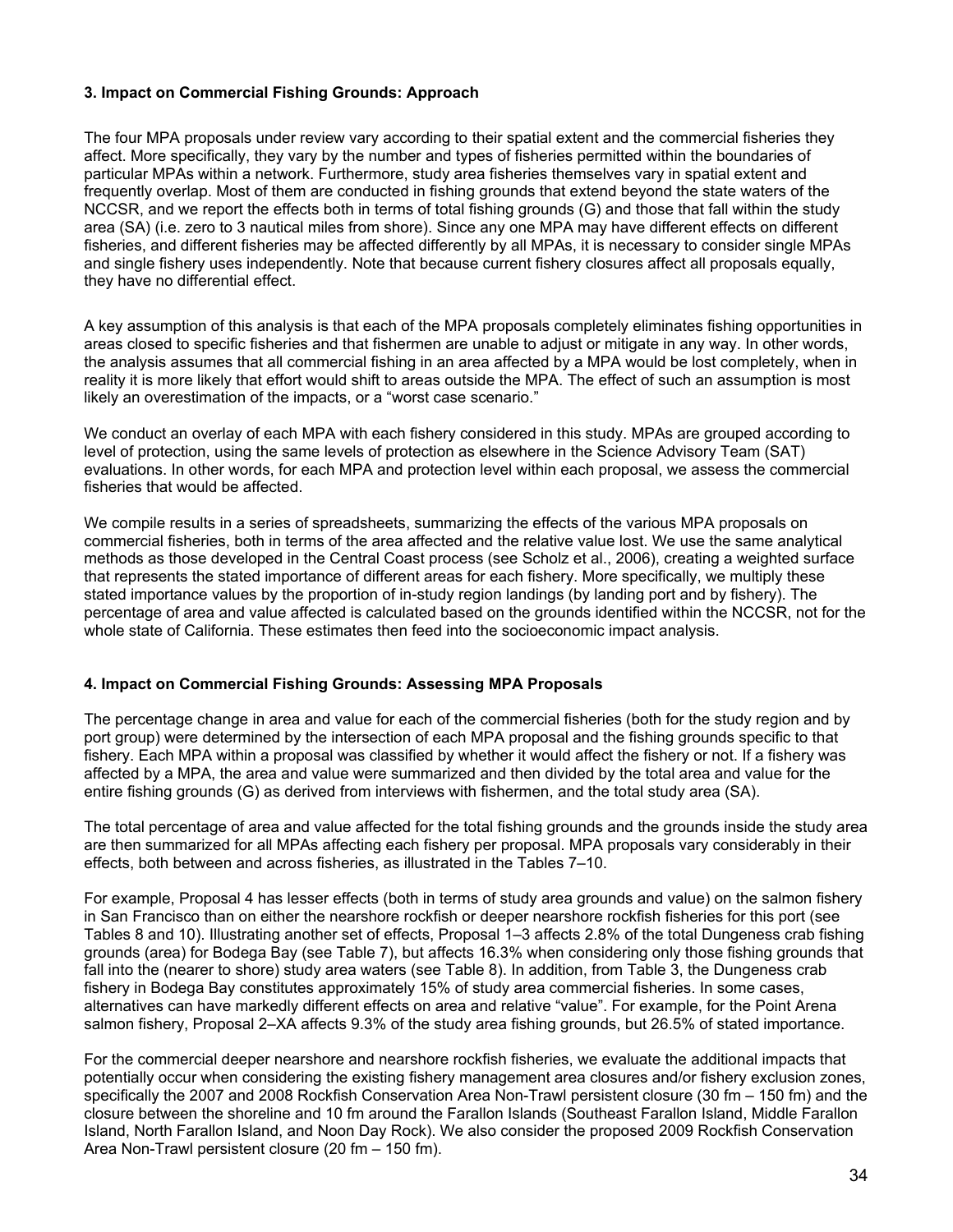### **3. Impact on Commercial Fishing Grounds: Approach**

The four MPA proposals under review vary according to their spatial extent and the commercial fisheries they affect. More specifically, they vary by the number and types of fisheries permitted within the boundaries of particular MPAs within a network. Furthermore, study area fisheries themselves vary in spatial extent and frequently overlap. Most of them are conducted in fishing grounds that extend beyond the state waters of the NCCSR, and we report the effects both in terms of total fishing grounds (G) and those that fall within the study area (SA) (i.e. zero to 3 nautical miles from shore). Since any one MPA may have different effects on different fisheries, and different fisheries may be affected differently by all MPAs, it is necessary to consider single MPAs and single fishery uses independently. Note that because current fishery closures affect all proposals equally, they have no differential effect.

A key assumption of this analysis is that each of the MPA proposals completely eliminates fishing opportunities in areas closed to specific fisheries and that fishermen are unable to adjust or mitigate in any way. In other words, the analysis assumes that all commercial fishing in an area affected by a MPA would be lost completely, when in reality it is more likely that effort would shift to areas outside the MPA. The effect of such an assumption is most likely an overestimation of the impacts, or a "worst case scenario."

We conduct an overlay of each MPA with each fishery considered in this study. MPAs are grouped according to level of protection, using the same levels of protection as elsewhere in the Science Advisory Team (SAT) evaluations. In other words, for each MPA and protection level within each proposal, we assess the commercial fisheries that would be affected.

We compile results in a series of spreadsheets, summarizing the effects of the various MPA proposals on commercial fisheries, both in terms of the area affected and the relative value lost. We use the same analytical methods as those developed in the Central Coast process (see Scholz et al., 2006), creating a weighted surface that represents the stated importance of different areas for each fishery. More specifically, we multiply these stated importance values by the proportion of in-study region landings (by landing port and by fishery). The percentage of area and value affected is calculated based on the grounds identified within the NCCSR, not for the whole state of California. These estimates then feed into the socioeconomic impact analysis.

#### **4. Impact on Commercial Fishing Grounds: Assessing MPA Proposals**

The percentage change in area and value for each of the commercial fisheries (both for the study region and by port group) were determined by the intersection of each MPA proposal and the fishing grounds specific to that fishery. Each MPA within a proposal was classified by whether it would affect the fishery or not. If a fishery was affected by a MPA, the area and value were summarized and then divided by the total area and value for the entire fishing grounds (G) as derived from interviews with fishermen, and the total study area (SA).

The total percentage of area and value affected for the total fishing grounds and the grounds inside the study area are then summarized for all MPAs affecting each fishery per proposal. MPA proposals vary considerably in their effects, both between and across fisheries, as illustrated in the Tables 7–10.

For example, Proposal 4 has lesser effects (both in terms of study area grounds and value) on the salmon fishery in San Francisco than on either the nearshore rockfish or deeper nearshore rockfish fisheries for this port (see Tables 8 and 10). Illustrating another set of effects, Proposal 1–3 affects 2.8% of the total Dungeness crab fishing grounds (area) for Bodega Bay (see Table 7), but affects 16.3% when considering only those fishing grounds that fall into the (nearer to shore) study area waters (see Table 8). In addition, from Table 3, the Dungeness crab fishery in Bodega Bay constitutes approximately 15% of study area commercial fisheries. In some cases, alternatives can have markedly different effects on area and relative "value". For example, for the Point Arena salmon fishery, Proposal 2–XA affects 9.3% of the study area fishing grounds, but 26.5% of stated importance.

For the commercial deeper nearshore and nearshore rockfish fisheries, we evaluate the additional impacts that potentially occur when considering the existing fishery management area closures and/or fishery exclusion zones, specifically the 2007 and 2008 Rockfish Conservation Area Non-Trawl persistent closure (30 fm – 150 fm) and the closure between the shoreline and 10 fm around the Farallon Islands (Southeast Farallon Island, Middle Farallon Island, North Farallon Island, and Noon Day Rock). We also consider the proposed 2009 Rockfish Conservation Area Non-Trawl persistent closure (20 fm – 150 fm).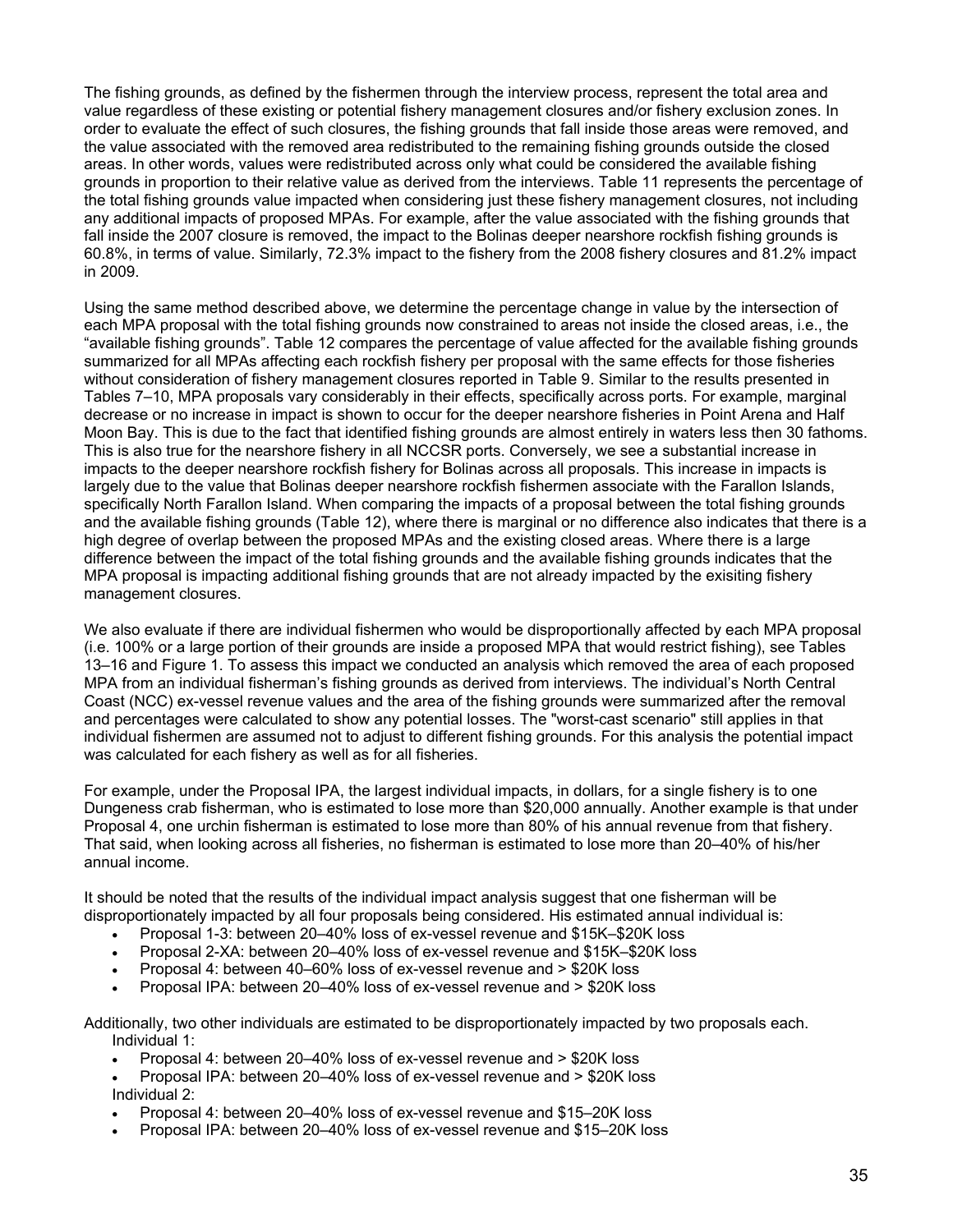The fishing grounds, as defined by the fishermen through the interview process, represent the total area and value regardless of these existing or potential fishery management closures and/or fishery exclusion zones. In order to evaluate the effect of such closures, the fishing grounds that fall inside those areas were removed, and the value associated with the removed area redistributed to the remaining fishing grounds outside the closed areas. In other words, values were redistributed across only what could be considered the available fishing grounds in proportion to their relative value as derived from the interviews. Table 11 represents the percentage of the total fishing grounds value impacted when considering just these fishery management closures, not including any additional impacts of proposed MPAs. For example, after the value associated with the fishing grounds that fall inside the 2007 closure is removed, the impact to the Bolinas deeper nearshore rockfish fishing grounds is 60.8%, in terms of value. Similarly, 72.3% impact to the fishery from the 2008 fishery closures and 81.2% impact in 2009.

Using the same method described above, we determine the percentage change in value by the intersection of each MPA proposal with the total fishing grounds now constrained to areas not inside the closed areas, i.e., the "available fishing grounds". Table 12 compares the percentage of value affected for the available fishing grounds summarized for all MPAs affecting each rockfish fishery per proposal with the same effects for those fisheries without consideration of fishery management closures reported in Table 9. Similar to the results presented in Tables 7–10, MPA proposals vary considerably in their effects, specifically across ports. For example, marginal decrease or no increase in impact is shown to occur for the deeper nearshore fisheries in Point Arena and Half Moon Bay. This is due to the fact that identified fishing grounds are almost entirely in waters less then 30 fathoms. This is also true for the nearshore fishery in all NCCSR ports. Conversely, we see a substantial increase in impacts to the deeper nearshore rockfish fishery for Bolinas across all proposals. This increase in impacts is largely due to the value that Bolinas deeper nearshore rockfish fishermen associate with the Farallon Islands, specifically North Farallon Island. When comparing the impacts of a proposal between the total fishing grounds and the available fishing grounds (Table 12), where there is marginal or no difference also indicates that there is a high degree of overlap between the proposed MPAs and the existing closed areas. Where there is a large difference between the impact of the total fishing grounds and the available fishing grounds indicates that the MPA proposal is impacting additional fishing grounds that are not already impacted by the exisiting fishery management closures.

We also evaluate if there are individual fishermen who would be disproportionally affected by each MPA proposal (i.e. 100% or a large portion of their grounds are inside a proposed MPA that would restrict fishing), see Tables 13–16 and Figure 1. To assess this impact we conducted an analysis which removed the area of each proposed MPA from an individual fisherman's fishing grounds as derived from interviews. The individual's North Central Coast (NCC) ex-vessel revenue values and the area of the fishing grounds were summarized after the removal and percentages were calculated to show any potential losses. The "worst-cast scenario" still applies in that individual fishermen are assumed not to adjust to different fishing grounds. For this analysis the potential impact was calculated for each fishery as well as for all fisheries.

For example, under the Proposal IPA, the largest individual impacts, in dollars, for a single fishery is to one Dungeness crab fisherman, who is estimated to lose more than \$20,000 annually. Another example is that under Proposal 4, one urchin fisherman is estimated to lose more than 80% of his annual revenue from that fishery. That said, when looking across all fisheries, no fisherman is estimated to lose more than 20–40% of his/her annual income.

It should be noted that the results of the individual impact analysis suggest that one fisherman will be disproportionately impacted by all four proposals being considered. His estimated annual individual is:

- Proposal 1-3: between 20–40% loss of ex-vessel revenue and \$15K–\$20K loss
- Proposal 2-XA: between 20–40% loss of ex-vessel revenue and \$15K–\$20K loss
- Proposal 4: between 40–60% loss of ex-vessel revenue and > \$20K loss
- Proposal IPA: between 20–40% loss of ex-vessel revenue and > \$20K loss

Additionally, two other individuals are estimated to be disproportionately impacted by two proposals each. Individual 1:

- Proposal 4: between 20–40% loss of ex-vessel revenue and > \$20K loss
- Proposal IPA: between 20–40% loss of ex-vessel revenue and > \$20K loss Individual 2:
- Proposal 4: between 20–40% loss of ex-vessel revenue and \$15–20K loss
- Proposal IPA: between 20–40% loss of ex-vessel revenue and \$15–20K loss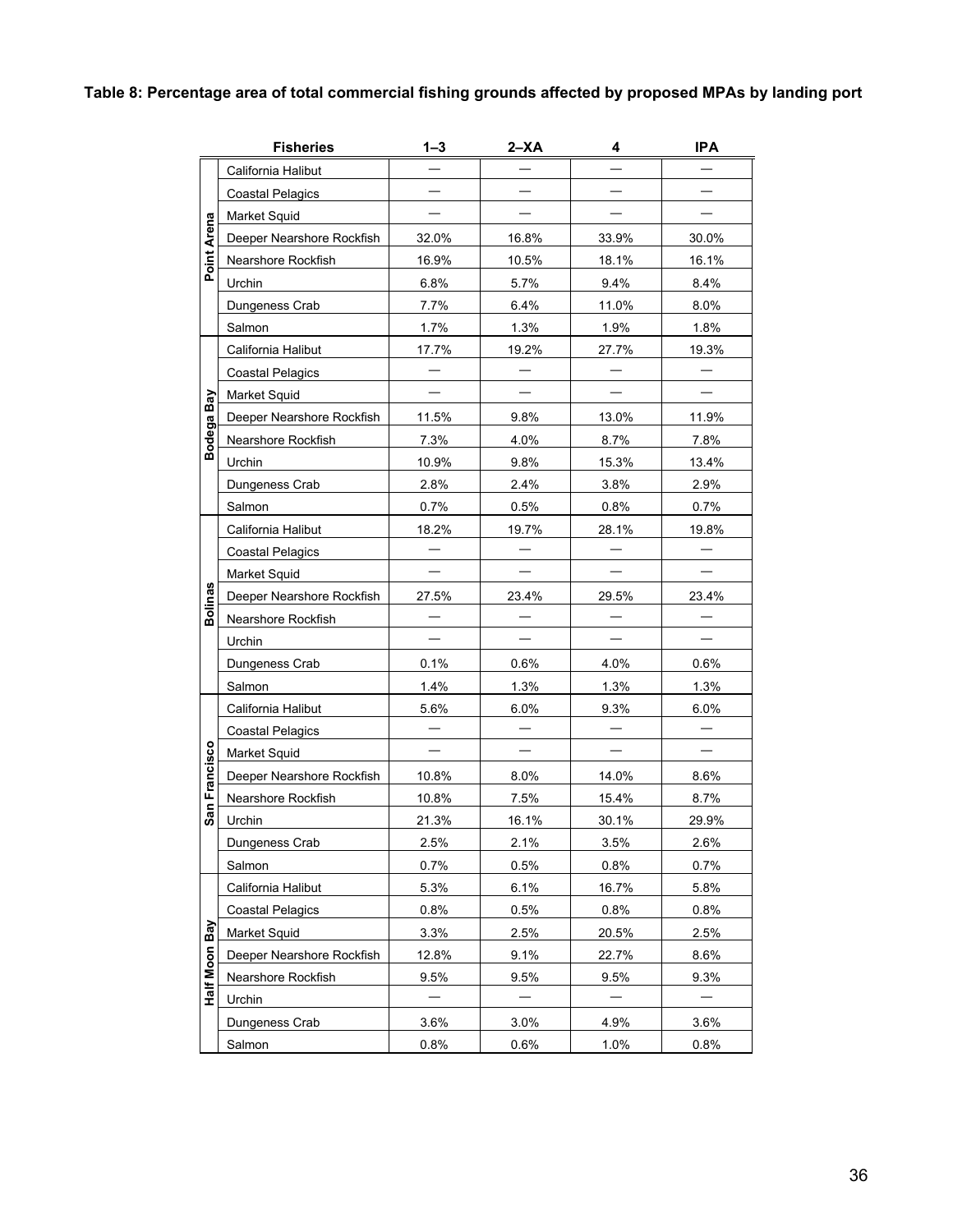# **Table 8: Percentage area of total commercial fishing grounds affected by proposed MPAs by landing port**

|                | <b>Fisheries</b>          | $1 - 3$ | $2 - XA$ | 4     | IPA   |
|----------------|---------------------------|---------|----------|-------|-------|
|                | California Halibut        |         |          |       |       |
|                | <b>Coastal Pelagics</b>   |         |          |       |       |
|                | Market Squid              |         |          |       |       |
| Point Arena    | Deeper Nearshore Rockfish | 32.0%   | 16.8%    | 33.9% | 30.0% |
|                | Nearshore Rockfish        | 16.9%   | 10.5%    | 18.1% | 16.1% |
|                | Urchin                    | 6.8%    | 5.7%     | 9.4%  | 8.4%  |
|                | Dungeness Crab            | 7.7%    | 6.4%     | 11.0% | 8.0%  |
|                | Salmon                    | 1.7%    | 1.3%     | 1.9%  | 1.8%  |
|                | California Halibut        | 17.7%   | 19.2%    | 27.7% | 19.3% |
|                | <b>Coastal Pelagics</b>   |         |          |       |       |
|                | Market Squid              |         |          |       |       |
|                | Deeper Nearshore Rockfish | 11.5%   | 9.8%     | 13.0% | 11.9% |
| Bodega Bay     | Nearshore Rockfish        | 7.3%    | 4.0%     | 8.7%  | 7.8%  |
|                | Urchin                    | 10.9%   | 9.8%     | 15.3% | 13.4% |
|                | Dungeness Crab            | 2.8%    | 2.4%     | 3.8%  | 2.9%  |
|                | Salmon                    | 0.7%    | 0.5%     | 0.8%  | 0.7%  |
|                | California Halibut        | 18.2%   | 19.7%    | 28.1% | 19.8% |
|                | <b>Coastal Pelagics</b>   |         |          |       |       |
|                | Market Squid              |         |          |       |       |
| <b>Bolinas</b> | Deeper Nearshore Rockfish | 27.5%   | 23.4%    | 29.5% | 23.4% |
|                | Nearshore Rockfish        |         |          |       |       |
|                | Urchin                    |         |          |       |       |
|                | Dungeness Crab            | 0.1%    | 0.6%     | 4.0%  | 0.6%  |
|                | Salmon                    | 1.4%    | 1.3%     | 1.3%  | 1.3%  |
|                | California Halibut        | 5.6%    | 6.0%     | 9.3%  | 6.0%  |
|                | Coastal Pelagics          |         |          |       |       |
|                | Market Squid              |         |          |       |       |
| Francisco      | Deeper Nearshore Rockfish | 10.8%   | 8.0%     | 14.0% | 8.6%  |
|                | Nearshore Rockfish        | 10.8%   | 7.5%     | 15.4% | 8.7%  |
| San            | Urchin                    | 21.3%   | 16.1%    | 30.1% | 29.9% |
|                | Dungeness Crab            | 2.5%    | 2.1%     | 3.5%  | 2.6%  |
|                | Salmon                    | 0.7%    | 0.5%     | 0.8%  | 0.7%  |
|                | California Halibut        | 5.3%    | 6.1%     | 16.7% | 5.8%  |
|                | <b>Coastal Pelagics</b>   | 0.8%    | 0.5%     | 0.8%  | 0.8%  |
| Bay            | Market Squid              | 3.3%    | 2.5%     | 20.5% | 2.5%  |
|                | Deeper Nearshore Rockfish | 12.8%   | 9.1%     | 22.7% | 8.6%  |
| Half Moon      | Nearshore Rockfish        | 9.5%    | 9.5%     | 9.5%  | 9.3%  |
|                | Urchin                    |         |          |       |       |
|                | Dungeness Crab            | 3.6%    | 3.0%     | 4.9%  | 3.6%  |
|                | Salmon                    | 0.8%    | 0.6%     | 1.0%  | 0.8%  |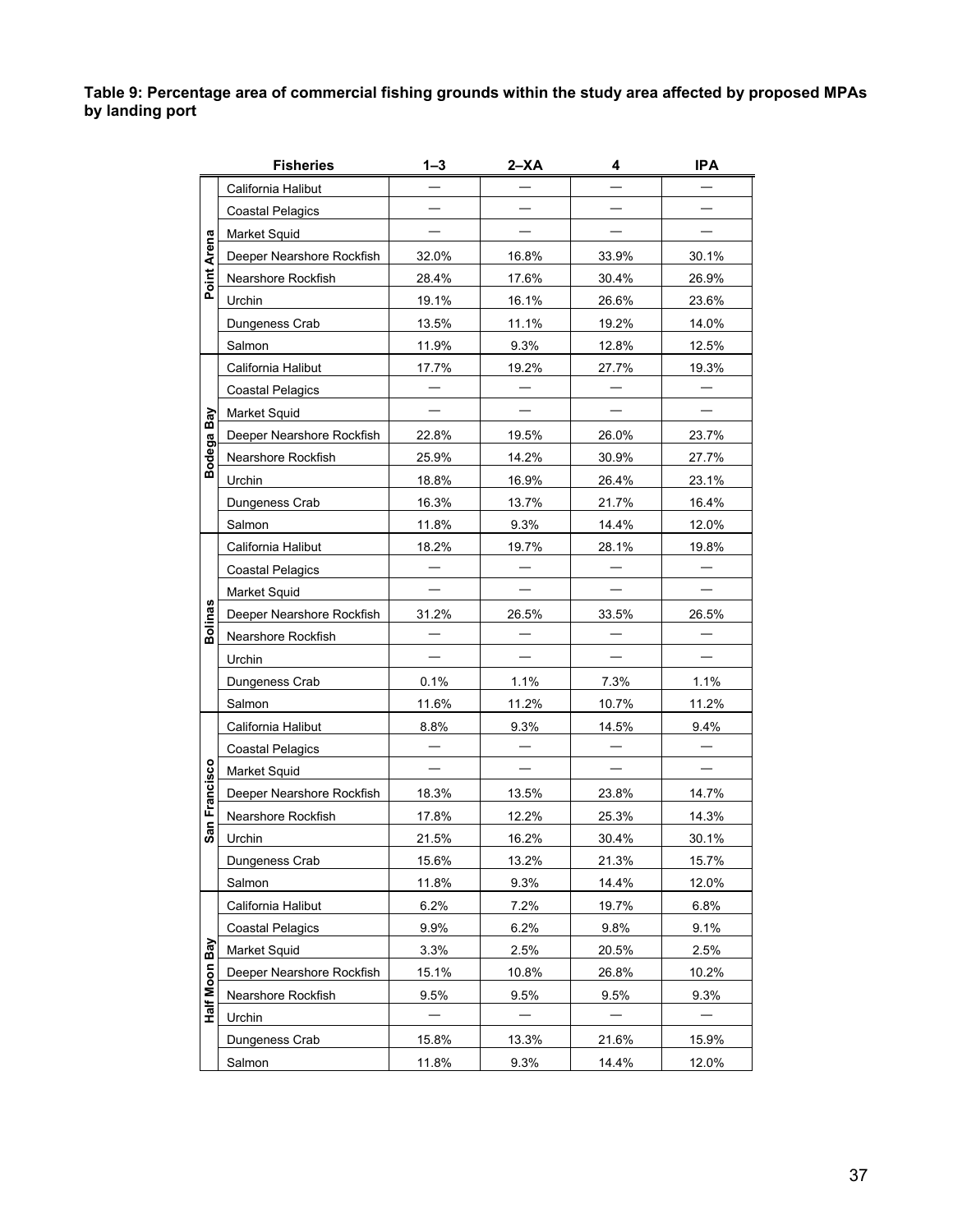**Table 9: Percentage area of commercial fishing grounds within the study area affected by proposed MPAs by landing port** 

|                | <b>Fisheries</b>          | 1–3   | $2 - XA$ | 4     | <b>IPA</b> |
|----------------|---------------------------|-------|----------|-------|------------|
|                | California Halibut        |       |          |       |            |
|                | <b>Coastal Pelagics</b>   |       |          |       |            |
|                | Market Squid              |       |          |       |            |
| Point Arena    | Deeper Nearshore Rockfish | 32.0% | 16.8%    | 33.9% | 30.1%      |
|                | Nearshore Rockfish        | 28.4% | 17.6%    | 30.4% | 26.9%      |
|                | Urchin                    | 19.1% | 16.1%    | 26.6% | 23.6%      |
|                | Dungeness Crab            | 13.5% | 11.1%    | 19.2% | 14.0%      |
|                | Salmon                    | 11.9% | 9.3%     | 12.8% | 12.5%      |
|                | California Halibut        | 17.7% | 19.2%    | 27.7% | 19.3%      |
|                | <b>Coastal Pelagics</b>   |       |          |       |            |
| Bay            | Market Squid              |       |          |       |            |
|                | Deeper Nearshore Rockfish | 22.8% | 19.5%    | 26.0% | 23.7%      |
| odega          | Nearshore Rockfish        | 25.9% | 14.2%    | 30.9% | 27.7%      |
| മ              | Urchin                    | 18.8% | 16.9%    | 26.4% | 23.1%      |
|                | Dungeness Crab            | 16.3% | 13.7%    | 21.7% | 16.4%      |
|                | Salmon                    | 11.8% | 9.3%     | 14.4% | 12.0%      |
|                | California Halibut        | 18.2% | 19.7%    | 28.1% | 19.8%      |
|                | <b>Coastal Pelagics</b>   |       |          |       |            |
|                | Market Squid              |       |          |       |            |
| <b>Bolinas</b> | Deeper Nearshore Rockfish | 31.2% | 26.5%    | 33.5% | 26.5%      |
|                | Nearshore Rockfish        |       |          |       |            |
|                | Urchin                    |       |          |       |            |
|                | Dungeness Crab            | 0.1%  | 1.1%     | 7.3%  | 1.1%       |
|                | Salmon                    | 11.6% | 11.2%    | 10.7% | 11.2%      |
|                | California Halibut        | 8.8%  | 9.3%     | 14.5% | 9.4%       |
|                | <b>Coastal Pelagics</b>   |       |          |       |            |
|                | Market Squid              |       |          |       |            |
| Francisco      | Deeper Nearshore Rockfish | 18.3% | 13.5%    | 23.8% | 14.7%      |
|                | Nearshore Rockfish        | 17.8% | 12.2%    | 25.3% | 14.3%      |
| San            | Urchin                    | 21.5% | 16.2%    | 30.4% | 30.1%      |
|                | Dungeness Crab            | 15.6% | 13.2%    | 21.3% | 15.7%      |
|                | Salmon                    | 11.8% | 9.3%     | 14.4% | 12.0%      |
|                | California Halibut        | 6.2%  | 7.2%     | 19.7% | 6.8%       |
|                | <b>Coastal Pelagics</b>   | 9.9%  | 6.2%     | 9.8%  | 9.1%       |
| Bay            | Market Squid              | 3.3%  | 2.5%     | 20.5% | 2.5%       |
|                | Deeper Nearshore Rockfish | 15.1% | 10.8%    | 26.8% | 10.2%      |
| Half Moon      | Nearshore Rockfish        | 9.5%  | 9.5%     | 9.5%  | 9.3%       |
|                | Urchin                    |       |          |       |            |
|                | Dungeness Crab            | 15.8% | 13.3%    | 21.6% | 15.9%      |
|                | Salmon                    | 11.8% | 9.3%     | 14.4% | 12.0%      |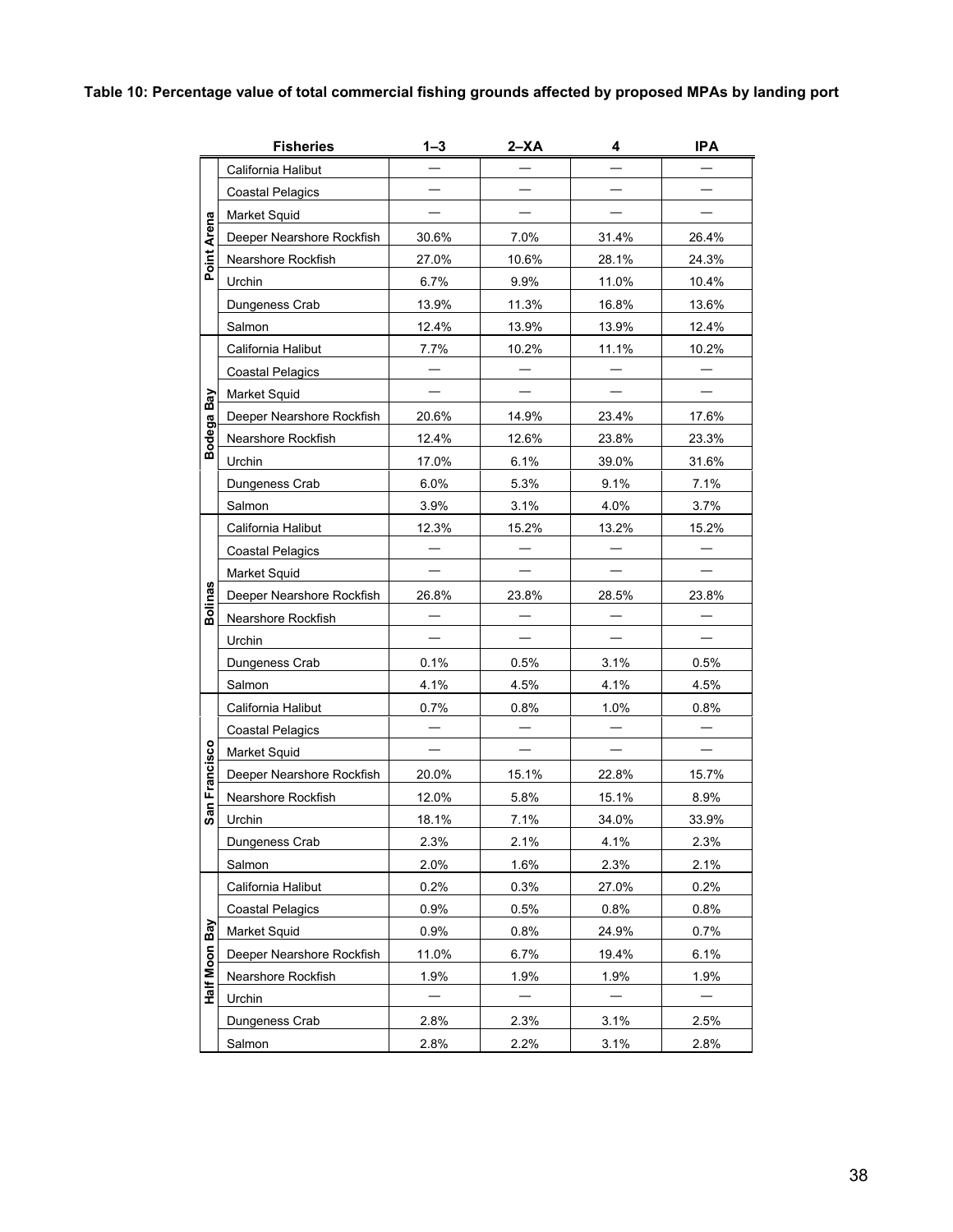# **Table 10: Percentage value of total commercial fishing grounds affected by proposed MPAs by landing port**

|                  | <b>Fisheries</b>          | $1 - 3$ | $2 - XA$ | 4     | IPA   |
|------------------|---------------------------|---------|----------|-------|-------|
|                  | California Halibut        |         |          |       |       |
|                  | <b>Coastal Pelagics</b>   |         |          |       |       |
|                  | Market Squid              |         |          |       |       |
| Arena            | Deeper Nearshore Rockfish | 30.6%   | 7.0%     | 31.4% | 26.4% |
| Point            | Nearshore Rockfish        | 27.0%   | 10.6%    | 28.1% | 24.3% |
|                  | Urchin                    | 6.7%    | 9.9%     | 11.0% | 10.4% |
|                  | Dungeness Crab            | 13.9%   | 11.3%    | 16.8% | 13.6% |
|                  | Salmon                    | 12.4%   | 13.9%    | 13.9% | 12.4% |
|                  | California Halibut        | 7.7%    | 10.2%    | 11.1% | 10.2% |
|                  | <b>Coastal Pelagics</b>   |         |          |       |       |
|                  | Market Squid              |         |          |       |       |
| Bodega Bay       | Deeper Nearshore Rockfish | 20.6%   | 14.9%    | 23.4% | 17.6% |
|                  | Nearshore Rockfish        | 12.4%   | 12.6%    | 23.8% | 23.3% |
|                  | Urchin                    | 17.0%   | 6.1%     | 39.0% | 31.6% |
|                  | Dungeness Crab            | 6.0%    | 5.3%     | 9.1%  | 7.1%  |
|                  | Salmon                    | 3.9%    | 3.1%     | 4.0%  | 3.7%  |
|                  | California Halibut        | 12.3%   | 15.2%    | 13.2% | 15.2% |
|                  | <b>Coastal Pelagics</b>   |         |          |       |       |
|                  | Market Squid              |         |          |       |       |
| <b>Bolinas</b>   | Deeper Nearshore Rockfish | 26.8%   | 23.8%    | 28.5% | 23.8% |
|                  | Nearshore Rockfish        |         |          |       |       |
|                  | Urchin                    |         |          |       |       |
|                  | Dungeness Crab            | 0.1%    | 0.5%     | 3.1%  | 0.5%  |
|                  | Salmon                    | 4.1%    | 4.5%     | 4.1%  | 4.5%  |
|                  | California Halibut        | 0.7%    | 0.8%     | 1.0%  | 0.8%  |
|                  | <b>Coastal Pelagics</b>   |         |          |       |       |
|                  | <b>Market Squid</b>       |         |          |       |       |
| Francisco        | Deeper Nearshore Rockfish | 20.0%   | 15.1%    | 22.8% | 15.7% |
|                  | Nearshore Rockfish        | 12.0%   | 5.8%     | 15.1% | 8.9%  |
| San <sup>-</sup> | Urchin                    | 18.1%   | 7.1%     | 34.0% | 33.9% |
|                  | Dungeness Crab            | 2.3%    | 2.1%     | 4.1%  | 2.3%  |
|                  | Salmon                    | 2.0%    | 1.6%     | 2.3%  | 2.1%  |
|                  | California Halibut        | 0.2%    | 0.3%     | 27.0% | 0.2%  |
|                  | <b>Coastal Pelagics</b>   | 0.9%    | 0.5%     | 0.8%  | 0.8%  |
| Bay              | Market Squid              | 0.9%    | 0.8%     | 24.9% | 0.7%  |
|                  | Deeper Nearshore Rockfish | 11.0%   | 6.7%     | 19.4% | 6.1%  |
| <b>Half Moon</b> | Nearshore Rockfish        | 1.9%    | 1.9%     | 1.9%  | 1.9%  |
|                  | Urchin                    |         |          |       |       |
|                  | Dungeness Crab            | 2.8%    | 2.3%     | 3.1%  | 2.5%  |
|                  | Salmon                    | 2.8%    | 2.2%     | 3.1%  | 2.8%  |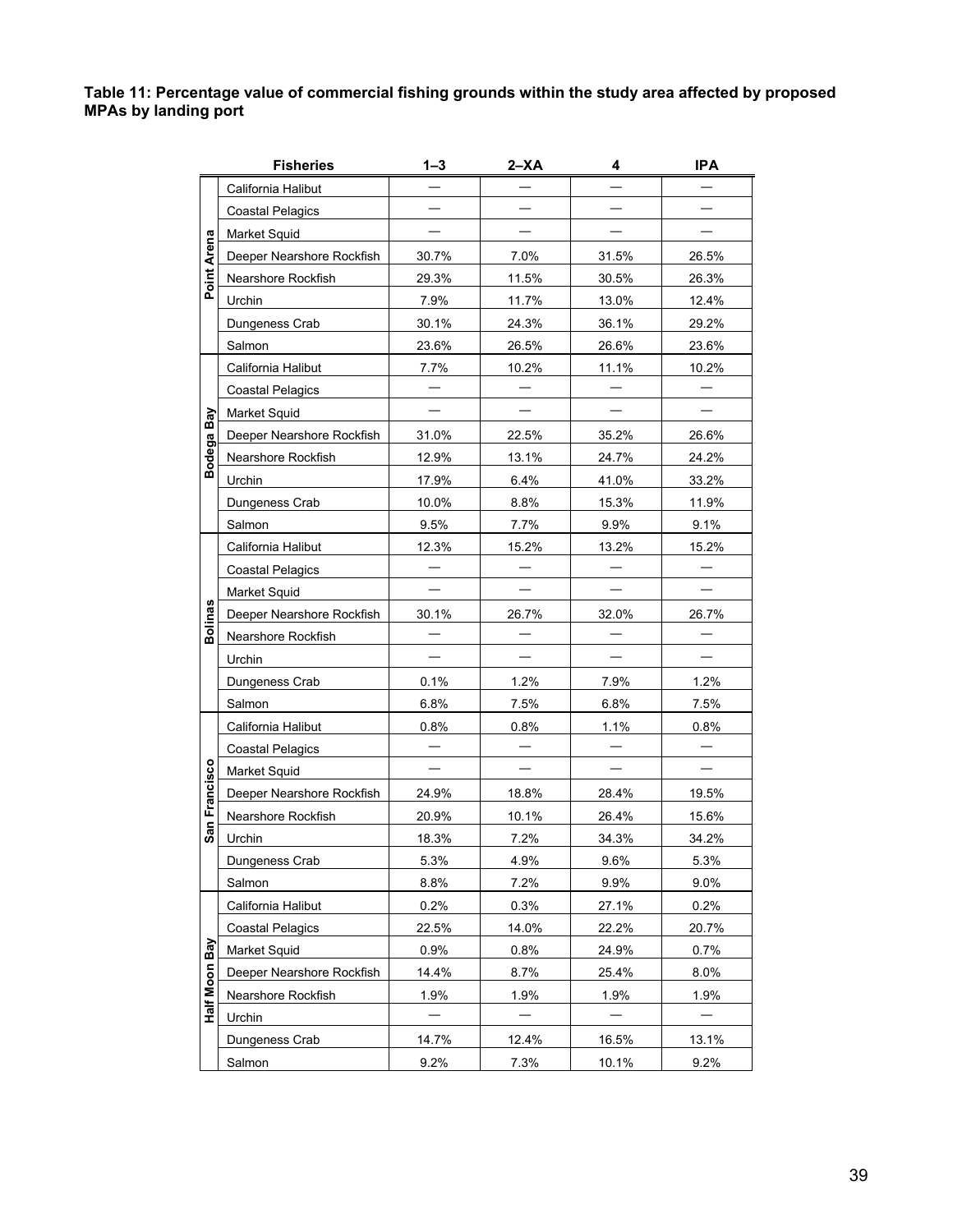**Table 11: Percentage value of commercial fishing grounds within the study area affected by proposed MPAs by landing port** 

| <b>Fisheries</b>          | 1–3   | $2 - XA$ | 4     | <b>IPA</b> |
|---------------------------|-------|----------|-------|------------|
| California Halibut        |       |          |       |            |
| <b>Coastal Pelagics</b>   |       |          |       |            |
| Market Squid              |       |          |       |            |
| Deeper Nearshore Rockfish | 30.7% | 7.0%     | 31.5% | 26.5%      |
| Nearshore Rockfish        | 29.3% | 11.5%    | 30.5% | 26.3%      |
| Urchin                    | 7.9%  | 11.7%    | 13.0% | 12.4%      |
| Dungeness Crab            | 30.1% | 24.3%    | 36.1% | 29.2%      |
| Salmon                    | 23.6% | 26.5%    | 26.6% | 23.6%      |
| California Halibut        | 7.7%  | 10.2%    | 11.1% | 10.2%      |
| <b>Coastal Pelagics</b>   |       |          |       |            |
| Market Squid              |       |          |       |            |
| Deeper Nearshore Rockfish | 31.0% | 22.5%    | 35.2% | 26.6%      |
| Nearshore Rockfish        | 12.9% | 13.1%    | 24.7% | 24.2%      |
| Urchin                    | 17.9% | 6.4%     | 41.0% | 33.2%      |
| Dungeness Crab            | 10.0% | 8.8%     | 15.3% | 11.9%      |
| Salmon                    | 9.5%  | 7.7%     | 9.9%  | 9.1%       |
| California Halibut        | 12.3% | 15.2%    | 13.2% | 15.2%      |
| <b>Coastal Pelagics</b>   |       |          |       |            |
| Market Squid              |       |          |       |            |
| Deeper Nearshore Rockfish | 30.1% | 26.7%    | 32.0% | 26.7%      |
| Nearshore Rockfish        |       |          |       |            |
| Urchin                    |       |          |       |            |
| Dungeness Crab            | 0.1%  | 1.2%     | 7.9%  | 1.2%       |
| Salmon                    | 6.8%  | 7.5%     | 6.8%  | 7.5%       |
| California Halibut        | 0.8%  | 0.8%     | 1.1%  | 0.8%       |
| <b>Coastal Pelagics</b>   |       |          |       |            |
| Market Squid              |       |          |       |            |
| Deeper Nearshore Rockfish | 24.9% | 18.8%    | 28.4% | 19.5%      |
| Nearshore Rockfish        | 20.9% | 10.1%    | 26.4% | 15.6%      |
| Urchin                    | 18.3% | 7.2%     | 34.3% | 34.2%      |
| Dungeness Crab            | 5.3%  | 4.9%     | 9.6%  | 5.3%       |
| Salmon                    | 8.8%  | 7.2%     | 9.9%  | 9.0%       |
| California Halibut        | 0.2%  | 0.3%     | 27.1% | 0.2%       |
| <b>Coastal Pelagics</b>   | 22.5% | 14.0%    | 22.2% | 20.7%      |
| Market Squid              | 0.9%  | 0.8%     | 24.9% | 0.7%       |
| Deeper Nearshore Rockfish | 14.4% | 8.7%     | 25.4% | 8.0%       |
| Nearshore Rockfish        | 1.9%  | 1.9%     | 1.9%  | 1.9%       |
| Urchin                    |       |          |       |            |
| Dungeness Crab            | 14.7% | 12.4%    | 16.5% | 13.1%      |
| Salmon                    | 9.2%  | 7.3%     | 10.1% | 9.2%       |
|                           |       |          |       |            |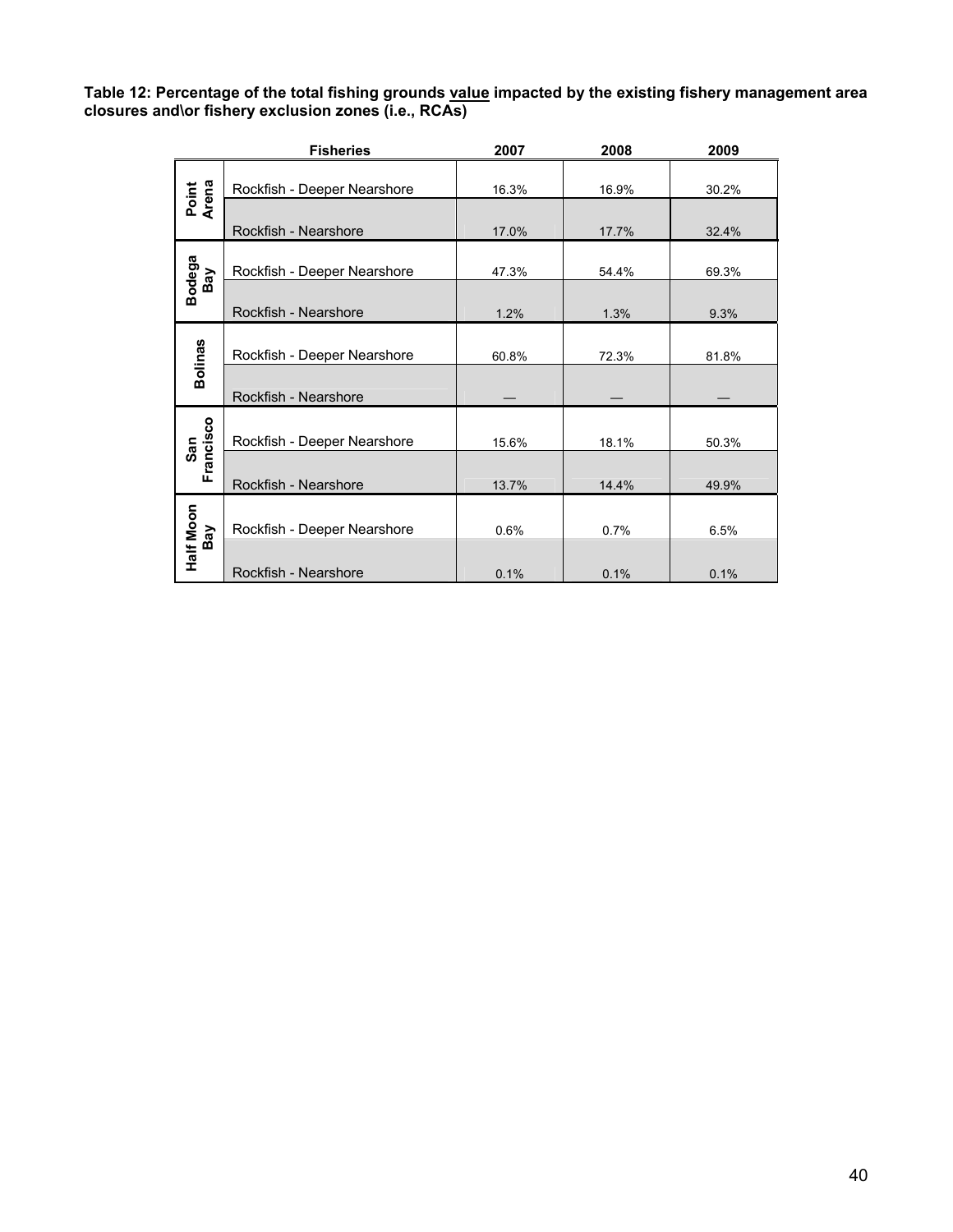Table 12: Percentage of the total fishing grounds <u>value</u> impacted by the existing fishery management area **A closures and\or fishery exclusion zones (i.e., RCAs)** 

|                  | <b>Fisheries</b>            | 2007  | 2008  | 2009  |
|------------------|-----------------------------|-------|-------|-------|
| Point<br>Arena   | Rockfish - Deeper Nearshore | 16.3% | 16.9% | 30.2% |
|                  | Rockfish - Nearshore        | 17.0% | 17.7% | 32.4% |
| Bodega<br>Bay    | Rockfish - Deeper Nearshore | 47.3% | 54.4% | 69.3% |
|                  | Rockfish - Nearshore        | 1.2%  | 1.3%  | 9.3%  |
| <b>Bolinas</b>   | Rockfish - Deeper Nearshore | 60.8% | 72.3% | 81.8% |
|                  | Rockfish - Nearshore        |       |       |       |
| Francisco<br>San | Rockfish - Deeper Nearshore | 15.6% | 18.1% | 50.3% |
|                  | Rockfish - Nearshore        | 13.7% | 14.4% | 49.9% |
|                  | Rockfish - Deeper Nearshore | 0.6%  | 0.7%  | 6.5%  |
| Half Moon<br>Bay | Rockfish - Nearshore        | 0.1%  | 0.1%  | 0.1%  |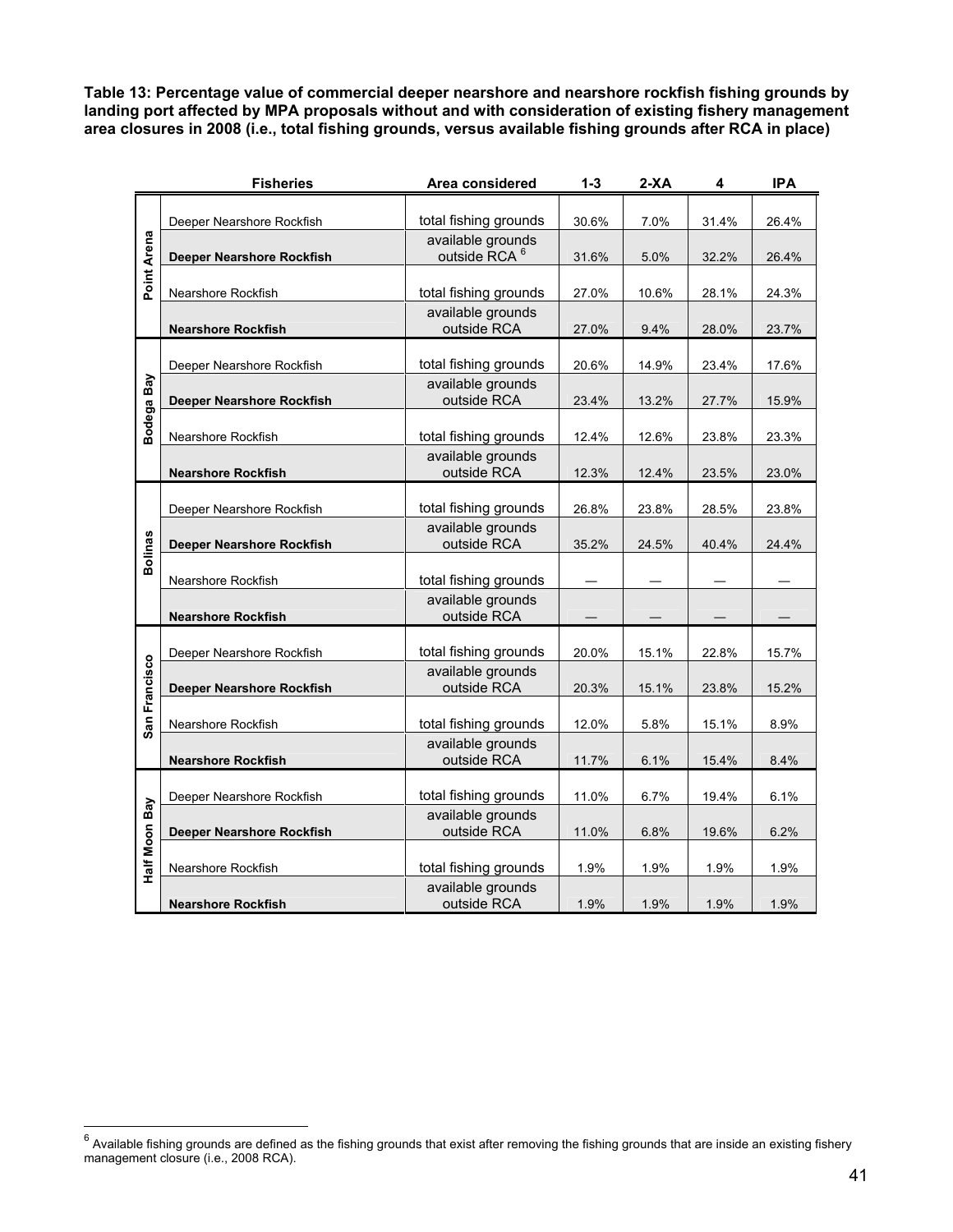**Table 13: Percentage value of commercial deeper nearshore and nearshore rockfish fishing grounds by landing port affected by MPA proposals without and with consideration of existing fishery management area closures in 2008 (i.e., total fishing grounds, versus available fishing grounds after RCA in place)** 

|                | <b>Fisheries</b>                 | Area considered                  | $1 - 3$ | $2-XA$ | 4     | <b>IPA</b> |
|----------------|----------------------------------|----------------------------------|---------|--------|-------|------------|
|                |                                  |                                  |         |        |       |            |
|                | Deeper Nearshore Rockfish        | total fishing grounds            | 30.6%   | 7.0%   | 31.4% | 26.4%      |
|                |                                  | available grounds                |         |        |       |            |
| Point Arena    | Deeper Nearshore Rockfish        | outside RCA <sup>6</sup>         | 31.6%   | 5.0%   | 32.2% | 26.4%      |
|                |                                  |                                  |         |        |       |            |
|                | Nearshore Rockfish               | total fishing grounds            | 27.0%   | 10.6%  | 28.1% | 24.3%      |
|                | <b>Nearshore Rockfish</b>        | available grounds<br>outside RCA | 27.0%   | 9.4%   | 28.0% | 23.7%      |
|                |                                  |                                  |         |        |       |            |
|                | Deeper Nearshore Rockfish        | total fishing grounds            | 20.6%   | 14.9%  | 23.4% | 17.6%      |
|                |                                  | available grounds                |         |        |       |            |
|                | <b>Deeper Nearshore Rockfish</b> | outside RCA                      | 23.4%   | 13.2%  | 27.7% | 15.9%      |
| Bodega Bay     |                                  |                                  |         |        |       |            |
|                | Nearshore Rockfish               | total fishing grounds            | 12.4%   | 12.6%  | 23.8% | 23.3%      |
|                |                                  | available grounds                |         |        |       |            |
|                | <b>Nearshore Rockfish</b>        | outside RCA                      | 12.3%   | 12.4%  | 23.5% | 23.0%      |
|                |                                  |                                  |         |        |       |            |
|                | Deeper Nearshore Rockfish        | total fishing grounds            | 26.8%   | 23.8%  | 28.5% | 23.8%      |
|                |                                  | available grounds<br>outside RCA |         |        |       |            |
| <b>Bolinas</b> | <b>Deeper Nearshore Rockfish</b> |                                  | 35.2%   | 24.5%  | 40.4% | 24.4%      |
|                | Nearshore Rockfish               | total fishing grounds            |         |        |       |            |
|                |                                  | available grounds                |         |        |       |            |
|                | <b>Nearshore Rockfish</b>        | outside RCA                      |         |        |       |            |
|                |                                  |                                  |         |        |       |            |
|                | Deeper Nearshore Rockfish        | total fishing grounds            | 20.0%   | 15.1%  | 22.8% | 15.7%      |
|                |                                  | available grounds                |         |        |       |            |
| San Francisco  | <b>Deeper Nearshore Rockfish</b> | outside RCA                      | 20.3%   | 15.1%  | 23.8% | 15.2%      |
|                |                                  |                                  |         |        |       |            |
|                | Nearshore Rockfish               | total fishing grounds            | 12.0%   | 5.8%   | 15.1% | 8.9%       |
|                |                                  | available grounds                |         |        |       |            |
|                | <b>Nearshore Rockfish</b>        | outside RCA                      | 11.7%   | 6.1%   | 15.4% | 8.4%       |
|                | Deeper Nearshore Rockfish        | total fishing grounds            | 11.0%   | 6.7%   | 19.4% | 6.1%       |
|                |                                  | available grounds                |         |        |       |            |
| Half Moon Bay  | <b>Deeper Nearshore Rockfish</b> | outside RCA                      | 11.0%   | 6.8%   | 19.6% | 6.2%       |
|                |                                  |                                  |         |        |       |            |
|                | Nearshore Rockfish               | total fishing grounds            | 1.9%    | 1.9%   | 1.9%  | 1.9%       |
|                |                                  | available grounds                |         |        |       |            |
|                | <b>Nearshore Rockfish</b>        | outside RCA                      | 1.9%    | 1.9%   | 1.9%  | 1.9%       |

 $\frac{6}{10}$  Available fishing grounds are defined as the fishing grounds that exist after removing the fishing grounds that are inside an existing fishery management closure (i.e., 2008 RCA).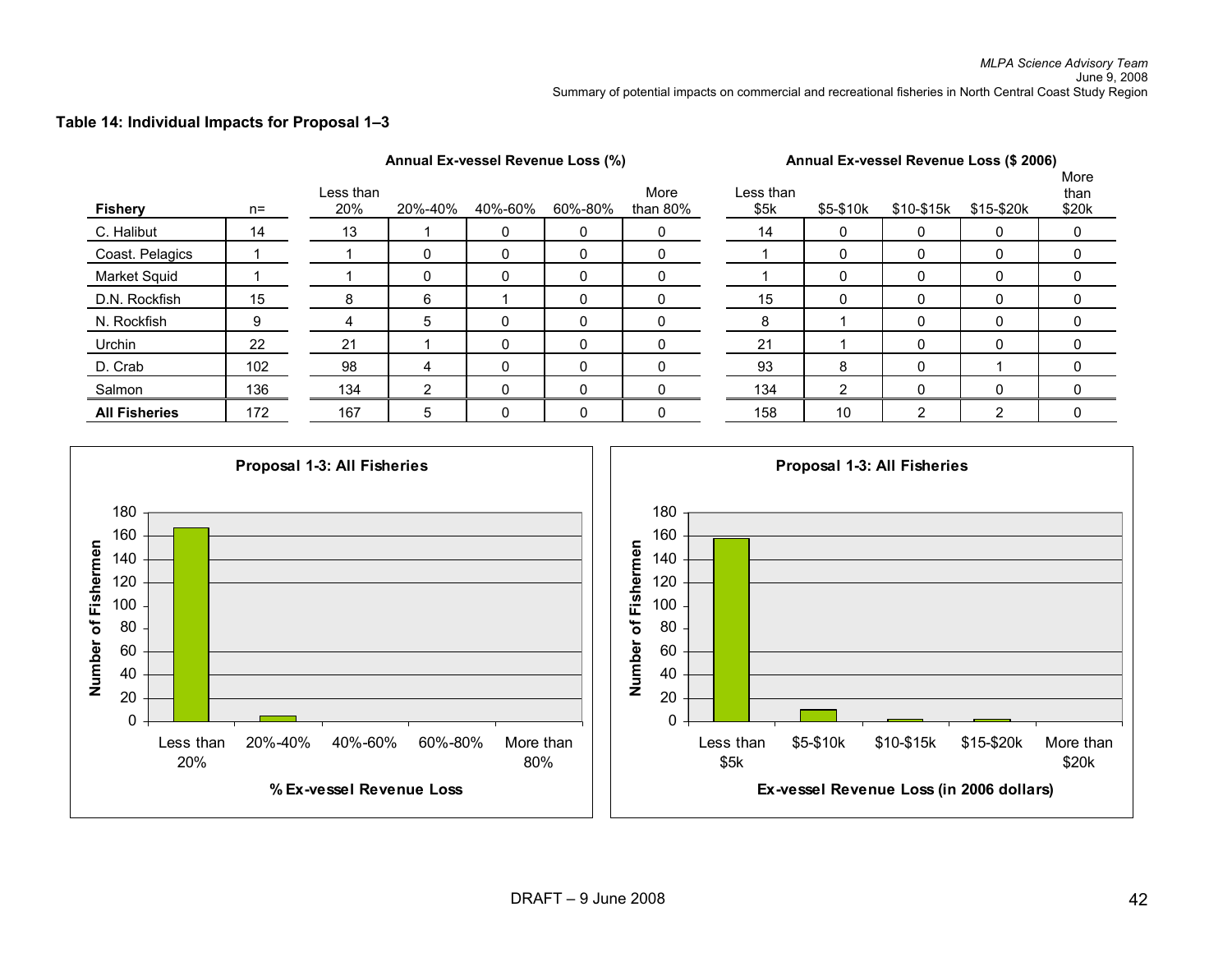Annual Ex-vessel Revenue Loss (%) **Annual Ex-vessel Revenue Loss (\$ 2006)** 

#### **Table 14: Individual Impacts for Proposal 1–3**

| <b>Fishery</b>       | $n =$ | Less than<br>20% | 20%-40%      | 40%-60%     | 60%-80% | More<br>than $80\%$ | Less than<br>\$5k | \$5-\$10k | \$10-\$15k | \$15-\$20k     | More<br>than<br>\$20k |
|----------------------|-------|------------------|--------------|-------------|---------|---------------------|-------------------|-----------|------------|----------------|-----------------------|
| C. Halibut           | 14    | 13               |              | 0           | 0       | $\mathbf 0$         | 14                | 0         | 0          | 0              | 0                     |
| Coast. Pelagics      |       |                  | $\mathbf{0}$ | 0           | 0       | 0                   |                   | 0         | 0          | 0              | 0                     |
| <b>Market Squid</b>  |       |                  | $\mathbf{0}$ | 0           | 0       | 0                   |                   | 0         | 0          |                | 0                     |
| D.N. Rockfish        | 15    | 8                | 6            |             | 0       | $\Omega$            | 15                | 0         | 0          | 0              | 0                     |
| N. Rockfish          | 9     | 4                | 5            | 0           | 0       | $\mathbf{0}$        | 8                 |           | $\Omega$   | 0              | 0                     |
| Urchin               | 22    | 21               |              | $\mathbf 0$ | 0       | $\Omega$            | 21                |           | $\Omega$   | $\Omega$       | 0                     |
| D. Crab              | 102   | 98               | 4            | 0           | 0       | $\mathbf{0}$        | 93                | 8         | $\Omega$   |                | 0                     |
| Salmon               | 136   | 134              | ົ            | 0           | 0       |                     | 134               | ◠         |            |                |                       |
| <b>All Fisheries</b> | 172   | 167              | 5            | 0           | 0       | 0                   | 158               | 10        | 2          | $\overline{2}$ | 0                     |

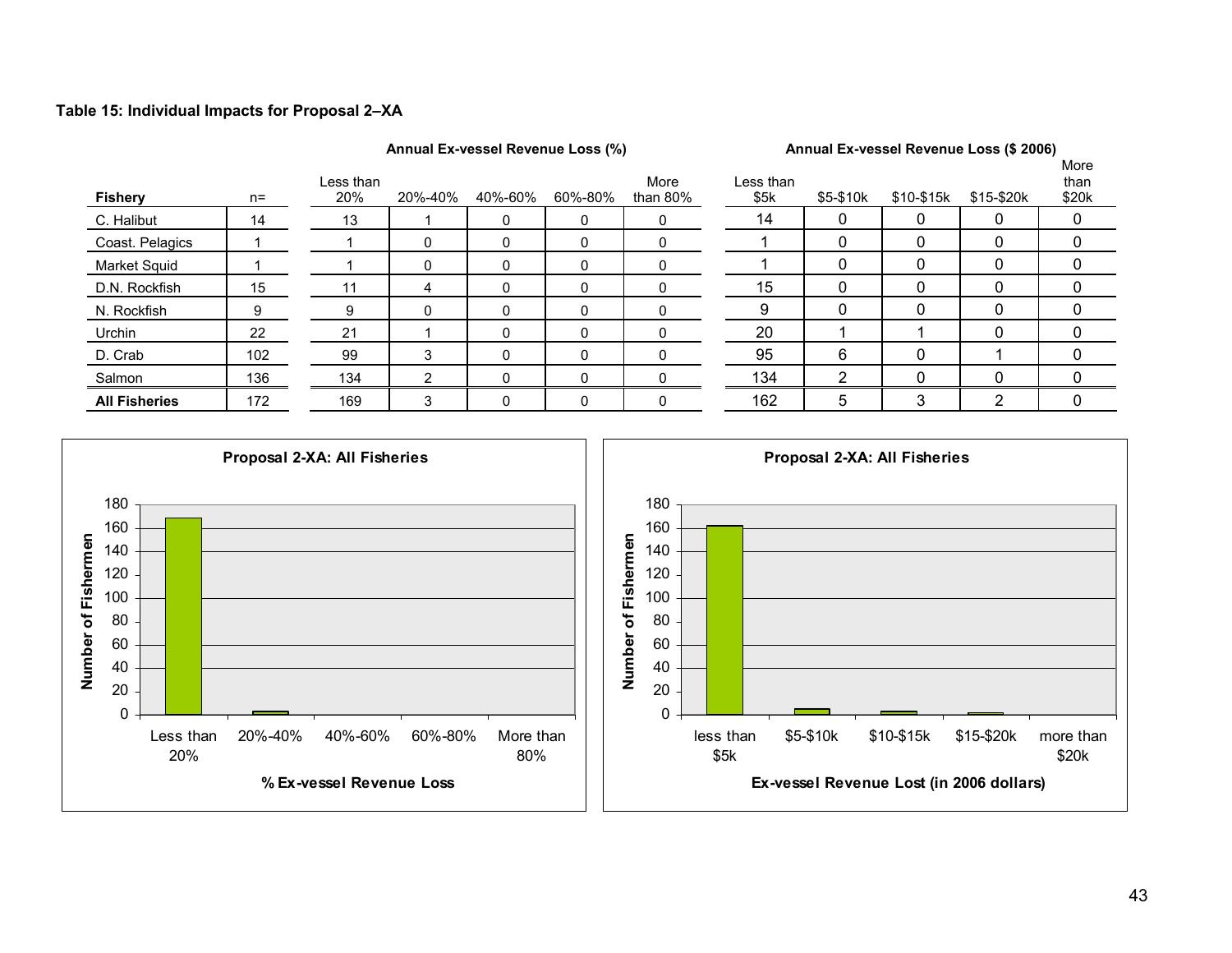#### **Table 15: Individual Impacts for Proposal 2–XA**

#### Annual Ex-vessel Revenue Loss (%) **Annual Ex-vessel Revenue Loss (\$ 2006)**

| <b>Fishery</b>       | $n =$ | Less than<br>20% | 20%-40%  | 40%-60%     | $\cdot$ $\cdot$<br>60%-80% | More<br>than $80\%$ | Less than<br>\$5k | \$5-\$10k | \$10-\$15k | \$15-\$20k | More<br>than<br>\$20k |
|----------------------|-------|------------------|----------|-------------|----------------------------|---------------------|-------------------|-----------|------------|------------|-----------------------|
| C. Halibut           | 14    | 13               |          | $\mathbf 0$ | 0                          | 0                   | 14                | 0         | O          |            | 0                     |
| Coast. Pelagics      |       |                  | $\Omega$ |             | 0                          | 0                   |                   | 0         |            |            |                       |
| Market Squid         |       |                  | 0        | $\Omega$    | 0                          | $\Omega$            |                   | 0         | 0          |            | 0                     |
| D.N. Rockfish        | 15    |                  | 4        | $\Omega$    | 0                          | 0                   | 15                | 0         | 0          |            | 0                     |
| N. Rockfish          | 9     | 9                |          | $\Omega$    | 0                          | 0                   | 9                 | 0         |            |            |                       |
| Urchin               | 22    | 21               |          |             | 0                          | 0                   | 20                |           |            |            |                       |
| D. Crab              | 102   | 99               | 3        | $\Omega$    | 0                          | $\Omega$            | 95                | 6         |            |            |                       |
| Salmon               | 136   | 134              | 2        | $\Omega$    | 0                          | 0                   | 134               | 2         | 0          |            |                       |
| <b>All Fisheries</b> | 172   | 169              | 3        | $\Omega$    | 0                          | $\Omega$            | 162               | 5         | 3          | ົ          |                       |

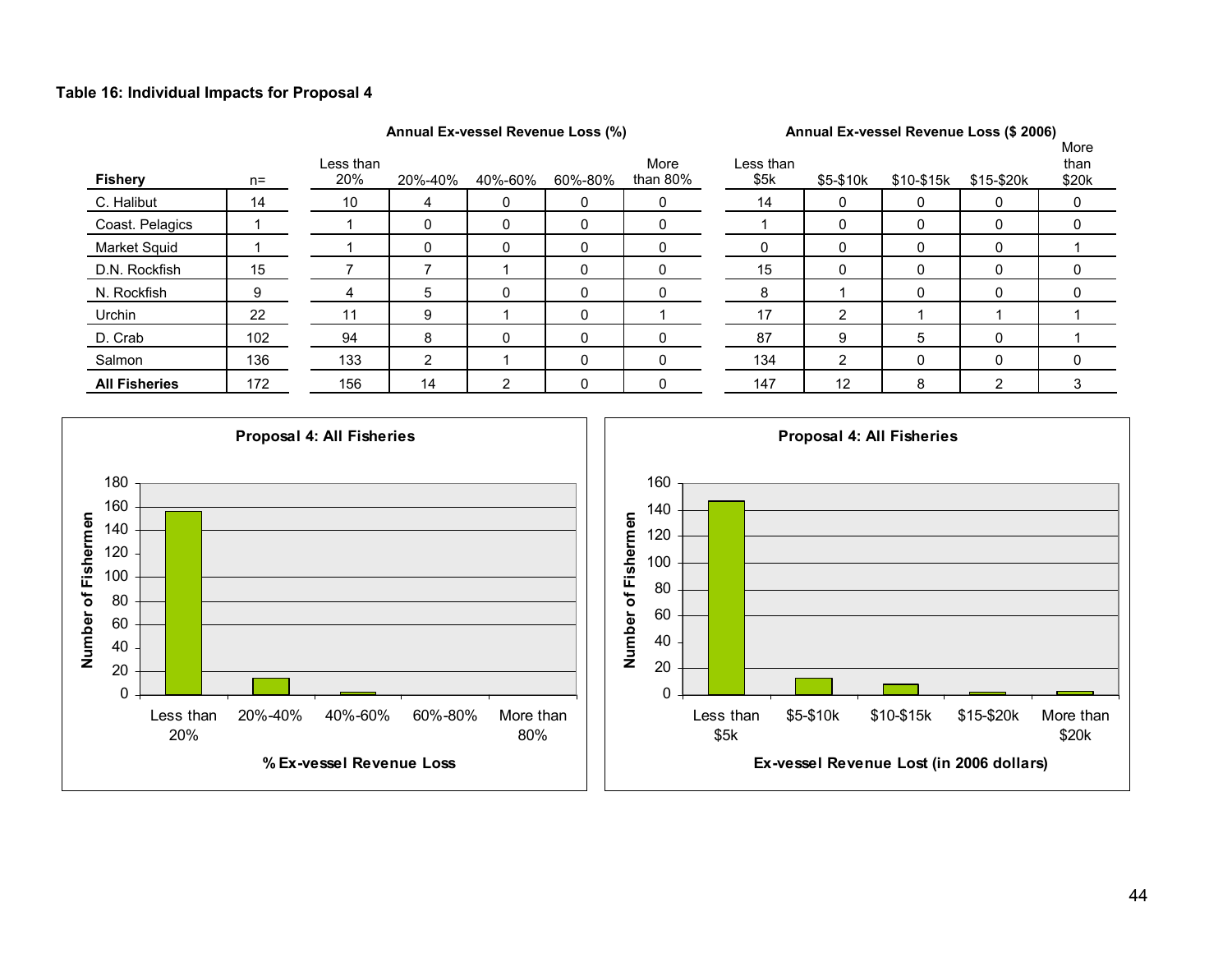#### **Table 16: Individual Impacts for Proposal 4**

### Annual Ex-vessel Revenue Loss (%) **Annual Ex-vessel Revenue Loss (\$ 2006)**

| <b>Fishery</b>       | $n =$ | Less than<br>20% | 20%-40% | 40%-60% | $\ddot{\phantom{1}}$<br>60%-80% | More<br>than $80\%$ | Less than<br>\$5k | \$5-\$10k         | \$10-\$15k | \$15-\$20k | More<br>than<br>\$20k |
|----------------------|-------|------------------|---------|---------|---------------------------------|---------------------|-------------------|-------------------|------------|------------|-----------------------|
| C. Halibut           | 14    | 10               | 4       | 0       | 0                               | 0                   | 14                |                   | 0          | 0          | 0                     |
| Coast. Pelagics      |       |                  |         | 0       | 0                               | 0                   |                   |                   |            | 0          | 0                     |
| Market Squid         |       |                  | 0       | 0       | 0                               | 0                   |                   | 0                 |            | 0          |                       |
| D.N. Rockfish        | 15    |                  |         |         | 0                               | 0                   | 15                | 0                 |            | 0          | 0                     |
| N. Rockfish          | 9     |                  | 5       | 0       | 0                               | 0                   | 8                 |                   |            | 0          | 0                     |
| Urchin               | 22    |                  | 9       |         | $\Omega$                        |                     | 17                |                   |            |            |                       |
| D. Crab              | 102   | 94               | 8       | 0       | 0                               | 0                   | 87                | 9                 | 5          | 0          |                       |
| Salmon               | 136   | 133              | 2       |         | 0                               | 0                   | 134               | ົ                 |            | 0          | 0                     |
| <b>All Fisheries</b> | 172   | 156              | 14      | 2       |                                 | 0                   | 147               | $12 \overline{ }$ | 8          | ◠          | 3                     |

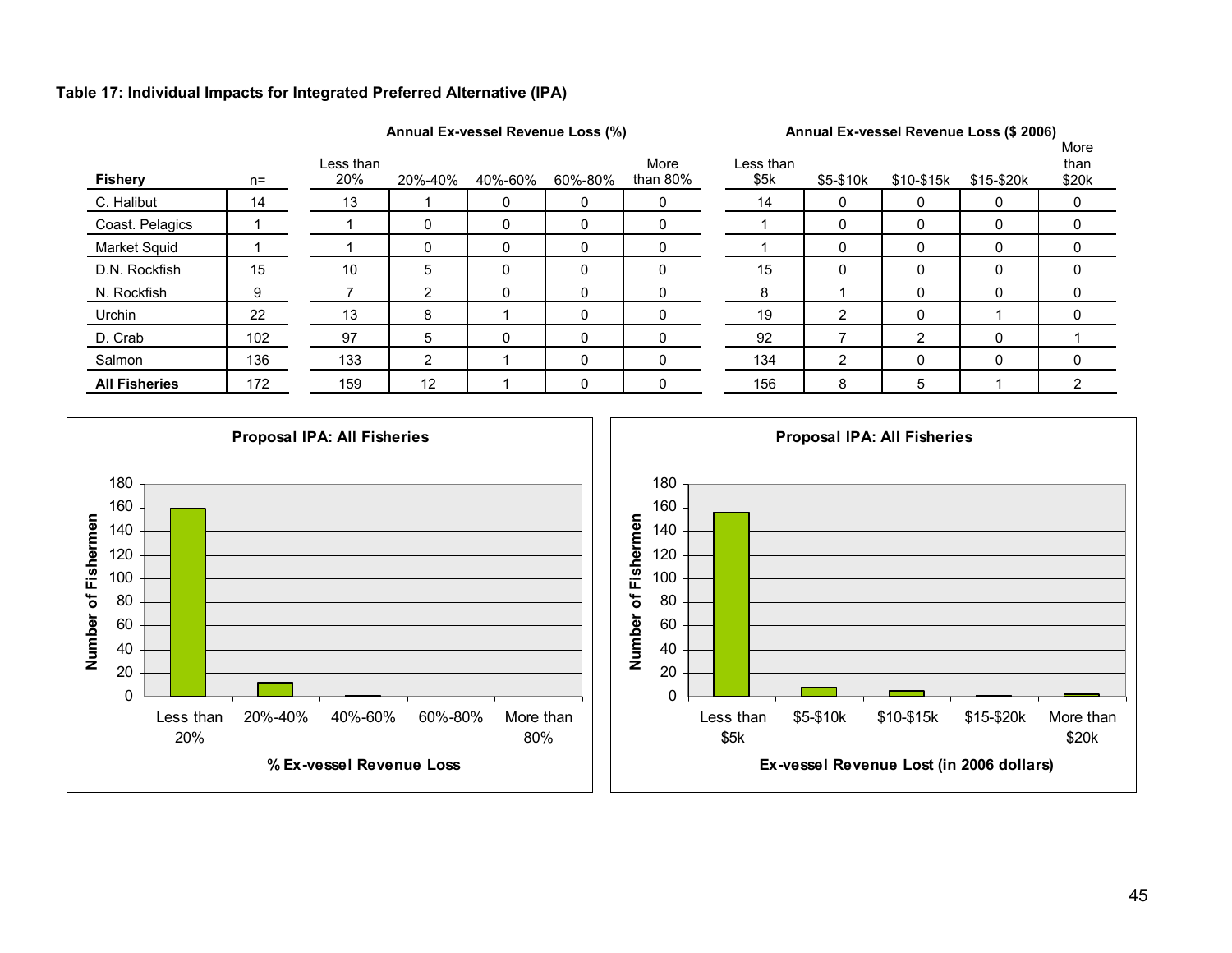#### **Table 17: Individual Impacts for Integrated Preferred Alternative (IPA)**



| <b>Fishery</b>       | $n=$ | Less than<br>20% | 20%-40% | 40%-60% | 60%-80% | More<br>than 80% | Less than<br>\$5k | \$5-\$10k | \$10-\$15k | \$15-\$20k | <br>than<br>\$20k |
|----------------------|------|------------------|---------|---------|---------|------------------|-------------------|-----------|------------|------------|-------------------|
| C. Halibut           | 14   | 13               |         |         |         |                  | 14                |           |            |            |                   |
| Coast. Pelagics      |      |                  |         | 0       |         | ი                |                   |           |            | 0          |                   |
| Market Squid         |      |                  |         |         |         |                  |                   |           |            |            |                   |
| D.N. Rockfish        | 15   | 10               | 5       | 0       |         | 0                | 15                |           |            | 0          |                   |
| N. Rockfish          | 9    |                  | ົ       |         |         |                  | 8                 |           |            |            |                   |
| Urchin               | 22   | 13               | 8       |         |         |                  | 19                | ົ         |            |            |                   |
| D. Crab              | 102  | 97               | 5       | 0       |         |                  | 92                |           | ⌒          | $\Omega$   |                   |
| Salmon               | 136  | 133              | ົ       |         |         |                  | 134               | ົ         |            |            |                   |
| <b>All Fisheries</b> | 172  | 159              | 12      |         |         |                  | 156               | 8         | 5          |            |                   |

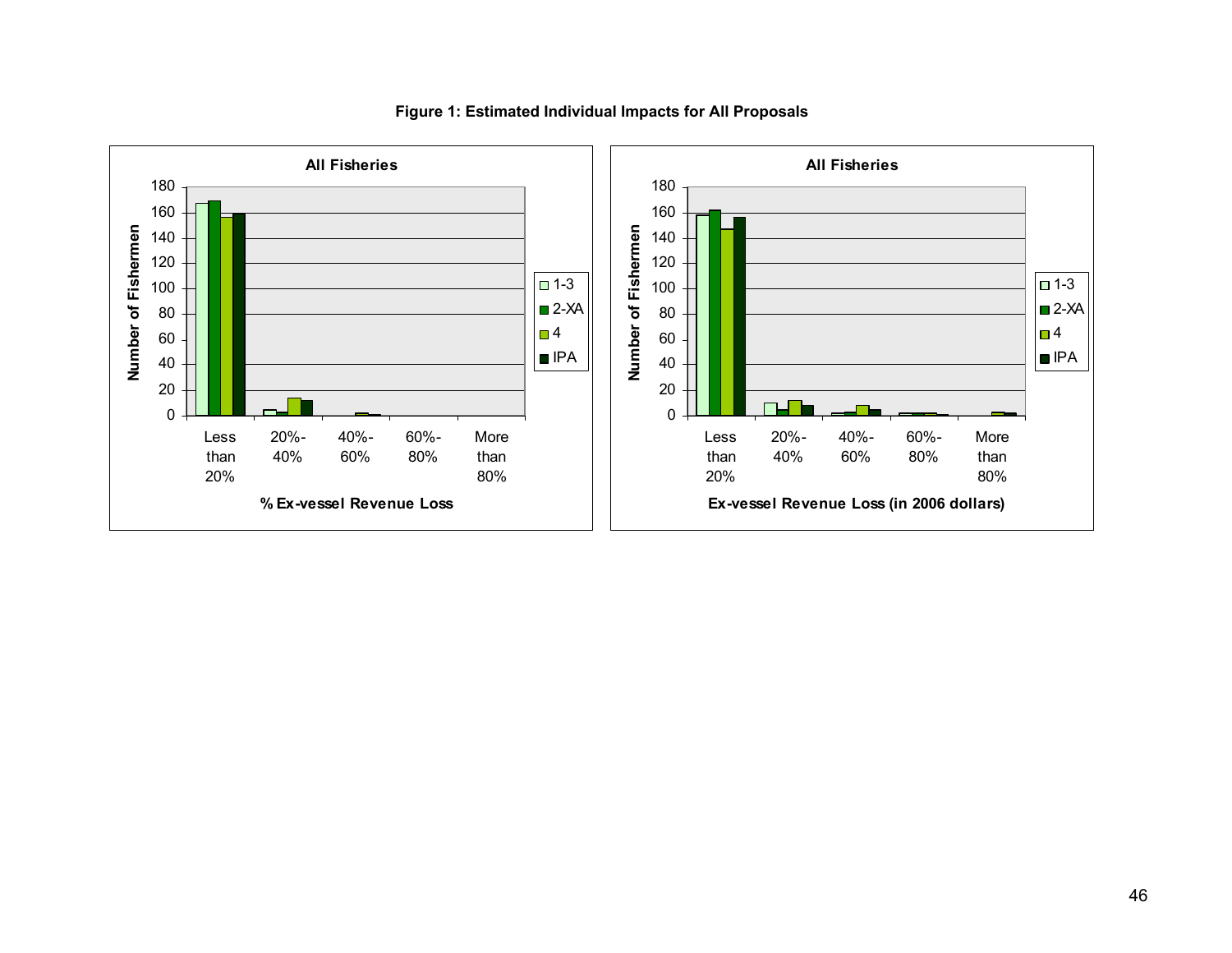

#### **Figure 1: Estimated Individual Impacts for All Proposals**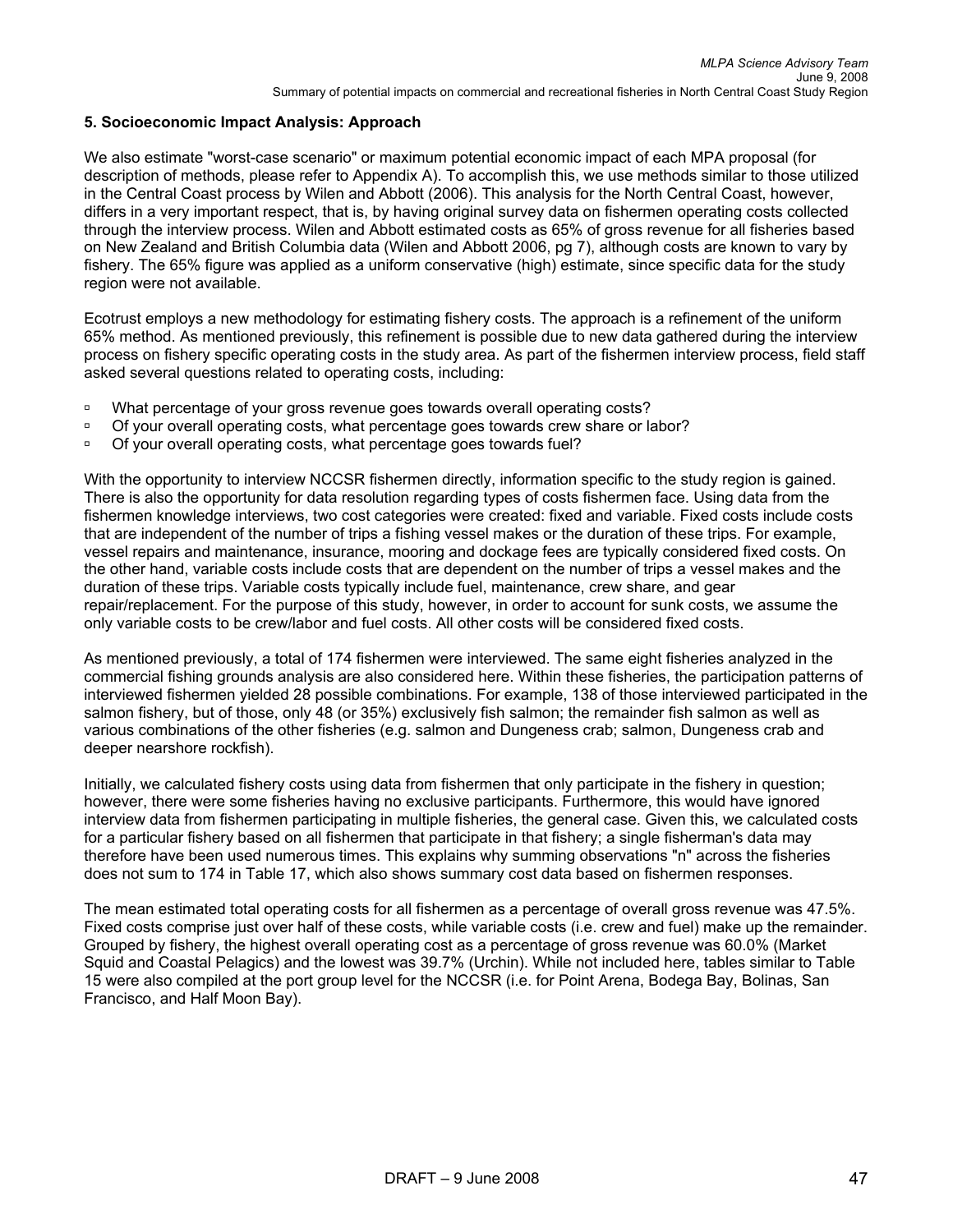#### **5. Socioeconomic Impact Analysis: Approach**

We also estimate "worst-case scenario" or maximum potential economic impact of each MPA proposal (for description of methods, please refer to Appendix A). To accomplish this, we use methods similar to those utilized in the Central Coast process by Wilen and Abbott (2006). This analysis for the North Central Coast, however, differs in a very important respect, that is, by having original survey data on fishermen operating costs collected through the interview process. Wilen and Abbott estimated costs as 65% of gross revenue for all fisheries based on New Zealand and British Columbia data (Wilen and Abbott 2006, pg 7), although costs are known to vary by fishery. The 65% figure was applied as a uniform conservative (high) estimate, since specific data for the study region were not available.

Ecotrust employs a new methodology for estimating fishery costs. The approach is a refinement of the uniform 65% method. As mentioned previously, this refinement is possible due to new data gathered during the interview process on fishery specific operating costs in the study area. As part of the fishermen interview process, field staff asked several questions related to operating costs, including:

- <sup>o</sup> What percentage of your gross revenue goes towards overall operating costs?
- <sup>o</sup> Of your overall operating costs, what percentage goes towards crew share or labor?
- <sup>o</sup> Of your overall operating costs, what percentage goes towards fuel?

With the opportunity to interview NCCSR fishermen directly, information specific to the study region is gained. There is also the opportunity for data resolution regarding types of costs fishermen face. Using data from the fishermen knowledge interviews, two cost categories were created: fixed and variable. Fixed costs include costs that are independent of the number of trips a fishing vessel makes or the duration of these trips. For example, vessel repairs and maintenance, insurance, mooring and dockage fees are typically considered fixed costs. On the other hand, variable costs include costs that are dependent on the number of trips a vessel makes and the duration of these trips. Variable costs typically include fuel, maintenance, crew share, and gear repair/replacement. For the purpose of this study, however, in order to account for sunk costs, we assume the only variable costs to be crew/labor and fuel costs. All other costs will be considered fixed costs.

As mentioned previously, a total of 174 fishermen were interviewed. The same eight fisheries analyzed in the commercial fishing grounds analysis are also considered here. Within these fisheries, the participation patterns of interviewed fishermen yielded 28 possible combinations. For example, 138 of those interviewed participated in the salmon fishery, but of those, only 48 (or 35%) exclusively fish salmon; the remainder fish salmon as well as various combinations of the other fisheries (e.g. salmon and Dungeness crab; salmon, Dungeness crab and deeper nearshore rockfish).

Initially, we calculated fishery costs using data from fishermen that only participate in the fishery in question; however, there were some fisheries having no exclusive participants. Furthermore, this would have ignored interview data from fishermen participating in multiple fisheries, the general case. Given this, we calculated costs for a particular fishery based on all fishermen that participate in that fishery; a single fisherman's data may therefore have been used numerous times. This explains why summing observations "n" across the fisheries does not sum to 174 in Table 17, which also shows summary cost data based on fishermen responses.

The mean estimated total operating costs for all fishermen as a percentage of overall gross revenue was 47.5%. Fixed costs comprise just over half of these costs, while variable costs (i.e. crew and fuel) make up the remainder. Grouped by fishery, the highest overall operating cost as a percentage of gross revenue was 60.0% (Market Squid and Coastal Pelagics) and the lowest was 39.7% (Urchin). While not included here, tables similar to Table 15 were also compiled at the port group level for the NCCSR (i.e. for Point Arena, Bodega Bay, Bolinas, San Francisco, and Half Moon Bay).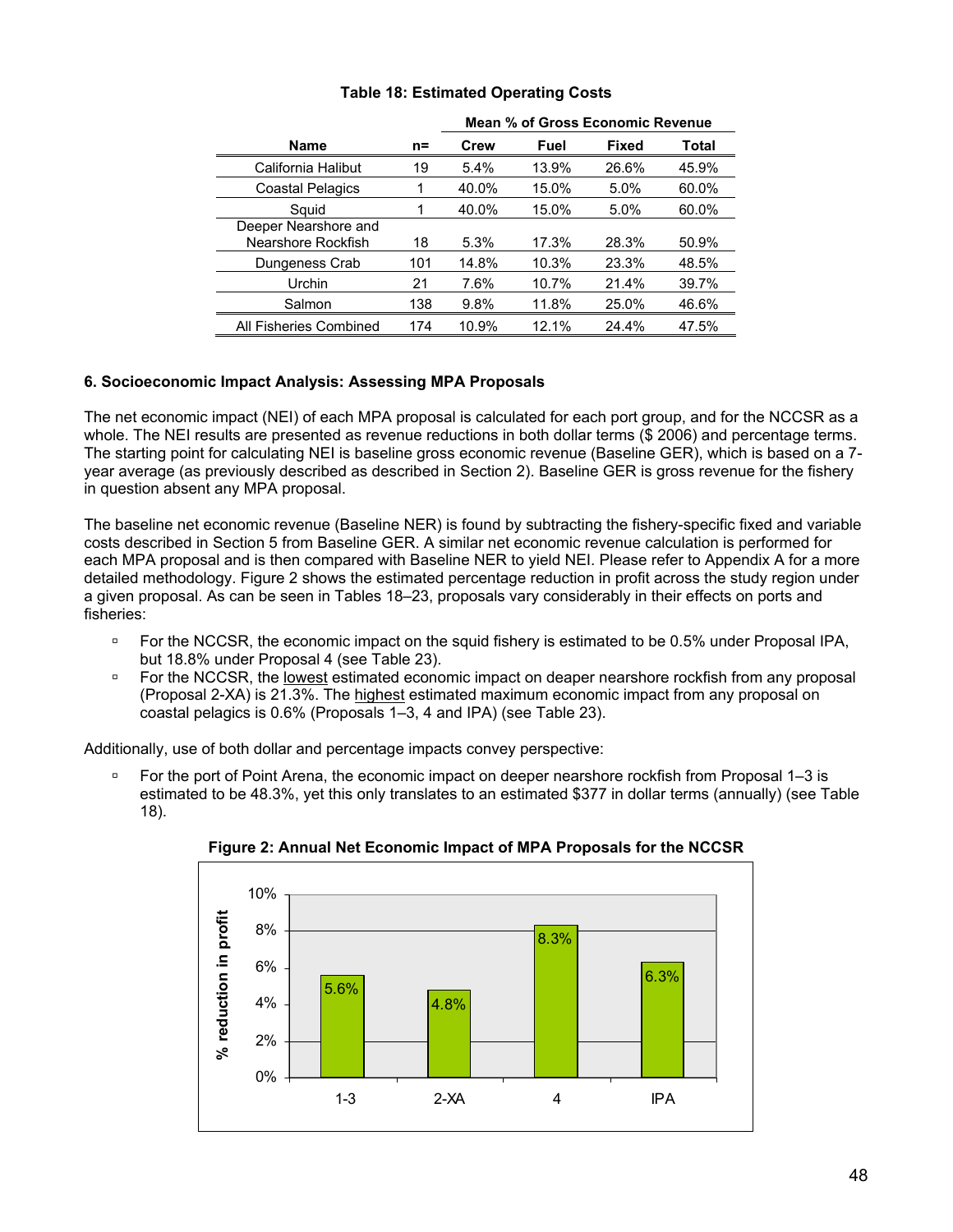|                                            |       | Mean % of Gross Economic Revenue |       |              |       |  |  |
|--------------------------------------------|-------|----------------------------------|-------|--------------|-------|--|--|
| <b>Name</b>                                | $n =$ | <b>Crew</b>                      | Fuel  | <b>Fixed</b> | Total |  |  |
| California Halibut                         | 19    | 5.4%                             | 13.9% | 26.6%        | 45.9% |  |  |
| <b>Coastal Pelagics</b>                    |       | 40.0%                            | 15.0% | 5.0%         | 60.0% |  |  |
| Squid                                      |       | 40.0%                            | 15.0% | 5.0%         | 60.0% |  |  |
| Deeper Nearshore and<br>Nearshore Rockfish | 18    | 5.3%                             | 17.3% | 28.3%        | 50.9% |  |  |
| Dungeness Crab                             | 101   | 14.8%                            | 10.3% | 23.3%        | 48.5% |  |  |
| Urchin                                     | 21    | 7.6%                             | 10.7% | 21.4%        | 39.7% |  |  |
| Salmon                                     | 138   | 9.8%                             | 11.8% | 25.0%        | 46.6% |  |  |
| All Fisheries Combined                     | 174   | 10.9%                            | 12.1% | 24.4%        | 47.5% |  |  |

### **Table 18: Estimated Operating Costs**

### **6. Socioeconomic Impact Analysis: Assessing MPA Proposals**

The net economic impact (NEI) of each MPA proposal is calculated for each port group, and for the NCCSR as a whole. The NEI results are presented as revenue reductions in both dollar terms (\$ 2006) and percentage terms. The starting point for calculating NEI is baseline gross economic revenue (Baseline GER), which is based on a 7 year average (as previously described as described in Section 2). Baseline GER is gross revenue for the fishery in question absent any MPA proposal.

The baseline net economic revenue (Baseline NER) is found by subtracting the fishery-specific fixed and variable costs described in Section 5 from Baseline GER. A similar net economic revenue calculation is performed for each MPA proposal and is then compared with Baseline NER to yield NEI. Please refer to Appendix A for a more detailed methodology. Figure 2 shows the estimated percentage reduction in profit across the study region under a given proposal. As can be seen in Tables 18–23, proposals vary considerably in their effects on ports and fisheries:

- <sup> $\Box$ </sup> For the NCCSR, the economic impact on the squid fishery is estimated to be 0.5% under Proposal IPA, but 18.8% under Proposal 4 (see Table 23).
- **EXECCSR, the lowest estimated economic impact on deaper nearshore rockfish from any proposal** (Proposal 2-XA) is 21.3%. The highest estimated maximum economic impact from any proposal on coastal pelagics is 0.6% (Proposals 1–3, 4 and IPA) (see Table 23).

Additionally, use of both dollar and percentage impacts convey perspective:

For the port of Point Arena, the economic impact on deeper nearshore rockfish from Proposal 1–3 is estimated to be 48.3%, yet this only translates to an estimated \$377 in dollar terms (annually) (see Table 18).



**Figure 2: Annual Net Economic Impact of MPA Proposals for the NCCSR**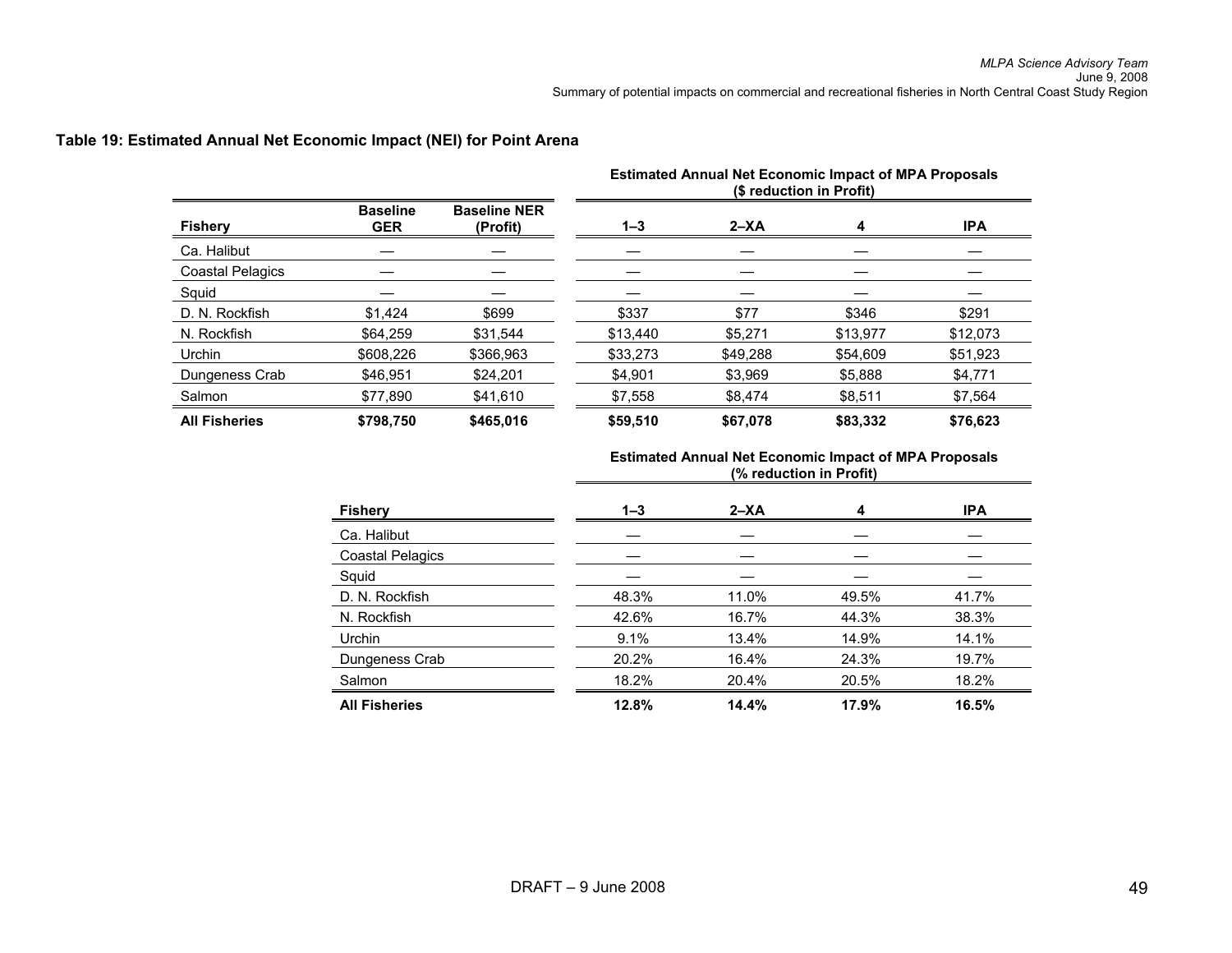|                         |                               |                                 | <b>Estimated Annual Net Economic Impact of MPA Proposals</b><br>(\$ reduction in Profit) |          |          |            |  |  |  |
|-------------------------|-------------------------------|---------------------------------|------------------------------------------------------------------------------------------|----------|----------|------------|--|--|--|
| <b>Fishery</b>          | <b>Baseline</b><br><b>GER</b> | <b>Baseline NER</b><br>(Profit) | $1 - 3$                                                                                  | $2 - XA$ | 4        | <b>IPA</b> |  |  |  |
| Ca. Halibut             |                               |                                 |                                                                                          |          |          |            |  |  |  |
| <b>Coastal Pelagics</b> |                               |                                 |                                                                                          |          |          |            |  |  |  |
| Squid                   |                               |                                 |                                                                                          |          |          |            |  |  |  |
| D. N. Rockfish          | \$1.424                       | \$699                           | \$337                                                                                    | \$77     | \$346    | \$291      |  |  |  |
| N. Rockfish             | \$64.259                      | \$31.544                        | \$13.440                                                                                 | \$5.271  | \$13.977 | \$12,073   |  |  |  |
| Urchin                  | \$608.226                     | \$366.963                       | \$33,273                                                                                 | \$49.288 | \$54,609 | \$51.923   |  |  |  |
| Dungeness Crab          | \$46.951                      | \$24.201                        | \$4,901                                                                                  | \$3.969  | \$5,888  | \$4.771    |  |  |  |
| Salmon                  | \$77,890                      | \$41,610                        | \$7,558                                                                                  | \$8,474  | \$8,511  | \$7,564    |  |  |  |
| <b>All Fisheries</b>    | \$798,750                     | \$465.016                       | \$59,510                                                                                 | \$67,078 | \$83,332 | \$76,623   |  |  |  |

#### **Table 19: Estimated Annual Net Economic Impact (NEI) for Point Arena**

| <b>Fishery</b>          | $1 - 3$ | $2 - XA$ | 4     | <b>IPA</b> |
|-------------------------|---------|----------|-------|------------|
| Ca. Halibut             |         |          |       |            |
| <b>Coastal Pelagics</b> |         |          |       |            |
| Squid                   |         |          |       |            |
| D. N. Rockfish          | 48.3%   | 11.0%    | 49.5% | 41.7%      |
| N. Rockfish             | 42.6%   | 16.7%    | 44.3% | 38.3%      |
| Urchin                  | 9.1%    | 13.4%    | 14.9% | 14.1%      |
| Dungeness Crab          | 20.2%   | 16.4%    | 24.3% | 19.7%      |
| Salmon                  | 18.2%   | 20.4%    | 20.5% | 18.2%      |
| <b>All Fisheries</b>    | 12.8%   | 14.4%    | 17.9% | 16.5%      |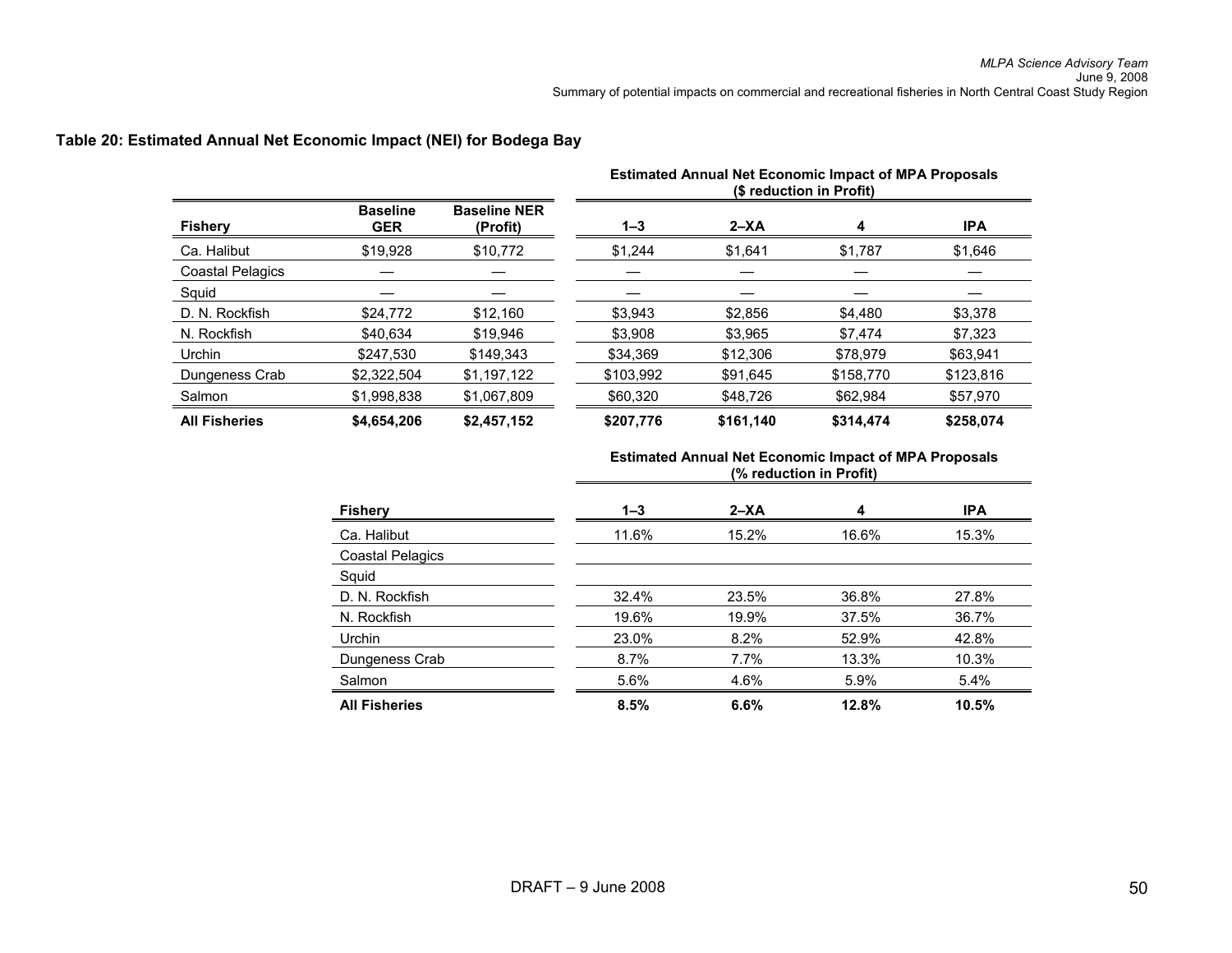| <b>Fishery</b>          |                               |                                 | <b>Estimated Annual Net Economic Impact of MPA Proposals</b><br>(\$ reduction in Profit) |           |           |            |
|-------------------------|-------------------------------|---------------------------------|------------------------------------------------------------------------------------------|-----------|-----------|------------|
|                         | <b>Baseline</b><br><b>GER</b> | <b>Baseline NER</b><br>(Profit) | $1 - 3$                                                                                  | $2 - XA$  | 4         | <b>IPA</b> |
| Ca. Halibut             | \$19,928                      | \$10,772                        | \$1.244                                                                                  | \$1,641   | \$1,787   | \$1,646    |
| <b>Coastal Pelagics</b> |                               |                                 |                                                                                          |           |           |            |
| Squid                   |                               |                                 |                                                                                          |           |           |            |
| D. N. Rockfish          | \$24,772                      | \$12.160                        | \$3,943                                                                                  | \$2,856   | \$4,480   | \$3,378    |
| N. Rockfish             | \$40.634                      | \$19.946                        | \$3.908                                                                                  | \$3.965   | \$7.474   | \$7,323    |
| Urchin                  | \$247.530                     | \$149.343                       | \$34.369                                                                                 | \$12,306  | \$78.979  | \$63.941   |
| Dungeness Crab          | \$2,322,504                   | \$1,197,122                     | \$103,992                                                                                | \$91,645  | \$158,770 | \$123,816  |
| Salmon                  | \$1,998,838                   | \$1,067,809                     | \$60,320                                                                                 | \$48,726  | \$62,984  | \$57,970   |
| <b>All Fisheries</b>    | \$4,654,206                   | \$2,457,152                     | \$207,776                                                                                | \$161,140 | \$314.474 | \$258.074  |

#### **Table 20: Estimated Annual Net Economic Impact (NEI) for Bodega Bay**

| <b>Fishery</b>          | $1 - 3$ | $2 - XA$ | 4     | <b>IPA</b> |
|-------------------------|---------|----------|-------|------------|
| Ca. Halibut             | 11.6%   | 15.2%    | 16.6% | 15.3%      |
| <b>Coastal Pelagics</b> |         |          |       |            |
| Squid                   |         |          |       |            |
| D. N. Rockfish          | 32.4%   | 23.5%    | 36.8% | 27.8%      |
| N. Rockfish             | 19.6%   | 19.9%    | 37.5% | 36.7%      |
| Urchin                  | 23.0%   | 8.2%     | 52.9% | 42.8%      |
| Dungeness Crab          | 8.7%    | $7.7\%$  | 13.3% | 10.3%      |
| Salmon                  | 5.6%    | 4.6%     | 5.9%  | 5.4%       |
| <b>All Fisheries</b>    | 8.5%    | 6.6%     | 12.8% | 10.5%      |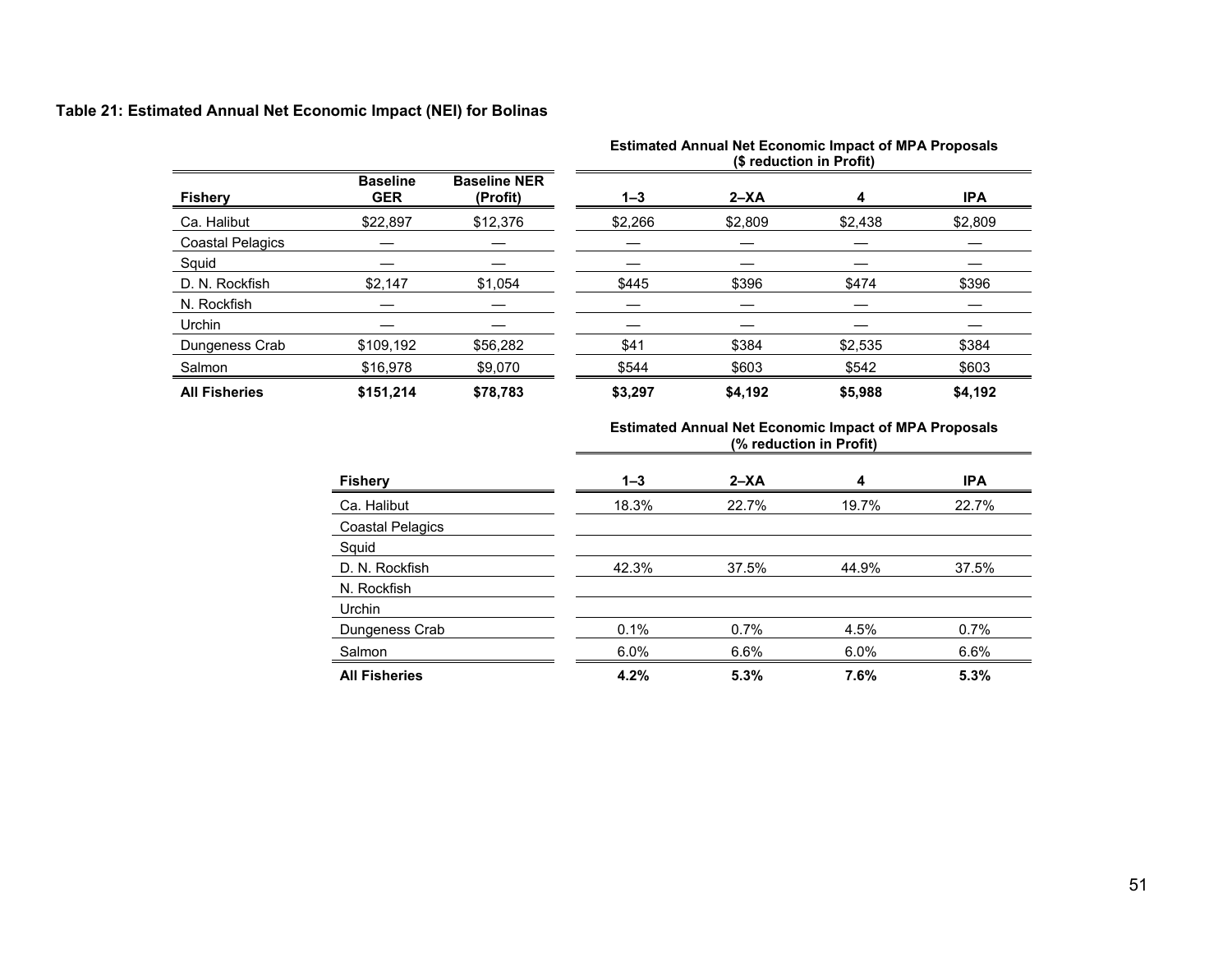### **Table 21: Estimated Annual Net Economic Impact (NEI) for Bolinas**

|                         |                               |                                 | <b>Estimated Annual Net Economic Impact of MPA Proposals</b><br>(\$ reduction in Profit) |          |         |            |
|-------------------------|-------------------------------|---------------------------------|------------------------------------------------------------------------------------------|----------|---------|------------|
| <b>Fishery</b>          | <b>Baseline</b><br><b>GER</b> | <b>Baseline NER</b><br>(Profit) | $1 - 3$                                                                                  | $2 - XA$ | 4       | <b>IPA</b> |
| Ca. Halibut             | \$22,897                      | \$12,376                        | \$2,266                                                                                  | \$2,809  | \$2,438 | \$2,809    |
| <b>Coastal Pelagics</b> |                               |                                 |                                                                                          |          |         |            |
| Squid                   |                               |                                 |                                                                                          |          |         |            |
| D. N. Rockfish          | \$2,147                       | \$1.054                         | \$445                                                                                    | \$396    | \$474   | \$396      |
| N. Rockfish             |                               |                                 |                                                                                          |          |         |            |
| Urchin                  |                               |                                 |                                                                                          |          |         |            |
| Dungeness Crab          | \$109,192                     | \$56.282                        | \$41                                                                                     | \$384    | \$2,535 | \$384      |
| Salmon                  | \$16.978                      | \$9.070                         | \$544                                                                                    | \$603    | \$542   | \$603      |
| <b>All Fisheries</b>    | \$151.214                     | \$78.783                        | \$3,297                                                                                  | \$4,192  | \$5,988 | \$4,192    |

| <b>Fishery</b>          | $1 - 3$ | $2 - XA$ | 4     | <b>IPA</b> |
|-------------------------|---------|----------|-------|------------|
| Ca. Halibut             | 18.3%   | 22.7%    | 19.7% | 22.7%      |
| <b>Coastal Pelagics</b> |         |          |       |            |
| Squid                   |         |          |       |            |
| D. N. Rockfish          | 42.3%   | 37.5%    | 44.9% | 37.5%      |
| N. Rockfish             |         |          |       |            |
| <b>Urchin</b>           |         |          |       |            |
| Dungeness Crab          | 0.1%    | 0.7%     | 4.5%  | 0.7%       |
| Salmon                  | 6.0%    | 6.6%     | 6.0%  | 6.6%       |
| <b>All Fisheries</b>    | 4.2%    | 5.3%     | 7.6%  | 5.3%       |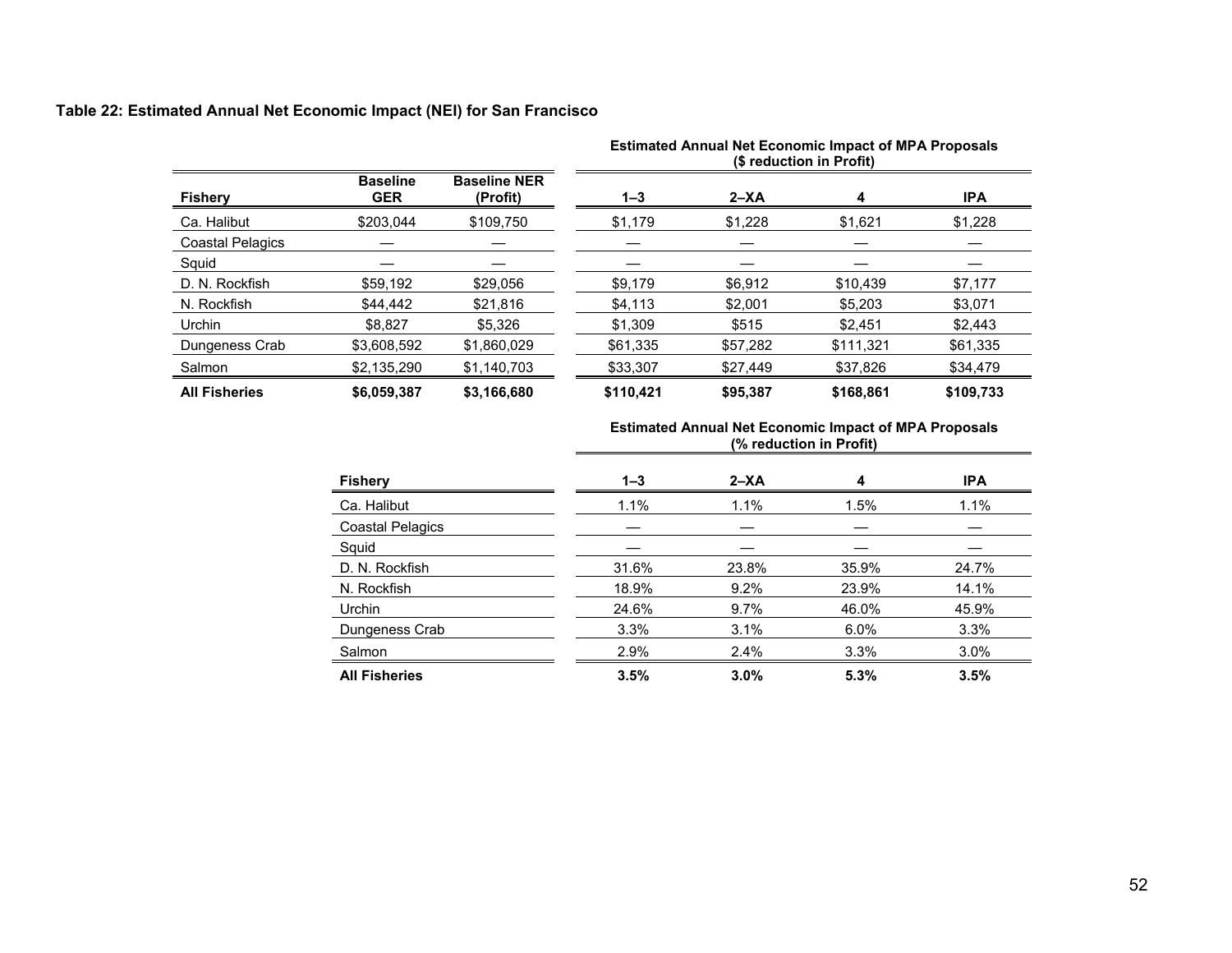### **Table 22: Estimated Annual Net Economic Impact (NEI) for San Francisco**

|                         |                               |                                 | <b>Estimated Annual Net Economic Impact of MPA Proposals</b><br>(\$ reduction in Profit) |          |           |            |  |
|-------------------------|-------------------------------|---------------------------------|------------------------------------------------------------------------------------------|----------|-----------|------------|--|
| <b>Fishery</b>          | <b>Baseline</b><br><b>GER</b> | <b>Baseline NER</b><br>(Profit) | $1 - 3$                                                                                  | $2 - XA$ | 4         | <b>IPA</b> |  |
| Ca. Halibut             | \$203.044                     | \$109,750                       | \$1,179                                                                                  | \$1,228  | \$1,621   | \$1,228    |  |
| <b>Coastal Pelagics</b> |                               |                                 |                                                                                          |          |           |            |  |
| Squid                   |                               |                                 |                                                                                          |          |           |            |  |
| D. N. Rockfish          | \$59,192                      | \$29,056                        | \$9,179                                                                                  | \$6,912  | \$10,439  | \$7,177    |  |
| N. Rockfish             | \$44,442                      | \$21.816                        | \$4,113                                                                                  | \$2,001  | \$5,203   | \$3,071    |  |
| <b>Urchin</b>           | \$8.827                       | \$5.326                         | \$1.309                                                                                  | \$515    | \$2.451   | \$2.443    |  |
| Dungeness Crab          | \$3,608,592                   | \$1,860,029                     | \$61,335                                                                                 | \$57,282 | \$111,321 | \$61,335   |  |
| Salmon                  | \$2,135,290                   | \$1,140,703                     | \$33,307                                                                                 | \$27,449 | \$37,826  | \$34,479   |  |
| <b>All Fisheries</b>    | \$6,059,387                   | \$3,166,680                     | \$110,421                                                                                | \$95.387 | \$168,861 | \$109,733  |  |

|                         |         | (% reduction in Profit) |       |            |  |  |  |  |
|-------------------------|---------|-------------------------|-------|------------|--|--|--|--|
| <b>Fishery</b>          | $1 - 3$ | $2 - XA$                | 4     | <b>IPA</b> |  |  |  |  |
| Ca. Halibut             | 1.1%    | 1.1%                    | 1.5%  | 1.1%       |  |  |  |  |
| <b>Coastal Pelagics</b> |         |                         |       |            |  |  |  |  |
| Squid                   |         |                         |       |            |  |  |  |  |
| D. N. Rockfish          | 31.6%   | 23.8%                   | 35.9% | 24.7%      |  |  |  |  |
| N. Rockfish             | 18.9%   | 9.2%                    | 23.9% | 14.1%      |  |  |  |  |
| Urchin                  | 24.6%   | 9.7%                    | 46.0% | 45.9%      |  |  |  |  |
| Dungeness Crab          | 3.3%    | 3.1%                    | 6.0%  | 3.3%       |  |  |  |  |
| Salmon                  | 2.9%    | 2.4%                    | 3.3%  | 3.0%       |  |  |  |  |
| <b>All Fisheries</b>    | 3.5%    | 3.0%                    | 5.3%  | 3.5%       |  |  |  |  |

# **Estimated Annual Net Economic Impact of MPA Proposals**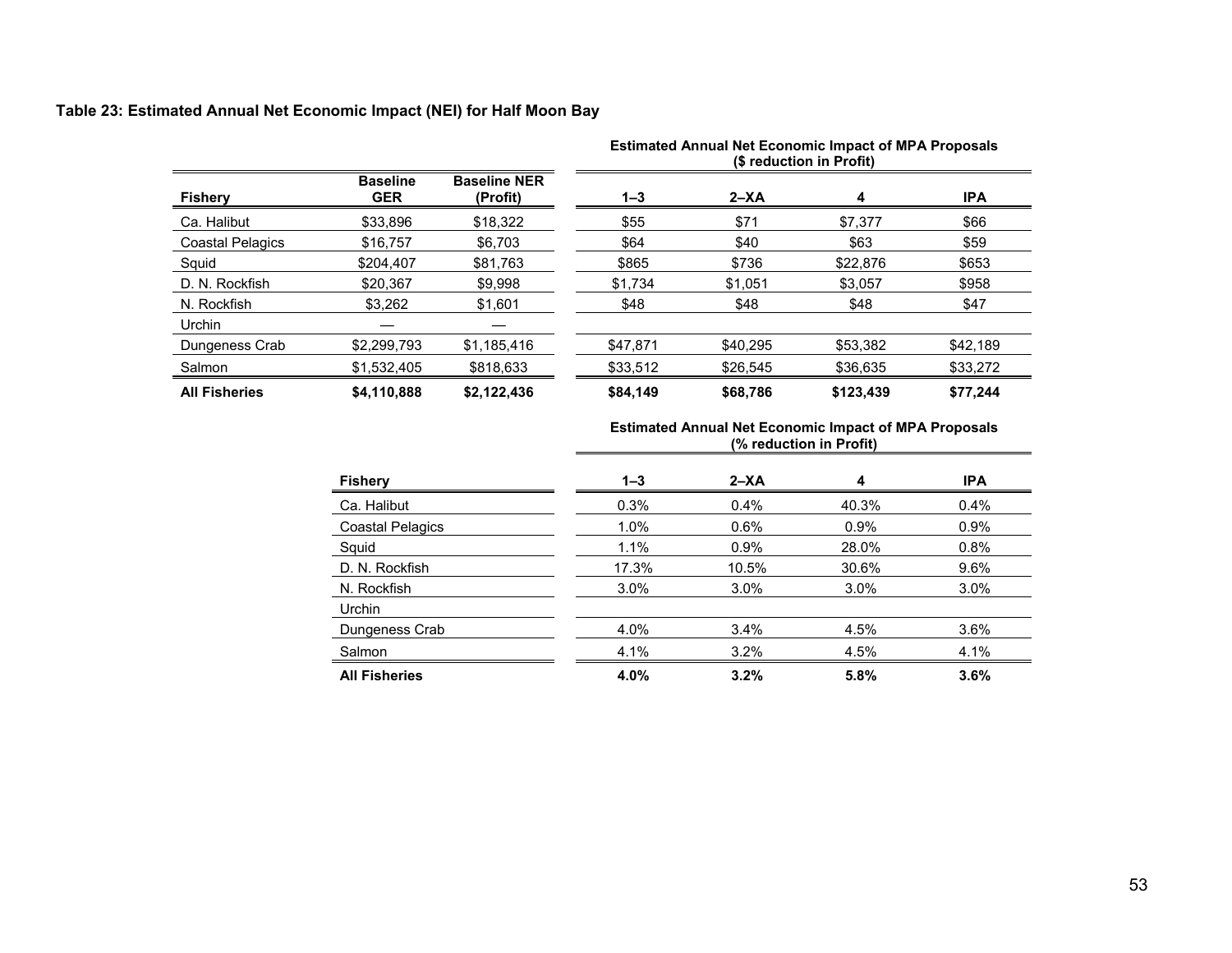# **Table 23: Estimated Annual Net Economic Impact (NEI) for Half Moon Bay**

| <b>Fishery</b>          |                               |                                 | <b>Estimated Annual Net Economic Impact of MPA Proposals</b><br>(\$ reduction in Profit) |          |           |            |  |
|-------------------------|-------------------------------|---------------------------------|------------------------------------------------------------------------------------------|----------|-----------|------------|--|
|                         | <b>Baseline</b><br><b>GER</b> | <b>Baseline NER</b><br>(Profit) | $1 - 3$                                                                                  | $2 - XA$ | 4         | <b>IPA</b> |  |
| Ca. Halibut             | \$33.896                      | \$18,322                        | \$55                                                                                     | \$71     | \$7,377   | \$66       |  |
| <b>Coastal Pelagics</b> | \$16,757                      | \$6.703                         | \$64                                                                                     | \$40     | \$63      | \$59       |  |
| Squid                   | \$204.407                     | \$81.763                        | \$865                                                                                    | \$736    | \$22,876  | \$653      |  |
| D. N. Rockfish          | \$20,367                      | \$9,998                         | \$1,734                                                                                  | \$1,051  | \$3,057   | \$958      |  |
| N. Rockfish             | \$3,262                       | \$1,601                         | \$48                                                                                     | \$48     | \$48      | \$47       |  |
| Urchin                  |                               |                                 |                                                                                          |          |           |            |  |
| Dungeness Crab          | \$2,299,793                   | \$1,185,416                     | \$47.871                                                                                 | \$40.295 | \$53,382  | \$42,189   |  |
| Salmon                  | \$1,532,405                   | \$818,633                       | \$33,512                                                                                 | \$26,545 | \$36,635  | \$33,272   |  |
| <b>All Fisheries</b>    | \$4,110,888                   | \$2,122,436                     | \$84,149                                                                                 | \$68,786 | \$123,439 | \$77,244   |  |

| ESUITIQUE ATTITUDE NEL ECONOMIC IMPACT OF INFA FTOPOSAIS<br>(% reduction in Profit) |          |       |         |  |  |  |  |
|-------------------------------------------------------------------------------------|----------|-------|---------|--|--|--|--|
| $1 - 3$                                                                             | $2 - XA$ |       | IPA     |  |  |  |  |
| 0.3%                                                                                | 0.4%     | 40.3% | $0.4\%$ |  |  |  |  |
| 1.0%                                                                                | 0.6%     | 0.9%  | 0.9%    |  |  |  |  |
| 1 1%                                                                                | 0.9%     | 28.0% | 0.8%    |  |  |  |  |

**Estimated Annual Net Economic Impact of MPA Proposals** 

| <b>Fishery</b>          | $1 - 3$ | 2–XA  | 4     | IPA     |
|-------------------------|---------|-------|-------|---------|
| Ca. Halibut             | 0.3%    | 0.4%  | 40.3% | 0.4%    |
| <b>Coastal Pelagics</b> | 1.0%    | 0.6%  | 0.9%  | 0.9%    |
| Squid                   | 1.1%    | 0.9%  | 28.0% | 0.8%    |
| D. N. Rockfish          | 17.3%   | 10.5% | 30.6% | 9.6%    |
| N. Rockfish             | 3.0%    | 3.0%  | 3.0%  | $3.0\%$ |
| <b>Urchin</b>           |         |       |       |         |
| Dungeness Crab          | 4.0%    | 3.4%  | 4.5%  | 3.6%    |
| Salmon                  | 4.1%    | 3.2%  | 4.5%  | 4.1%    |
| <b>All Fisheries</b>    | 4.0%    | 3.2%  | 5.8%  | 3.6%    |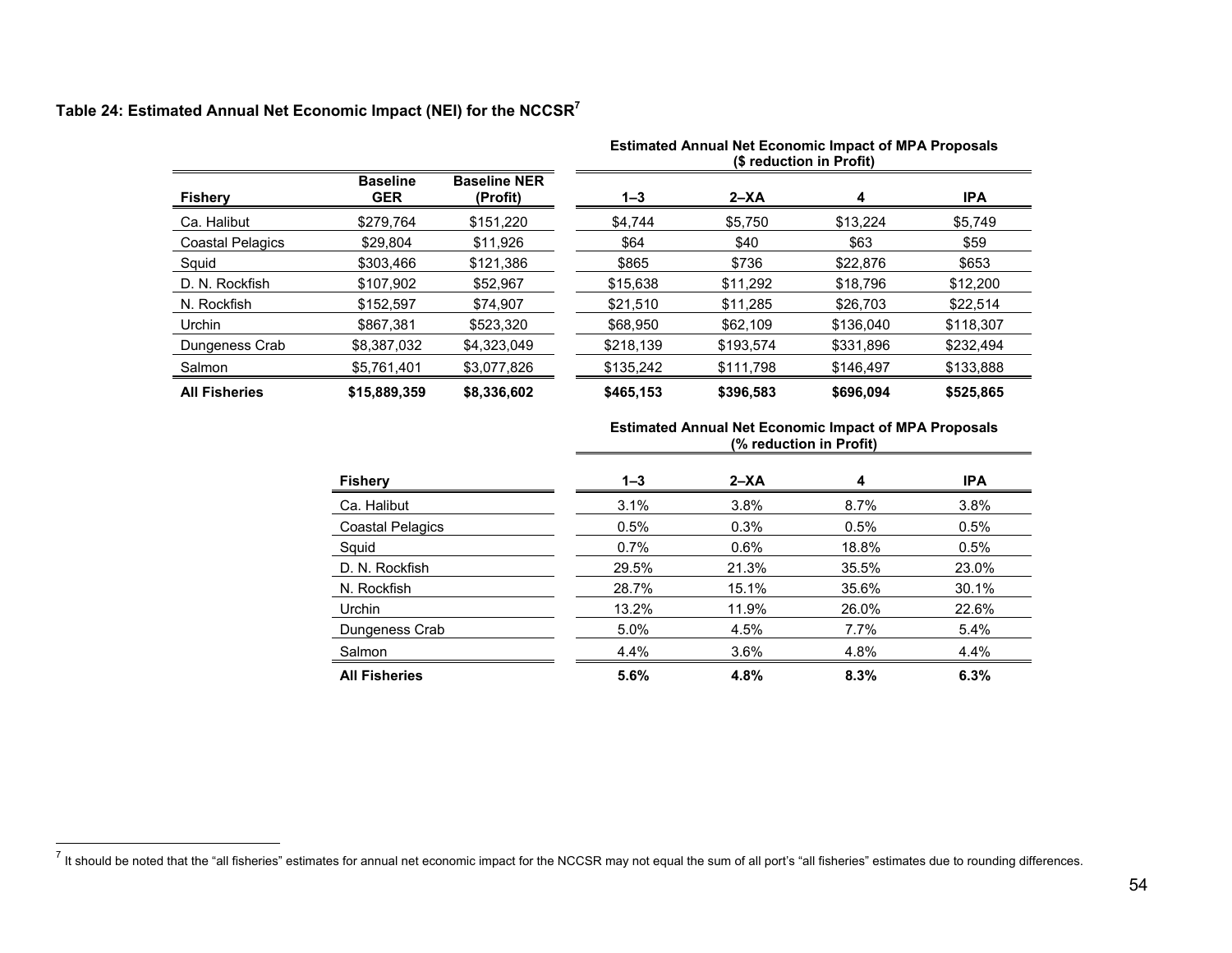# **Table 24: Estimated Annual Net Economic Impact (NEI) for the NCCSR<sup>7</sup>**

|                         |                               |                                 | Estimated Annual Net Economic Impact of MPA Proposals<br>(\$ reduction in Profit) |           |           |            |  |
|-------------------------|-------------------------------|---------------------------------|-----------------------------------------------------------------------------------|-----------|-----------|------------|--|
| <b>Fishery</b>          | <b>Baseline</b><br><b>GER</b> | <b>Baseline NER</b><br>(Profit) | 1–3                                                                               | $2 - XA$  | 4         | <b>IPA</b> |  |
| Ca. Halibut             | \$279,764                     | \$151,220                       | \$4,744                                                                           | \$5,750   | \$13,224  | \$5,749    |  |
| <b>Coastal Pelagics</b> | \$29.804                      | \$11.926                        | \$64                                                                              | \$40      | \$63      | \$59       |  |
| Squid                   | \$303.466                     | \$121.386                       | \$865                                                                             | \$736     | \$22,876  | \$653      |  |
| D. N. Rockfish          | \$107.902                     | \$52.967                        | \$15,638                                                                          | \$11.292  | \$18,796  | \$12,200   |  |
| N. Rockfish             | \$152.597                     | \$74.907                        | \$21,510                                                                          | \$11,285  | \$26,703  | \$22.514   |  |
| Urchin                  | \$867.381                     | \$523.320                       | \$68,950                                                                          | \$62,109  | \$136,040 | \$118,307  |  |
| Dungeness Crab          | \$8,387,032                   | \$4,323,049                     | \$218,139                                                                         | \$193,574 | \$331,896 | \$232.494  |  |
| Salmon                  | \$5,761,401                   | \$3,077,826                     | \$135,242                                                                         | \$111,798 | \$146,497 | \$133,888  |  |
| <b>All Fisheries</b>    | \$15,889,359                  | \$8,336,602                     | \$465,153                                                                         | \$396,583 | \$696,094 | \$525,865  |  |

| Estimated Annual Net Economic Impact of MPA Proposals |  |                                           |  |
|-------------------------------------------------------|--|-------------------------------------------|--|
|                                                       |  | $\sim$ $\sim$ $\sim$ $\sim$ $\sim$ $\sim$ |  |

| <b>Estimated Annual Net Economic Impact of MPA Proposals</b> |  |
|--------------------------------------------------------------|--|
| (% reduction in Profit)                                      |  |

| <b>Fishery</b>          | $1 - 3$ | $2 - XA$ | 4     | <b>IPA</b> |
|-------------------------|---------|----------|-------|------------|
| Ca. Halibut             | 3.1%    | 3.8%     | 8.7%  | 3.8%       |
| <b>Coastal Pelagics</b> | 0.5%    | 0.3%     | 0.5%  | 0.5%       |
| Squid                   | 0.7%    | $0.6\%$  | 18.8% | 0.5%       |
| D. N. Rockfish          | 29.5%   | 21.3%    | 35.5% | 23.0%      |
| N. Rockfish             | 28.7%   | 15.1%    | 35.6% | 30.1%      |
| Urchin                  | 13.2%   | 11.9%    | 26.0% | 22.6%      |
| Dungeness Crab          | 5.0%    | 4.5%     | 7.7%  | 5.4%       |
| Salmon                  | 4.4%    | 3.6%     | 4.8%  | 4.4%       |
| <b>All Fisheries</b>    | 5.6%    | 4.8%     | 8.3%  | 6.3%       |

 $^7$  It should be noted that the "all fisheries" estimates for annual net economic impact for the NCCSR may not equal the sum of all port's "all fisheries" estimates due to rounding differences.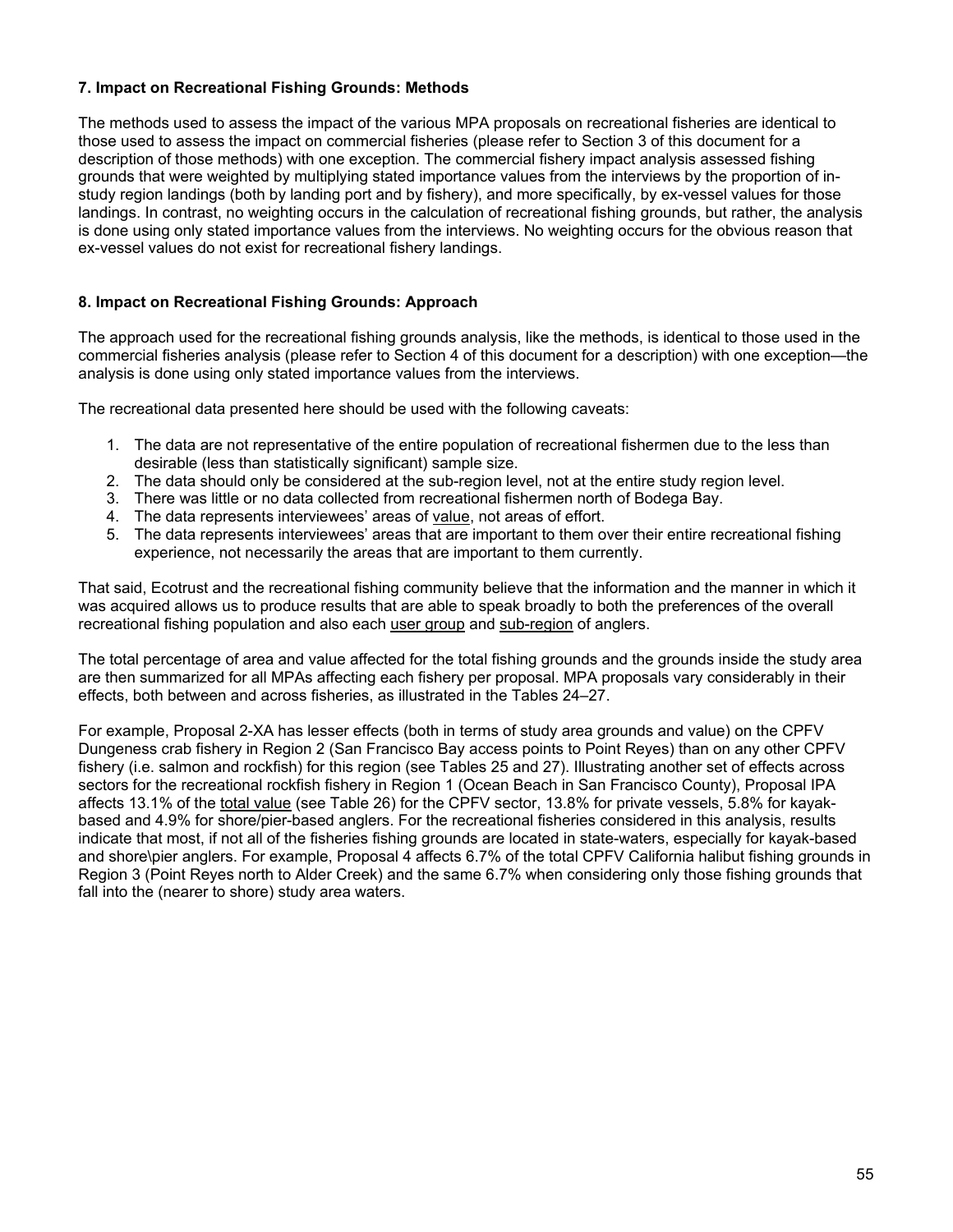#### **7. Impact on Recreational Fishing Grounds: Methods**

The methods used to assess the impact of the various MPA proposals on recreational fisheries are identical to those used to assess the impact on commercial fisheries (please refer to Section 3 of this document for a description of those methods) with one exception. The commercial fishery impact analysis assessed fishing grounds that were weighted by multiplying stated importance values from the interviews by the proportion of instudy region landings (both by landing port and by fishery), and more specifically, by ex-vessel values for those landings. In contrast, no weighting occurs in the calculation of recreational fishing grounds, but rather, the analysis is done using only stated importance values from the interviews. No weighting occurs for the obvious reason that ex-vessel values do not exist for recreational fishery landings.

### **8. Impact on Recreational Fishing Grounds: Approach**

The approach used for the recreational fishing grounds analysis, like the methods, is identical to those used in the commercial fisheries analysis (please refer to Section 4 of this document for a description) with one exception—the analysis is done using only stated importance values from the interviews.

The recreational data presented here should be used with the following caveats:

- 1. The data are not representative of the entire population of recreational fishermen due to the less than desirable (less than statistically significant) sample size.
- 2. The data should only be considered at the sub-region level, not at the entire study region level.
- 3. There was little or no data collected from recreational fishermen north of Bodega Bay.
- 4. The data represents interviewees' areas of value, not areas of effort.
- 5. The data represents interviewees' areas that are important to them over their entire recreational fishing experience, not necessarily the areas that are important to them currently.

That said, Ecotrust and the recreational fishing community believe that the information and the manner in which it was acquired allows us to produce results that are able to speak broadly to both the preferences of the overall recreational fishing population and also each user group and sub-region of anglers.

The total percentage of area and value affected for the total fishing grounds and the grounds inside the study area are then summarized for all MPAs affecting each fishery per proposal. MPA proposals vary considerably in their effects, both between and across fisheries, as illustrated in the Tables 24–27.

For example, Proposal 2-XA has lesser effects (both in terms of study area grounds and value) on the CPFV Dungeness crab fishery in Region 2 (San Francisco Bay access points to Point Reyes) than on any other CPFV fishery (i.e. salmon and rockfish) for this region (see Tables 25 and 27). Illustrating another set of effects across sectors for the recreational rockfish fishery in Region 1 (Ocean Beach in San Francisco County), Proposal IPA affects 13.1% of the total value (see Table 26) for the CPFV sector, 13.8% for private vessels, 5.8% for kayakbased and 4.9% for shore/pier-based anglers. For the recreational fisheries considered in this analysis, results indicate that most, if not all of the fisheries fishing grounds are located in state-waters, especially for kayak-based and shore\pier anglers. For example, Proposal 4 affects 6.7% of the total CPFV California halibut fishing grounds in Region 3 (Point Reyes north to Alder Creek) and the same 6.7% when considering only those fishing grounds that fall into the (nearer to shore) study area waters.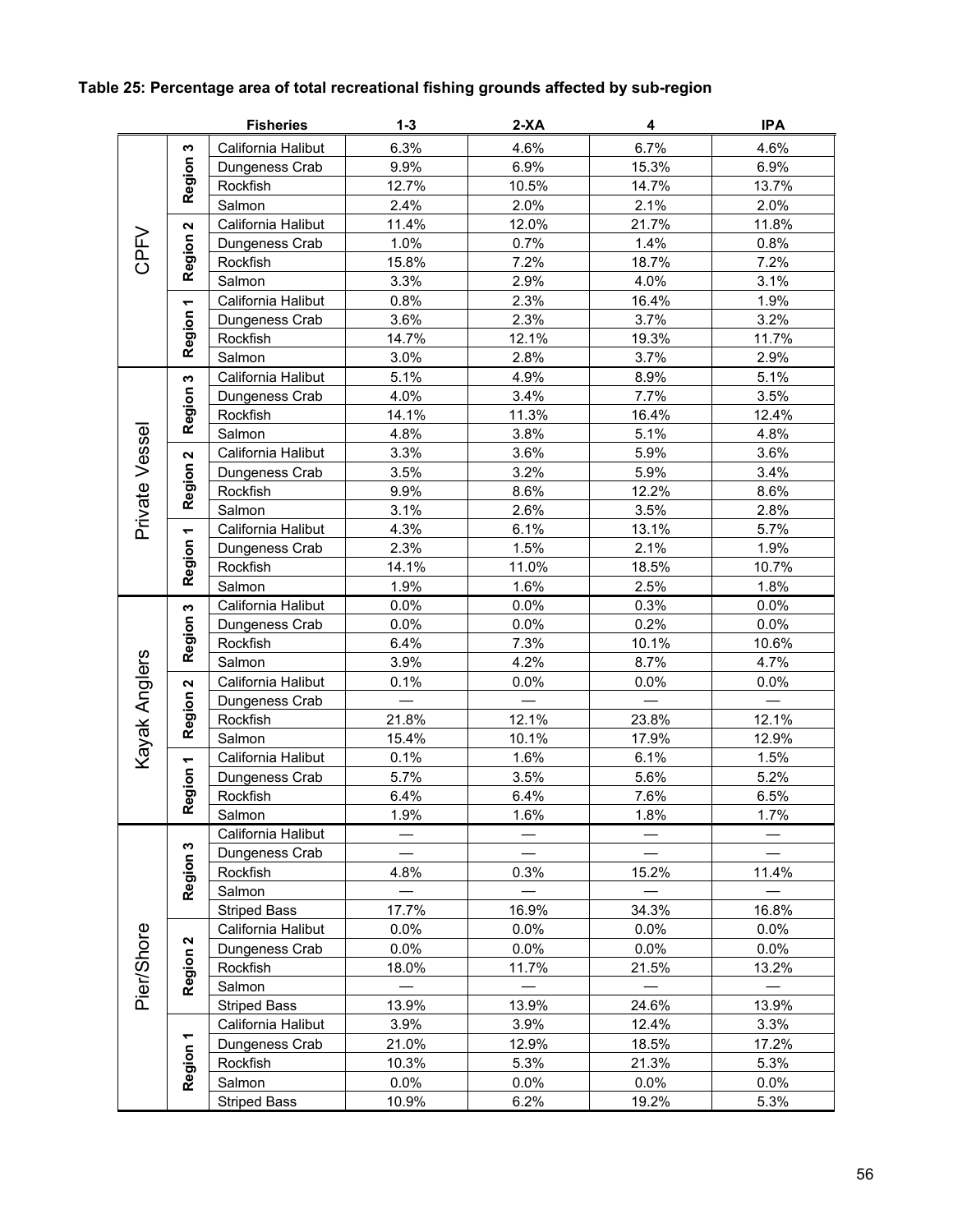# **Table 25: Percentage area of total recreational fishing grounds affected by sub-region**

|                |                           | <b>Fisheries</b>    | $1 - 3$        | $2-XA$  | 4              | <b>IPA</b>     |
|----------------|---------------------------|---------------------|----------------|---------|----------------|----------------|
|                | w                         | California Halibut  | 6.3%           | 4.6%    | 6.7%           | 4.6%           |
|                | Region:                   | Dungeness Crab      | 9.9%           | 6.9%    | 15.3%          | 6.9%           |
|                |                           | Rockfish            | 12.7%          | 10.5%   | 14.7%          | 13.7%          |
|                |                           | Salmon              | 2.4%           | 2.0%    | 2.1%           | 2.0%           |
|                | N                         | California Halibut  | 11.4%          | 12.0%   | 21.7%          | 11.8%          |
| <b>CPFV</b>    | Region                    | Dungeness Crab      | 1.0%           | 0.7%    | 1.4%           | 0.8%           |
|                |                           | Rockfish            | 15.8%          | 7.2%    | 18.7%          | 7.2%           |
|                |                           | Salmon              | 3.3%           | 2.9%    | 4.0%           | 3.1%           |
|                | $\overline{\phantom{0}}$  | California Halibut  | 0.8%           | 2.3%    | 16.4%          | 1.9%           |
|                | Region                    | Dungeness Crab      | 3.6%           | 2.3%    | 3.7%           | 3.2%           |
|                |                           | Rockfish            | 14.7%          | 12.1%   | 19.3%          | 11.7%          |
|                |                           | Salmon              | 3.0%           | 2.8%    | 3.7%           | 2.9%           |
|                | $\boldsymbol{\omega}$     | California Halibut  | 5.1%           | 4.9%    | 8.9%           | 5.1%           |
|                | Region                    | Dungeness Crab      | 4.0%           | 3.4%    | 7.7%           | 3.5%           |
|                |                           | Rockfish            | 14.1%          | 11.3%   | 16.4%          | 12.4%          |
|                |                           | Salmon              | 4.8%           | 3.8%    | 5.1%           | 4.8%           |
|                | $\boldsymbol{\mathsf{N}}$ | California Halibut  | 3.3%           | 3.6%    | 5.9%           | 3.6%           |
|                | Region                    | Dungeness Crab      | 3.5%           | 3.2%    | 5.9%           | 3.4%           |
|                |                           | Rockfish            | 9.9%           | 8.6%    | 12.2%          | 8.6%           |
| Private Vessel |                           | Salmon              | 3.1%           | 2.6%    | 3.5%           | 2.8%           |
|                |                           | California Halibut  | 4.3%           | 6.1%    | 13.1%          | 5.7%           |
|                |                           | Dungeness Crab      | 2.3%           | 1.5%    | 2.1%           | 1.9%           |
|                | Region 1                  | Rockfish            | 14.1%          | 11.0%   | 18.5%          | 10.7%          |
|                |                           | Salmon              | 1.9%           | 1.6%    | 2.5%           | 1.8%           |
|                | S                         | California Halibut  | 0.0%           | 0.0%    | 0.3%           | 0.0%           |
|                | Region                    | Dungeness Crab      | 0.0%           | 0.0%    | 0.2%           | 0.0%           |
|                |                           | Rockfish            | 6.4%           | 7.3%    | 10.1%          | 10.6%          |
|                |                           | Salmon              | 3.9%           | 4.2%    | 8.7%           | 4.7%           |
|                | $\boldsymbol{\sim}$       | California Halibut  | 0.1%           | 0.0%    | 0.0%           | 0.0%           |
|                | Region                    | Dungeness Crab      |                | 12.1%   |                |                |
|                |                           | Rockfish<br>Salmon  | 21.8%<br>15.4% | 10.1%   | 23.8%<br>17.9% | 12.1%<br>12.9% |
| Kayak Anglers  |                           | California Halibut  | 0.1%           | 1.6%    | 6.1%           | 1.5%           |
|                | Region 1                  | Dungeness Crab      | 5.7%           | 3.5%    | 5.6%           | 5.2%           |
|                |                           | Rockfish            | 6.4%           | 6.4%    | 7.6%           | 6.5%           |
|                |                           | Salmon              | 1.9%           | 1.6%    | 1.8%           | 1.7%           |
|                |                           | California Halibut  |                |         |                |                |
|                | ω                         | Dungeness Crab      |                |         |                |                |
|                | <b>Region</b>             | Rockfish            | 4.8%           | 0.3%    | 15.2%          | 11.4%          |
|                |                           | Salmon              |                |         |                |                |
|                |                           | <b>Striped Bass</b> | 17.7%          | 16.9%   | 34.3%          | 16.8%          |
|                |                           | California Halibut  | $0.0\%$        | $0.0\%$ | 0.0%           | 0.0%           |
|                | $\boldsymbol{\mathsf{N}}$ | Dungeness Crab      | 0.0%           | $0.0\%$ | $0.0\%$        | $0.0\%$        |
|                |                           | Rockfish            | 18.0%          | 11.7%   | 21.5%          | 13.2%          |
| Pier/Shore     | <b>Region</b>             | Salmon              |                |         |                |                |
|                |                           | <b>Striped Bass</b> | 13.9%          | 13.9%   | 24.6%          | 13.9%          |
|                |                           | California Halibut  | 3.9%           | 3.9%    | 12.4%          | 3.3%           |
|                | Region 1                  | Dungeness Crab      | 21.0%          | 12.9%   | 18.5%          | 17.2%          |
|                |                           | Rockfish            | 10.3%          | 5.3%    | 21.3%          | 5.3%           |
|                |                           | Salmon              | 0.0%           | 0.0%    | 0.0%           | 0.0%           |
|                |                           | <b>Striped Bass</b> | 10.9%          | 6.2%    | 19.2%          | 5.3%           |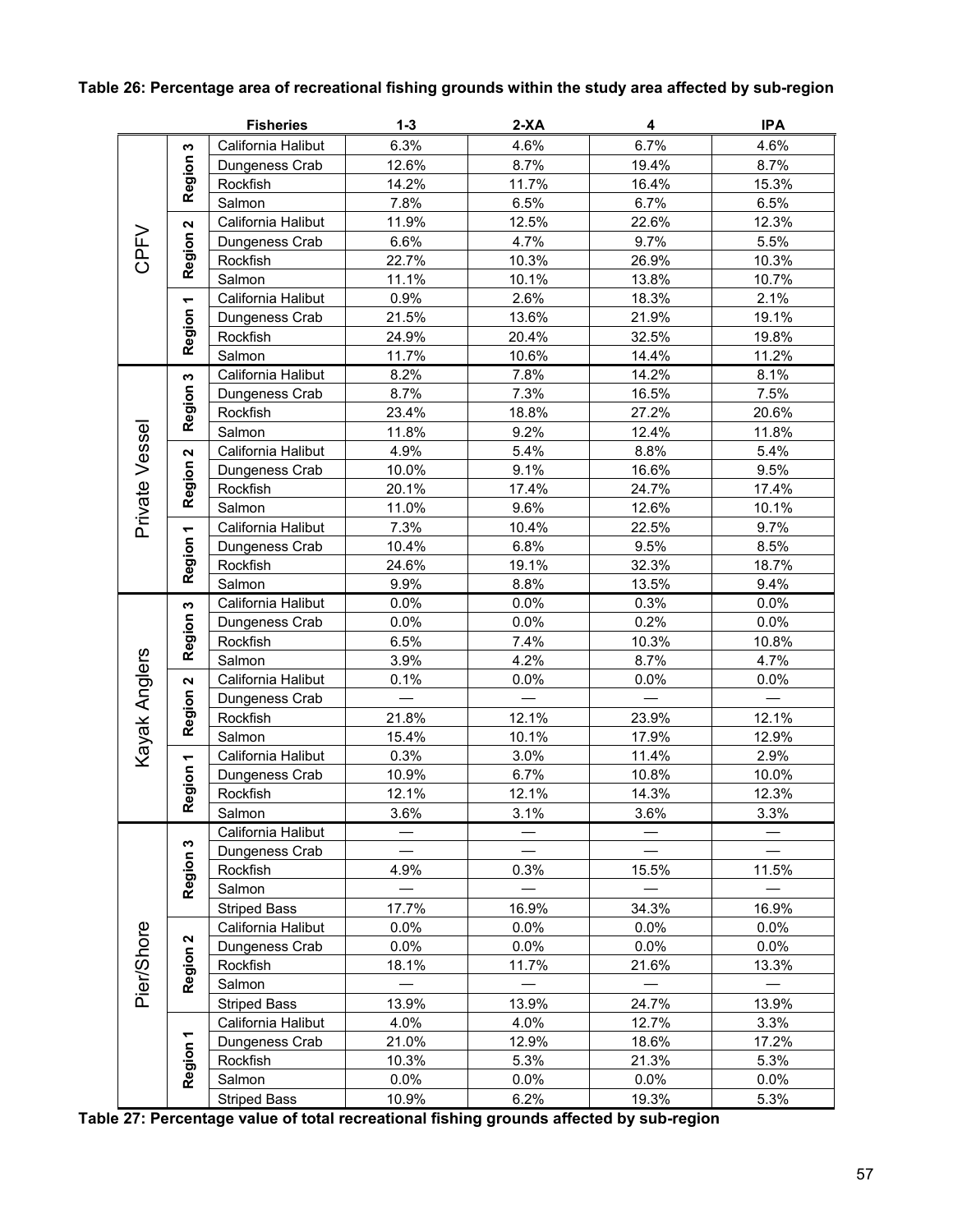|                |                           | <b>Fisheries</b>    | $1 - 3$ | 2-XA  | 4     | <b>IPA</b> |
|----------------|---------------------------|---------------------|---------|-------|-------|------------|
|                | w                         | California Halibut  | 6.3%    | 4.6%  | 6.7%  | 4.6%       |
|                | Region:                   | Dungeness Crab      | 12.6%   | 8.7%  | 19.4% | 8.7%       |
|                |                           | Rockfish            | 14.2%   | 11.7% | 16.4% | 15.3%      |
|                | 2                         | Salmon              | 7.8%    | 6.5%  | 6.7%  | 6.5%       |
|                |                           | California Halibut  | 11.9%   | 12.5% | 22.6% | 12.3%      |
| CPFV           |                           | Dungeness Crab      | 6.6%    | 4.7%  | 9.7%  | 5.5%       |
|                | Region                    | Rockfish            | 22.7%   | 10.3% | 26.9% | 10.3%      |
|                |                           | Salmon              | 11.1%   | 10.1% | 13.8% | 10.7%      |
|                | $\overline{\phantom{0}}$  | California Halibut  | 0.9%    | 2.6%  | 18.3% | 2.1%       |
|                | Region                    | Dungeness Crab      | 21.5%   | 13.6% | 21.9% | 19.1%      |
|                |                           | Rockfish            | 24.9%   | 20.4% | 32.5% | 19.8%      |
|                |                           | Salmon              | 11.7%   | 10.6% | 14.4% | 11.2%      |
|                | w                         | California Halibut  | 8.2%    | 7.8%  | 14.2% | 8.1%       |
|                |                           | Dungeness Crab      | 8.7%    | 7.3%  | 16.5% | 7.5%       |
|                | Region                    | Rockfish            | 23.4%   | 18.8% | 27.2% | 20.6%      |
|                |                           | Salmon              | 11.8%   | 9.2%  | 12.4% | 11.8%      |
| Private Vessel | $\boldsymbol{\mathsf{N}}$ | California Halibut  | 4.9%    | 5.4%  | 8.8%  | 5.4%       |
|                | Region:                   | Dungeness Crab      | 10.0%   | 9.1%  | 16.6% | 9.5%       |
|                |                           | Rockfish            | 20.1%   | 17.4% | 24.7% | 17.4%      |
|                |                           | Salmon              | 11.0%   | 9.6%  | 12.6% | 10.1%      |
|                |                           | California Halibut  | 7.3%    | 10.4% | 22.5% | 9.7%       |
|                |                           | Dungeness Crab      | 10.4%   | 6.8%  | 9.5%  | 8.5%       |
|                | Region 1                  | Rockfish            | 24.6%   | 19.1% | 32.3% | 18.7%      |
|                |                           | Salmon              | 9.9%    | 8.8%  | 13.5% | 9.4%       |
|                | $\boldsymbol{\omega}$     | California Halibut  | 0.0%    | 0.0%  | 0.3%  | 0.0%       |
|                | <b>Region</b>             | Dungeness Crab      | 0.0%    | 0.0%  | 0.2%  | 0.0%       |
|                |                           | Rockfish            | 6.5%    | 7.4%  | 10.3% | 10.8%      |
| Kayak Anglers  |                           | Salmon              | 3.9%    | 4.2%  | 8.7%  | 4.7%       |
|                | $\boldsymbol{\mathsf{N}}$ | California Halibut  | 0.1%    | 0.0%  | 0.0%  | 0.0%       |
|                | Region                    | Dungeness Crab      |         |       |       |            |
|                |                           | Rockfish            | 21.8%   | 12.1% | 23.9% | 12.1%      |
|                |                           | Salmon              | 15.4%   | 10.1% | 17.9% | 12.9%      |
|                | $\overline{\phantom{0}}$  | California Halibut  | 0.3%    | 3.0%  | 11.4% | 2.9%       |
|                |                           | Dungeness Crab      | 10.9%   | 6.7%  | 10.8% | 10.0%      |
|                | Region                    | Rockfish            | 12.1%   | 12.1% | 14.3% | 12.3%      |
|                |                           | Salmon              | 3.6%    | 3.1%  | 3.6%  | 3.3%       |
|                |                           | California Halibut  |         |       |       |            |
|                | ω                         | Dungeness Crab      |         |       |       |            |
|                | <b>Region</b>             | Rockfish            | 4.9%    | 0.3%  | 15.5% | 11.5%      |
|                |                           | Salmon              |         |       |       |            |
|                |                           | <b>Striped Bass</b> | 17.7%   | 16.9% | 34.3% | 16.9%      |
|                |                           | California Halibut  | 0.0%    | 0.0%  | 0.0%  | 0.0%       |
|                | $\mathbf{a}$              | Dungeness Crab      | 0.0%    | 0.0%  | 0.0%  | 0.0%       |
|                |                           | Rockfish            | 18.1%   | 11.7% | 21.6% | 13.3%      |
| Pier/Shore     | Region?                   | Salmon              |         |       |       |            |
|                |                           | <b>Striped Bass</b> | 13.9%   | 13.9% | 24.7% | 13.9%      |
|                |                           | California Halibut  | 4.0%    | 4.0%  | 12.7% | 3.3%       |
|                |                           | Dungeness Crab      | 21.0%   | 12.9% | 18.6% | 17.2%      |
|                | Region 1                  | Rockfish            | 10.3%   | 5.3%  | 21.3% | 5.3%       |
|                |                           | Salmon              | $0.0\%$ | 0.0%  | 0.0%  | 0.0%       |
|                | <b>Striped Bass</b>       | 10.9%               | 6.2%    | 19.3% | 5.3%  |            |

**Table 27: Percentage value of total recreational fishing grounds affected by sub-region**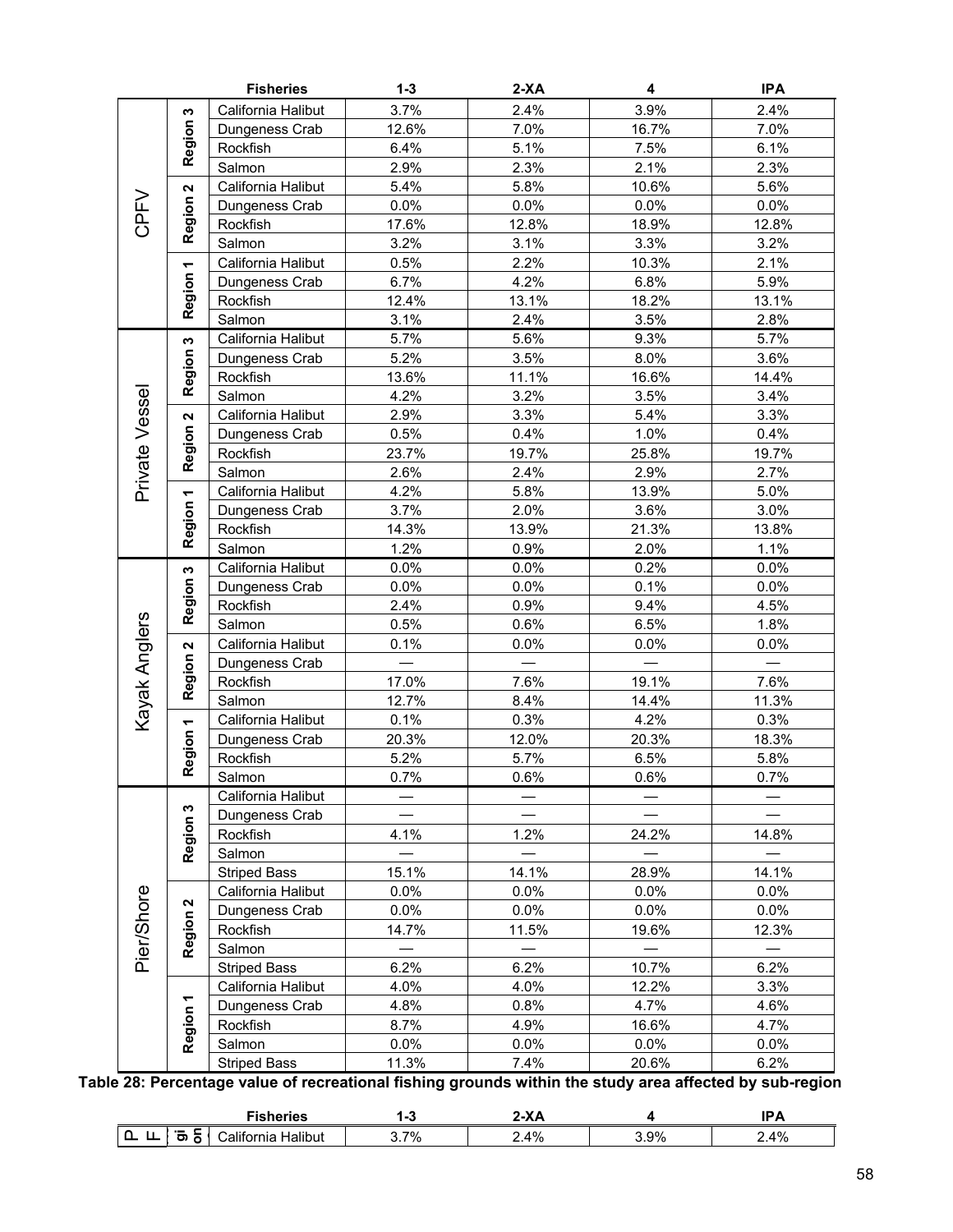|                |                           | <b>Fisheries</b>    | $1 - 3$                  | $2-XA$ | 4     | <b>IPA</b> |
|----------------|---------------------------|---------------------|--------------------------|--------|-------|------------|
|                | w                         | California Halibut  | 3.7%                     | 2.4%   | 3.9%  | 2.4%       |
|                |                           | Dungeness Crab      | 12.6%                    | 7.0%   | 16.7% | 7.0%       |
|                | Region:                   | Rockfish            | 6.4%                     | 5.1%   | 7.5%  | 6.1%       |
|                |                           | Salmon              | 2.9%                     | 2.3%   | 2.1%  | 2.3%       |
|                | $\boldsymbol{\mathsf{N}}$ | California Halibut  | 5.4%                     | 5.8%   | 10.6% | 5.6%       |
|                |                           | Dungeness Crab      | 0.0%                     | 0.0%   | 0.0%  | 0.0%       |
| CPFV           | Region                    | Rockfish            | 17.6%                    | 12.8%  | 18.9% | 12.8%      |
|                |                           | Salmon              | 3.2%                     | 3.1%   | 3.3%  | 3.2%       |
|                |                           | California Halibut  | 0.5%                     | 2.2%   | 10.3% | 2.1%       |
|                | Region 1                  | Dungeness Crab      | 6.7%                     | 4.2%   | 6.8%  | 5.9%       |
|                |                           | Rockfish            | 12.4%                    | 13.1%  | 18.2% | 13.1%      |
|                |                           | Salmon              | 3.1%                     | 2.4%   | 3.5%  | 2.8%       |
|                |                           | California Halibut  | 5.7%                     | 5.6%   | 9.3%  | 5.7%       |
|                | Region 3                  | Dungeness Crab      | 5.2%                     | 3.5%   | 8.0%  | 3.6%       |
|                |                           | Rockfish            | 13.6%                    | 11.1%  | 16.6% | 14.4%      |
|                |                           | Salmon              | 4.2%                     | 3.2%   | 3.5%  | 3.4%       |
|                | $\boldsymbol{\mathsf{N}}$ | California Halibut  | 2.9%                     | 3.3%   | 5.4%  | 3.3%       |
|                | Region                    | Dungeness Crab      | 0.5%                     | 0.4%   | 1.0%  | 0.4%       |
|                |                           | Rockfish            | 23.7%                    | 19.7%  | 25.8% | 19.7%      |
|                |                           | Salmon              | 2.6%                     | 2.4%   | 2.9%  | 2.7%       |
| Private Vessel |                           | California Halibut  | 4.2%                     | 5.8%   | 13.9% | 5.0%       |
|                | Region 1                  | Dungeness Crab      | 3.7%                     | 2.0%   | 3.6%  | 3.0%       |
|                |                           | Rockfish            | 14.3%                    | 13.9%  | 21.3% | 13.8%      |
|                |                           | Salmon              | 1.2%                     | 0.9%   | 2.0%  | 1.1%       |
|                |                           | California Halibut  | 0.0%                     | 0.0%   | 0.2%  | 0.0%       |
|                | Region 3                  | Dungeness Crab      | 0.0%                     | 0.0%   | 0.1%  | 0.0%       |
|                |                           | Rockfish            | 2.4%                     | 0.9%   | 9.4%  | 4.5%       |
|                |                           | Salmon              | 0.5%                     | 0.6%   | 6.5%  | 1.8%       |
|                | $\boldsymbol{\mathsf{N}}$ | California Halibut  | 0.1%                     | 0.0%   | 0.0%  | 0.0%       |
| Kayak Anglers  | Region                    | Dungeness Crab      |                          |        |       |            |
|                |                           | Rockfish            | 17.0%                    | 7.6%   | 19.1% | 7.6%       |
|                |                           | Salmon              | 12.7%                    | 8.4%   | 14.4% | 11.3%      |
|                |                           | California Halibut  | 0.1%                     | 0.3%   | 4.2%  | 0.3%       |
|                |                           | Dungeness Crab      | 20.3%                    | 12.0%  | 20.3% | 18.3%      |
|                | Region 1                  | Rockfish            | 5.2%                     | 5.7%   | 6.5%  | 5.8%       |
|                |                           | Salmon              | 0.7%                     | 0.6%   | 0.6%  | 0.7%       |
|                |                           | California Halibut  |                          |        |       |            |
|                | Region 3                  | Dungeness Crab      |                          |        |       |            |
|                |                           | Rockfish            | 4.1%                     | 1.2%   | 24.2% | 14.8%      |
|                |                           | Salmon              |                          |        |       |            |
|                |                           | <b>Striped Bass</b> | 15.1%                    | 14.1%  | 28.9% | 14.1%      |
|                |                           | California Halibut  | $0.0\%$                  | 0.0%   | 0.0%  | 0.0%       |
|                | $\boldsymbol{\mathsf{N}}$ | Dungeness Crab      | $0.0\%$                  | 0.0%   | 0.0%  | $0.0\%$    |
|                |                           | Rockfish            | 14.7%                    | 11.5%  | 19.6% | 12.3%      |
| Pier/Shore     | Region                    | Salmon              | $\overline{\phantom{0}}$ |        |       |            |
|                |                           | <b>Striped Bass</b> | 6.2%                     | 6.2%   | 10.7% | 6.2%       |
|                |                           | California Halibut  | 4.0%                     | 4.0%   | 12.2% | 3.3%       |
|                |                           | Dungeness Crab      | 4.8%                     | 0.8%   | 4.7%  | 4.6%       |
|                | Region 1                  | Rockfish            | 8.7%                     | 4.9%   | 16.6% | 4.7%       |
|                |                           | Salmon              | $0.0\%$                  | 0.0%   | 0.0%  | 0.0%       |
|                |                           | <b>Striped Bass</b> | 11.3%<br>$P = 1.3$       | 7.4%   | 20.6% | 6.2%       |

**Table 28: Percentage value of recreational fishing grounds within the study area affected by sub-region** 

|               | $\sim$<br>чпеь            |    | $\mathbf{v}$ |           |    |
|---------------|---------------------------|----|--------------|-----------|----|
| --<br>-<br>., | Halibut<br>alıtı<br>ornia | 7% | 4%           | 9%<br>u.J | 4% |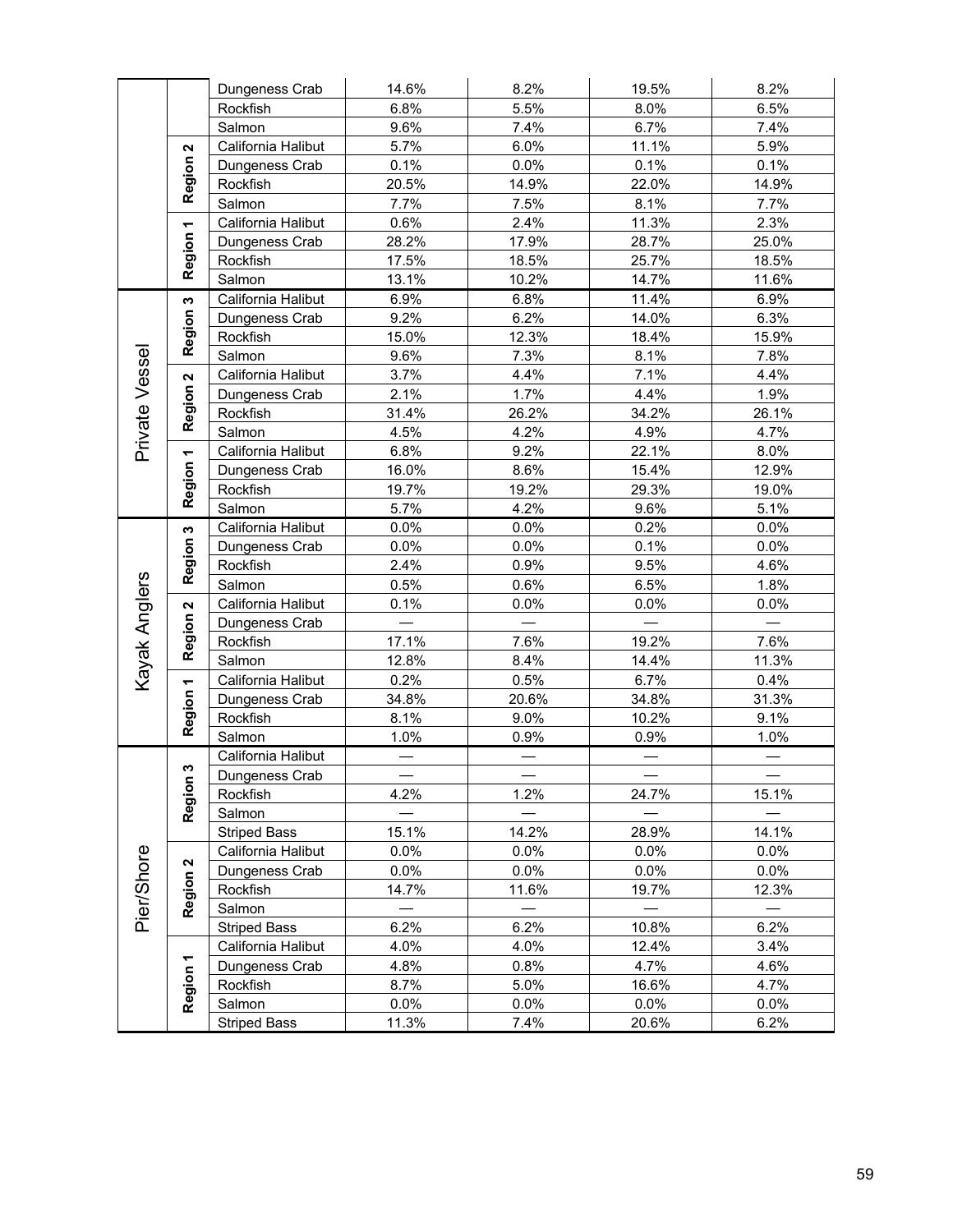|                |                           | Dungeness Crab      | 14.6%   | 8.2%    | 19.5% | 8.2%    |
|----------------|---------------------------|---------------------|---------|---------|-------|---------|
|                |                           | Rockfish            | 6.8%    | 5.5%    | 8.0%  | 6.5%    |
|                |                           | Salmon              | 9.6%    | 7.4%    | 6.7%  | 7.4%    |
|                | $\boldsymbol{\mathsf{N}}$ | California Halibut  | 5.7%    | 6.0%    | 11.1% | 5.9%    |
|                | Region                    | Dungeness Crab      | 0.1%    | 0.0%    | 0.1%  | 0.1%    |
|                |                           | Rockfish            | 20.5%   | 14.9%   | 22.0% | 14.9%   |
|                |                           | Salmon              | 7.7%    | 7.5%    | 8.1%  | 7.7%    |
|                |                           | California Halibut  | 0.6%    | 2.4%    | 11.3% | 2.3%    |
|                | Region 1                  | Dungeness Crab      | 28.2%   | 17.9%   | 28.7% | 25.0%   |
|                |                           | Rockfish            | 17.5%   | 18.5%   | 25.7% | 18.5%   |
|                |                           | Salmon              | 13.1%   | 10.2%   | 14.7% | 11.6%   |
|                | S                         | California Halibut  | 6.9%    | 6.8%    | 11.4% | 6.9%    |
|                | <b>Region</b>             | Dungeness Crab      | 9.2%    | 6.2%    | 14.0% | 6.3%    |
|                |                           | Rockfish            | 15.0%   | 12.3%   | 18.4% | 15.9%   |
|                |                           | Salmon              | 9.6%    | 7.3%    | 8.1%  | 7.8%    |
|                | $\overline{\mathbf{N}}$   | California Halibut  | 3.7%    | 4.4%    | 7.1%  | 4.4%    |
|                |                           | Dungeness Crab      | 2.1%    | 1.7%    | 4.4%  | 1.9%    |
| Private Vessel | Region                    | Rockfish            | 31.4%   | 26.2%   | 34.2% | 26.1%   |
|                |                           | Salmon              | 4.5%    | 4.2%    | 4.9%  | 4.7%    |
|                | $\overline{\phantom{0}}$  | California Halibut  | 6.8%    | 9.2%    | 22.1% | 8.0%    |
|                | Region                    | Dungeness Crab      | 16.0%   | 8.6%    | 15.4% | 12.9%   |
|                |                           | Rockfish            | 19.7%   | 19.2%   | 29.3% | 19.0%   |
|                |                           | Salmon              | 5.7%    | 4.2%    | 9.6%  | 5.1%    |
|                | w                         | California Halibut  | 0.0%    | 0.0%    | 0.2%  | 0.0%    |
|                | Region:                   | Dungeness Crab      | 0.0%    | $0.0\%$ | 0.1%  | 0.0%    |
|                |                           | Rockfish            | 2.4%    | 0.9%    | 9.5%  | 4.6%    |
|                |                           | Salmon              | 0.5%    | 0.6%    | 6.5%  | 1.8%    |
|                | 2                         | California Halibut  | 0.1%    | 0.0%    | 0.0%  | 0.0%    |
|                | <b>Region</b>             | Dungeness Crab      |         |         |       |         |
| Kayak Anglers  |                           | Rockfish            | 17.1%   | 7.6%    | 19.2% | 7.6%    |
|                |                           | Salmon              | 12.8%   | 8.4%    | 14.4% | 11.3%   |
|                |                           | California Halibut  | 0.2%    | 0.5%    | 6.7%  | 0.4%    |
|                | Region 1                  | Dungeness Crab      | 34.8%   | 20.6%   | 34.8% | 31.3%   |
|                |                           | Rockfish            | 8.1%    | 9.0%    | 10.2% | 9.1%    |
|                |                           | Salmon              | 1.0%    | 0.9%    | 0.9%  | 1.0%    |
|                |                           | California Halibut  |         |         |       |         |
|                | w                         | Dungeness Crab      |         |         |       |         |
|                |                           | Rockfish            | 4.2%    | 1.2%    | 24.7% | 15.1%   |
|                | Region                    | Salmon              |         |         |       |         |
|                |                           | <b>Striped Bass</b> | 15.1%   | 14.2%   | 28.9% | 14.1%   |
|                |                           | California Halibut  | 0.0%    | $0.0\%$ | 0.0%  | $0.0\%$ |
|                | N                         | Dungeness Crab      | $0.0\%$ | $0.0\%$ | 0.0%  | 0.0%    |
| Pier/Shore     | Region                    | Rockfish            | 14.7%   | 11.6%   | 19.7% | 12.3%   |
|                |                           | Salmon              |         |         |       |         |
|                |                           | <b>Striped Bass</b> | 6.2%    | 6.2%    | 10.8% | 6.2%    |
|                |                           | California Halibut  | 4.0%    | 4.0%    | 12.4% | 3.4%    |
|                | Region 1                  | Dungeness Crab      | 4.8%    | 0.8%    | 4.7%  | 4.6%    |
|                |                           | Rockfish            | 8.7%    | 5.0%    | 16.6% | 4.7%    |
|                |                           | Salmon              | $0.0\%$ | $0.0\%$ | 0.0%  | $0.0\%$ |
|                |                           | <b>Striped Bass</b> | 11.3%   | 7.4%    | 20.6% | 6.2%    |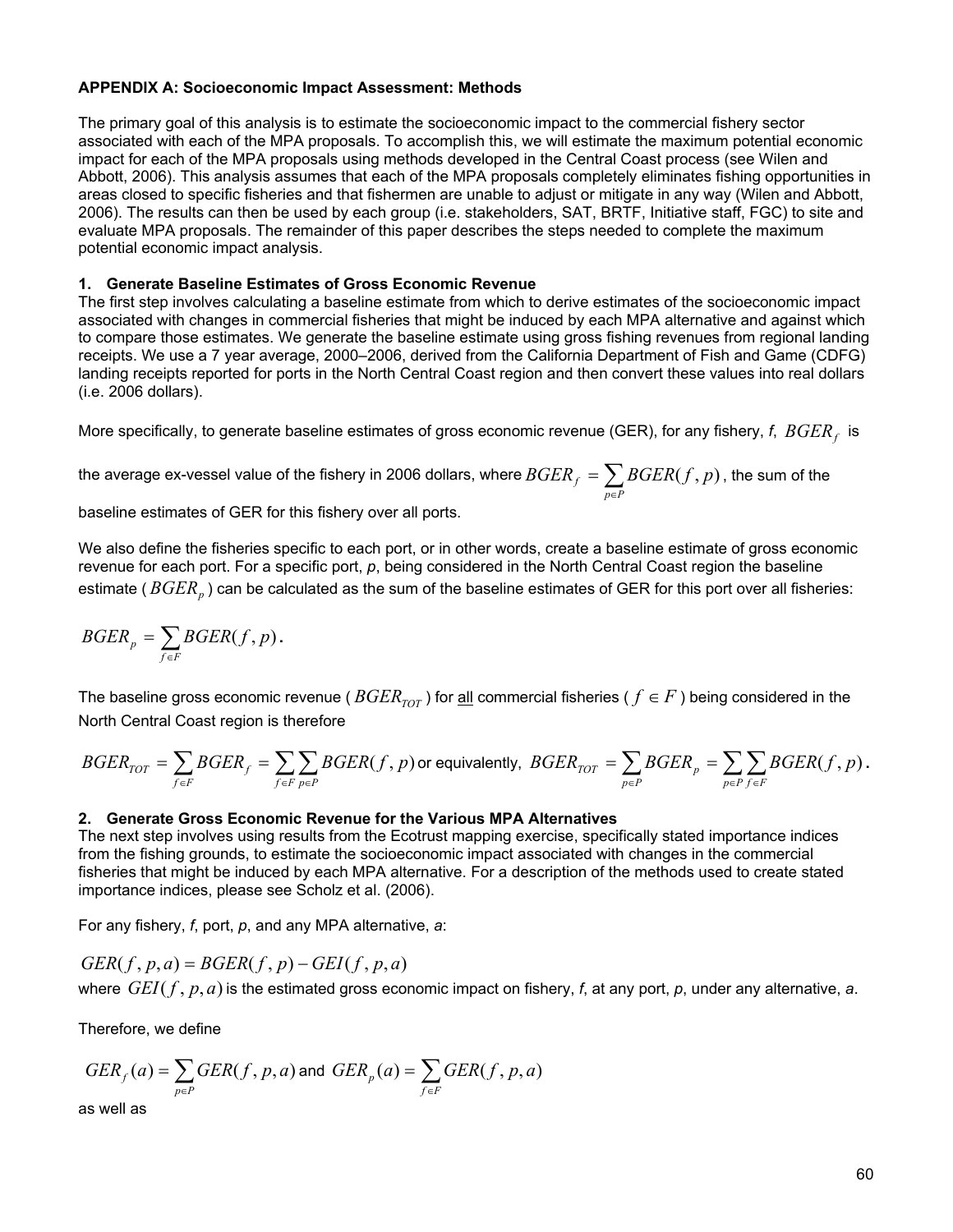#### **APPENDIX A: Socioeconomic Impact Assessment: Methods**

The primary goal of this analysis is to estimate the socioeconomic impact to the commercial fishery sector associated with each of the MPA proposals. To accomplish this, we will estimate the maximum potential economic impact for each of the MPA proposals using methods developed in the Central Coast process (see Wilen and Abbott, 2006). This analysis assumes that each of the MPA proposals completely eliminates fishing opportunities in areas closed to specific fisheries and that fishermen are unable to adjust or mitigate in any way (Wilen and Abbott, 2006). The results can then be used by each group (i.e. stakeholders, SAT, BRTF, Initiative staff, FGC) to site and evaluate MPA proposals. The remainder of this paper describes the steps needed to complete the maximum potential economic impact analysis.

#### **1. Generate Baseline Estimates of Gross Economic Revenue**

The first step involves calculating a baseline estimate from which to derive estimates of the socioeconomic impact associated with changes in commercial fisheries that might be induced by each MPA alternative and against which to compare those estimates. We generate the baseline estimate using gross fishing revenues from regional landing receipts. We use a 7 year average, 2000–2006, derived from the California Department of Fish and Game (CDFG) landing receipts reported for ports in the North Central Coast region and then convert these values into real dollars (i.e. 2006 dollars).

More specifically, to generate baseline estimates of gross economic revenue (GER), for any fishery, *f*, *BGER*<sub>c</sub> is

the average ex-vessel value of the fishery in 2006 dollars, where  $\mathit{BGER}_f = \sum_{\substack{{\scriptstyle{\rho}} \in P}}$ *p P*  $\mathit{BGER}_f = \sum \mathit{BGER}(f,p)$  , the sum of the

baseline estimates of GER for this fishery over all ports.

We also define the fisheries specific to each port, or in other words, create a baseline estimate of gross economic revenue for each port. For a specific port, *p*, being considered in the North Central Coast region the baseline estimate ( $BGER<sub>n</sub>$ ) can be calculated as the sum of the baseline estimates of GER for this port over all fisheries:

$$
BGER_p = \sum_{f \in F} BGER(f, p).
$$

The baseline gross economic revenue ( $BGER_{TOT}$ ) for all commercial fisheries ( $f \in F$ ) being considered in the North Central Coast region is therefore

$$
\textit{BGER}_{\textit{TOT}} = \sum_{f \in F} \textit{BGER}_f = \sum_{f \in F} \sum_{p \in P} \textit{BGER}(f,p) \text{ or equivalently, } \ \textit{BGER}_{\textit{TOT}} = \sum_{p \in P} \textit{BGER}_p = \sum_{p \in P} \sum_{f \in F} \textit{BGER}(f,p) \,.
$$

#### **2. Generate Gross Economic Revenue for the Various MPA Alternatives**

The next step involves using results from the Ecotrust mapping exercise, specifically stated importance indices from the fishing grounds, to estimate the socioeconomic impact associated with changes in the commercial fisheries that might be induced by each MPA alternative. For a description of the methods used to create stated importance indices, please see Scholz et al. (2006).

For any fishery, *f*, port, *p*, and any MPA alternative, *a*:

 $GER(f, p, a) = BGER(f, p) - GEI(f, p, a)$ where *GEI*( *f* , *p*, *a*) is the estimated gross economic impact on fishery, *f*, at any port, *p*, under any alternative, *a*.

Therefore, we define

$$
GER_f(a) = \sum_{p \in P} GER(f, p, a) \text{ and } GER_p(a) = \sum_{f \in F} GER(f, p, a)
$$

as well as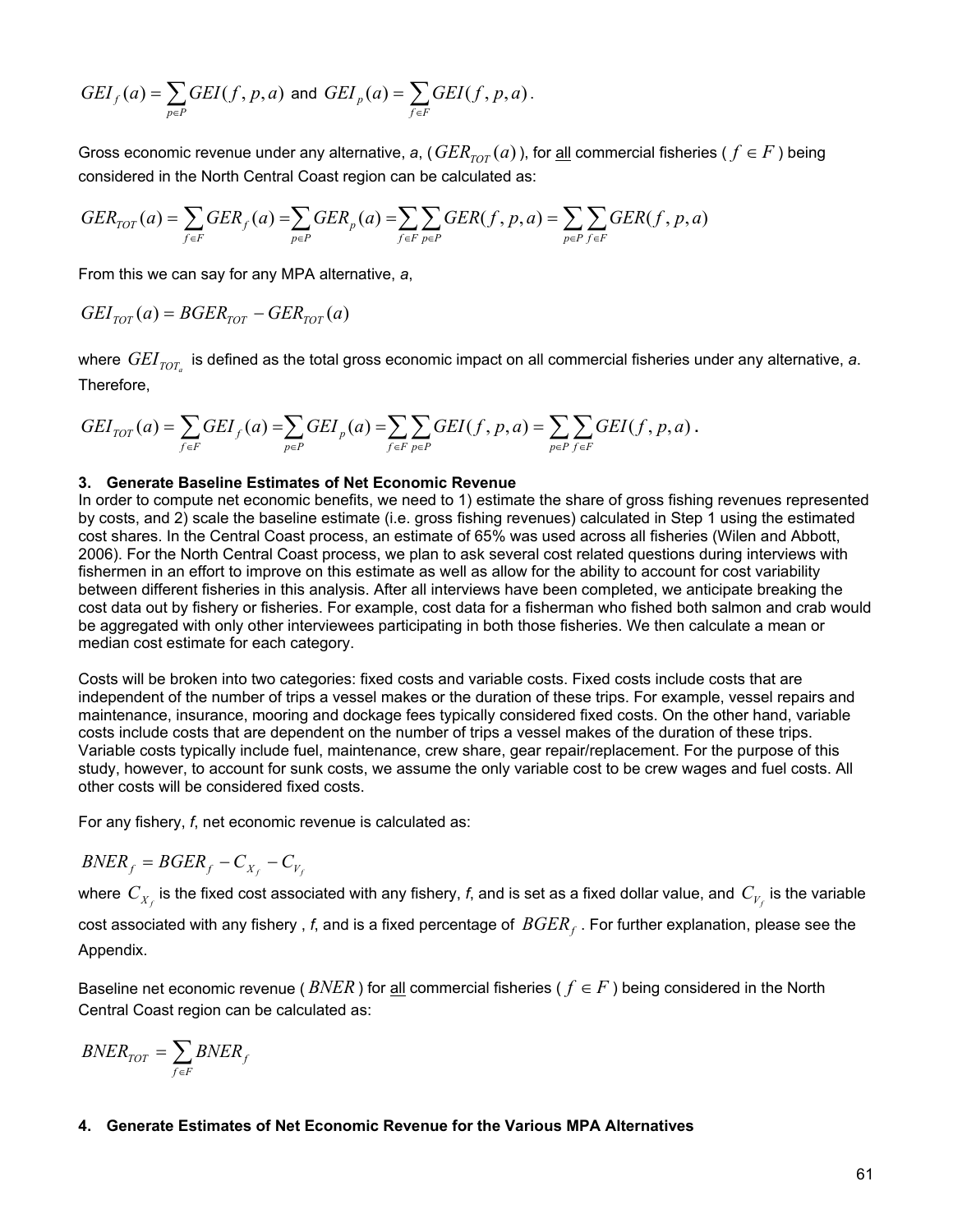$$
GEI_f(a) = \sum_{p \in P} GEI(f, p, a) \text{ and } GEI_p(a) = \sum_{f \in F} GEI(f, p, a).
$$

Gross economic revenue under any alternative, a, ( $GER_{TOT}(a)$ ), for <u>all</u> commercial fisheries ( $f \in F$ ) being considered in the North Central Coast region can be calculated as:

$$
GER_{TOT}(a) = \sum_{f \in F} GER_f(a) = \sum_{p \in P} GER_p(a) = \sum_{f \in F} \sum_{p \in P} GER(f, p, a) = \sum_{p \in P} \sum_{f \in F} GER(f, p, a)
$$

From this we can say for any MPA alternative, *a*,

$$
GEI_{TOT}(a) = BGER_{TOT} - GER_{TOT}(a)
$$

where  $GEI_{TOT_a}$  is defined as the total gross economic impact on all commercial fisheries under any alternative, a. Therefore,

$$
GEI_{TOT}(a) = \sum_{f \in F} GEI_f(a) = \sum_{p \in P} GEI_p(a) = \sum_{f \in F} \sum_{p \in P} GEI(f, p, a) = \sum_{p \in P} \sum_{f \in F} GEI(f, p, a).
$$

#### **3. Generate Baseline Estimates of Net Economic Revenue**

In order to compute net economic benefits, we need to 1) estimate the share of gross fishing revenues represented by costs, and 2) scale the baseline estimate (i.e. gross fishing revenues) calculated in Step 1 using the estimated cost shares. In the Central Coast process, an estimate of 65% was used across all fisheries (Wilen and Abbott, 2006). For the North Central Coast process, we plan to ask several cost related questions during interviews with fishermen in an effort to improve on this estimate as well as allow for the ability to account for cost variability between different fisheries in this analysis. After all interviews have been completed, we anticipate breaking the cost data out by fishery or fisheries. For example, cost data for a fisherman who fished both salmon and crab would be aggregated with only other interviewees participating in both those fisheries. We then calculate a mean or median cost estimate for each category.

Costs will be broken into two categories: fixed costs and variable costs. Fixed costs include costs that are independent of the number of trips a vessel makes or the duration of these trips. For example, vessel repairs and maintenance, insurance, mooring and dockage fees typically considered fixed costs. On the other hand, variable costs include costs that are dependent on the number of trips a vessel makes of the duration of these trips. Variable costs typically include fuel, maintenance, crew share, gear repair/replacement. For the purpose of this study, however, to account for sunk costs, we assume the only variable cost to be crew wages and fuel costs. All other costs will be considered fixed costs.

For any fishery, *f*, net economic revenue is calculated as:

$$
BNER_f = BGER_f - C_{X_f} - C_{V_f}
$$

where  $\,C_{X_f}$  is the fixed cost associated with any fishery, *f*, and is set as a fixed dollar value, and  $\,C_{V_f}$  is the variable

cost associated with any fishery, f, and is a fixed percentage of  $BGER<sub>f</sub>$ . For further explanation, please see the Appendix.

Baseline net economic revenue ( $BNER$ ) for <u>all</u> commercial fisheries ( $f \in F$ ) being considered in the North Central Coast region can be calculated as:

$$
BNER_{TOT} = \sum_{f \in F} BNER_f
$$

#### **4. Generate Estimates of Net Economic Revenue for the Various MPA Alternatives**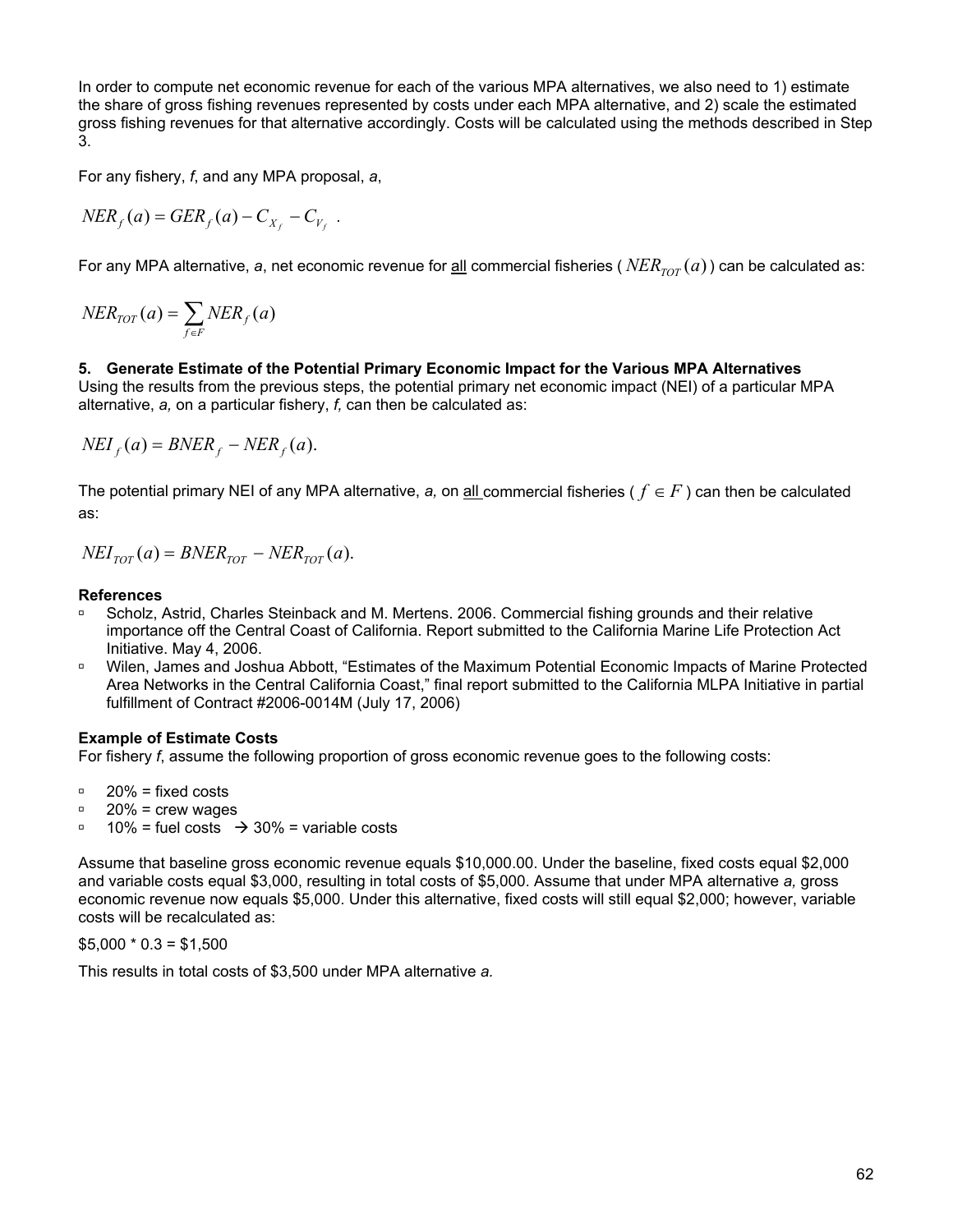In order to compute net economic revenue for each of the various MPA alternatives, we also need to 1) estimate the share of gross fishing revenues represented by costs under each MPA alternative, and 2) scale the estimated gross fishing revenues for that alternative accordingly. Costs will be calculated using the methods described in Step 3.

For any fishery, *f*, and any MPA proposal, *a*,

$$
NER_f(a) = GER_f(a) - C_{X_f} - C_{V_f}.
$$

For any MPA alternative, a, net economic revenue for <u>all</u> commercial fisheries ( $NER_{TOT}(a)$ ) can be calculated as:

$$
NER_{TOT}(a) = \sum_{f \in F} NER_f(a)
$$

**5. Generate Estimate of the Potential Primary Economic Impact for the Various MPA Alternatives**  Using the results from the previous steps, the potential primary net economic impact (NEI) of a particular MPA alternative, *a,* on a particular fishery, *f,* can then be calculated as:

 $NEI_f(a) = BNER_f - NER_f(a)$ .

The potential primary NEI of any MPA alternative, *a,* on all commercial fisheries ( *f* ∈ *F* ) can then be calculated as:

 $NEI_{TOT}(a) = BNER_{TOT} - NER_{TOT}(a)$ .

#### **References**

- Scholz, Astrid, Charles Steinback and M. Mertens. 2006. Commercial fishing grounds and their relative importance off the Central Coast of California. Report submitted to the California Marine Life Protection Act Initiative. May 4, 2006.
- <sup>D</sup> Wilen, James and Joshua Abbott, "Estimates of the Maximum Potential Economic Impacts of Marine Protected Area Networks in the Central California Coast," final report submitted to the California MLPA Initiative in partial fulfillment of Contract #2006-0014M (July 17, 2006)

#### **Example of Estimate Costs**

For fishery *f*, assume the following proportion of gross economic revenue goes to the following costs:

- $\degree$  20% = fixed costs
- $\degree$  20% = crew wages
- $\frac{10\%}{10\%}$  = fuel costs  $\rightarrow$  30% = variable costs

Assume that baseline gross economic revenue equals \$10,000.00. Under the baseline, fixed costs equal \$2,000 and variable costs equal \$3,000, resulting in total costs of \$5,000. Assume that under MPA alternative *a,* gross economic revenue now equals \$5,000. Under this alternative, fixed costs will still equal \$2,000; however, variable costs will be recalculated as:

 $$5,000 * 0.3 = $1,500$ 

This results in total costs of \$3,500 under MPA alternative *a.*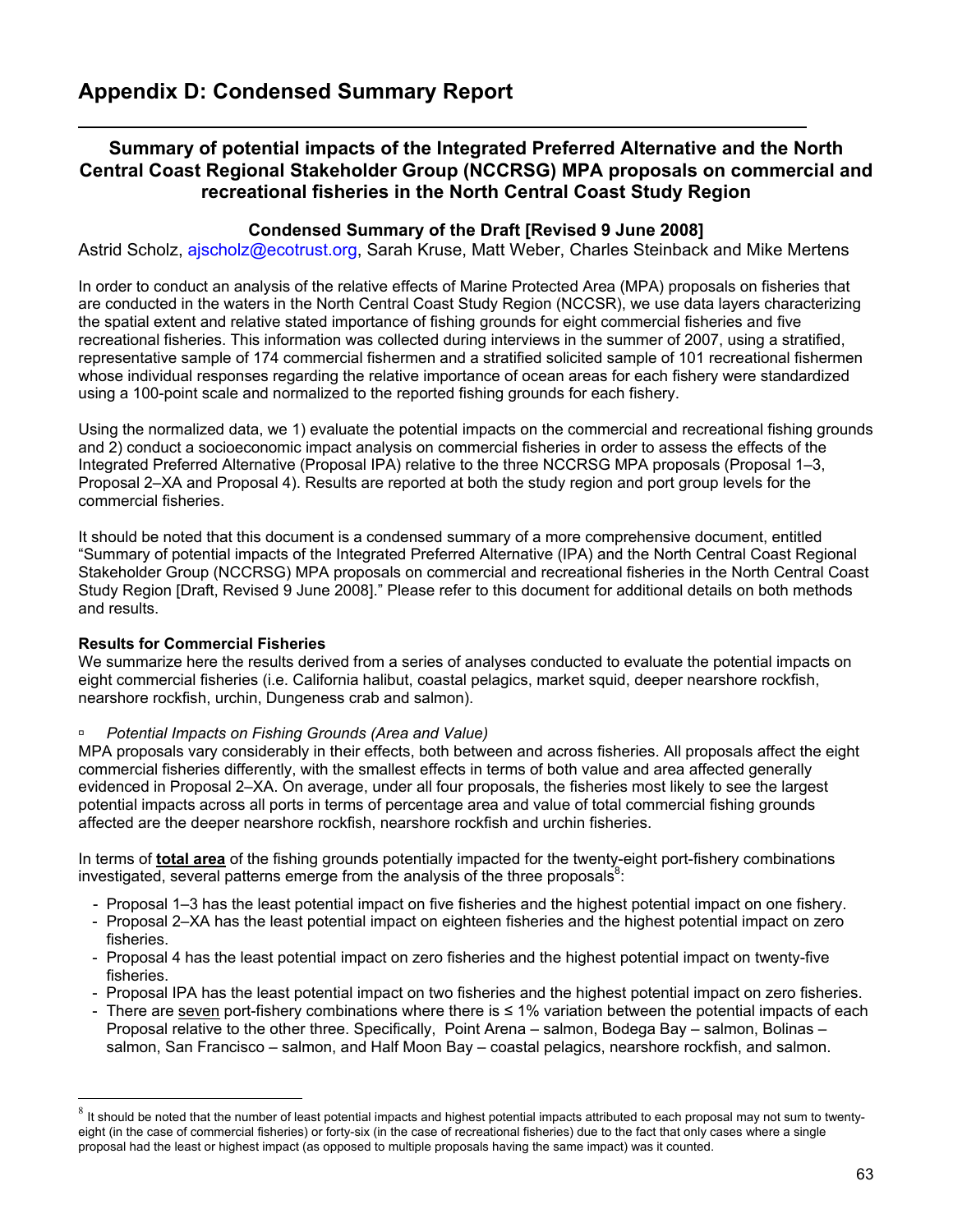# **Summary of potential impacts of the Integrated Preferred Alternative and the North Central Coast Regional Stakeholder Group (NCCRSG) MPA proposals on commercial and recreational fisheries in the North Central Coast Study Region**

### **Condensed Summary of the Draft [Revised 9 June 2008]**

Astrid Scholz, ajscholz@ecotrust.org, Sarah Kruse, Matt Weber, Charles Steinback and Mike Mertens

In order to conduct an analysis of the relative effects of Marine Protected Area (MPA) proposals on fisheries that are conducted in the waters in the North Central Coast Study Region (NCCSR), we use data layers characterizing the spatial extent and relative stated importance of fishing grounds for eight commercial fisheries and five recreational fisheries. This information was collected during interviews in the summer of 2007, using a stratified, representative sample of 174 commercial fishermen and a stratified solicited sample of 101 recreational fishermen whose individual responses regarding the relative importance of ocean areas for each fishery were standardized using a 100-point scale and normalized to the reported fishing grounds for each fishery.

Using the normalized data, we 1) evaluate the potential impacts on the commercial and recreational fishing grounds and 2) conduct a socioeconomic impact analysis on commercial fisheries in order to assess the effects of the Integrated Preferred Alternative (Proposal IPA) relative to the three NCCRSG MPA proposals (Proposal 1–3, Proposal 2–XA and Proposal 4). Results are reported at both the study region and port group levels for the commercial fisheries.

It should be noted that this document is a condensed summary of a more comprehensive document, entitled "Summary of potential impacts of the Integrated Preferred Alternative (IPA) and the North Central Coast Regional Stakeholder Group (NCCRSG) MPA proposals on commercial and recreational fisheries in the North Central Coast Study Region [Draft, Revised 9 June 2008]." Please refer to this document for additional details on both methods and results.

#### **Results for Commercial Fisheries**

 $\overline{a}$ 

We summarize here the results derived from a series of analyses conducted to evaluate the potential impacts on eight commercial fisheries (i.e. California halibut, coastal pelagics, market squid, deeper nearshore rockfish, nearshore rockfish, urchin, Dungeness crab and salmon).

#### à *Potential Impacts on Fishing Grounds (Area and Value)*

MPA proposals vary considerably in their effects, both between and across fisheries. All proposals affect the eight commercial fisheries differently, with the smallest effects in terms of both value and area affected generally evidenced in Proposal 2–XA. On average, under all four proposals, the fisheries most likely to see the largest potential impacts across all ports in terms of percentage area and value of total commercial fishing grounds affected are the deeper nearshore rockfish, nearshore rockfish and urchin fisheries.

In terms of **total area** of the fishing grounds potentially impacted for the twenty-eight port-fishery combinations investigated, several patterns emerge from the analysis of the three proposals $8$ .

- Proposal 1–3 has the least potential impact on five fisheries and the highest potential impact on one fishery.
- Proposal 2–XA has the least potential impact on eighteen fisheries and the highest potential impact on zero fisheries.
- Proposal 4 has the least potential impact on zero fisheries and the highest potential impact on twenty-five fisheries.
- Proposal IPA has the least potential impact on two fisheries and the highest potential impact on zero fisheries.
- There are seven port-fishery combinations where there is ≤ 1% variation between the potential impacts of each Proposal relative to the other three. Specifically, Point Arena – salmon, Bodega Bay – salmon, Bolinas – salmon, San Francisco – salmon, and Half Moon Bay – coastal pelagics, nearshore rockfish, and salmon.

 $^8$  It should be noted that the number of least potential impacts and highest potential impacts attributed to each proposal may not sum to twentyeight (in the case of commercial fisheries) or forty-six (in the case of recreational fisheries) due to the fact that only cases where a single proposal had the least or highest impact (as opposed to multiple proposals having the same impact) was it counted.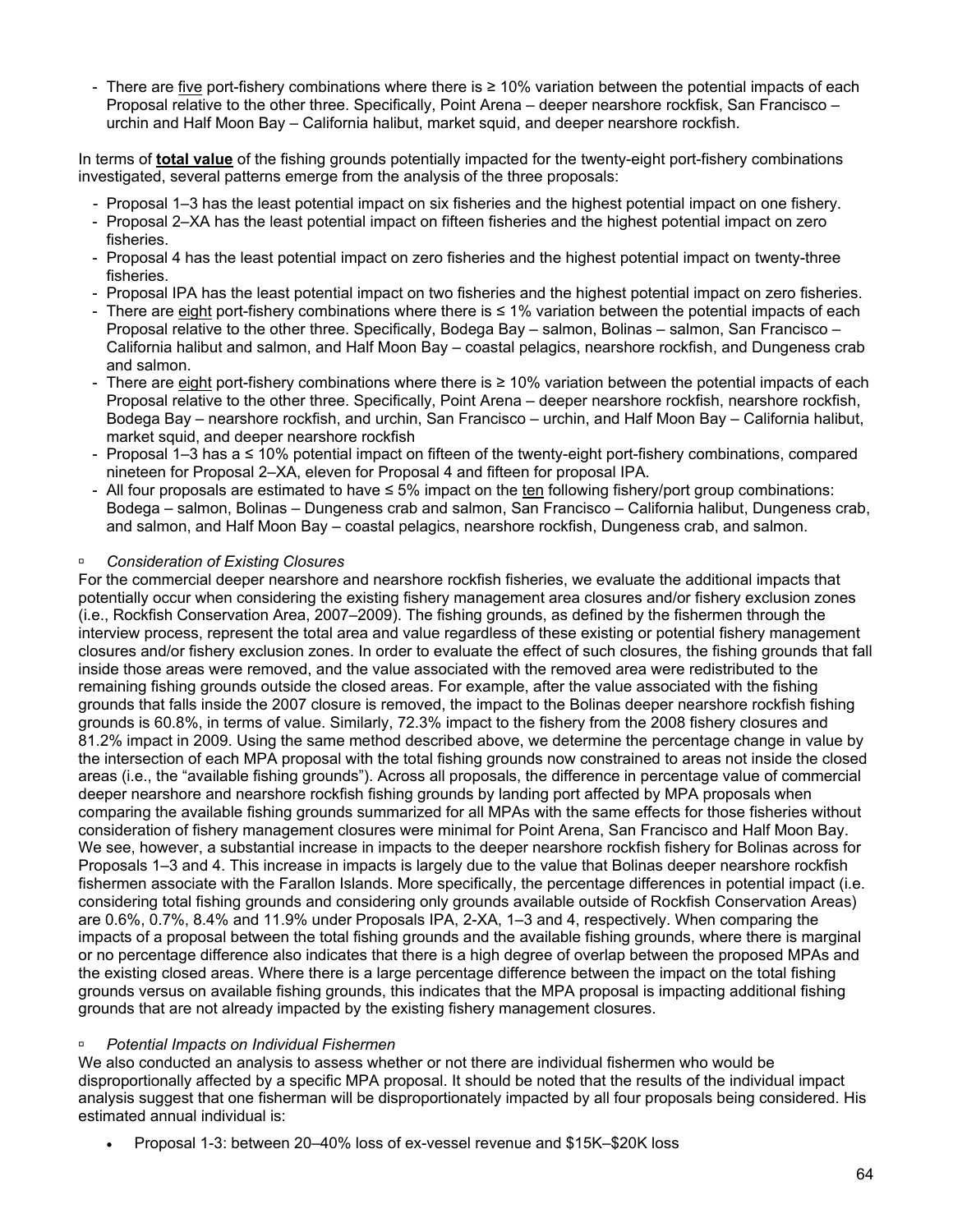- There are five port-fishery combinations where there is ≥ 10% variation between the potential impacts of each Proposal relative to the other three. Specifically, Point Arena – deeper nearshore rockfisk, San Francisco – urchin and Half Moon Bay – California halibut, market squid, and deeper nearshore rockfish.

In terms of **total value** of the fishing grounds potentially impacted for the twenty-eight port-fishery combinations investigated, several patterns emerge from the analysis of the three proposals:

- Proposal 1–3 has the least potential impact on six fisheries and the highest potential impact on one fishery.
- Proposal 2–XA has the least potential impact on fifteen fisheries and the highest potential impact on zero fisheries.
- Proposal 4 has the least potential impact on zero fisheries and the highest potential impact on twenty-three fisheries.
- Proposal IPA has the least potential impact on two fisheries and the highest potential impact on zero fisheries.
- There are eight port-fishery combinations where there is ≤ 1% variation between the potential impacts of each Proposal relative to the other three. Specifically, Bodega Bay – salmon, Bolinas – salmon, San Francisco – California halibut and salmon, and Half Moon Bay – coastal pelagics, nearshore rockfish, and Dungeness crab and salmon.
- There are eight port-fishery combinations where there is ≥ 10% variation between the potential impacts of each Proposal relative to the other three. Specifically, Point Arena – deeper nearshore rockfish, nearshore rockfish, Bodega Bay – nearshore rockfish, and urchin, San Francisco – urchin, and Half Moon Bay – California halibut, market squid, and deeper nearshore rockfish
- Proposal 1–3 has a ≤ 10% potential impact on fifteen of the twenty-eight port-fishery combinations, compared nineteen for Proposal 2–XA, eleven for Proposal 4 and fifteen for proposal IPA.
- All four proposals are estimated to have  $\leq 5\%$  impact on the ten following fishery/port group combinations: Bodega – salmon, Bolinas – Dungeness crab and salmon, San Francisco – California halibut, Dungeness crab, and salmon, and Half Moon Bay – coastal pelagics, nearshore rockfish, Dungeness crab, and salmon.

#### à *Consideration of Existing Closures*

For the commercial deeper nearshore and nearshore rockfish fisheries, we evaluate the additional impacts that potentially occur when considering the existing fishery management area closures and/or fishery exclusion zones (i.e., Rockfish Conservation Area, 2007–2009). The fishing grounds, as defined by the fishermen through the interview process, represent the total area and value regardless of these existing or potential fishery management closures and/or fishery exclusion zones. In order to evaluate the effect of such closures, the fishing grounds that fall inside those areas were removed, and the value associated with the removed area were redistributed to the remaining fishing grounds outside the closed areas. For example, after the value associated with the fishing grounds that falls inside the 2007 closure is removed, the impact to the Bolinas deeper nearshore rockfish fishing grounds is 60.8%, in terms of value. Similarly, 72.3% impact to the fishery from the 2008 fishery closures and 81.2% impact in 2009. Using the same method described above, we determine the percentage change in value by the intersection of each MPA proposal with the total fishing grounds now constrained to areas not inside the closed areas (i.e., the "available fishing grounds"). Across all proposals, the difference in percentage value of commercial deeper nearshore and nearshore rockfish fishing grounds by landing port affected by MPA proposals when comparing the available fishing grounds summarized for all MPAs with the same effects for those fisheries without consideration of fishery management closures were minimal for Point Arena, San Francisco and Half Moon Bay. We see, however, a substantial increase in impacts to the deeper nearshore rockfish fishery for Bolinas across for Proposals 1–3 and 4. This increase in impacts is largely due to the value that Bolinas deeper nearshore rockfish fishermen associate with the Farallon Islands. More specifically, the percentage differences in potential impact (i.e. considering total fishing grounds and considering only grounds available outside of Rockfish Conservation Areas) are 0.6%, 0.7%, 8.4% and 11.9% under Proposals IPA, 2-XA, 1–3 and 4, respectively. When comparing the impacts of a proposal between the total fishing grounds and the available fishing grounds, where there is marginal or no percentage difference also indicates that there is a high degree of overlap between the proposed MPAs and the existing closed areas. Where there is a large percentage difference between the impact on the total fishing grounds versus on available fishing grounds, this indicates that the MPA proposal is impacting additional fishing grounds that are not already impacted by the existing fishery management closures.

#### à *Potential Impacts on Individual Fishermen*

We also conducted an analysis to assess whether or not there are individual fishermen who would be disproportionally affected by a specific MPA proposal. It should be noted that the results of the individual impact analysis suggest that one fisherman will be disproportionately impacted by all four proposals being considered. His estimated annual individual is:

• Proposal 1-3: between 20–40% loss of ex-vessel revenue and \$15K–\$20K loss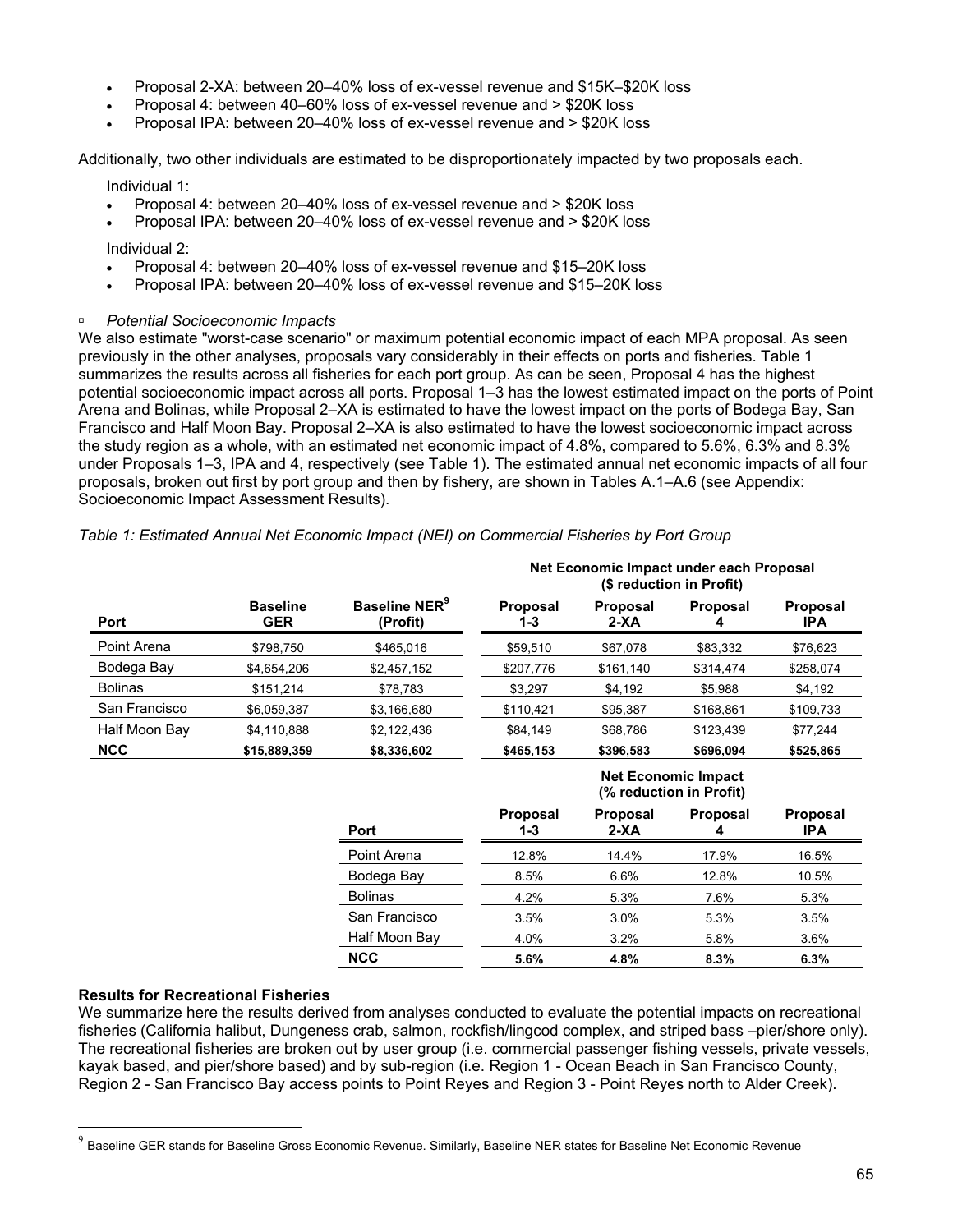- Proposal 2-XA: between 20–40% loss of ex-vessel revenue and \$15K–\$20K loss
- Proposal 4: between 40–60% loss of ex-vessel revenue and > \$20K loss
- Proposal IPA: between 20–40% loss of ex-vessel revenue and > \$20K loss

Additionally, two other individuals are estimated to be disproportionately impacted by two proposals each.

Individual 1:

- Proposal 4: between 20–40% loss of ex-vessel revenue and > \$20K loss
- Proposal IPA: between 20–40% loss of ex-vessel revenue and > \$20K loss

Individual 2:

- Proposal 4: between 20–40% loss of ex-vessel revenue and \$15–20K loss
- Proposal IPA: between 20–40% loss of ex-vessel revenue and \$15–20K loss
- à *Potential Socioeconomic Impacts*

We also estimate "worst-case scenario" or maximum potential economic impact of each MPA proposal. As seen previously in the other analyses, proposals vary considerably in their effects on ports and fisheries. Table 1 summarizes the results across all fisheries for each port group. As can be seen, Proposal 4 has the highest potential socioeconomic impact across all ports. Proposal 1–3 has the lowest estimated impact on the ports of Point Arena and Bolinas, while Proposal 2–XA is estimated to have the lowest impact on the ports of Bodega Bay, San Francisco and Half Moon Bay. Proposal 2–XA is also estimated to have the lowest socioeconomic impact across the study region as a whole, with an estimated net economic impact of 4.8%, compared to 5.6%, 6.3% and 8.3% under Proposals 1–3, IPA and 4, respectively (see Table 1). The estimated annual net economic impacts of all four proposals, broken out first by port group and then by fishery, are shown in Tables A.1–A.6 (see Appendix: Socioeconomic Impact Assessment Results).

|                |                               | Baseline NER <sup>9</sup><br>(Profit) | Net Economic Impact under each Proposal<br>(\$ reduction in Profit) |                         |                                                       |                               |
|----------------|-------------------------------|---------------------------------------|---------------------------------------------------------------------|-------------------------|-------------------------------------------------------|-------------------------------|
| Port           | <b>Baseline</b><br><b>GER</b> |                                       | Proposal<br>1-3                                                     | <b>Proposal</b><br>2-XA | <b>Proposal</b>                                       | <b>Proposal</b><br><b>IPA</b> |
| Point Arena    | \$798,750                     | \$465,016                             | \$59,510                                                            | \$67,078                | \$83,332                                              | \$76,623                      |
| Bodega Bay     | \$4,654,206                   | \$2,457,152                           | \$207,776                                                           | \$161,140               | \$314,474                                             | \$258,074                     |
| <b>Bolinas</b> | \$151,214                     | \$78,783                              | \$3,297                                                             | \$4,192                 | \$5,988                                               | \$4,192                       |
| San Francisco  | \$6,059,387                   | \$3,166,680                           | \$110,421                                                           | \$95,387                | \$168,861                                             | \$109,733                     |
| Half Moon Bay  | \$4,110,888                   | \$2,122,436                           | \$84,149                                                            | \$68,786                | \$123,439                                             | \$77,244                      |
| <b>NCC</b>     | \$15,889,359                  | \$8,336,602                           | \$465,153                                                           | \$396,583               | \$696,094                                             | \$525,865                     |
|                |                               |                                       |                                                                     |                         | <b>Net Economic Impact</b><br>(% reduction in Profit) |                               |
|                |                               | Port                                  | Proposal<br>1-3                                                     | <b>Proposal</b><br>2-XA | <b>Proposal</b><br>4                                  | <b>Proposal</b><br><b>IPA</b> |
|                |                               | Point Arena                           | 12.8%                                                               | 14.4%                   | 17.9%                                                 | 16.5%                         |
|                |                               | Bodega Bay                            | 8.5%                                                                | 6.6%                    | 12.8%                                                 | 10.5%                         |

*Table 1: Estimated Annual Net Economic Impact (NEI) on Commercial Fisheries by Port Group* 

#### **Results for Recreational Fisheries**

 $\overline{a}$ 

We summarize here the results derived from analyses conducted to evaluate the potential impacts on recreational fisheries (California halibut, Dungeness crab, salmon, rockfish/lingcod complex, and striped bass –pier/shore only). The recreational fisheries are broken out by user group (i.e. commercial passenger fishing vessels, private vessels, kayak based, and pier/shore based) and by sub-region (i.e. Region 1 - Ocean Beach in San Francisco County, Region 2 - San Francisco Bay access points to Point Reyes and Region 3 - Point Reyes north to Alder Creek).

Bolinas 4.2% 5.3% 7.6% 5.3%

**NCC 5.6% 4.8% 8.3% 6.3%** 

 San Francisco 3.5% 3.0% 5.3% 3.5% Half Moon Bay  $4.0\%$   $3.2\%$   $5.8\%$   $3.6\%$ 

Baseline GER stands for Baseline Gross Economic Revenue. Similarly, Baseline NER states for Baseline Net Economic Revenue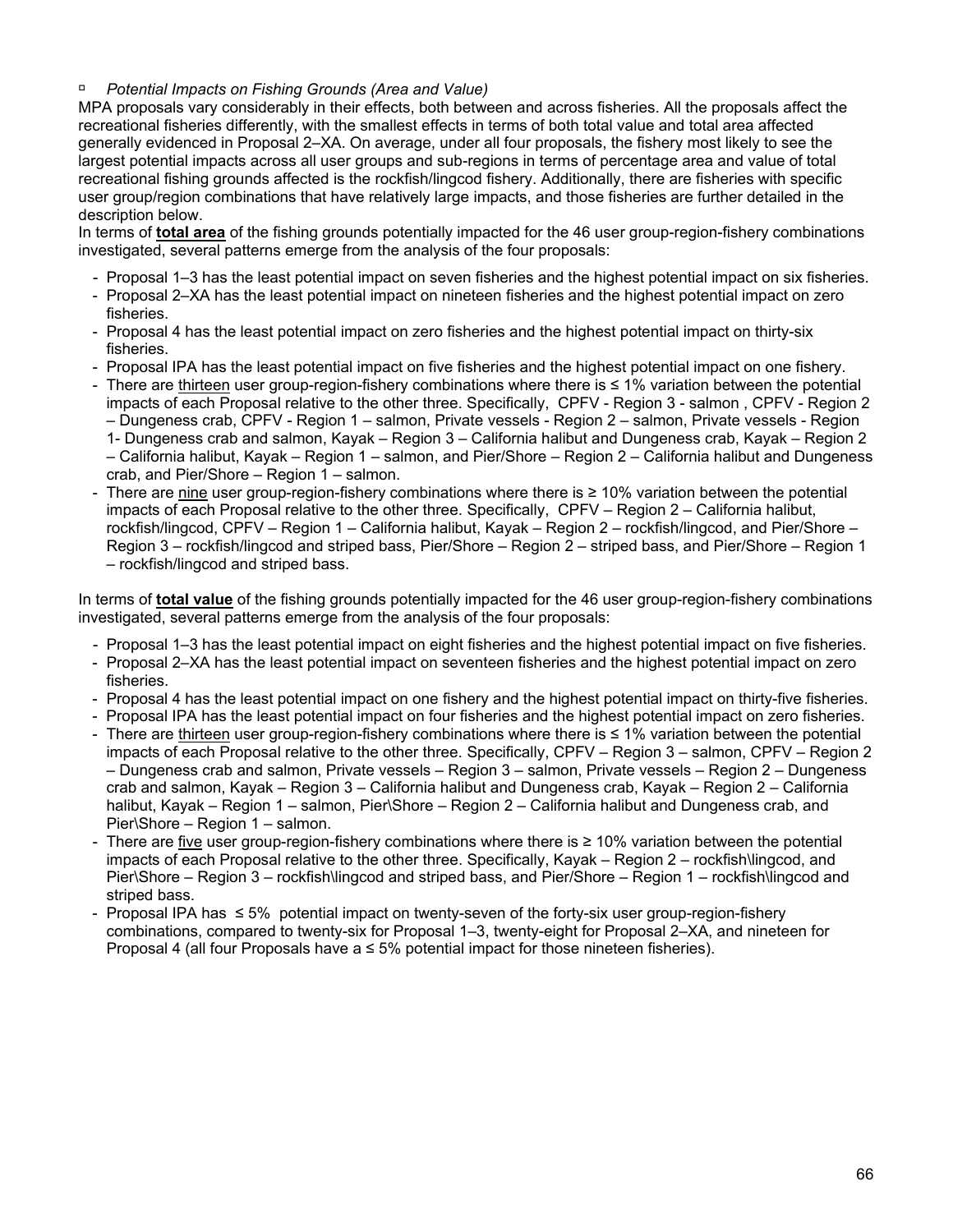#### à *Potential Impacts on Fishing Grounds (Area and Value)*

MPA proposals vary considerably in their effects, both between and across fisheries. All the proposals affect the recreational fisheries differently, with the smallest effects in terms of both total value and total area affected generally evidenced in Proposal 2–XA. On average, under all four proposals, the fishery most likely to see the largest potential impacts across all user groups and sub-regions in terms of percentage area and value of total recreational fishing grounds affected is the rockfish/lingcod fishery. Additionally, there are fisheries with specific user group/region combinations that have relatively large impacts, and those fisheries are further detailed in the description below.

In terms of **total area** of the fishing grounds potentially impacted for the 46 user group-region-fishery combinations investigated, several patterns emerge from the analysis of the four proposals:

- Proposal 1–3 has the least potential impact on seven fisheries and the highest potential impact on six fisheries.
- Proposal 2–XA has the least potential impact on nineteen fisheries and the highest potential impact on zero fisheries.
- Proposal 4 has the least potential impact on zero fisheries and the highest potential impact on thirty-six fisheries.
- Proposal IPA has the least potential impact on five fisheries and the highest potential impact on one fishery.
- There are thirteen user group-region-fishery combinations where there is ≤ 1% variation between the potential impacts of each Proposal relative to the other three. Specifically, CPFV - Region 3 - salmon , CPFV - Region 2 – Dungeness crab, CPFV - Region 1 – salmon, Private vessels - Region 2 – salmon, Private vessels - Region 1- Dungeness crab and salmon, Kayak – Region 3 – California halibut and Dungeness crab, Kayak – Region 2 – California halibut, Kayak – Region 1 – salmon, and Pier/Shore – Region 2 – California halibut and Dungeness
- crab, and Pier/Shore Region 1 salmon. There are nine user group-region-fishery combinations where there is  $\geq 10\%$  variation between the potential
- impacts of each Proposal relative to the other three. Specifically, CPFV Region 2 California halibut, rockfish/lingcod, CPFV – Region 1 – California halibut, Kayak – Region 2 – rockfish/lingcod, and Pier/Shore – Region 3 – rockfish/lingcod and striped bass, Pier/Shore – Region 2 – striped bass, and Pier/Shore – Region 1 – rockfish/lingcod and striped bass.

In terms of **total value** of the fishing grounds potentially impacted for the 46 user group-region-fishery combinations investigated, several patterns emerge from the analysis of the four proposals:

- Proposal 1–3 has the least potential impact on eight fisheries and the highest potential impact on five fisheries.
- Proposal 2–XA has the least potential impact on seventeen fisheries and the highest potential impact on zero fisheries.
- Proposal 4 has the least potential impact on one fishery and the highest potential impact on thirty-five fisheries.
- Proposal IPA has the least potential impact on four fisheries and the highest potential impact on zero fisheries.
- There are thirteen user group-region-fishery combinations where there is ≤ 1% variation between the potential impacts of each Proposal relative to the other three. Specifically, CPFV – Region 3 – salmon, CPFV – Region 2 – Dungeness crab and salmon, Private vessels – Region 3 – salmon, Private vessels – Region 2 – Dungeness crab and salmon, Kayak – Region 3 – California halibut and Dungeness crab, Kayak – Region 2 – California halibut, Kayak – Region 1 – salmon, Pier\Shore – Region 2 – California halibut and Dungeness crab, and Pier\Shore – Region 1 – salmon.
- There are five user group-region-fishery combinations where there is  $\geq 10\%$  variation between the potential impacts of each Proposal relative to the other three. Specifically, Kayak – Region 2 – rockfish\lingcod, and Pier\Shore – Region 3 – rockfish\lingcod and striped bass, and Pier/Shore – Region 1 – rockfish\lingcod and striped bass.
- Proposal IPA has ≤ 5% potential impact on twenty-seven of the forty-six user group-region-fishery combinations, compared to twenty-six for Proposal 1–3, twenty-eight for Proposal 2–XA, and nineteen for Proposal 4 (all four Proposals have  $a \leq 5\%$  potential impact for those nineteen fisheries).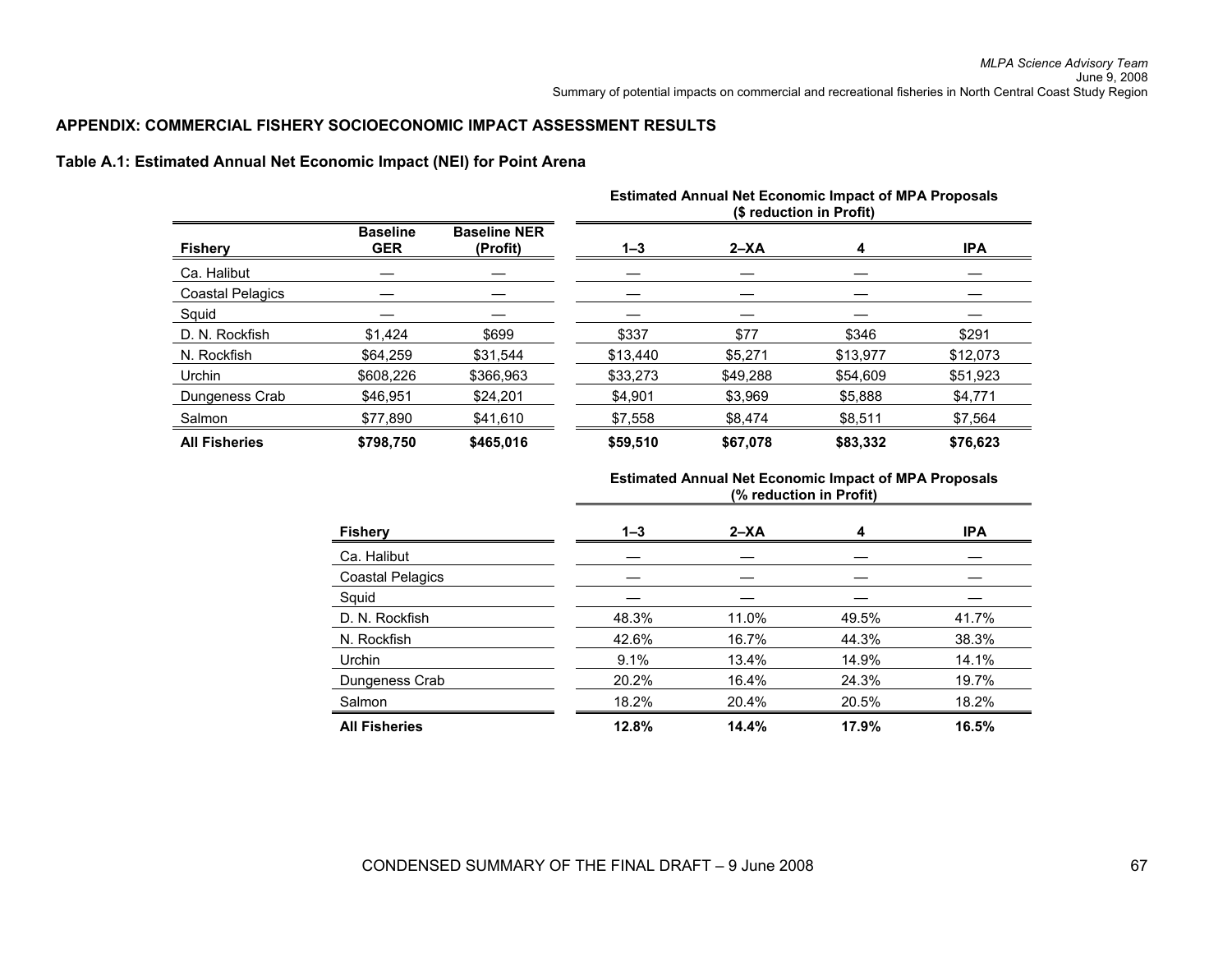#### **APPENDIX: COMMERCIAL FISHERY SOCIOECONOMIC IMPACT ASSESSMENT RESULTS**

#### **Table A.1: Estimated Annual Net Economic Impact (NEI) for Point Arena**

|                         |                               |                                 | <b>Estimated Annual Net Economic Impact of MPA Proposals</b><br>(\$ reduction in Profit) |          |          |            |
|-------------------------|-------------------------------|---------------------------------|------------------------------------------------------------------------------------------|----------|----------|------------|
| <b>Fishery</b>          | <b>Baseline</b><br><b>GER</b> | <b>Baseline NER</b><br>(Profit) | $1 - 3$                                                                                  | $2 - XA$ | 4        | <b>IPA</b> |
| Ca. Halibut             |                               |                                 |                                                                                          |          |          |            |
| <b>Coastal Pelagics</b> |                               |                                 |                                                                                          |          |          |            |
| Squid                   |                               |                                 |                                                                                          |          |          |            |
| D. N. Rockfish          | \$1.424                       | \$699                           | \$337                                                                                    | \$77     | \$346    | \$291      |
| N. Rockfish             | \$64,259                      | \$31.544                        | \$13,440                                                                                 | \$5,271  | \$13,977 | \$12,073   |
| Urchin                  | \$608,226                     | \$366,963                       | \$33,273                                                                                 | \$49,288 | \$54,609 | \$51,923   |
| Dungeness Crab          | \$46.951                      | \$24.201                        | \$4,901                                                                                  | \$3.969  | \$5,888  | \$4,771    |
| Salmon                  | \$77.890                      | \$41,610                        | \$7,558                                                                                  | \$8,474  | \$8,511  | \$7,564    |
| <b>All Fisheries</b>    | \$798.750                     | \$465,016                       | \$59.510                                                                                 | \$67.078 | \$83,332 | \$76.623   |

| <b>Fishery</b>          | $1 - 3$ | $2 - XA$ | 4     | <b>IPA</b> |
|-------------------------|---------|----------|-------|------------|
| Ca. Halibut             |         |          |       |            |
| <b>Coastal Pelagics</b> |         |          |       |            |
| Squid                   |         |          |       |            |
| D. N. Rockfish          | 48.3%   | 11.0%    | 49.5% | 41.7%      |
| N. Rockfish             | 42.6%   | 16.7%    | 44.3% | 38.3%      |
| Urchin                  | 9.1%    | 13.4%    | 14.9% | 14.1%      |
| Dungeness Crab          | 20.2%   | 16.4%    | 24.3% | 19.7%      |
| Salmon                  | 18.2%   | 20.4%    | 20.5% | 18.2%      |
| <b>All Fisheries</b>    | 12.8%   | 14.4%    | 17.9% | 16.5%      |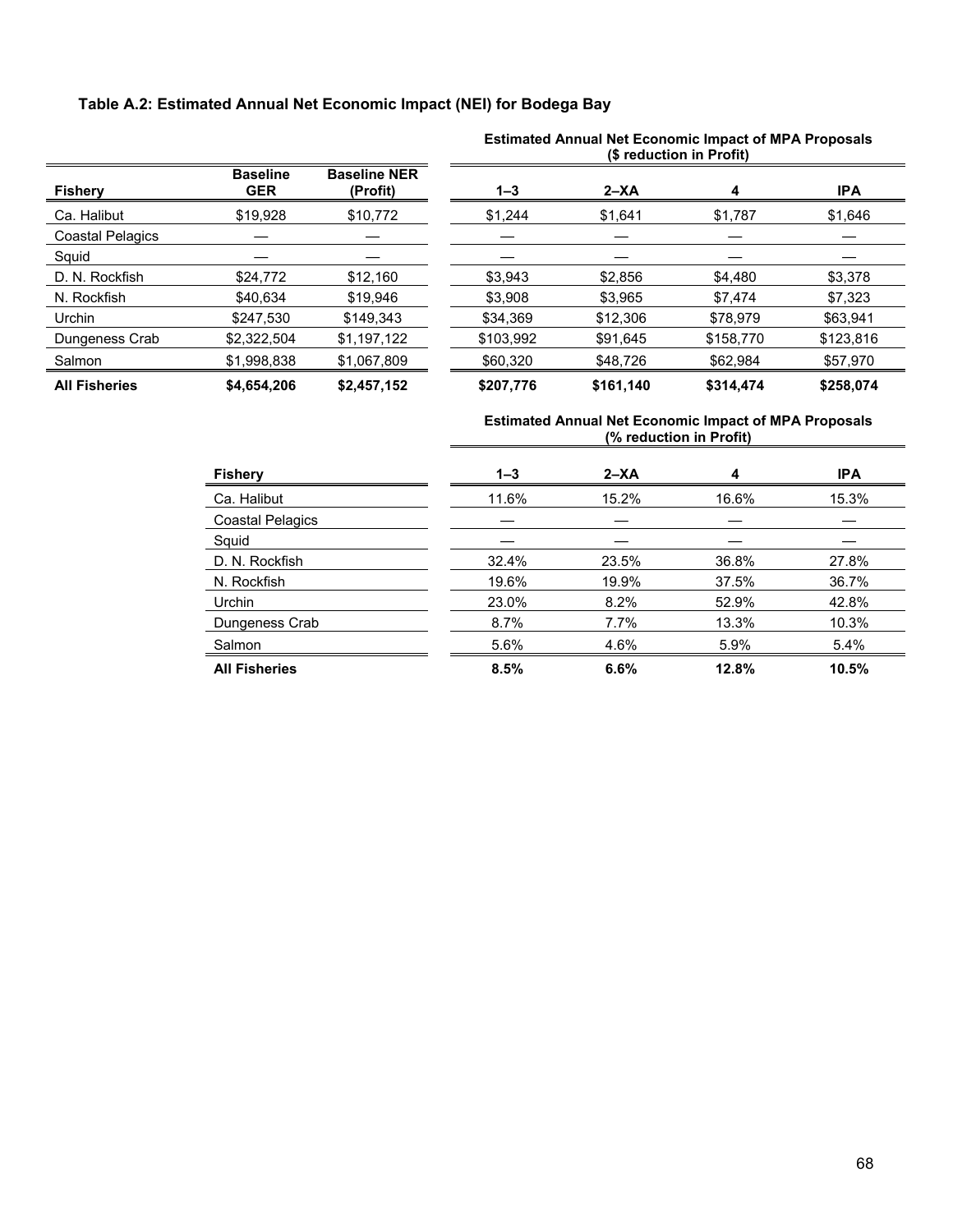## **Table A.2: Estimated Annual Net Economic Impact (NEI) for Bodega Bay**

|                         |                               |                                 | (\$ reduction in Profit) |           |           |            |  |
|-------------------------|-------------------------------|---------------------------------|--------------------------|-----------|-----------|------------|--|
| <b>Fishery</b>          | <b>Baseline</b><br><b>GER</b> | <b>Baseline NER</b><br>(Profit) | $1 - 3$                  | $2 - XA$  | 4         | <b>IPA</b> |  |
| Ca. Halibut             | \$19,928                      | \$10,772                        | \$1,244                  | \$1,641   | \$1,787   | \$1,646    |  |
| <b>Coastal Pelagics</b> |                               |                                 |                          |           |           |            |  |
| Squid                   |                               |                                 |                          |           |           |            |  |
| D. N. Rockfish          | \$24,772                      | \$12.160                        | \$3.943                  | \$2,856   | \$4,480   | \$3.378    |  |
| N. Rockfish             | \$40,634                      | \$19,946                        | \$3,908                  | \$3,965   | \$7,474   | \$7,323    |  |
| Urchin                  | \$247,530                     | \$149,343                       | \$34,369                 | \$12,306  | \$78,979  | \$63,941   |  |
| Dungeness Crab          | \$2,322,504                   | \$1,197,122                     | \$103,992                | \$91,645  | \$158,770 | \$123,816  |  |
| Salmon                  | \$1,998,838                   | \$1,067,809                     | \$60,320                 | \$48,726  | \$62,984  | \$57,970   |  |
| <b>All Fisheries</b>    | \$4,654,206                   | \$2,457,152                     | \$207,776                | \$161,140 | \$314,474 | \$258,074  |  |

# **Estimated Annual Net Economic Impact of MPA Proposals**

| <b>Fishery</b>          | $1 - 3$ | $2 - XA$ | 4     | <b>IPA</b> |
|-------------------------|---------|----------|-------|------------|
| Ca. Halibut             | 11.6%   | 15.2%    | 16.6% | 15.3%      |
| <b>Coastal Pelagics</b> |         |          |       |            |
| Squid                   |         |          |       |            |
| D. N. Rockfish          | 32.4%   | 23.5%    | 36.8% | 27.8%      |
| N. Rockfish             | 19.6%   | 19.9%    | 37.5% | 36.7%      |
| Urchin                  | 23.0%   | 8.2%     | 52.9% | 42.8%      |
| Dungeness Crab          | 8.7%    | 7.7%     | 13.3% | 10.3%      |
| Salmon                  | 5.6%    | 4.6%     | 5.9%  | 5.4%       |
| <b>All Fisheries</b>    | 8.5%    | 6.6%     | 12.8% | 10.5%      |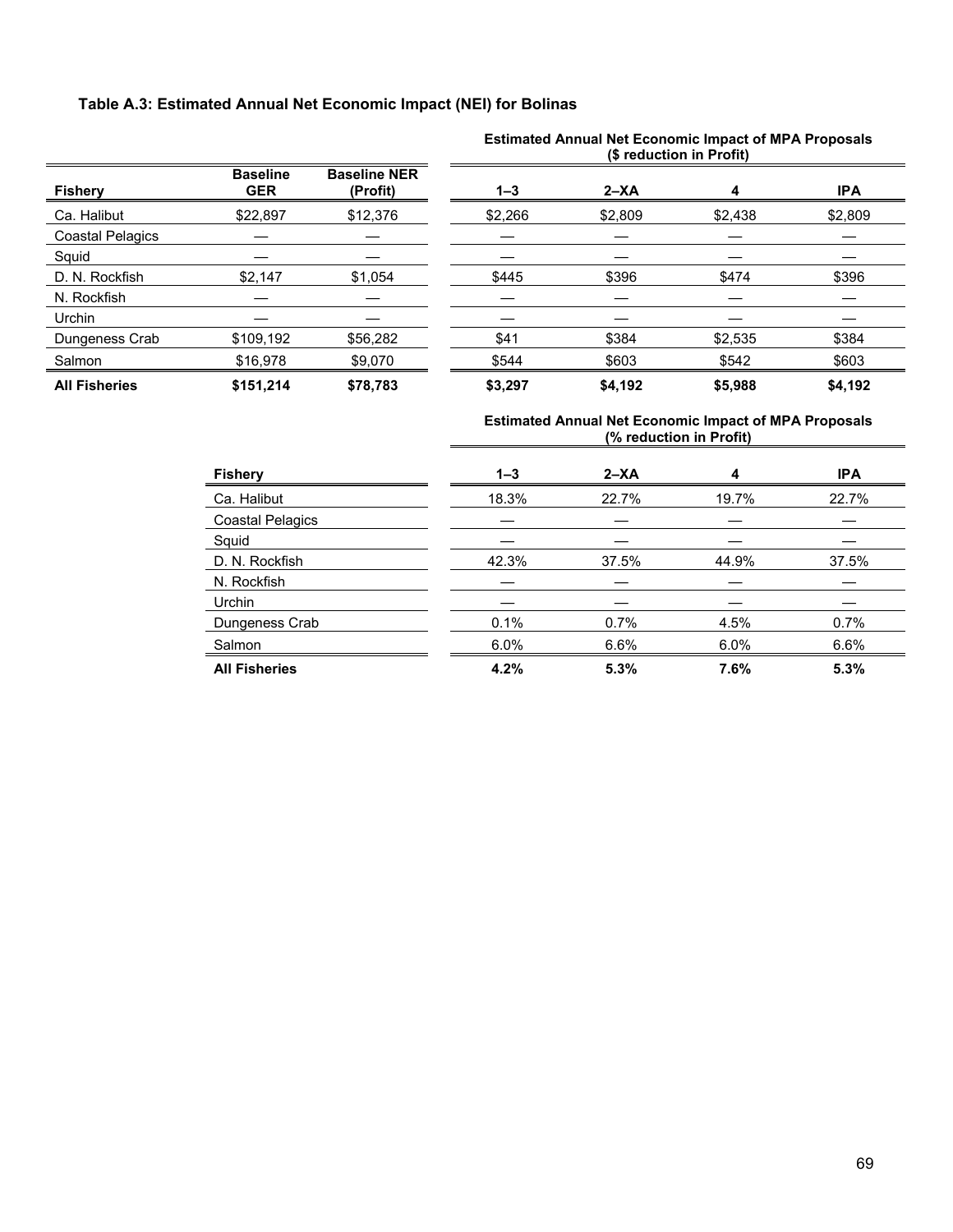## **Table A.3: Estimated Annual Net Economic Impact (NEI) for Bolinas**

|                         |                               |                                 | (\$ reduction in Profit) |          |         |            |  |
|-------------------------|-------------------------------|---------------------------------|--------------------------|----------|---------|------------|--|
| <b>Fishery</b>          | <b>Baseline</b><br><b>GER</b> | <b>Baseline NER</b><br>(Profit) | $1 - 3$                  | $2 - XA$ | 4       | <b>IPA</b> |  |
| Ca. Halibut             | \$22,897                      | \$12,376                        | \$2,266                  | \$2,809  | \$2,438 | \$2,809    |  |
| <b>Coastal Pelagics</b> |                               |                                 |                          |          |         |            |  |
| Squid                   |                               |                                 |                          |          |         |            |  |
| D. N. Rockfish          | \$2,147                       | \$1,054                         | \$445                    | \$396    | \$474   | \$396      |  |
| N. Rockfish             |                               |                                 |                          |          |         |            |  |
| Urchin                  |                               |                                 |                          |          |         |            |  |
| Dungeness Crab          | \$109,192                     | \$56,282                        | \$41                     | \$384    | \$2,535 | \$384      |  |
| Salmon                  | \$16,978                      | \$9,070                         | \$544                    | \$603    | \$542   | \$603      |  |
| <b>All Fisheries</b>    | \$151,214                     | \$78,783                        | \$3,297                  | \$4,192  | \$5,988 | \$4,192    |  |

# **Estimated Annual Net Economic Impact of MPA Proposals**

| <b>Fishery</b>          | $1 - 3$ | $2 - XA$ | 4     | <b>IPA</b> |
|-------------------------|---------|----------|-------|------------|
| Ca. Halibut             | 18.3%   | 22.7%    | 19.7% | 22.7%      |
| <b>Coastal Pelagics</b> |         |          |       |            |
| Squid                   |         |          |       |            |
| D. N. Rockfish          | 42.3%   | 37.5%    | 44.9% | 37.5%      |
| N. Rockfish             |         |          |       |            |
| <b>Urchin</b>           |         |          |       |            |
| Dungeness Crab          | 0.1%    | 0.7%     | 4.5%  | 0.7%       |
| Salmon                  | 6.0%    | 6.6%     | 6.0%  | 6.6%       |
| <b>All Fisheries</b>    | 4.2%    | 5.3%     | 7.6%  | 5.3%       |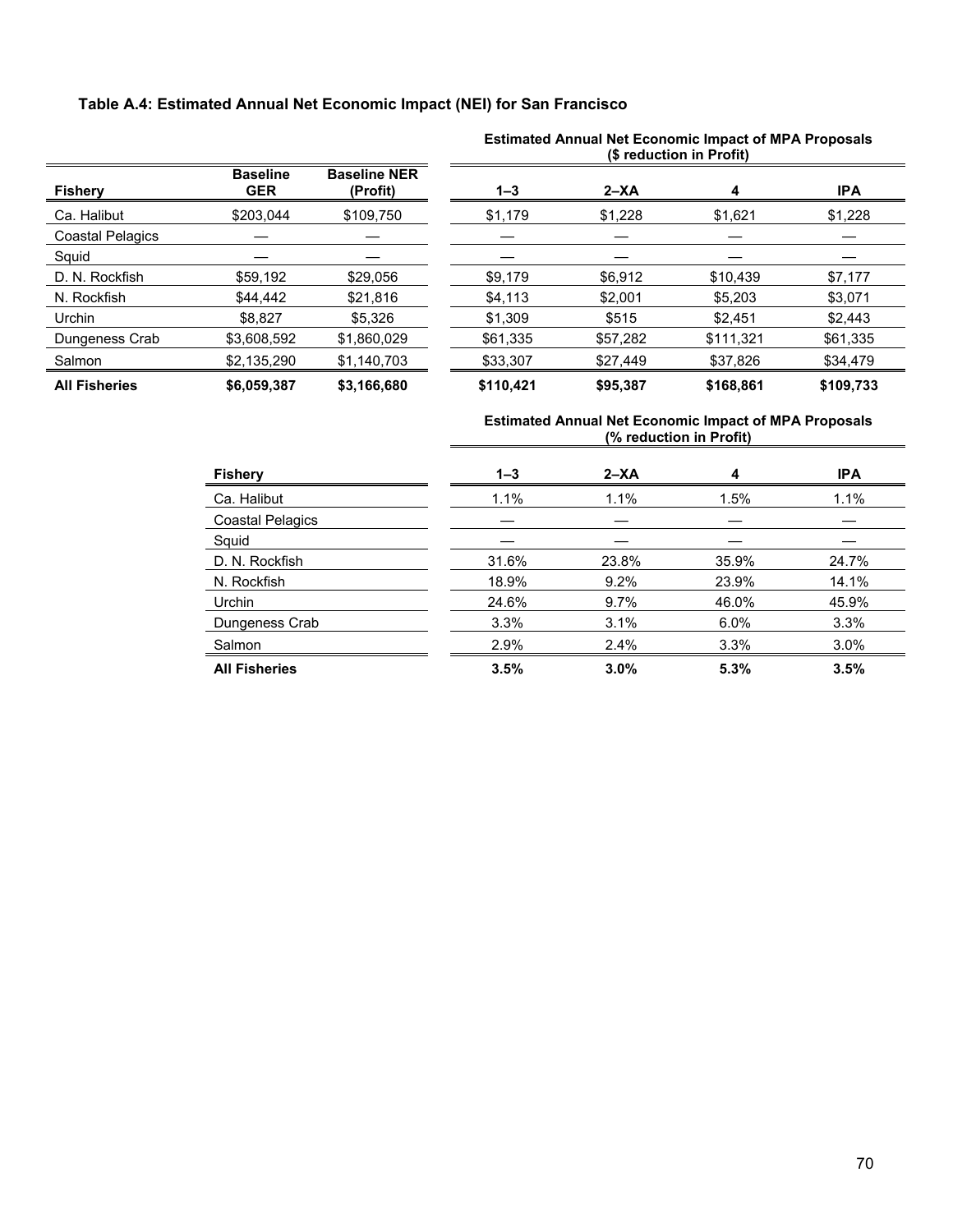## **Table A.4: Estimated Annual Net Economic Impact (NEI) for San Francisco**

|                         |                               |                                 | (\$ reduction in Profit) |          |           |            |  |
|-------------------------|-------------------------------|---------------------------------|--------------------------|----------|-----------|------------|--|
| <b>Fishery</b>          | <b>Baseline</b><br><b>GER</b> | <b>Baseline NER</b><br>(Profit) | $1 - 3$                  | $2 - XA$ | 4         | <b>IPA</b> |  |
| Ca. Halibut             | \$203.044                     | \$109,750                       | \$1,179                  | \$1,228  | \$1,621   | \$1,228    |  |
| <b>Coastal Pelagics</b> |                               |                                 |                          |          |           |            |  |
| Squid                   |                               |                                 |                          |          |           |            |  |
| D. N. Rockfish          | \$59.192                      | \$29.056                        | \$9.179                  | \$6,912  | \$10.439  | \$7,177    |  |
| N. Rockfish             | \$44,442                      | \$21.816                        | \$4,113                  | \$2,001  | \$5,203   | \$3,071    |  |
| Urchin                  | \$8.827                       | \$5,326                         | \$1,309                  | \$515    | \$2,451   | \$2,443    |  |
| Dungeness Crab          | \$3,608,592                   | \$1,860,029                     | \$61.335                 | \$57,282 | \$111.321 | \$61,335   |  |
| Salmon                  | \$2,135,290                   | \$1,140,703                     | \$33,307                 | \$27,449 | \$37,826  | \$34,479   |  |
| <b>All Fisheries</b>    | \$6,059,387                   | \$3,166,680                     | \$110,421                | \$95,387 | \$168,861 | \$109,733  |  |

# **Estimated Annual Net Economic Impact of MPA Proposals**

| <b>Fishery</b>          | $1 - 3$ | $2 - XA$ | 4       | <b>IPA</b> |
|-------------------------|---------|----------|---------|------------|
| Ca. Halibut             | 1.1%    | 1.1%     | 1.5%    | 1.1%       |
| <b>Coastal Pelagics</b> |         |          |         |            |
| Squid                   |         |          |         |            |
| D. N. Rockfish          | 31.6%   | 23.8%    | 35.9%   | 24.7%      |
| N. Rockfish             | 18.9%   | 9.2%     | 23.9%   | 14.1%      |
| <b>Urchin</b>           | 24.6%   | $9.7\%$  | 46.0%   | 45.9%      |
| Dungeness Crab          | 3.3%    | 3.1%     | $6.0\%$ | 3.3%       |
| Salmon                  | 2.9%    | 2.4%     | 3.3%    | 3.0%       |
| <b>All Fisheries</b>    | 3.5%    | 3.0%     | 5.3%    | 3.5%       |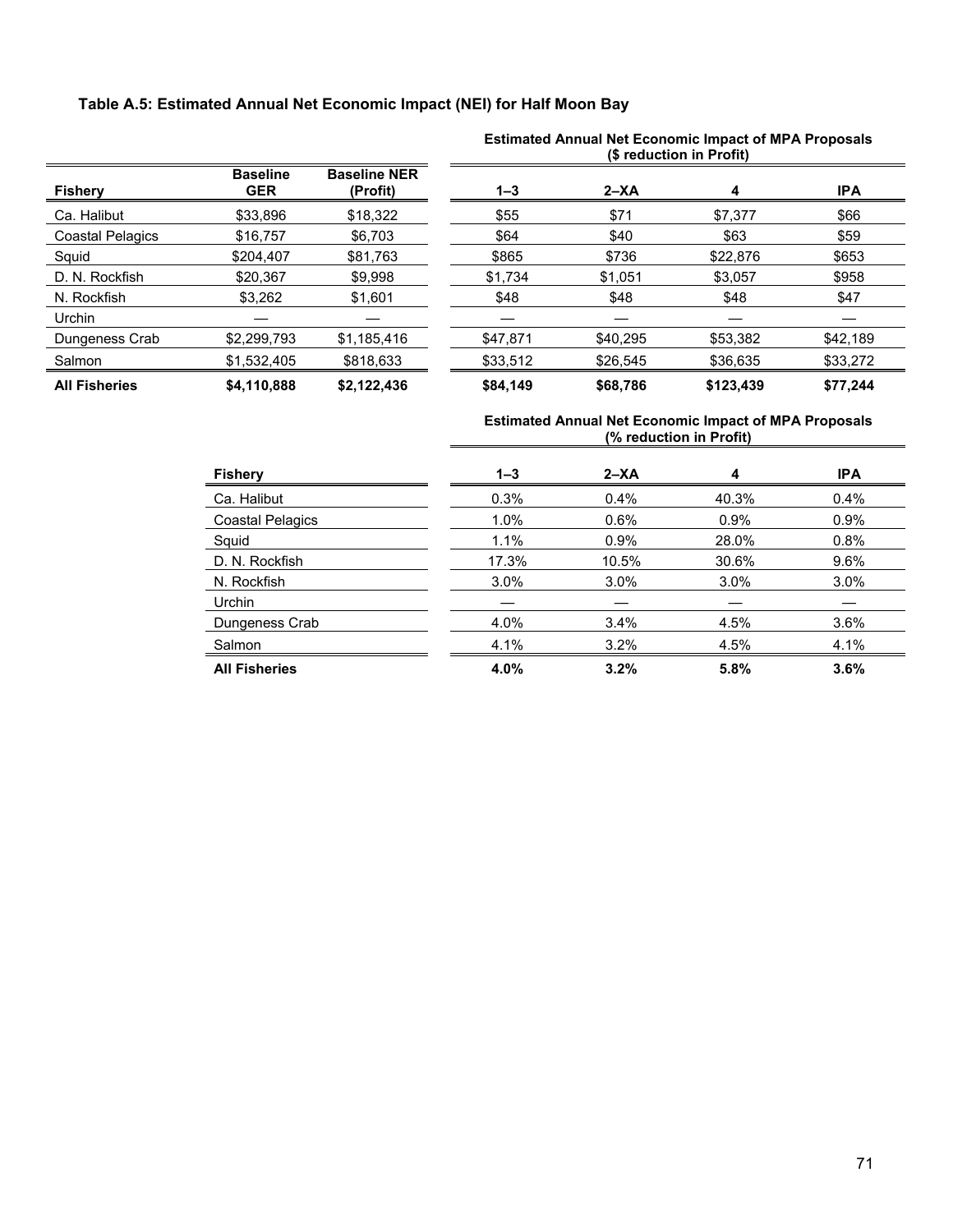## **Table A.5: Estimated Annual Net Economic Impact (NEI) for Half Moon Bay**

|                         |                               |                                 | (\$ reduction in Profit) |          |           |            |  |
|-------------------------|-------------------------------|---------------------------------|--------------------------|----------|-----------|------------|--|
| <b>Fishery</b>          | <b>Baseline</b><br><b>GER</b> | <b>Baseline NER</b><br>(Profit) | $1 - 3$                  | $2 - XA$ | 4         | <b>IPA</b> |  |
| Ca. Halibut             | \$33.896                      | \$18.322                        | \$55                     | \$71     | \$7,377   | \$66       |  |
| <b>Coastal Pelagics</b> | \$16,757                      | \$6,703                         | \$64                     | \$40     | \$63      | \$59       |  |
| Squid                   | \$204,407                     | \$81,763                        | \$865                    | \$736    | \$22,876  | \$653      |  |
| D. N. Rockfish          | \$20,367                      | \$9,998                         | \$1,734                  | \$1,051  | \$3,057   | \$958      |  |
| N. Rockfish             | \$3,262                       | \$1,601                         | \$48                     | \$48     | \$48      | \$47       |  |
| Urchin                  |                               |                                 |                          |          |           |            |  |
| Dungeness Crab          | \$2,299,793                   | \$1,185,416                     | \$47,871                 | \$40.295 | \$53,382  | \$42.189   |  |
| Salmon                  | \$1,532,405                   | \$818,633                       | \$33,512                 | \$26.545 | \$36,635  | \$33,272   |  |
| <b>All Fisheries</b>    | \$4,110,888                   | \$2,122,436                     | \$84.149                 | \$68,786 | \$123,439 | \$77,244   |  |

# **Estimated Annual Net Economic Impact of MPA Proposals**

| <b>Fishery</b>          | $1 - 3$ | $2 - XA$ | 4       | <b>IPA</b> |
|-------------------------|---------|----------|---------|------------|
| Ca. Halibut             | 0.3%    | 0.4%     | 40.3%   | $0.4\%$    |
| <b>Coastal Pelagics</b> | 1.0%    | 0.6%     | $0.9\%$ | $0.9\%$    |
| Squid                   | 1.1%    | 0.9%     | 28.0%   | 0.8%       |
| D. N. Rockfish          | 17.3%   | 10.5%    | 30.6%   | $9.6\%$    |
| N. Rockfish             | $3.0\%$ | $3.0\%$  | $3.0\%$ | $3.0\%$    |
| <b>Urchin</b>           |         |          |         |            |
| Dungeness Crab          | 4.0%    | 3.4%     | 4.5%    | 3.6%       |
| Salmon                  | 4.1%    | 3.2%     | 4.5%    | 4.1%       |
| <b>All Fisheries</b>    | 4.0%    | 3.2%     | 5.8%    | 3.6%       |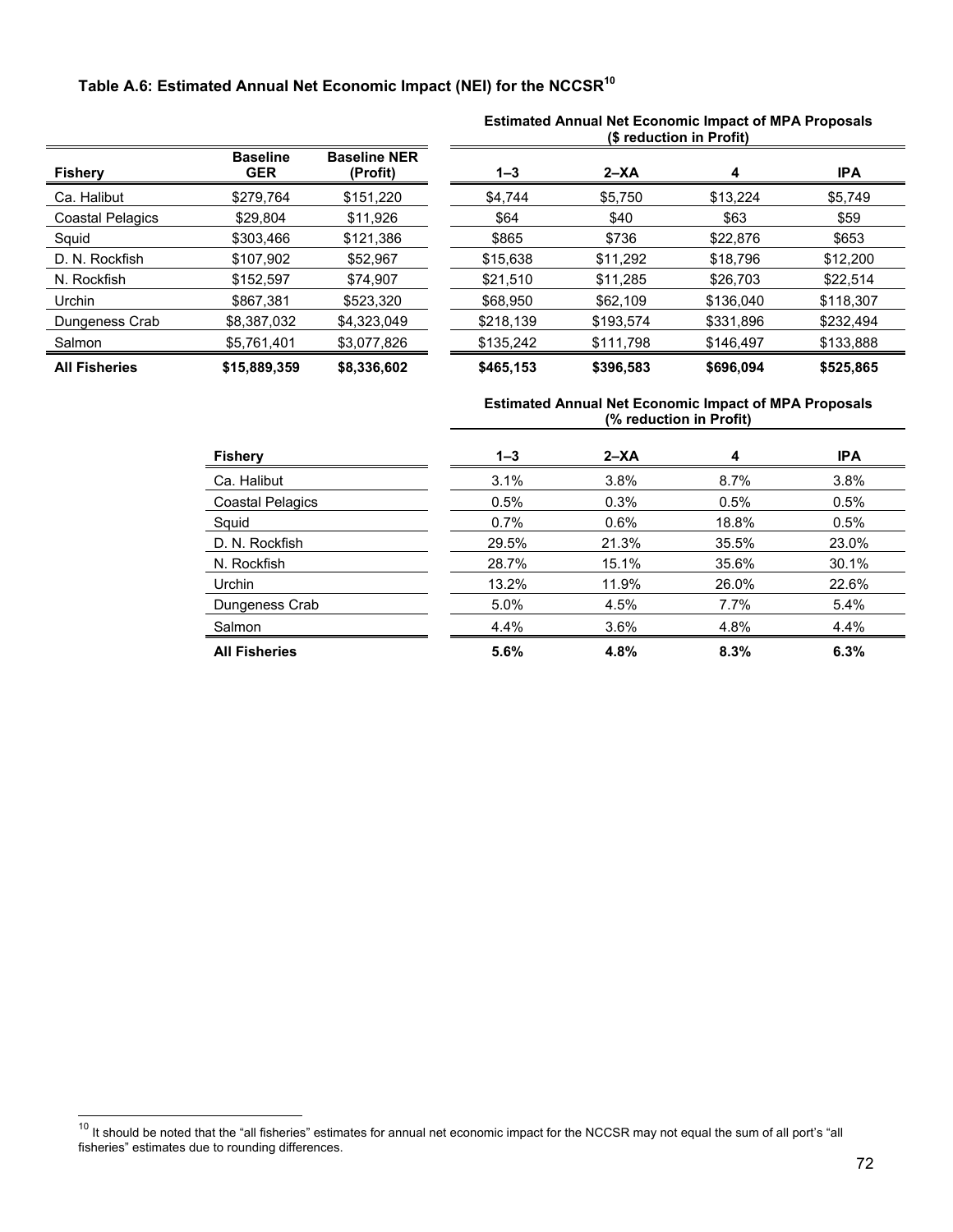# **Table A.6: Estimated Annual Net Economic Impact (NEI) for the NCCSR10**

| <b>Fishery</b>          | <b>Baseline</b><br>GER | <b>Baseline NER</b><br>(Profit) |
|-------------------------|------------------------|---------------------------------|
| Ca. Halibut             | \$279,764              | \$151,220                       |
| <b>Coastal Pelagics</b> | \$29,804               | \$11,926                        |
| Squid                   | \$303,466              | \$121,386                       |
| D. N. Rockfish          | \$107,902              | \$52,967                        |
| N. Rockfish             | \$152,597              | \$74,907                        |
| Urchin                  | \$867,381              | \$523,320                       |
| Dungeness Crab          | \$8,387,032            | \$4,323,049                     |
| Salmon                  | \$5,761,401            | \$3,077,826                     |
| <b>All Fisheries</b>    | \$15,889,359           | \$8,336,602                     |

 $\overline{a}$ 

#### **Estimated Annual Net Economic Impact of MPA Proposals (\$ reduction in Profit)**

| <b>Fishery</b>       | <b>Baseline</b><br><b>GER</b> | <b>Baseline NER</b><br>(Profit) | $1 - 3$   | $2 - XA$  | 4         | <b>IPA</b> |
|----------------------|-------------------------------|---------------------------------|-----------|-----------|-----------|------------|
| Ca. Halibut          | \$279,764                     | \$151,220                       | \$4,744   | \$5,750   | \$13,224  | \$5,749    |
| Coastal Pelagics     | \$29,804                      | \$11,926                        | \$64      | \$40      | \$63      | \$59       |
| Squid                | \$303,466                     | \$121,386                       | \$865     | \$736     | \$22,876  | \$653      |
| D. N. Rockfish       | \$107,902                     | \$52,967                        | \$15,638  | \$11,292  | \$18,796  | \$12,200   |
| N. Rockfish          | \$152,597                     | \$74,907                        | \$21,510  | \$11,285  | \$26,703  | \$22,514   |
| Urchin               | \$867,381                     | \$523,320                       | \$68,950  | \$62,109  | \$136,040 | \$118,307  |
| Dungeness Crab       | \$8,387,032                   | \$4,323,049                     | \$218,139 | \$193,574 | \$331,896 | \$232,494  |
| Salmon               | \$5,761,401                   | \$3,077,826                     | \$135,242 | \$111,798 | \$146,497 | \$133,888  |
| <b>All Fisheries</b> | \$15,889,359                  | \$8,336,602                     | \$465,153 | \$396,583 | \$696,094 | \$525,865  |

#### **Estimated Annual Net Economic Impact of MPA Proposals (% reduction in Profit)**

| <b>Fishery</b>          | $1 - 3$ | $2 - XA$ | 4       | <b>IPA</b> |
|-------------------------|---------|----------|---------|------------|
| Ca. Halibut             | 3.1%    | 3.8%     | $8.7\%$ | 3.8%       |
| <b>Coastal Pelagics</b> | 0.5%    | 0.3%     | 0.5%    | 0.5%       |
| Squid                   | 0.7%    | $0.6\%$  | 18.8%   | 0.5%       |
| D. N. Rockfish          | 29.5%   | 21.3%    | 35.5%   | 23.0%      |
| N. Rockfish             | 28.7%   | 15.1%    | 35.6%   | 30.1%      |
| <b>Urchin</b>           | 13.2%   | 11.9%    | 26.0%   | 22.6%      |
| Dungeness Crab          | 5.0%    | 4.5%     | 7.7%    | 5.4%       |
| Salmon                  | 4.4%    | $3.6\%$  | 4.8%    | 4.4%       |
| <b>All Fisheries</b>    | 5.6%    | 4.8%     | 8.3%    | 6.3%       |

<sup>&</sup>lt;sup>10</sup> It should be noted that the "all fisheries" estimates for annual net economic impact for the NCCSR may not equal the sum of all port's "all fisheries" estimates due to rounding differences.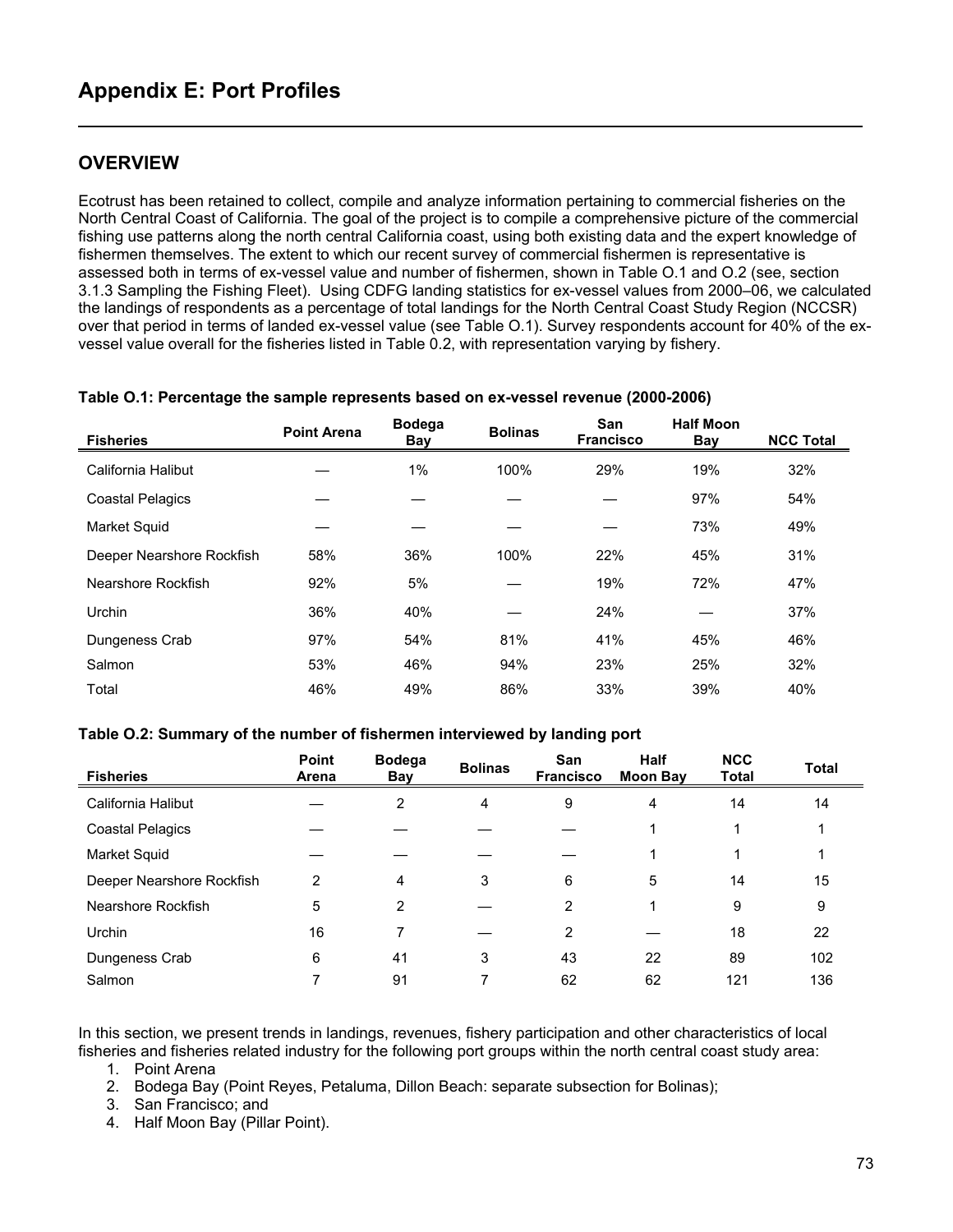## **OVERVIEW**

Ecotrust has been retained to collect, compile and analyze information pertaining to commercial fisheries on the North Central Coast of California. The goal of the project is to compile a comprehensive picture of the commercial fishing use patterns along the north central California coast, using both existing data and the expert knowledge of fishermen themselves. The extent to which our recent survey of commercial fishermen is representative is assessed both in terms of ex-vessel value and number of fishermen, shown in Table O.1 and O.2 (see, section 3.1.3 Sampling the Fishing Fleet). Using CDFG landing statistics for ex-vessel values from 2000–06, we calculated the landings of respondents as a percentage of total landings for the North Central Coast Study Region (NCCSR) over that period in terms of landed ex-vessel value (see Table O.1). Survey respondents account for 40% of the exvessel value overall for the fisheries listed in Table 0.2, with representation varying by fishery.

| <b>Fisheries</b>          | <b>Point Arena</b> | <b>Bodega</b><br>Bay | <b>Bolinas</b> | San<br><b>Francisco</b> | <b>Half Moon</b><br><b>Bay</b> | <b>NCC Total</b> |
|---------------------------|--------------------|----------------------|----------------|-------------------------|--------------------------------|------------------|
| California Halibut        |                    | $1\%$                | 100%           | 29%                     | 19%                            | 32%              |
| <b>Coastal Pelagics</b>   |                    |                      |                |                         | 97%                            | 54%              |
| <b>Market Squid</b>       |                    |                      |                |                         | 73%                            | 49%              |
| Deeper Nearshore Rockfish | 58%                | 36%                  | 100%           | 22%                     | 45%                            | 31%              |
| Nearshore Rockfish        | 92%                | 5%                   |                | 19%                     | 72%                            | 47%              |
| Urchin                    | 36%                | 40%                  |                | 24%                     |                                | 37%              |
| Dungeness Crab            | 97%                | 54%                  | 81%            | 41%                     | 45%                            | 46%              |
| Salmon                    | 53%                | 46%                  | 94%            | 23%                     | 25%                            | 32%              |
| Total                     | 46%                | 49%                  | 86%            | 33%                     | 39%                            | 40%              |

#### **Table O.1: Percentage the sample represents based on ex-vessel revenue (2000-2006)**

#### **Table O.2: Summary of the number of fishermen interviewed by landing port**

| <b>Fisheries</b>          | Point<br>Arena | <b>Bodega</b><br>Bay | <b>Bolinas</b> | San<br><b>Francisco</b> | <b>Half</b><br><b>Moon Bay</b> | <b>NCC</b><br><b>Total</b> | <b>Total</b> |
|---------------------------|----------------|----------------------|----------------|-------------------------|--------------------------------|----------------------------|--------------|
| California Halibut        |                | 2                    | 4              | 9                       | 4                              | 14                         | 14           |
| Coastal Pelagics          |                |                      |                |                         |                                |                            |              |
| Market Squid              |                |                      |                |                         |                                |                            |              |
| Deeper Nearshore Rockfish | 2              | 4                    | 3              | 6                       | 5                              | 14                         | 15           |
| Nearshore Rockfish        | 5              | $\overline{2}$       |                | 2                       |                                | 9                          | 9            |
| Urchin                    | 16             | 7                    |                | $\overline{2}$          |                                | 18                         | 22           |
| Dungeness Crab            | 6              | 41                   | 3              | 43                      | 22                             | 89                         | 102          |
| Salmon                    |                | 91                   | ⇁              | 62                      | 62                             | 121                        | 136          |

In this section, we present trends in landings, revenues, fishery participation and other characteristics of local fisheries and fisheries related industry for the following port groups within the north central coast study area:

1. Point Arena

2. Bodega Bay (Point Reyes, Petaluma, Dillon Beach: separate subsection for Bolinas);

3. San Francisco; and

4. Half Moon Bay (Pillar Point).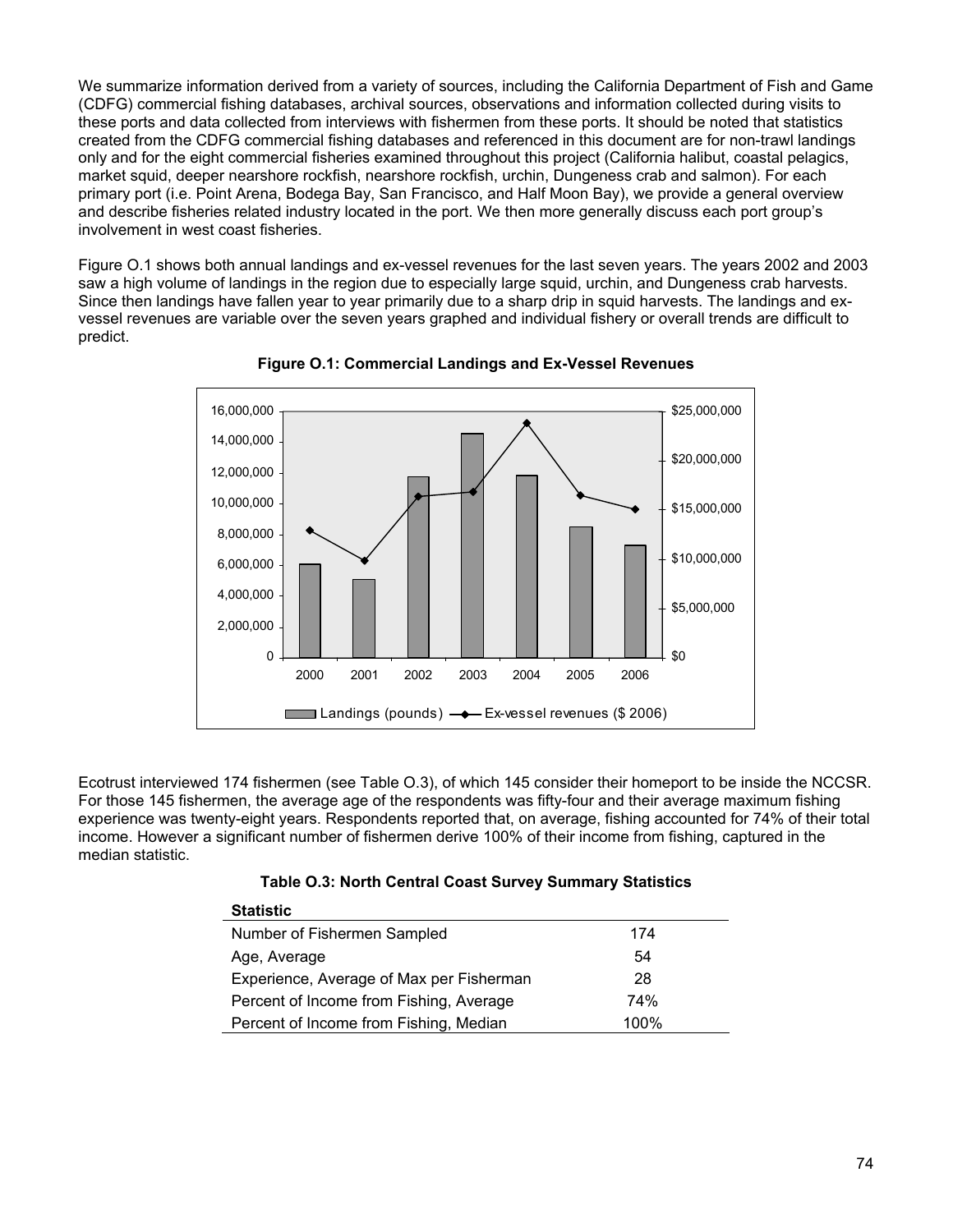We summarize information derived from a variety of sources, including the California Department of Fish and Game (CDFG) commercial fishing databases, archival sources, observations and information collected during visits to these ports and data collected from interviews with fishermen from these ports. It should be noted that statistics created from the CDFG commercial fishing databases and referenced in this document are for non-trawl landings only and for the eight commercial fisheries examined throughout this project (California halibut, coastal pelagics, market squid, deeper nearshore rockfish, nearshore rockfish, urchin, Dungeness crab and salmon). For each primary port (i.e. Point Arena, Bodega Bay, San Francisco, and Half Moon Bay), we provide a general overview and describe fisheries related industry located in the port. We then more generally discuss each port group's involvement in west coast fisheries.

Figure O.1 shows both annual landings and ex-vessel revenues for the last seven years. The years 2002 and 2003 saw a high volume of landings in the region due to especially large squid, urchin, and Dungeness crab harvests. Since then landings have fallen year to year primarily due to a sharp drip in squid harvests. The landings and exvessel revenues are variable over the seven years graphed and individual fishery or overall trends are difficult to predict.





Ecotrust interviewed 174 fishermen (see Table O.3), of which 145 consider their homeport to be inside the NCCSR. For those 145 fishermen, the average age of the respondents was fifty-four and their average maximum fishing experience was twenty-eight years. Respondents reported that, on average, fishing accounted for 74% of their total income. However a significant number of fishermen derive 100% of their income from fishing, captured in the median statistic.

|  |  |  | Table O.3: North Central Coast Survey Summary Statistics |
|--|--|--|----------------------------------------------------------|
|  |  |  |                                                          |

| <b>Statistic</b>                         |      |
|------------------------------------------|------|
| Number of Fishermen Sampled              | 174  |
| Age, Average                             | 54   |
| Experience, Average of Max per Fisherman | 28   |
| Percent of Income from Fishing, Average  | 74%  |
| Percent of Income from Fishing, Median   | 100% |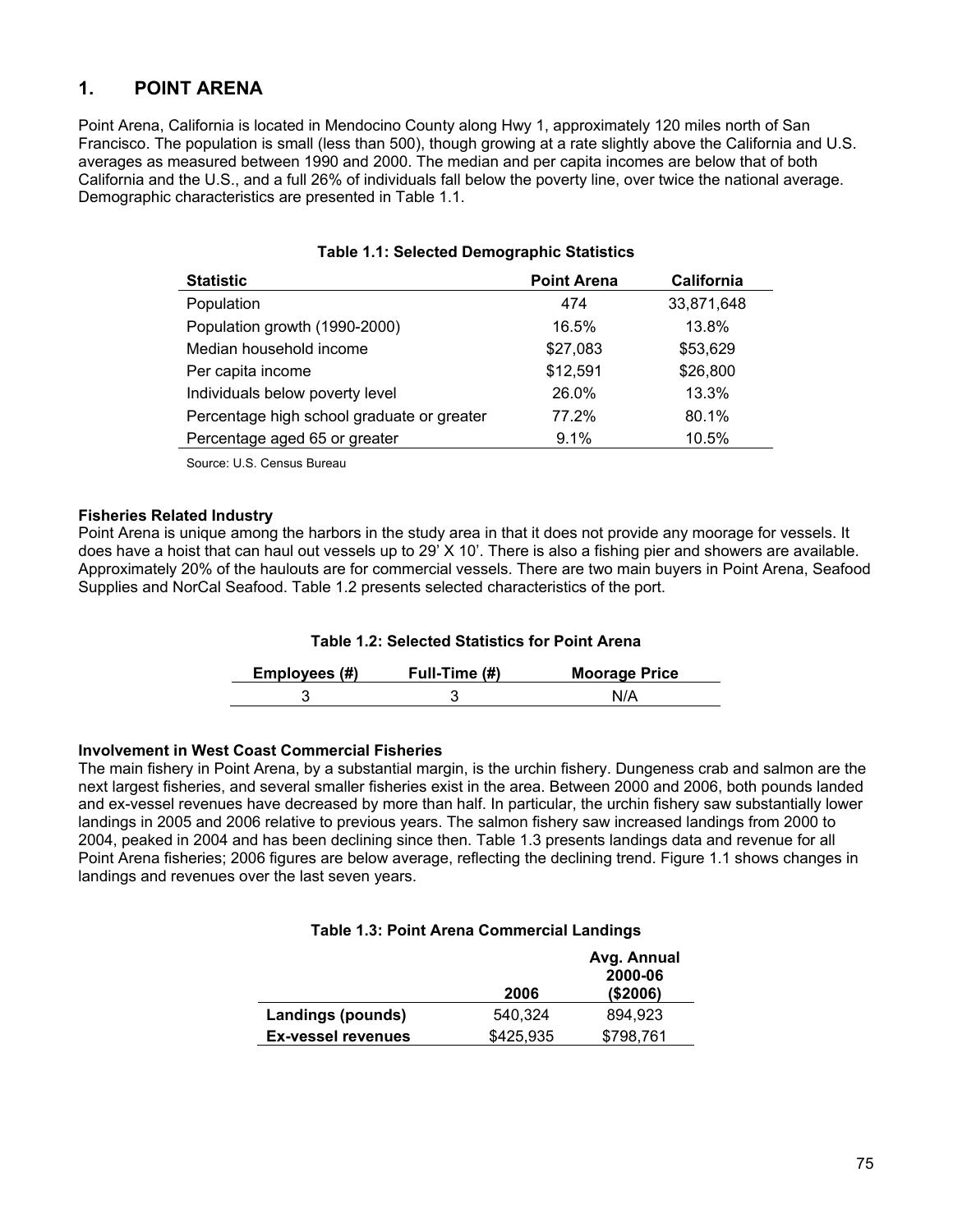## **1. POINT ARENA**

Point Arena, California is located in Mendocino County along Hwy 1, approximately 120 miles north of San Francisco. The population is small (less than 500), though growing at a rate slightly above the California and U.S. averages as measured between 1990 and 2000. The median and per capita incomes are below that of both California and the U.S., and a full 26% of individuals fall below the poverty line, over twice the national average. Demographic characteristics are presented in Table 1.1.

| <b>Statistic</b>                           | <b>Point Arena</b> | California |
|--------------------------------------------|--------------------|------------|
| Population                                 | 474                | 33,871,648 |
| Population growth (1990-2000)              | 16.5%              | 13.8%      |
| Median household income                    | \$27,083           | \$53,629   |
| Per capita income                          | \$12,591           | \$26,800   |
| Individuals below poverty level            | 26.0%              | 13.3%      |
| Percentage high school graduate or greater | 77.2%              | 80.1%      |
| Percentage aged 65 or greater              | 9.1%               | 10.5%      |

### **Table 1.1: Selected Demographic Statistics**

Source: U.S. Census Bureau

#### **Fisheries Related Industry**

Point Arena is unique among the harbors in the study area in that it does not provide any moorage for vessels. It does have a hoist that can haul out vessels up to 29' X 10'. There is also a fishing pier and showers are available. Approximately 20% of the haulouts are for commercial vessels. There are two main buyers in Point Arena, Seafood Supplies and NorCal Seafood. Table 1.2 presents selected characteristics of the port.

### **Table 1.2: Selected Statistics for Point Arena**

| Employees (#) | Full-Time (#) | <b>Moorage Price</b> |
|---------------|---------------|----------------------|
|               |               |                      |

#### **Involvement in West Coast Commercial Fisheries**

The main fishery in Point Arena, by a substantial margin, is the urchin fishery. Dungeness crab and salmon are the next largest fisheries, and several smaller fisheries exist in the area. Between 2000 and 2006, both pounds landed and ex-vessel revenues have decreased by more than half. In particular, the urchin fishery saw substantially lower landings in 2005 and 2006 relative to previous years. The salmon fishery saw increased landings from 2000 to 2004, peaked in 2004 and has been declining since then. Table 1.3 presents landings data and revenue for all Point Arena fisheries; 2006 figures are below average, reflecting the declining trend. Figure 1.1 shows changes in landings and revenues over the last seven years.

#### **Table 1.3: Point Arena Commercial Landings**

|                           |           | Avg. Annual<br>2000-06 |
|---------------------------|-----------|------------------------|
|                           | 2006      | ( \$2006)              |
| Landings (pounds)         | 540.324   | 894.923                |
| <b>Ex-vessel revenues</b> | \$425,935 | \$798,761              |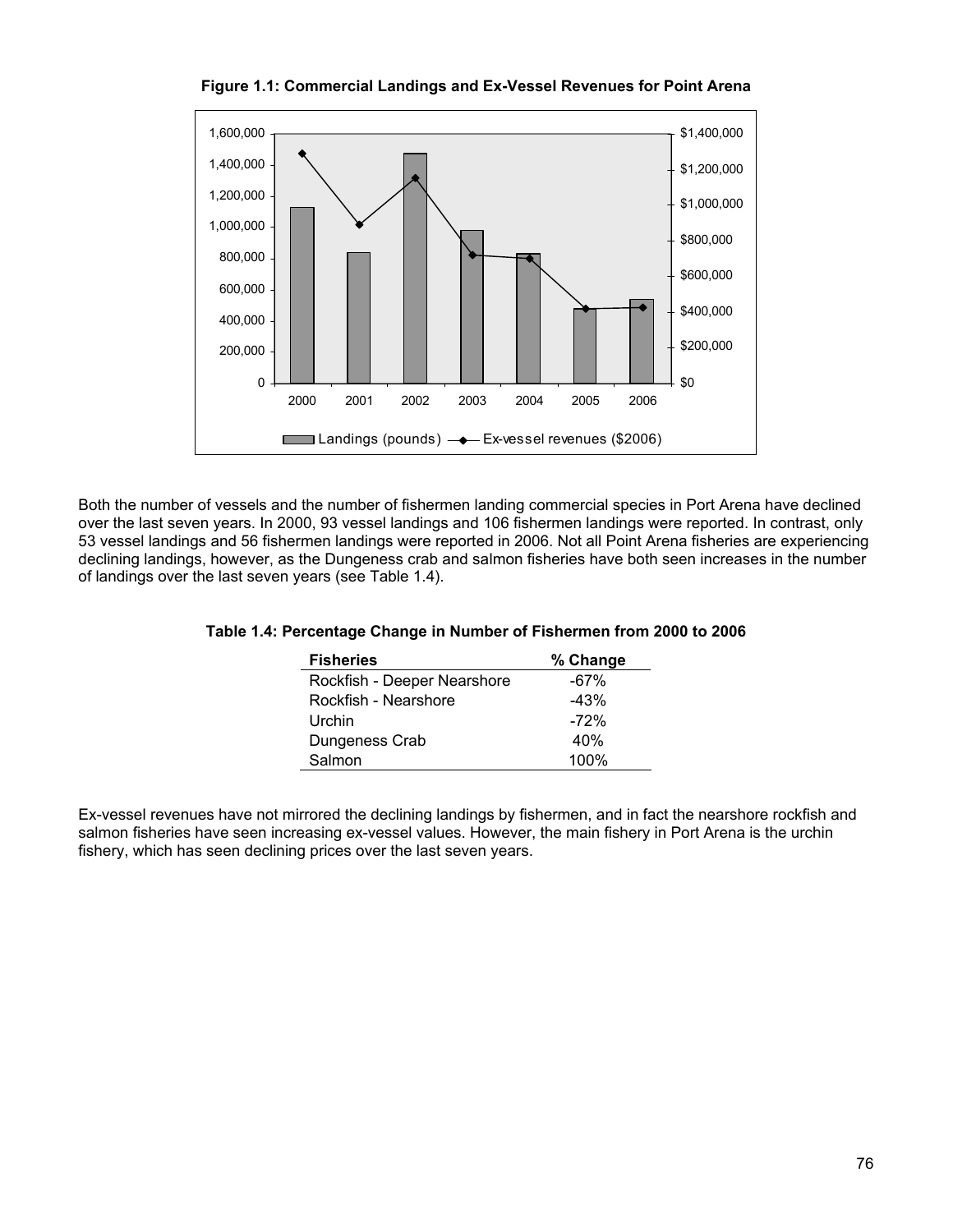

**Figure 1.1: Commercial Landings and Ex-Vessel Revenues for Point Arena** 

Both the number of vessels and the number of fishermen landing commercial species in Port Arena have declined over the last seven years. In 2000, 93 vessel landings and 106 fishermen landings were reported. In contrast, only 53 vessel landings and 56 fishermen landings were reported in 2006. Not all Point Arena fisheries are experiencing declining landings, however, as the Dungeness crab and salmon fisheries have both seen increases in the number of landings over the last seven years (see Table 1.4).

| <b>Fisheries</b>            | % Change |
|-----------------------------|----------|
| Rockfish - Deeper Nearshore | $-67%$   |
| Rockfish - Nearshore        | $-43%$   |
| Urchin                      | $-72%$   |
| Dungeness Crab              | 40%      |
| Salmon                      | 100%     |

### **Table 1.4: Percentage Change in Number of Fishermen from 2000 to 2006**

Ex-vessel revenues have not mirrored the declining landings by fishermen, and in fact the nearshore rockfish and salmon fisheries have seen increasing ex-vessel values. However, the main fishery in Port Arena is the urchin fishery, which has seen declining prices over the last seven years.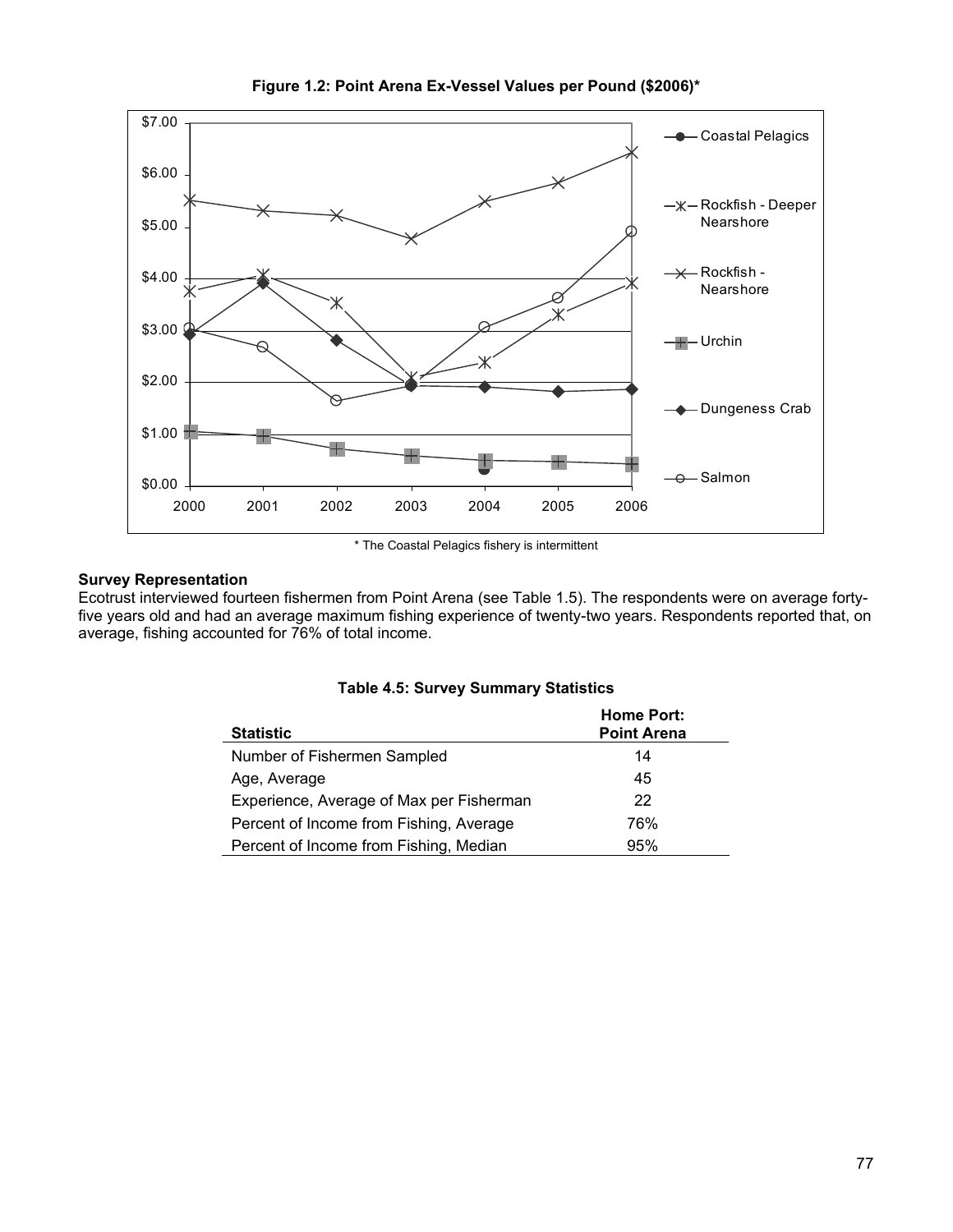

**Figure 1.2: Point Arena Ex-Vessel Values per Pound (\$2006)\*** 

\* The Coastal Pelagics fishery is intermittent

### **Survey Representation**

Ecotrust interviewed fourteen fishermen from Point Arena (see Table 1.5). The respondents were on average fortyfive years old and had an average maximum fishing experience of twenty-two years. Respondents reported that, on average, fishing accounted for 76% of total income.

|  | <b>Table 4.5: Survey Summary Statistics</b> |
|--|---------------------------------------------|
|--|---------------------------------------------|

| <b>Statistic</b>                         | <b>Home Port:</b><br><b>Point Arena</b> |
|------------------------------------------|-----------------------------------------|
| Number of Fishermen Sampled              | 14                                      |
| Age, Average                             | 45                                      |
| Experience, Average of Max per Fisherman | 22                                      |
| Percent of Income from Fishing, Average  | 76%                                     |
| Percent of Income from Fishing, Median   | 95%                                     |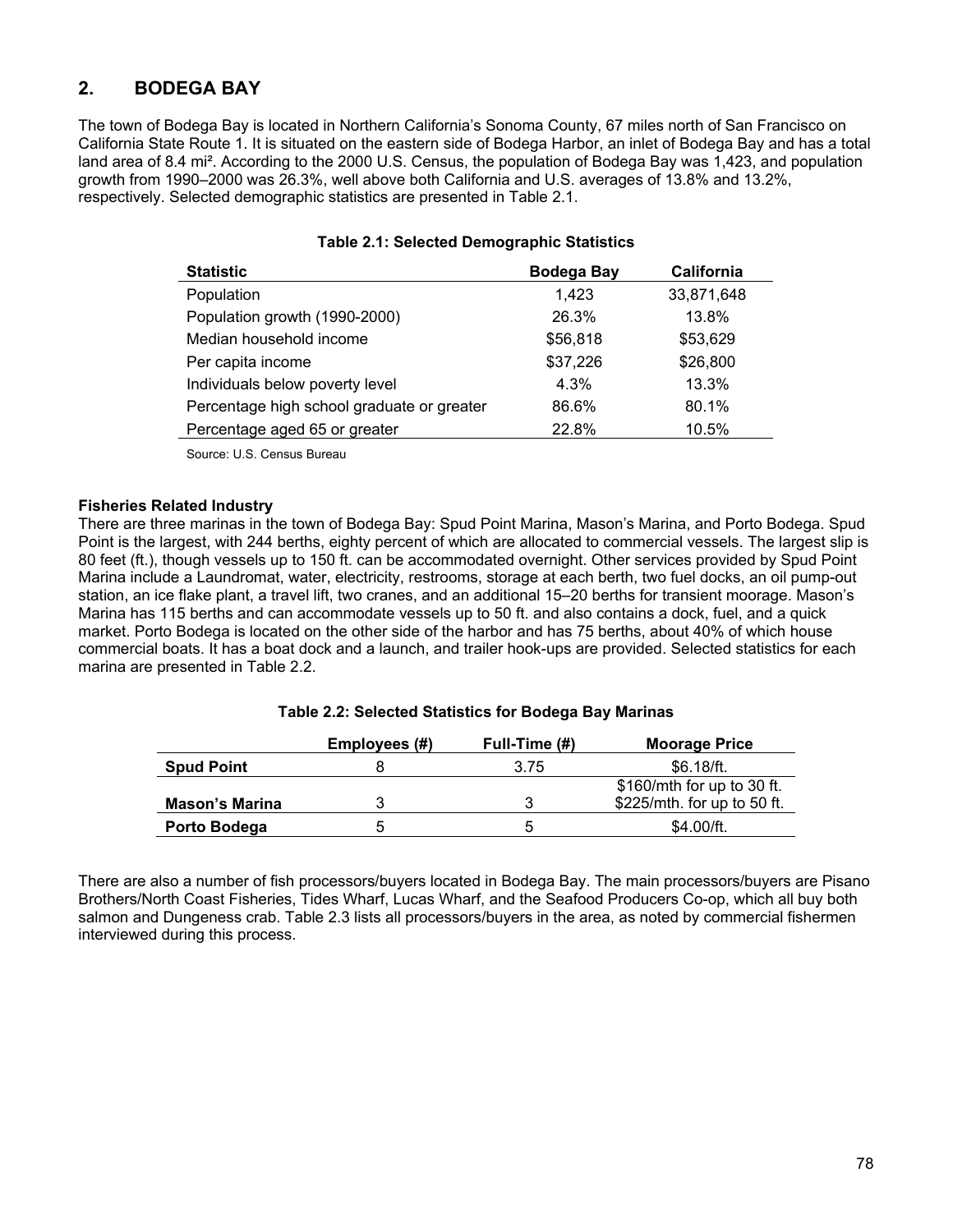## **2. BODEGA BAY**

The town of Bodega Bay is located in Northern California's Sonoma County, 67 miles north of San Francisco on California State Route 1. It is situated on the eastern side of Bodega Harbor, an inlet of Bodega Bay and has a total land area of 8.4 mi². According to the 2000 U.S. Census, the population of Bodega Bay was 1,423, and population growth from 1990–2000 was 26.3%, well above both California and U.S. averages of 13.8% and 13.2%, respectively. Selected demographic statistics are presented in Table 2.1.

| <b>Statistic</b>                           | <b>Bodega Bay</b> | <b>California</b> |
|--------------------------------------------|-------------------|-------------------|
| Population                                 | 1,423             | 33,871,648        |
| Population growth (1990-2000)              | 26.3%             | 13.8%             |
| Median household income                    | \$56,818          | \$53,629          |
| Per capita income                          | \$37,226          | \$26,800          |
| Individuals below poverty level            | 4.3%              | 13.3%             |
| Percentage high school graduate or greater | 86.6%             | 80.1%             |
| Percentage aged 65 or greater              | 22.8%             | 10.5%             |

#### **Table 2.1: Selected Demographic Statistics**

Source: U.S. Census Bureau

#### **Fisheries Related Industry**

There are three marinas in the town of Bodega Bay: Spud Point Marina, Mason's Marina, and Porto Bodega. Spud Point is the largest, with 244 berths, eighty percent of which are allocated to commercial vessels. The largest slip is 80 feet (ft.), though vessels up to 150 ft. can be accommodated overnight. Other services provided by Spud Point Marina include a Laundromat, water, electricity, restrooms, storage at each berth, two fuel docks, an oil pump-out station, an ice flake plant, a travel lift, two cranes, and an additional 15–20 berths for transient moorage. Mason's Marina has 115 berths and can accommodate vessels up to 50 ft. and also contains a dock, fuel, and a quick market. Porto Bodega is located on the other side of the harbor and has 75 berths, about 40% of which house commercial boats. It has a boat dock and a launch, and trailer hook-ups are provided. Selected statistics for each marina are presented in Table 2.2.

#### **Table 2.2: Selected Statistics for Bodega Bay Marinas**

|                       | Employees (#) | Full-Time (#) | <b>Moorage Price</b>        |
|-----------------------|---------------|---------------|-----------------------------|
| <b>Spud Point</b>     |               | 3.75          | \$6.18/ft.                  |
|                       |               |               | \$160/mth for up to 30 ft.  |
| <b>Mason's Marina</b> |               |               | \$225/mth. for up to 50 ft. |
| Porto Bodega          | 5.            | 'n            | \$4.00/ft.                  |

There are also a number of fish processors/buyers located in Bodega Bay. The main processors/buyers are Pisano Brothers/North Coast Fisheries, Tides Wharf, Lucas Wharf, and the Seafood Producers Co-op, which all buy both salmon and Dungeness crab. Table 2.3 lists all processors/buyers in the area, as noted by commercial fishermen interviewed during this process.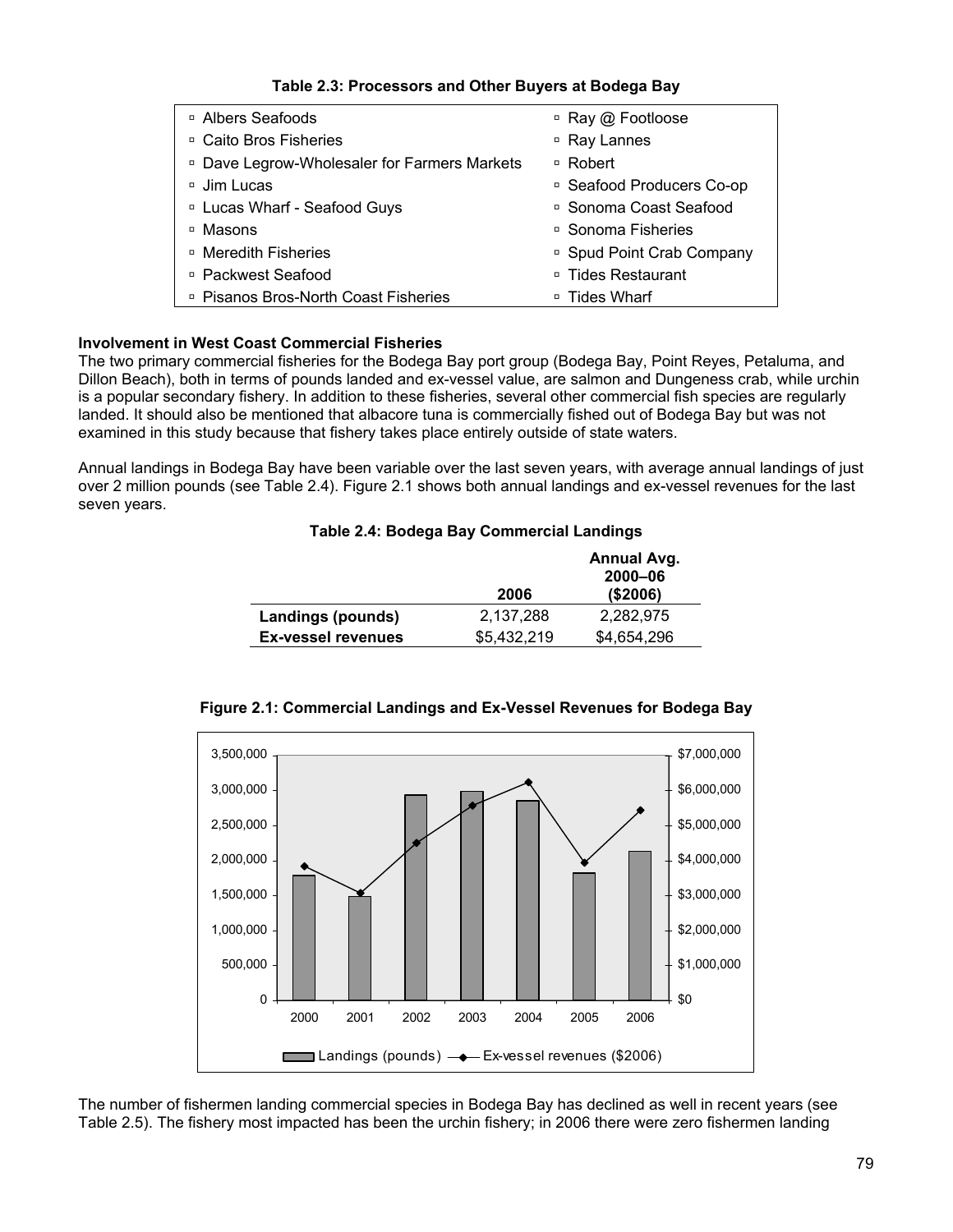| <sup>□</sup> Albers Seafoods                            | □ Ray @ Footloose         |
|---------------------------------------------------------|---------------------------|
| □ Caito Bros Fisheries                                  | □ Ray Lannes              |
| <sup>□</sup> Dave Legrow-Wholesaler for Farmers Markets | □ Robert                  |
| □ Jim Lucas                                             | □ Seafood Producers Co-op |
| □ Lucas Wharf - Seafood Guys                            | □ Sonoma Coast Seafood    |
| □ Masons                                                | □ Sonoma Fisheries        |
| □ Meredith Fisheries                                    | □ Spud Point Crab Company |
| □ Packwest Seafood                                      | □ Tides Restaurant        |
| □ Pisanos Bros-North Coast Fisheries                    | □ Tides Wharf             |

**Table 2.3: Processors and Other Buyers at Bodega Bay** 

### **Involvement in West Coast Commercial Fisheries**

The two primary commercial fisheries for the Bodega Bay port group (Bodega Bay, Point Reyes, Petaluma, and Dillon Beach), both in terms of pounds landed and ex-vessel value, are salmon and Dungeness crab, while urchin is a popular secondary fishery. In addition to these fisheries, several other commercial fish species are regularly landed. It should also be mentioned that albacore tuna is commercially fished out of Bodega Bay but was not examined in this study because that fishery takes place entirely outside of state waters.

Annual landings in Bodega Bay have been variable over the last seven years, with average annual landings of just over 2 million pounds (see Table 2.4). Figure 2.1 shows both annual landings and ex-vessel revenues for the last seven years.

### **Table 2.4: Bodega Bay Commercial Landings**

|                           | 2006        | Annual Avg.<br>2000-06<br>( \$2006) |
|---------------------------|-------------|-------------------------------------|
| Landings (pounds)         | 2,137,288   | 2,282,975                           |
| <b>Ex-vessel revenues</b> | \$5,432,219 | \$4,654,296                         |



**Figure 2.1: Commercial Landings and Ex-Vessel Revenues for Bodega Bay** 

The number of fishermen landing commercial species in Bodega Bay has declined as well in recent years (see Table 2.5). The fishery most impacted has been the urchin fishery; in 2006 there were zero fishermen landing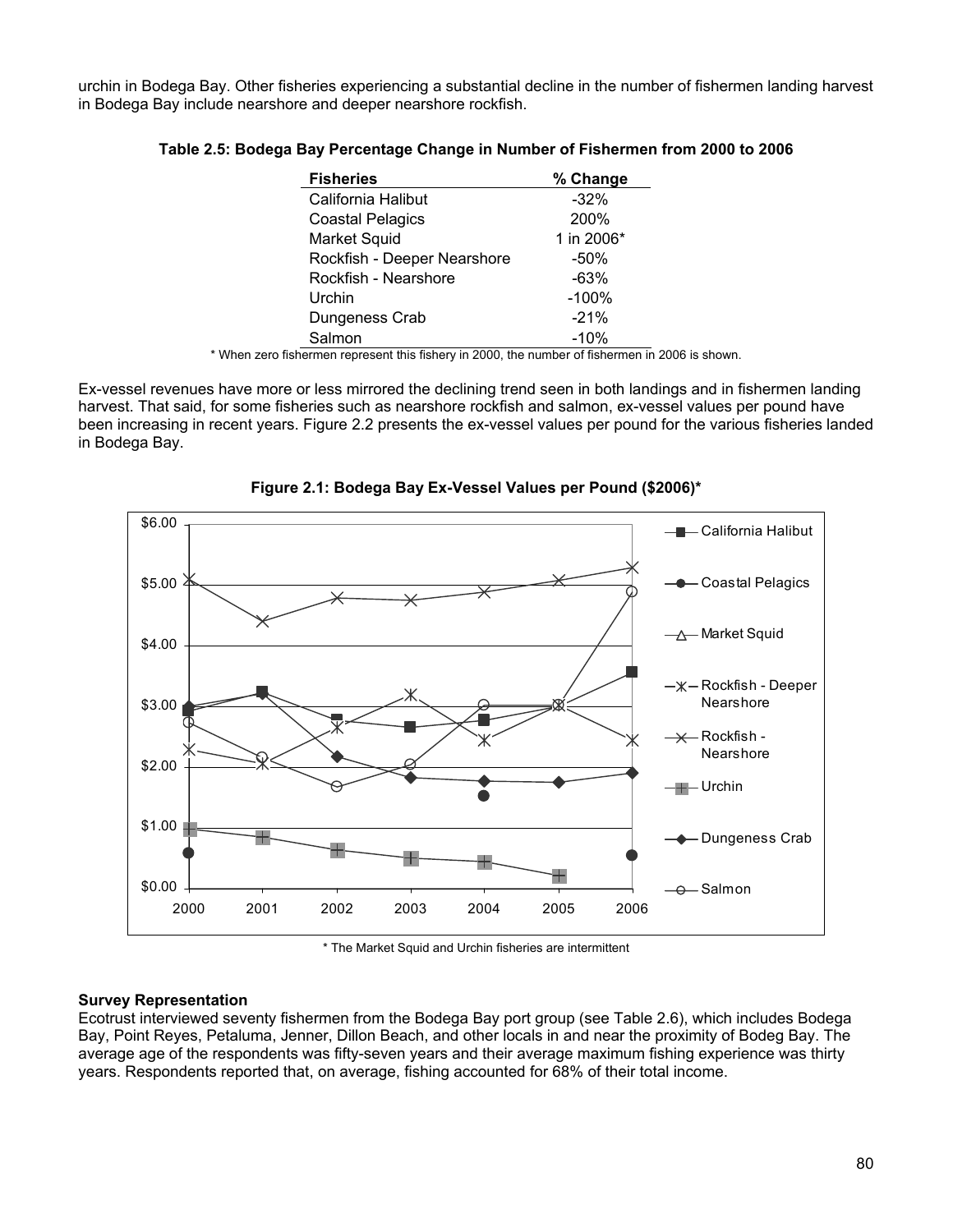urchin in Bodega Bay. Other fisheries experiencing a substantial decline in the number of fishermen landing harvest in Bodega Bay include nearshore and deeper nearshore rockfish.

| <b>Fisheries</b>            | % Change   |
|-----------------------------|------------|
| California Halibut          | $-32%$     |
| <b>Coastal Pelagics</b>     | 200%       |
| Market Squid                | 1 in 2006* |
| Rockfish - Deeper Nearshore | $-50%$     |
| Rockfish - Nearshore        | $-63%$     |
| Urchin                      | $-100%$    |
| Dungeness Crab              | $-21%$     |
| Salmon                      | $-10%$     |

#### **Table 2.5: Bodega Bay Percentage Change in Number of Fishermen from 2000 to 2006**

\* When zero fishermen represent this fishery in 2000, the number of fishermen in 2006 is shown.

Ex-vessel revenues have more or less mirrored the declining trend seen in both landings and in fishermen landing harvest. That said, for some fisheries such as nearshore rockfish and salmon, ex-vessel values per pound have been increasing in recent years. Figure 2.2 presents the ex-vessel values per pound for the various fisheries landed in Bodega Bay.



**Figure 2.1: Bodega Bay Ex-Vessel Values per Pound (\$2006)\*** 

\* The Market Squid and Urchin fisheries are intermittent

#### **Survey Representation**

Ecotrust interviewed seventy fishermen from the Bodega Bay port group (see Table 2.6), which includes Bodega Bay, Point Reyes, Petaluma, Jenner, Dillon Beach, and other locals in and near the proximity of Bodeg Bay. The average age of the respondents was fifty-seven years and their average maximum fishing experience was thirty years. Respondents reported that, on average, fishing accounted for 68% of their total income.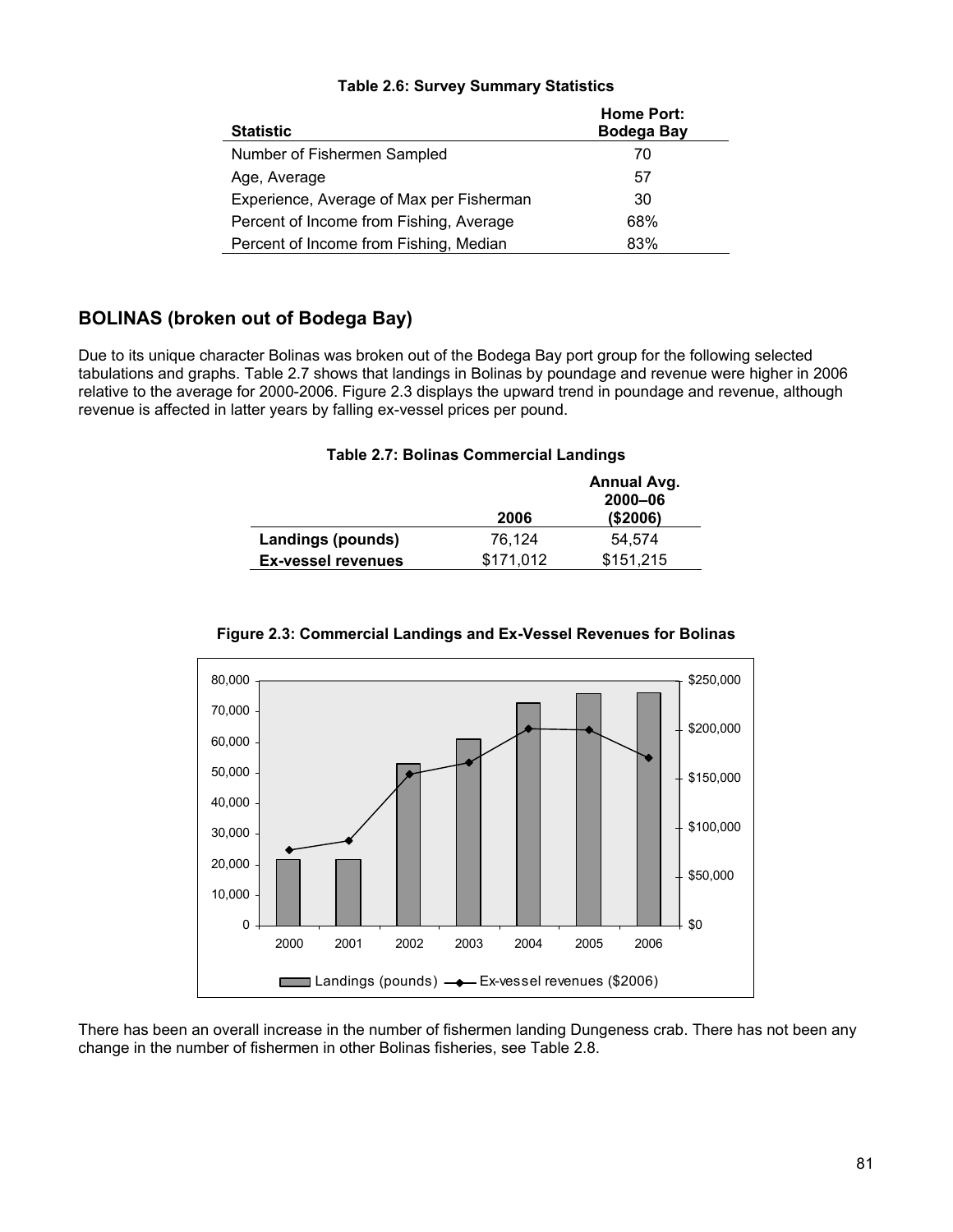| <b>Statistic</b>                         | <b>Home Port:</b><br><b>Bodega Bay</b> |
|------------------------------------------|----------------------------------------|
| Number of Fishermen Sampled              | 70                                     |
| Age, Average                             | 57                                     |
| Experience, Average of Max per Fisherman | 30                                     |
| Percent of Income from Fishing, Average  | 68%                                    |
| Percent of Income from Fishing, Median   | 83%                                    |

### **Table 2.6: Survey Summary Statistics**

## **BOLINAS (broken out of Bodega Bay)**

Due to its unique character Bolinas was broken out of the Bodega Bay port group for the following selected tabulations and graphs. Table 2.7 shows that landings in Bolinas by poundage and revenue were higher in 2006 relative to the average for 2000-2006. Figure 2.3 displays the upward trend in poundage and revenue, although revenue is affected in latter years by falling ex-vessel prices per pound.

### **Table 2.7: Bolinas Commercial Landings**

|                           | 2006      | Annual Avg.<br>$2000 - 06$<br>(\$2006) |
|---------------------------|-----------|----------------------------------------|
| Landings (pounds)         | 76.124    | 54.574                                 |
| <b>Ex-vessel revenues</b> | \$171.012 | \$151.215                              |



**Figure 2.3: Commercial Landings and Ex-Vessel Revenues for Bolinas** 

There has been an overall increase in the number of fishermen landing Dungeness crab. There has not been any change in the number of fishermen in other Bolinas fisheries, see Table 2.8.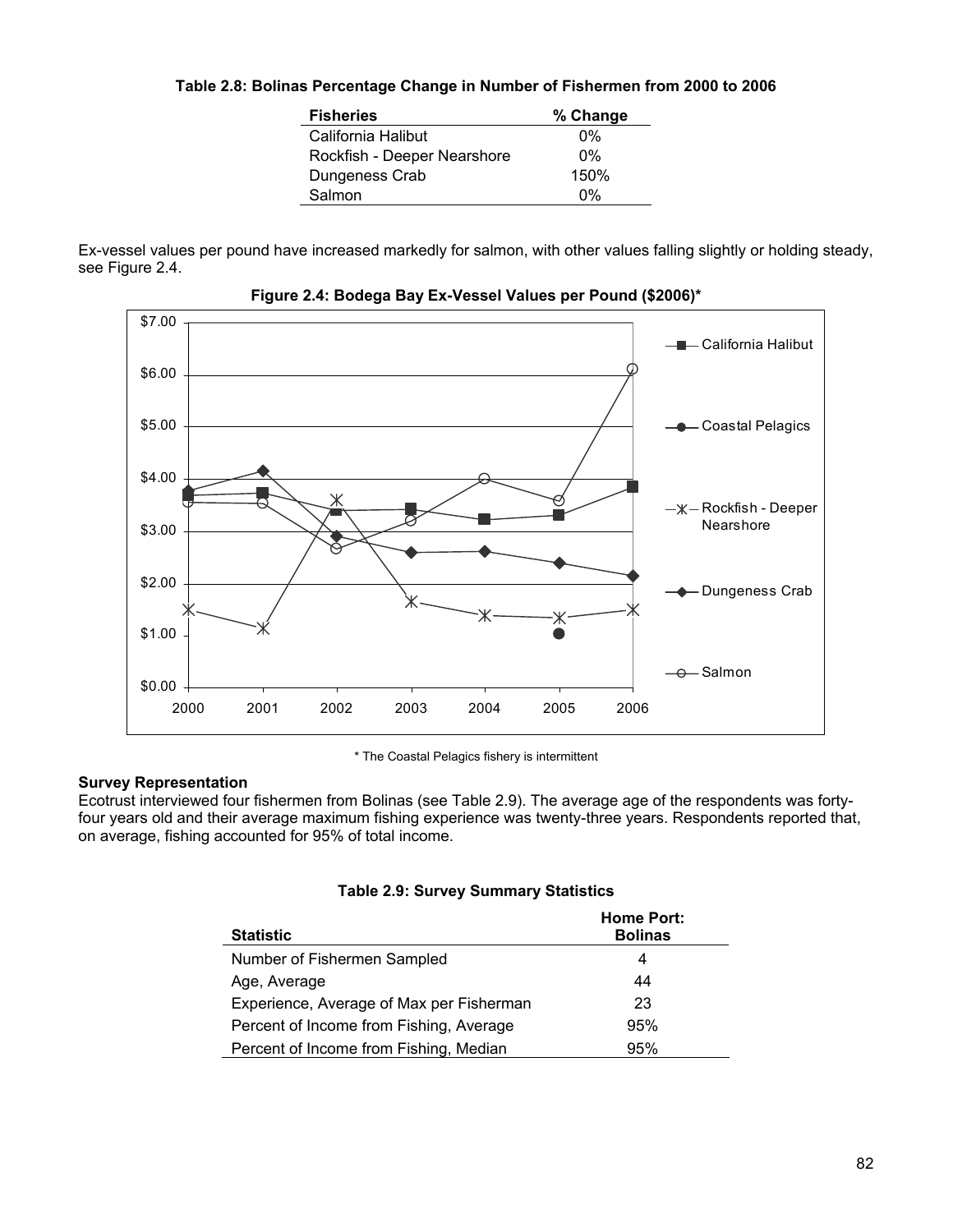### **Table 2.8: Bolinas Percentage Change in Number of Fishermen from 2000 to 2006**

| <b>Fisheries</b>            | % Change |
|-----------------------------|----------|
| California Halibut          | በ%       |
| Rockfish - Deeper Nearshore | $0\%$    |
| Dungeness Crab              | 150%     |
| Salmon                      | በ%       |

Ex-vessel values per pound have increased markedly for salmon, with other values falling slightly or holding steady, see Figure 2.4.



**Figure 2.4: Bodega Bay Ex-Vessel Values per Pound (\$2006)\***

\* The Coastal Pelagics fishery is intermittent

### **Survey Representation**

Ecotrust interviewed four fishermen from Bolinas (see Table 2.9). The average age of the respondents was fortyfour years old and their average maximum fishing experience was twenty-three years. Respondents reported that, on average, fishing accounted for 95% of total income.

|  |  |  |  |  | <b>Table 2.9: Survey Summary Statistics</b> |
|--|--|--|--|--|---------------------------------------------|
|--|--|--|--|--|---------------------------------------------|

| <b>Statistic</b>                         | <b>Home Port:</b><br><b>Bolinas</b> |
|------------------------------------------|-------------------------------------|
| Number of Fishermen Sampled              | 4                                   |
| Age, Average                             | 44                                  |
| Experience, Average of Max per Fisherman | 23                                  |
| Percent of Income from Fishing, Average  | 95%                                 |
| Percent of Income from Fishing, Median   | 95%                                 |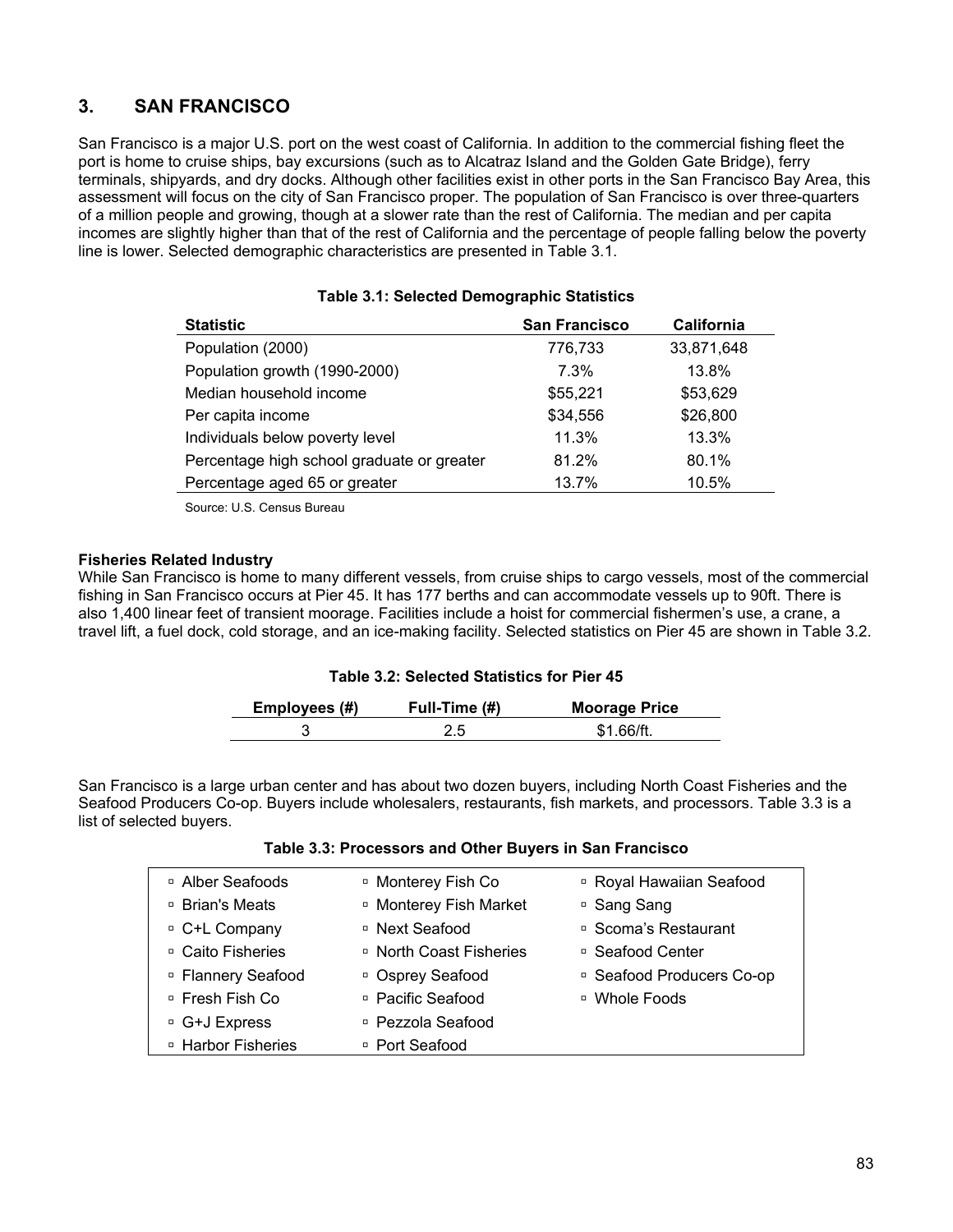## **3. SAN FRANCISCO**

San Francisco is a major U.S. port on the west coast of California. In addition to the commercial fishing fleet the port is home to cruise ships, bay excursions (such as to Alcatraz Island and the Golden Gate Bridge), ferry terminals, shipyards, and dry docks. Although other facilities exist in other ports in the San Francisco Bay Area, this assessment will focus on the city of San Francisco proper. The population of San Francisco is over three-quarters of a million people and growing, though at a slower rate than the rest of California. The median and per capita incomes are slightly higher than that of the rest of California and the percentage of people falling below the poverty line is lower. Selected demographic characteristics are presented in Table 3.1.

| <b>Statistic</b>                           | <b>San Francisco</b> | California |
|--------------------------------------------|----------------------|------------|
| Population (2000)                          | 776,733              | 33,871,648 |
| Population growth (1990-2000)              | 7.3%                 | 13.8%      |
| Median household income                    | \$55,221             | \$53,629   |
| Per capita income                          | \$34,556             | \$26,800   |
| Individuals below poverty level            | 11.3%                | 13.3%      |
| Percentage high school graduate or greater | 81.2%                | 80.1%      |
| Percentage aged 65 or greater              | 13.7%                | 10.5%      |

#### **Table 3.1: Selected Demographic Statistics**

Source: U.S. Census Bureau

#### **Fisheries Related Industry**

While San Francisco is home to many different vessels, from cruise ships to cargo vessels, most of the commercial fishing in San Francisco occurs at Pier 45. It has 177 berths and can accommodate vessels up to 90ft. There is also 1,400 linear feet of transient moorage. Facilities include a hoist for commercial fishermen's use, a crane, a travel lift, a fuel dock, cold storage, and an ice-making facility. Selected statistics on Pier 45 are shown in Table 3.2.

### **Table 3.2: Selected Statistics for Pier 45**

| Employees (#) | Full-Time (#) | <b>Moorage Price</b> |
|---------------|---------------|----------------------|
|               |               | \$1 66/ft            |

San Francisco is a large urban center and has about two dozen buyers, including North Coast Fisheries and the Seafood Producers Co-op. Buyers include wholesalers, restaurants, fish markets, and processors. Table 3.3 is a list of selected buyers.

| □ Alber Seafoods              | <sup>D</sup> Monterey Fish Co     | <sup>D</sup> Royal Hawaiian Seafood |
|-------------------------------|-----------------------------------|-------------------------------------|
| □ Brian's Meats               | <sup>D</sup> Monterey Fish Market | □ Sang Sang                         |
| <sup>□</sup> C+L Company      | □ Next Seafood                    | □ Scoma's Restaurant                |
| □ Caito Fisheries             | □ North Coast Fisheries           | □ Seafood Center                    |
| <sup>□</sup> Flannery Seafood | □ Osprey Seafood                  | □ Seafood Producers Co-op           |
| □ Fresh Fish Co               | □ Pacific Seafood                 | □ Whole Foods                       |
| <sup>□</sup> G+J Express      | □ Pezzola Seafood                 |                                     |
| <sup>D</sup> Harbor Fisheries | □ Port Seafood                    |                                     |
|                               |                                   |                                     |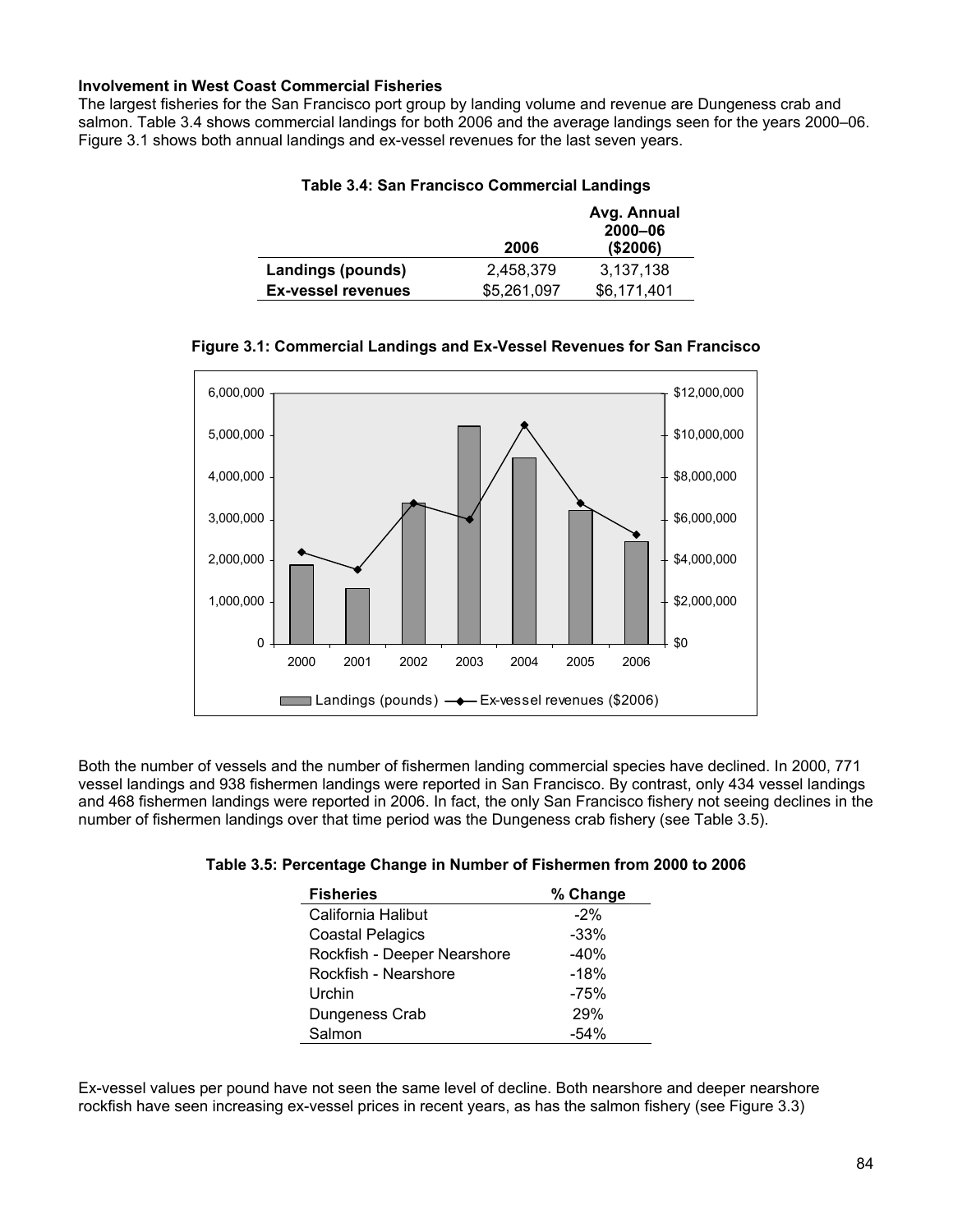### **Involvement in West Coast Commercial Fisheries**

The largest fisheries for the San Francisco port group by landing volume and revenue are Dungeness crab and salmon. Table 3.4 shows commercial landings for both 2006 and the average landings seen for the years 2000–06. Figure 3.1 shows both annual landings and ex-vessel revenues for the last seven years.

|                           | 2006        | Avg. Annual<br>2000-06<br>( \$2006) |
|---------------------------|-------------|-------------------------------------|
|                           |             |                                     |
| Landings (pounds)         | 2,458,379   | 3,137,138                           |
| <b>Ex-vessel revenues</b> | \$5,261,097 | \$6,171,401                         |

#### **Table 3.4: San Francisco Commercial Landings**

### **Figure 3.1: Commercial Landings and Ex-Vessel Revenues for San Francisco**



Both the number of vessels and the number of fishermen landing commercial species have declined. In 2000, 771 vessel landings and 938 fishermen landings were reported in San Francisco. By contrast, only 434 vessel landings and 468 fishermen landings were reported in 2006. In fact, the only San Francisco fishery not seeing declines in the number of fishermen landings over that time period was the Dungeness crab fishery (see Table 3.5).

| Table 3.5: Percentage Change in Number of Fishermen from 2000 to 2006 |  |  |  |
|-----------------------------------------------------------------------|--|--|--|
|-----------------------------------------------------------------------|--|--|--|

| <b>Fisheries</b>            | % Change |
|-----------------------------|----------|
| California Halibut          | $-2%$    |
| <b>Coastal Pelagics</b>     | $-33%$   |
| Rockfish - Deeper Nearshore | $-40%$   |
| Rockfish - Nearshore        | $-18%$   |
| Urchin                      | $-75%$   |
| Dungeness Crab              | 29%      |
| Salmon                      | $-54%$   |

Ex-vessel values per pound have not seen the same level of decline. Both nearshore and deeper nearshore rockfish have seen increasing ex-vessel prices in recent years, as has the salmon fishery (see Figure 3.3)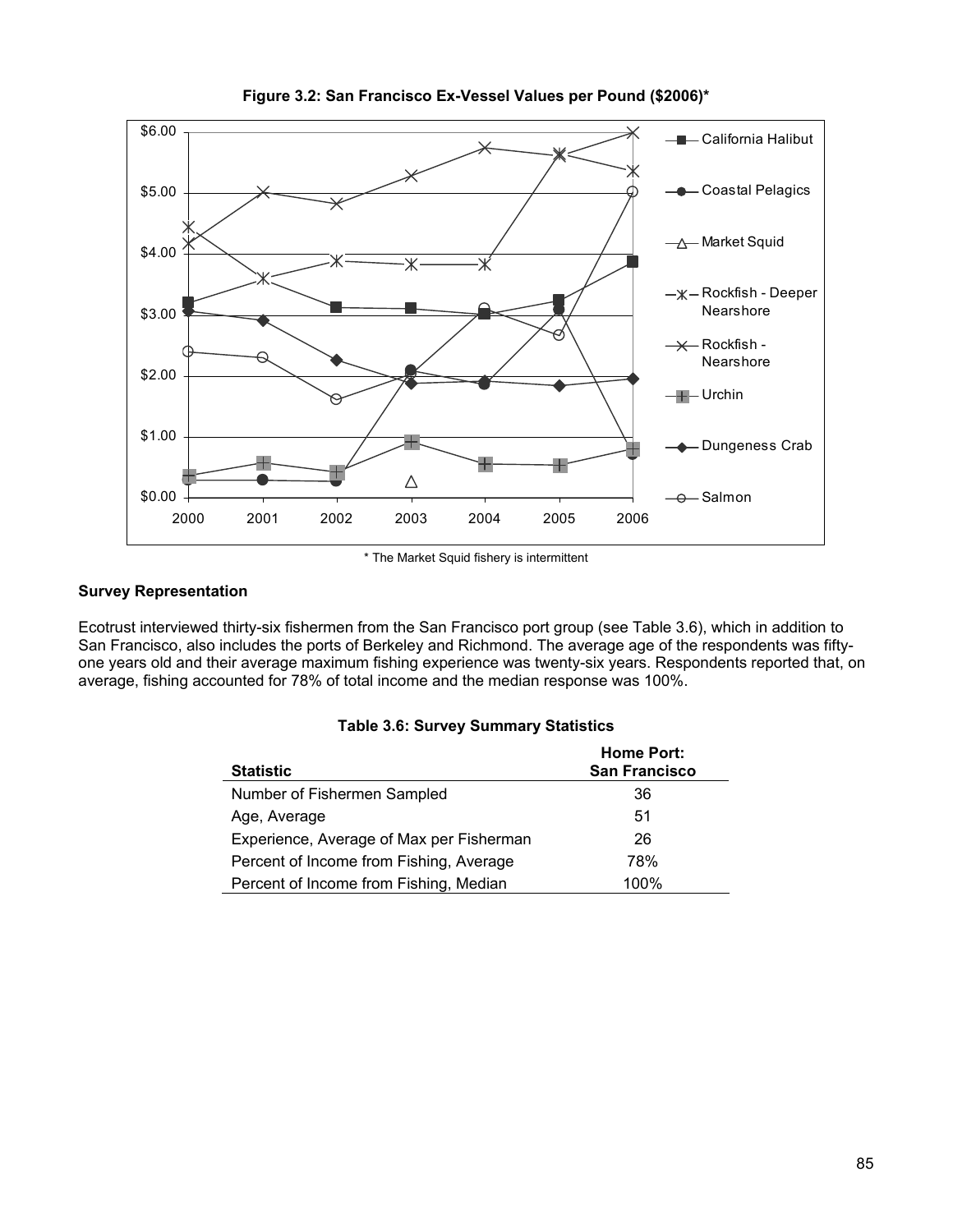

**Figure 3.2: San Francisco Ex-Vessel Values per Pound (\$2006)\*** 

\* The Market Squid fishery is intermittent

### **Survey Representation**

Ecotrust interviewed thirty-six fishermen from the San Francisco port group (see Table 3.6), which in addition to San Francisco, also includes the ports of Berkeley and Richmond. The average age of the respondents was fiftyone years old and their average maximum fishing experience was twenty-six years. Respondents reported that, on average, fishing accounted for 78% of total income and the median response was 100%.

| <b>Statistic</b>                         | <b>Home Port:</b><br><b>San Francisco</b> |
|------------------------------------------|-------------------------------------------|
| Number of Fishermen Sampled              | 36                                        |
| Age, Average                             | 51                                        |
| Experience, Average of Max per Fisherman | 26                                        |
| Percent of Income from Fishing, Average  | 78%                                       |

Percent of Income from Fishing, Median 100%

#### **Table 3.6: Survey Summary Statistics**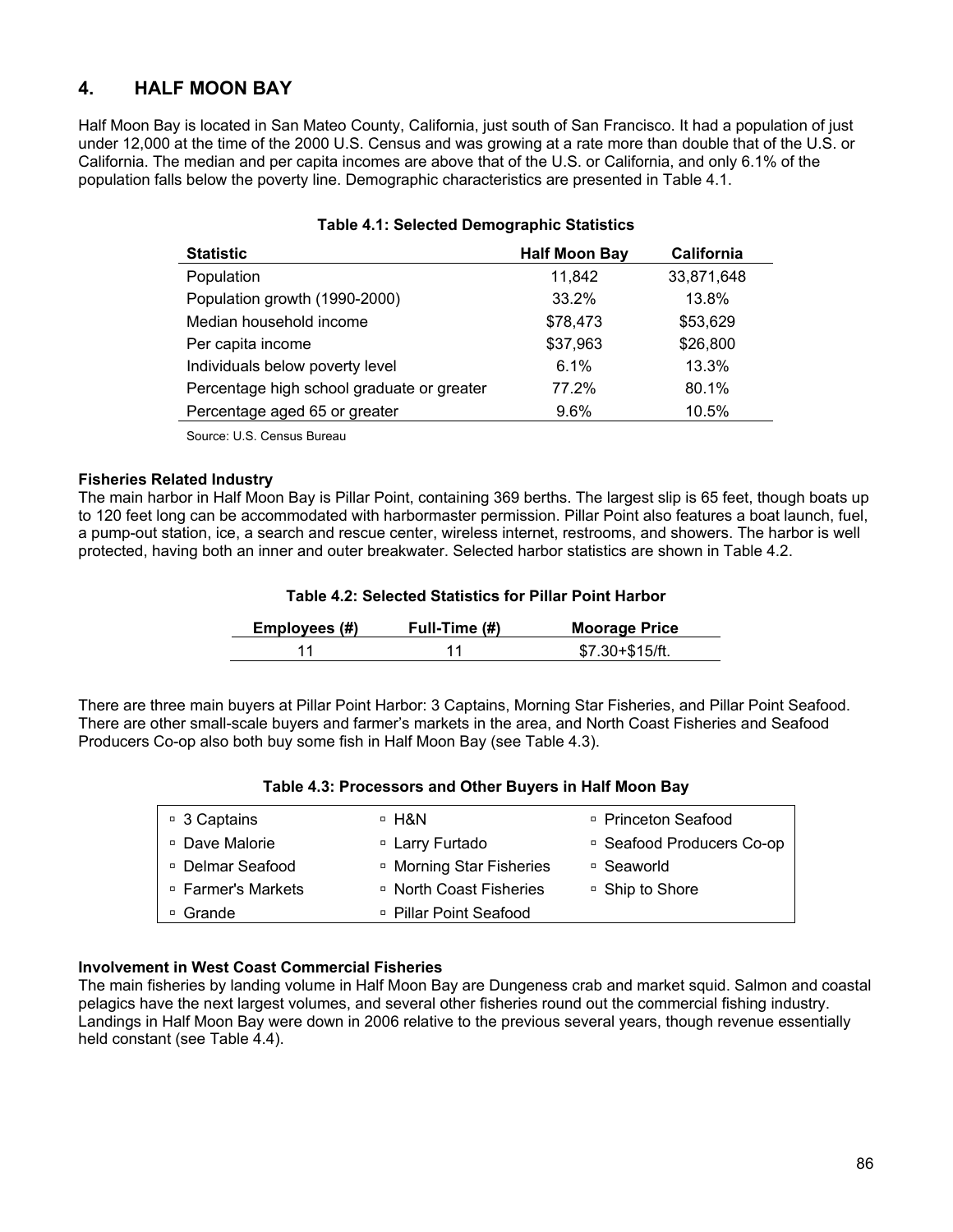## **4. HALF MOON BAY**

Half Moon Bay is located in San Mateo County, California, just south of San Francisco. It had a population of just under 12,000 at the time of the 2000 U.S. Census and was growing at a rate more than double that of the U.S. or California. The median and per capita incomes are above that of the U.S. or California, and only 6.1% of the population falls below the poverty line. Demographic characteristics are presented in Table 4.1.

#### **Table 4.1: Selected Demographic Statistics**

| <b>Statistic</b>                           | <b>Half Moon Bay</b> | California |
|--------------------------------------------|----------------------|------------|
| Population                                 | 11,842               | 33,871,648 |
| Population growth (1990-2000)              | 33.2%                | 13.8%      |
| Median household income                    | \$78,473             | \$53,629   |
| Per capita income                          | \$37,963             | \$26,800   |
| Individuals below poverty level            | 6.1%                 | 13.3%      |
| Percentage high school graduate or greater | 77.2%                | 80.1%      |
| Percentage aged 65 or greater              | 9.6%                 | 10.5%      |

Source: U.S. Census Bureau

#### **Fisheries Related Industry**

The main harbor in Half Moon Bay is Pillar Point, containing 369 berths. The largest slip is 65 feet, though boats up to 120 feet long can be accommodated with harbormaster permission. Pillar Point also features a boat launch, fuel, a pump-out station, ice, a search and rescue center, wireless internet, restrooms, and showers. The harbor is well protected, having both an inner and outer breakwater. Selected harbor statistics are shown in Table 4.2.

#### **Table 4.2: Selected Statistics for Pillar Point Harbor**

| Employees (#) | Full-Time (#) | <b>Moorage Price</b> |
|---------------|---------------|----------------------|
|               |               | \$7.30+\$15/ft.      |

There are three main buyers at Pillar Point Harbor: 3 Captains, Morning Star Fisheries, and Pillar Point Seafood. There are other small-scale buyers and farmer's markets in the area, and North Coast Fisheries and Seafood Producers Co-op also both buy some fish in Half Moon Bay (see Table 4.3).

| □ 3 Captains              | $\overline{P}$ H&N                  | □ Princeton Seafood       |
|---------------------------|-------------------------------------|---------------------------|
| <sup>□</sup> Dave Malorie | □ Larry Furtado                     | □ Seafood Producers Co-op |
| Delmar Seafood            | <sup>D</sup> Morning Star Fisheries | □ Seaworld                |
| □ Farmer's Markets        | □ North Coast Fisheries             | □ Ship to Shore           |
| Grande                    | □ Pillar Point Seafood              |                           |

#### **Table 4.3: Processors and Other Buyers in Half Moon Bay**

### **Involvement in West Coast Commercial Fisheries**

The main fisheries by landing volume in Half Moon Bay are Dungeness crab and market squid. Salmon and coastal pelagics have the next largest volumes, and several other fisheries round out the commercial fishing industry. Landings in Half Moon Bay were down in 2006 relative to the previous several years, though revenue essentially held constant (see Table 4.4).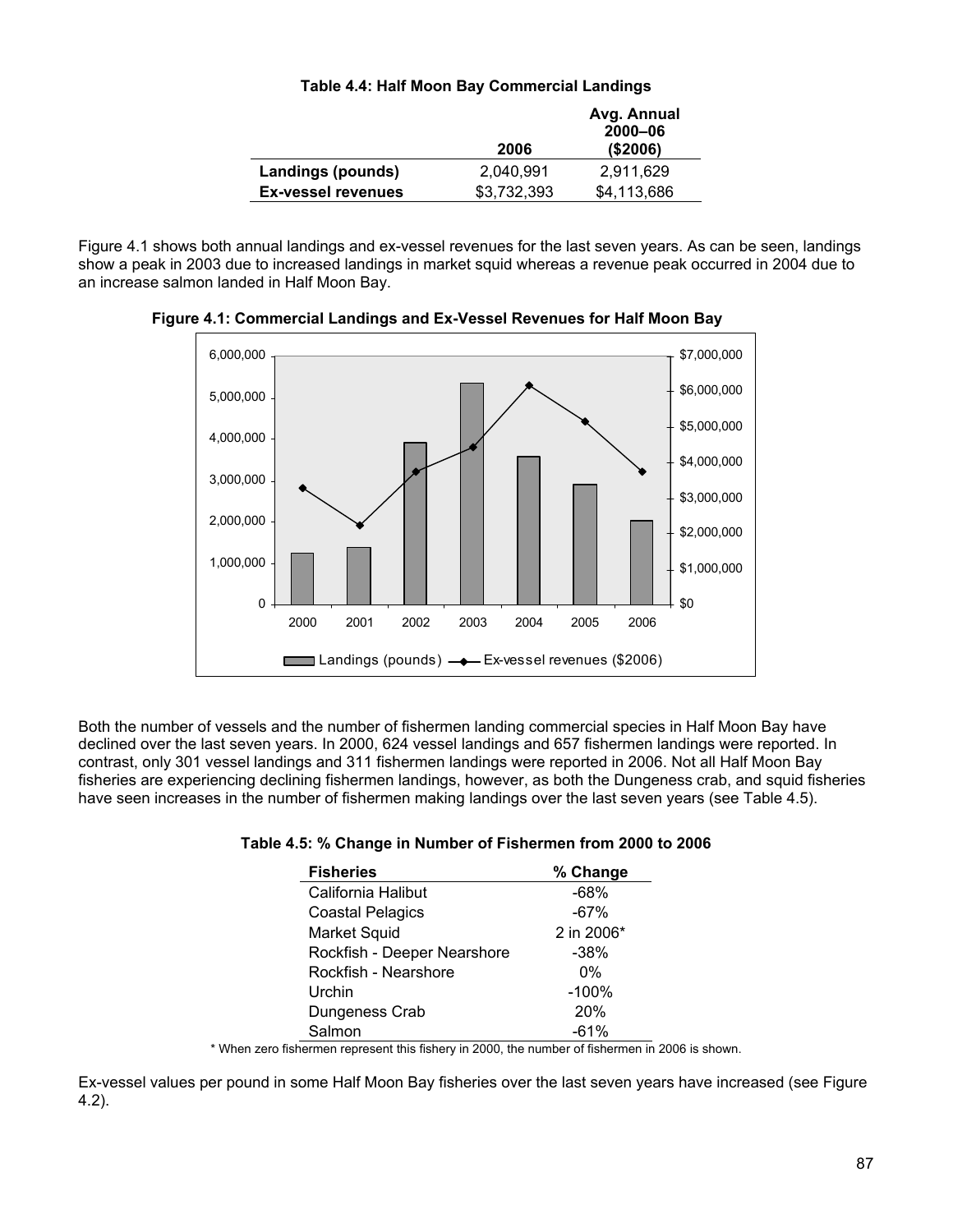| Table 4.4: Half Moon Bay Commercial Landings |  |
|----------------------------------------------|--|
|----------------------------------------------|--|

|                           |             | Avg. Annual<br>$2000 - 06$ |
|---------------------------|-------------|----------------------------|
|                           | 2006        | (\$2006)                   |
| Landings (pounds)         | 2,040,991   | 2,911,629                  |
| <b>Ex-vessel revenues</b> | \$3,732,393 | \$4,113,686                |

Figure 4.1 shows both annual landings and ex-vessel revenues for the last seven years. As can be seen, landings show a peak in 2003 due to increased landings in market squid whereas a revenue peak occurred in 2004 due to an increase salmon landed in Half Moon Bay.



 **Figure 4.1: Commercial Landings and Ex-Vessel Revenues for Half Moon Bay** 

Both the number of vessels and the number of fishermen landing commercial species in Half Moon Bay have declined over the last seven years. In 2000, 624 vessel landings and 657 fishermen landings were reported. In contrast, only 301 vessel landings and 311 fishermen landings were reported in 2006. Not all Half Moon Bay fisheries are experiencing declining fishermen landings, however, as both the Dungeness crab, and squid fisheries have seen increases in the number of fishermen making landings over the last seven years (see Table 4.5).

## **Table 4.5: % Change in Number of Fishermen from 2000 to 2006**

| <b>Fisheries</b>            | % Change   |
|-----------------------------|------------|
| California Halibut          | $-68%$     |
| <b>Coastal Pelagics</b>     | -67%       |
| <b>Market Squid</b>         | 2 in 2006* |
| Rockfish - Deeper Nearshore | $-38\%$    |
| Rockfish - Nearshore        | $0\%$      |
| Urchin                      | $-100%$    |
| Dungeness Crab              | 20%        |
| Salmon                      | $-61%$     |

\* When zero fishermen represent this fishery in 2000, the number of fishermen in 2006 is shown.

Ex-vessel values per pound in some Half Moon Bay fisheries over the last seven years have increased (see Figure 4.2).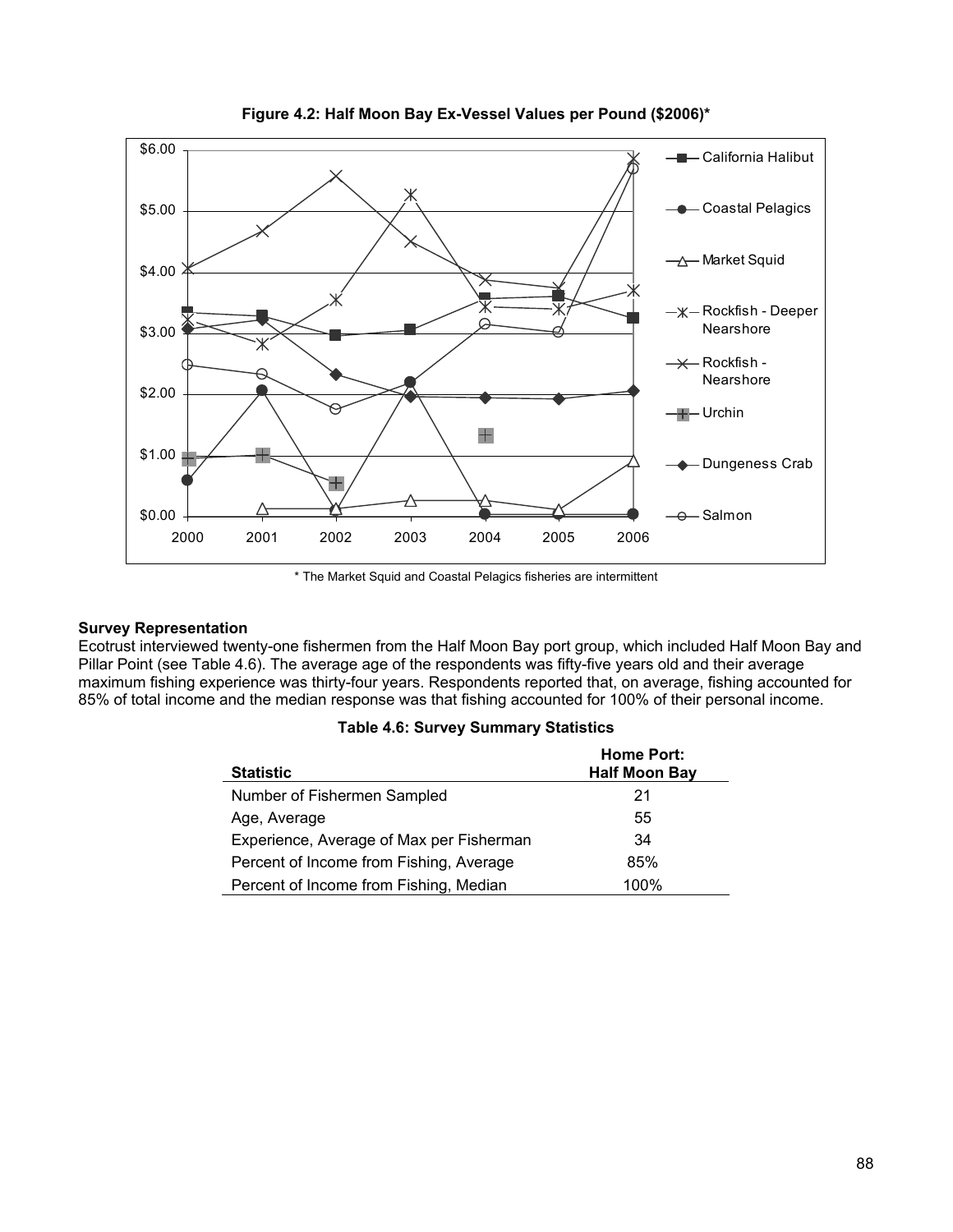

**Figure 4.2: Half Moon Bay Ex-Vessel Values per Pound (\$2006)\*** 

\* The Market Squid and Coastal Pelagics fisheries are intermittent

### **Survey Representation**

Ecotrust interviewed twenty-one fishermen from the Half Moon Bay port group, which included Half Moon Bay and Pillar Point (see Table 4.6). The average age of the respondents was fifty-five years old and their average maximum fishing experience was thirty-four years. Respondents reported that, on average, fishing accounted for 85% of total income and the median response was that fishing accounted for 100% of their personal income.

| <b>Statistic</b>                         | <b>Home Port:</b><br><b>Half Moon Bay</b> |
|------------------------------------------|-------------------------------------------|
| Number of Fishermen Sampled              | 21                                        |
| Age, Average                             | 55                                        |
| Experience, Average of Max per Fisherman | 34                                        |
| Percent of Income from Fishing, Average  | 85%                                       |
| Percent of Income from Fishing, Median   | 100%                                      |

|  |  |  |  | Table 4.6: Survey Summary Statistics |
|--|--|--|--|--------------------------------------|
|--|--|--|--|--------------------------------------|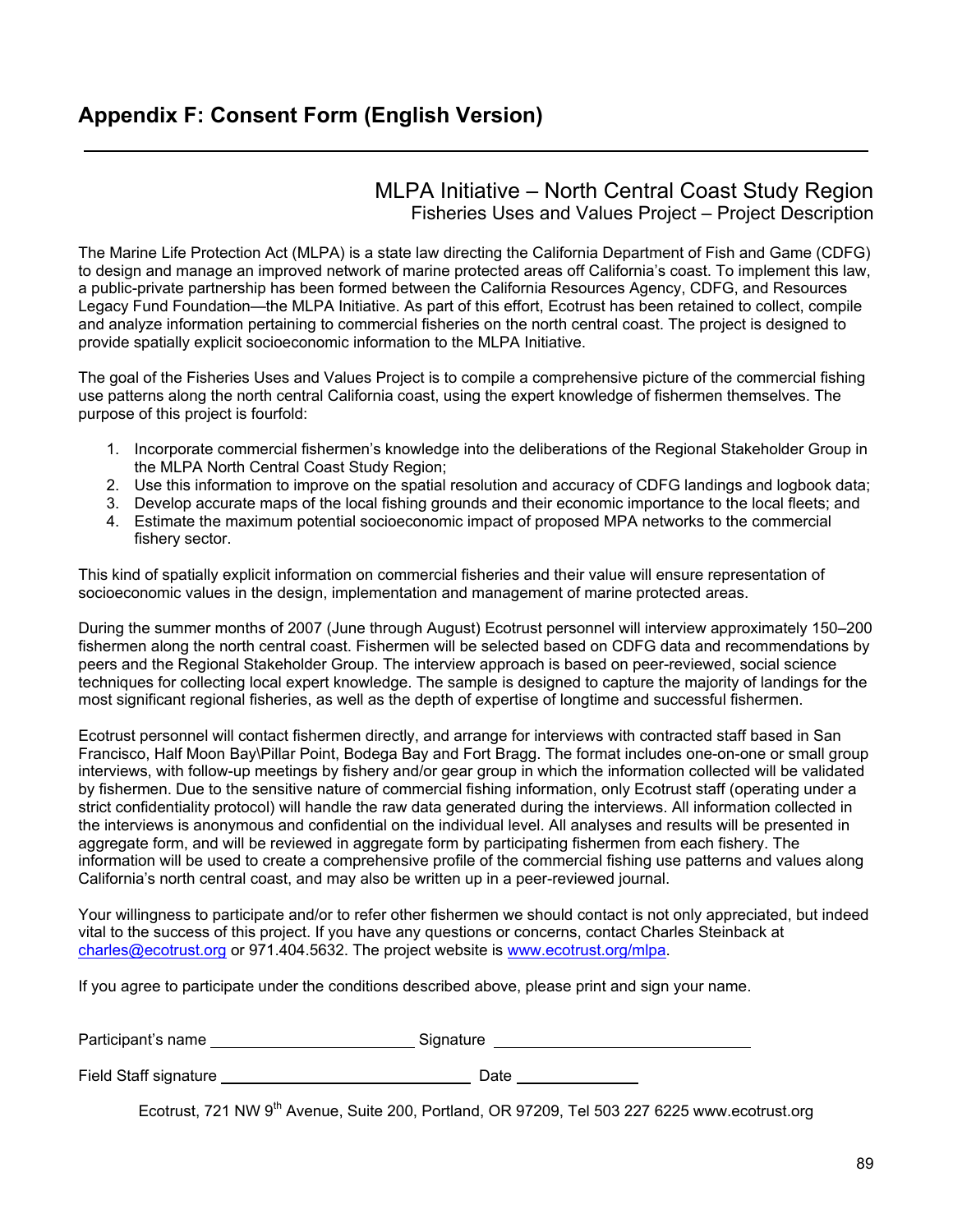## **Appendix F: Consent Form (English Version)**

## MLPA Initiative – North Central Coast Study Region Fisheries Uses and Values Project – Project Description

The Marine Life Protection Act (MLPA) is a state law directing the California Department of Fish and Game (CDFG) to design and manage an improved network of marine protected areas off California's coast. To implement this law, a public-private partnership has been formed between the California Resources Agency, CDFG, and Resources Legacy Fund Foundation—the MLPA Initiative. As part of this effort, Ecotrust has been retained to collect, compile and analyze information pertaining to commercial fisheries on the north central coast. The project is designed to provide spatially explicit socioeconomic information to the MLPA Initiative.

The goal of the Fisheries Uses and Values Project is to compile a comprehensive picture of the commercial fishing use patterns along the north central California coast, using the expert knowledge of fishermen themselves. The purpose of this project is fourfold:

- 1. Incorporate commercial fishermen's knowledge into the deliberations of the Regional Stakeholder Group in the MLPA North Central Coast Study Region;
- 2. Use this information to improve on the spatial resolution and accuracy of CDFG landings and logbook data;
- 3. Develop accurate maps of the local fishing grounds and their economic importance to the local fleets; and
- 4. Estimate the maximum potential socioeconomic impact of proposed MPA networks to the commercial fishery sector.

This kind of spatially explicit information on commercial fisheries and their value will ensure representation of socioeconomic values in the design, implementation and management of marine protected areas.

During the summer months of 2007 (June through August) Ecotrust personnel will interview approximately 150–200 fishermen along the north central coast. Fishermen will be selected based on CDFG data and recommendations by peers and the Regional Stakeholder Group. The interview approach is based on peer-reviewed, social science techniques for collecting local expert knowledge. The sample is designed to capture the majority of landings for the most significant regional fisheries, as well as the depth of expertise of longtime and successful fishermen.

Ecotrust personnel will contact fishermen directly, and arrange for interviews with contracted staff based in San Francisco, Half Moon Bay\Pillar Point, Bodega Bay and Fort Bragg. The format includes one-on-one or small group interviews, with follow-up meetings by fishery and/or gear group in which the information collected will be validated by fishermen. Due to the sensitive nature of commercial fishing information, only Ecotrust staff (operating under a strict confidentiality protocol) will handle the raw data generated during the interviews. All information collected in the interviews is anonymous and confidential on the individual level. All analyses and results will be presented in aggregate form, and will be reviewed in aggregate form by participating fishermen from each fishery. The information will be used to create a comprehensive profile of the commercial fishing use patterns and values along California's north central coast, and may also be written up in a peer-reviewed journal.

Your willingness to participate and/or to refer other fishermen we should contact is not only appreciated, but indeed vital to the success of this project. If you have any questions or concerns, contact Charles Steinback at charles@ecotrust.org or 971.404.5632. The project website is www.ecotrust.org/mlpa.

If you agree to participate under the conditions described above, please print and sign your name.

| Participant's name | Signature |
|--------------------|-----------|
|--------------------|-----------|

| Field Staff signature |  |
|-----------------------|--|
|-----------------------|--|

Field State State State State State State State State State State State State State State State State State State State State State State State State State State State State State State State State State State State State

Ecotrust. 721 NW 9<sup>th</sup> Avenue, Suite 200, Portland, OR 97209, Tel 503 227 6225 www.ecotrust.org